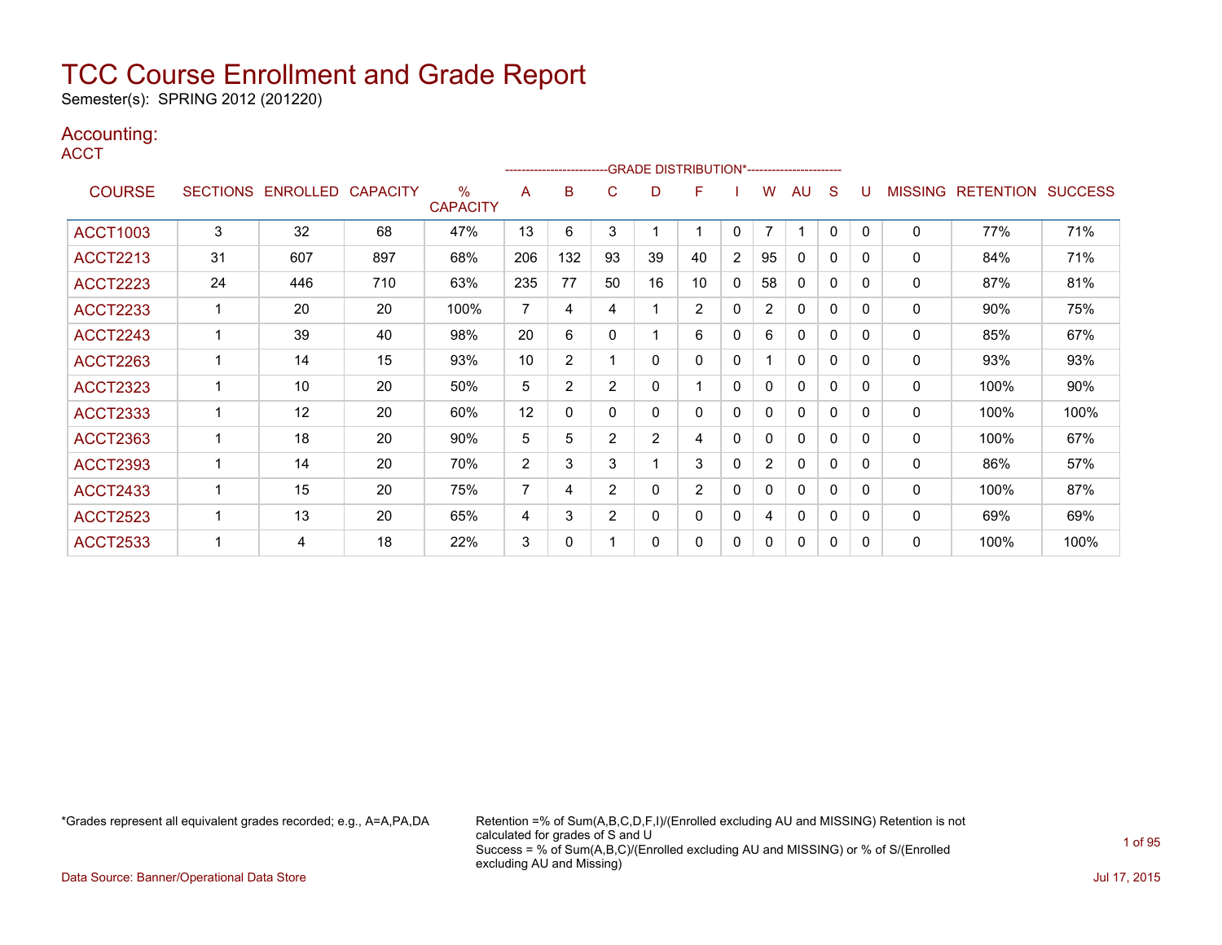Semester(s): SPRING 2012 (201220)

### Accounting:

**ACCT** 

| .               |    |                   |                 |                         |                |                |                |                | -GRADE DISTRIBUTION*----------------------- |              |                |              |              |          |                |                  |                |
|-----------------|----|-------------------|-----------------|-------------------------|----------------|----------------|----------------|----------------|---------------------------------------------|--------------|----------------|--------------|--------------|----------|----------------|------------------|----------------|
| <b>COURSE</b>   |    | SECTIONS ENROLLED | <b>CAPACITY</b> | $\%$<br><b>CAPACITY</b> | A              | B              | C              | D              | F                                           |              | w              | AU           | S            | U        | <b>MISSING</b> | <b>RETENTION</b> | <b>SUCCESS</b> |
| <b>ACCT1003</b> | 3  | 32                | 68              | 47%                     | 13             | 6              | 3              |                | 1                                           | $\mathbf{0}$ | $\overline{7}$ | -1           | $\Omega$     | $\Omega$ | $\mathbf{0}$   | 77%              | 71%            |
| <b>ACCT2213</b> | 31 | 607               | 897             | 68%                     | 206            | 132            | 93             | 39             | 40                                          | 2            | 95             | $\mathbf{0}$ | 0            | 0        | $\mathbf{0}$   | 84%              | 71%            |
| <b>ACCT2223</b> | 24 | 446               | 710             | 63%                     | 235            | 77             | 50             | 16             | 10                                          | 0            | 58             | 0            | 0            | $\Omega$ | 0              | 87%              | 81%            |
| <b>ACCT2233</b> | 1  | 20                | 20              | 100%                    | $\overline{7}$ | 4              | 4              |                | $\overline{2}$                              | 0            | $\overline{2}$ | 0            | 0            | 0        | 0              | 90%              | 75%            |
| <b>ACCT2243</b> |    | 39                | 40              | 98%                     | 20             | 6              | 0              |                | 6                                           | $\Omega$     | 6              | $\mathbf{0}$ | $\mathbf{0}$ | $\Omega$ | 0              | 85%              | 67%            |
| <b>ACCT2263</b> |    | 14                | 15              | 93%                     | 10             | $\overline{2}$ |                | 0              | 0                                           | 0            |                | $\mathbf{0}$ | 0            | 0        | $\Omega$       | 93%              | 93%            |
| <b>ACCT2323</b> |    | 10                | 20              | 50%                     | 5              | $\overline{2}$ | $\overline{2}$ | 0              | 1                                           | 0            | 0              | $\mathbf{0}$ | 0            | 0        | $\mathbf{0}$   | 100%             | 90%            |
| <b>ACCT2333</b> |    | 12                | 20              | 60%                     | 12             | 0              | 0              | 0              | 0                                           | 0            | 0              | $\mathbf{0}$ | 0            | 0        | $\mathbf{0}$   | 100%             | 100%           |
| <b>ACCT2363</b> |    | 18                | 20              | 90%                     | 5              | 5              | $\overline{2}$ | $\overline{2}$ | 4                                           | 0            | 0              | $\mathbf{0}$ | 0            | $\Omega$ | $\mathbf{0}$   | 100%             | 67%            |
| <b>ACCT2393</b> | -1 | 14                | 20              | 70%                     | $\overline{2}$ | 3              | 3              |                | 3                                           | 0            | $\overline{2}$ | $\mathbf{0}$ | 0            | $\Omega$ | $\mathbf{0}$   | 86%              | 57%            |
| <b>ACCT2433</b> | -1 | 15                | 20              | 75%                     | 7              | 4              | $\overline{2}$ | 0              | $\overline{2}$                              | 0            | 0              | $\mathbf{0}$ | 0            | $\Omega$ | $\mathbf{0}$   | 100%             | 87%            |
| <b>ACCT2523</b> |    | 13                | 20              | 65%                     | 4              | 3              | 2              | 0              | 0                                           | 0            | 4              | $\mathbf{0}$ | 0            | 0        | 0              | 69%              | 69%            |
| <b>ACCT2533</b> |    | 4                 | 18              | 22%                     | 3              | 0              |                | 0              | 0                                           | 0            | 0              | 0            | 0            | $\Omega$ | 0              | 100%             | 100%           |

\*Grades represent all equivalent grades recorded; e.g., A=A,PA,DA Retention =% of Sum(A,B,C,D,F,I)/(Enrolled excluding AU and MISSING) Retention is not calculated for grades of S and U Success = % of Sum(A,B,C)/(Enrolled excluding AU and MISSING) or % of S/(Enrolled excluding AU and Missing)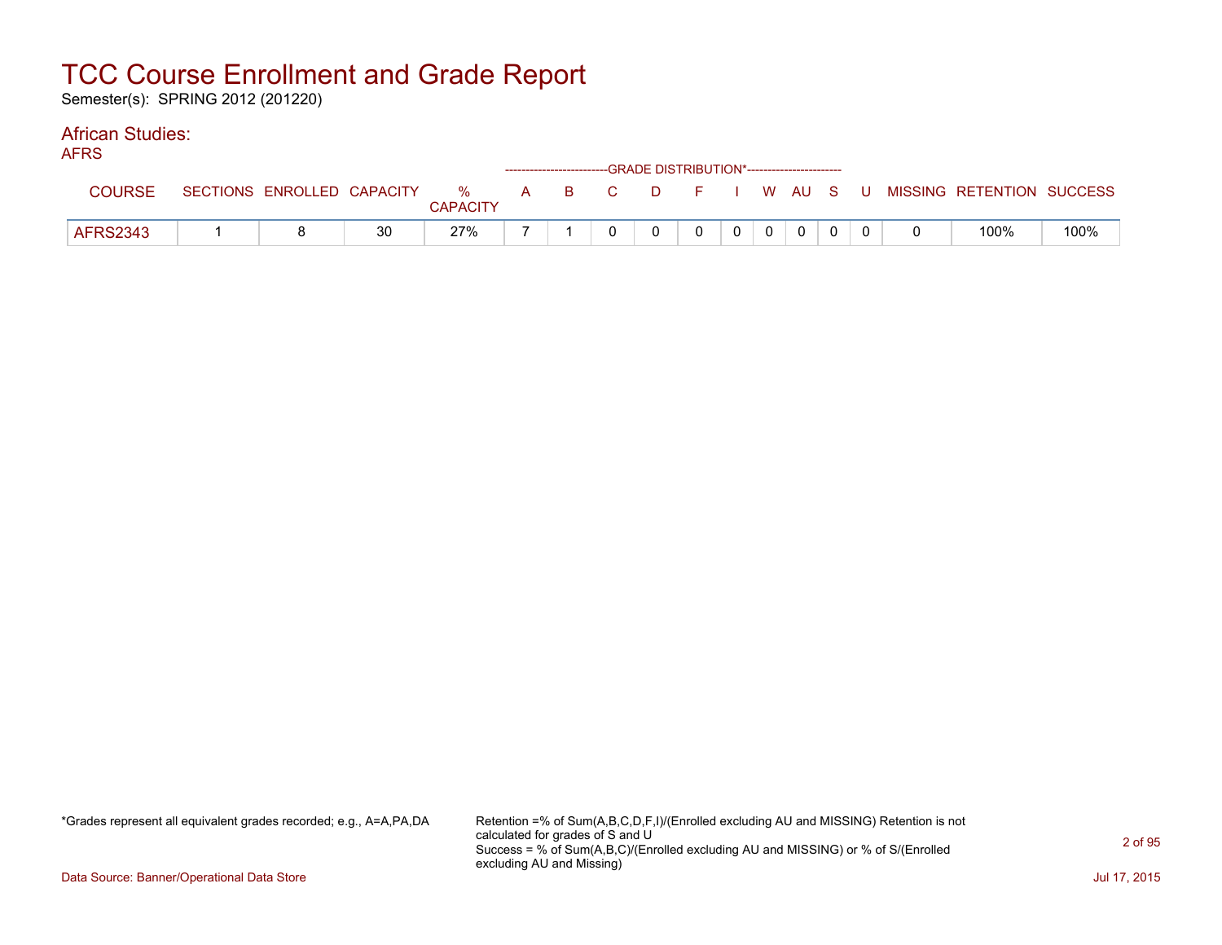Semester(s): SPRING 2012 (201220)

#### African Studies: AFRS

| AFNJ.           |                            |    |                      |  |       |          | ------------------------GRADE DISTRIBUTION*----------------------- |                |              |  |                                        |      |
|-----------------|----------------------------|----|----------------------|--|-------|----------|--------------------------------------------------------------------|----------------|--------------|--|----------------------------------------|------|
| <b>COURSE</b>   | SECTIONS ENROLLED CAPACITY |    | %<br><b>CAPACITY</b> |  | A B C | $\Box$ D |                                                                    |                |              |  | F I W AU S U MISSING RETENTION SUCCESS |      |
| <b>AFRS2343</b> |                            | 30 | 27%                  |  |       |          |                                                                    | 0 <sup>1</sup> | $\mathbf{0}$ |  | 100%                                   | 100% |

\*Grades represent all equivalent grades recorded; e.g., A=A,PA,DA Retention =% of Sum(A,B,C,D,F,I)/(Enrolled excluding AU and MISSING) Retention is not calculated for grades of S and U Success = % of Sum(A,B,C)/(Enrolled excluding AU and MISSING) or % of S/(Enrolled excluding AU and Missing)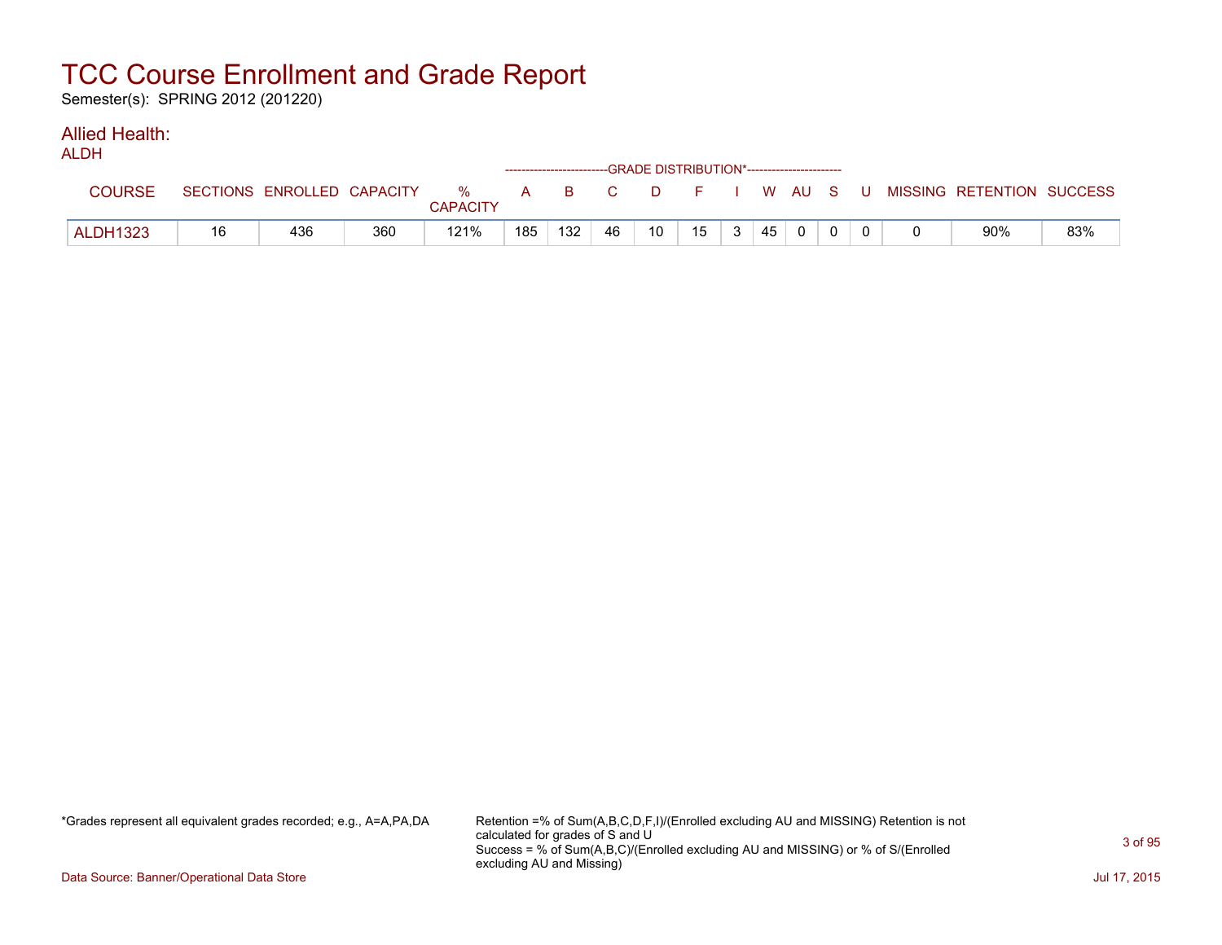Semester(s): SPRING 2012 (201220)

#### Allied Health: ALDH

| ALUN            |    |                            |     |                         |     | ------------------------GRADE DISTRIBUTION*----------------------- |    |    |    |    |          |  |                                                |     |
|-----------------|----|----------------------------|-----|-------------------------|-----|--------------------------------------------------------------------|----|----|----|----|----------|--|------------------------------------------------|-----|
| <b>COURSE</b>   |    | SECTIONS ENROLLED CAPACITY |     | $\%$<br><b>CAPACITY</b> |     |                                                                    |    |    |    |    |          |  | A B C D F I W AU S U MISSING RETENTION SUCCESS |     |
| <b>ALDH1323</b> | 16 | 436                        | 360 | 121%                    | 185 | 132                                                                | 46 | 10 | 15 | 45 | $\Omega$ |  | 90%                                            | 83% |

\*Grades represent all equivalent grades recorded; e.g., A=A,PA,DA Retention =% of Sum(A,B,C,D,F,I)/(Enrolled excluding AU and MISSING) Retention is not calculated for grades of S and U Success = % of Sum(A,B,C)/(Enrolled excluding AU and MISSING) or % of S/(Enrolled excluding AU and Missing)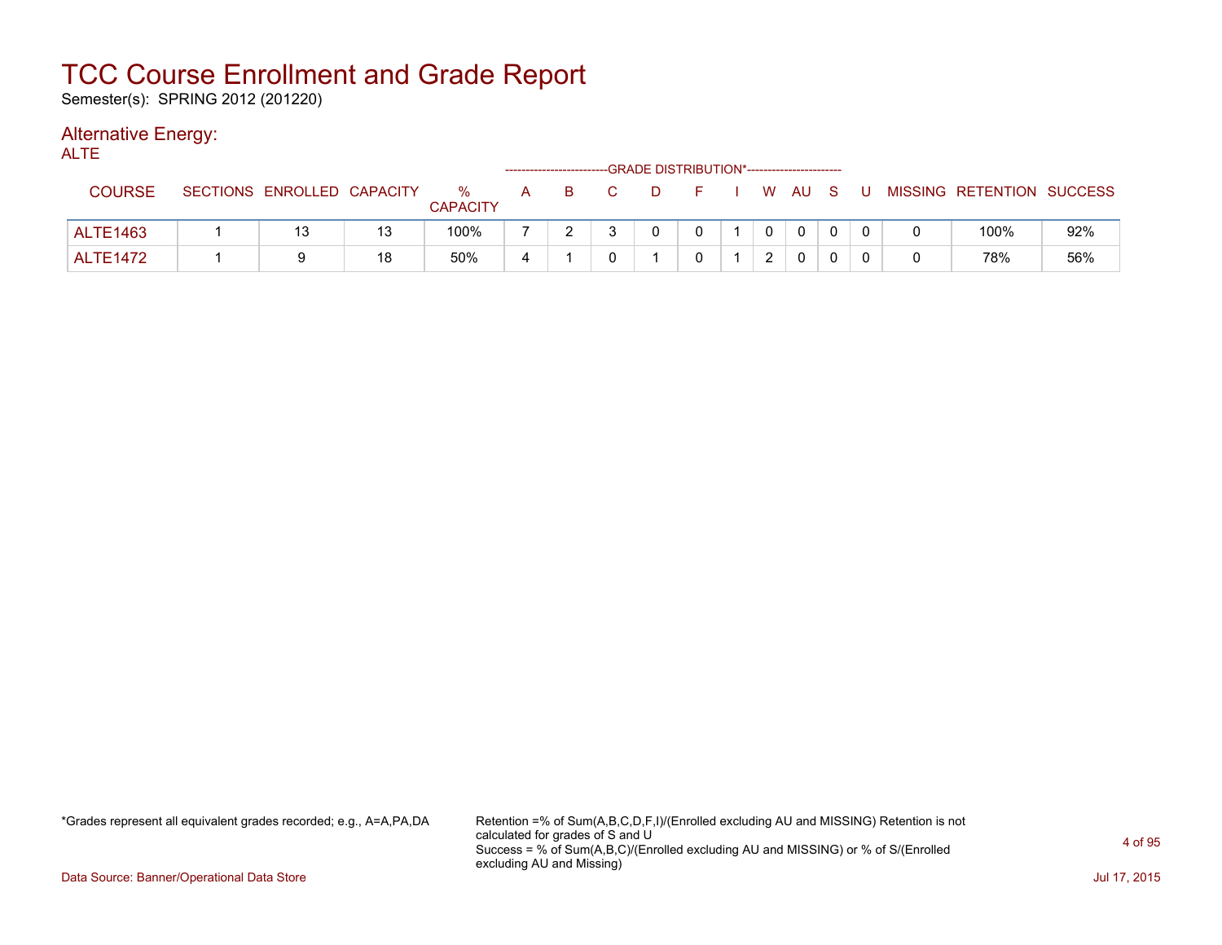Semester(s): SPRING 2012 (201220)

### Alternative Energy:

| <b>ALTE</b>     |                            |    |                      |   |       | -GRADE DISTRIBUTION*---------------------- |            |              |              |     |                           |     |
|-----------------|----------------------------|----|----------------------|---|-------|--------------------------------------------|------------|--------------|--------------|-----|---------------------------|-----|
| <b>COURSE</b>   | SECTIONS ENROLLED CAPACITY |    | %<br><b>CAPACITY</b> |   | A B C | <b>D</b>                                   | F I W AU S |              |              | . U | MISSING RETENTION SUCCESS |     |
| <b>ALTE1463</b> | 13                         | 13 | 100%                 |   |       | 0                                          |            | $\mathbf{0}$ | $\mathbf{0}$ |     | 100%                      | 92% |
| <b>ALTE1472</b> |                            | 18 | 50%                  | 4 |       |                                            |            | $\mathbf{2}$ | $\Omega$     |     | 78%                       | 56% |

\*Grades represent all equivalent grades recorded; e.g., A=A,PA,DA Retention =% of Sum(A,B,C,D,F,I)/(Enrolled excluding AU and MISSING) Retention is not calculated for grades of S and U Success = % of Sum(A,B,C)/(Enrolled excluding AU and MISSING) or % of S/(Enrolled excluding AU and Missing)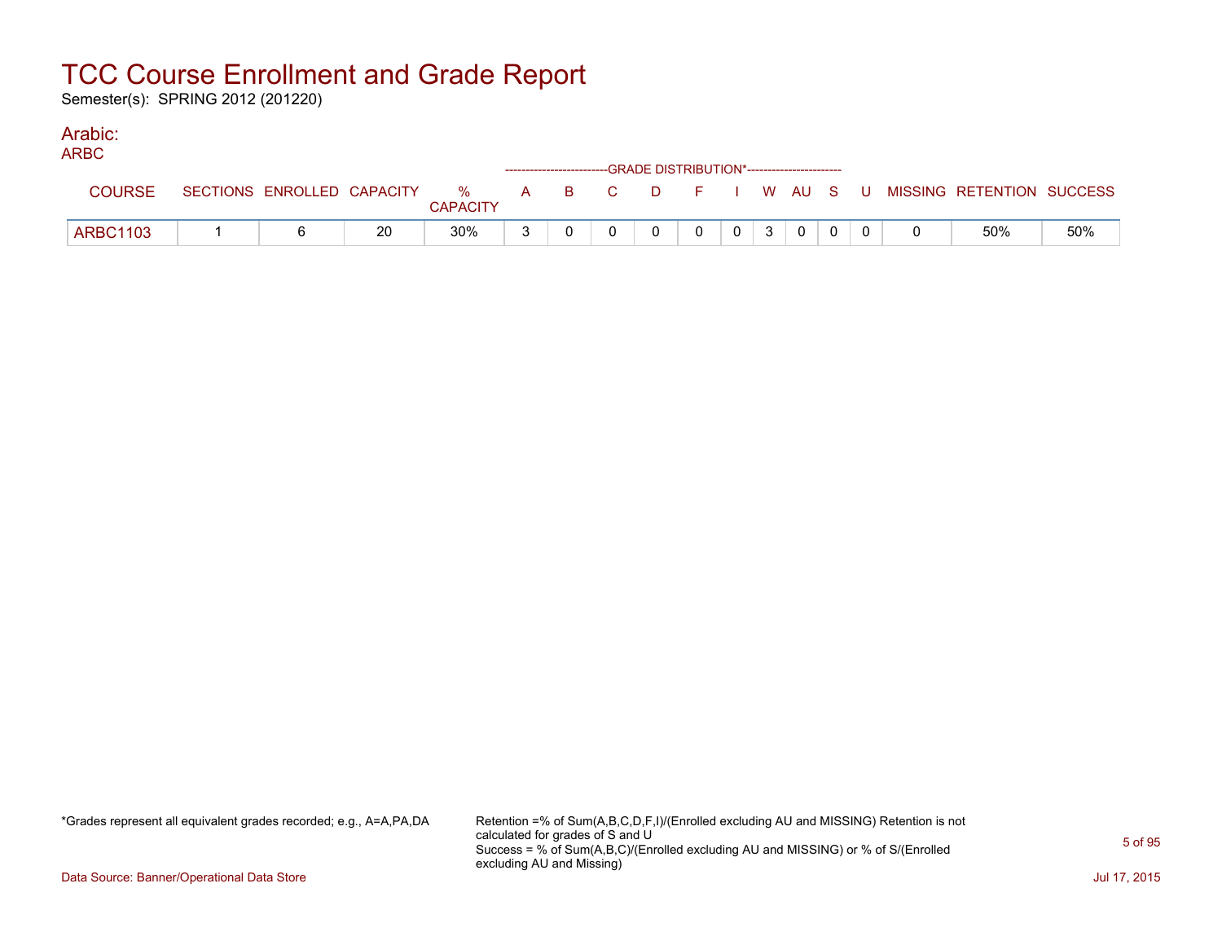Semester(s): SPRING 2012 (201220)

#### Arabic: ARBC

| ARBU            |                            |    |                         |     |              |        | ------------------------GRADE DISTRIBUTION*----------------------- |              |              |              |     |                           |     |
|-----------------|----------------------------|----|-------------------------|-----|--------------|--------|--------------------------------------------------------------------|--------------|--------------|--------------|-----|---------------------------|-----|
| <b>COURSE</b>   | SECTIONS ENROLLED CAPACITY |    | $\%$<br><b>CAPACITY</b> | A B | $\mathbf{C}$ | . D. . | F I W AU S                                                         |              |              |              | . U | MISSING RETENTION SUCCESS |     |
| <b>ARBC1103</b> |                            | 20 | 30%                     |     |              |        | $\Omega$                                                           | $\mathbf{0}$ | $\mathbf{3}$ | $\mathbf{0}$ |     | 50%                       | 50% |

\*Grades represent all equivalent grades recorded; e.g., A=A,PA,DA Retention =% of Sum(A,B,C,D,F,I)/(Enrolled excluding AU and MISSING) Retention is not calculated for grades of S and U Success = % of Sum(A,B,C)/(Enrolled excluding AU and MISSING) or % of S/(Enrolled excluding AU and Missing)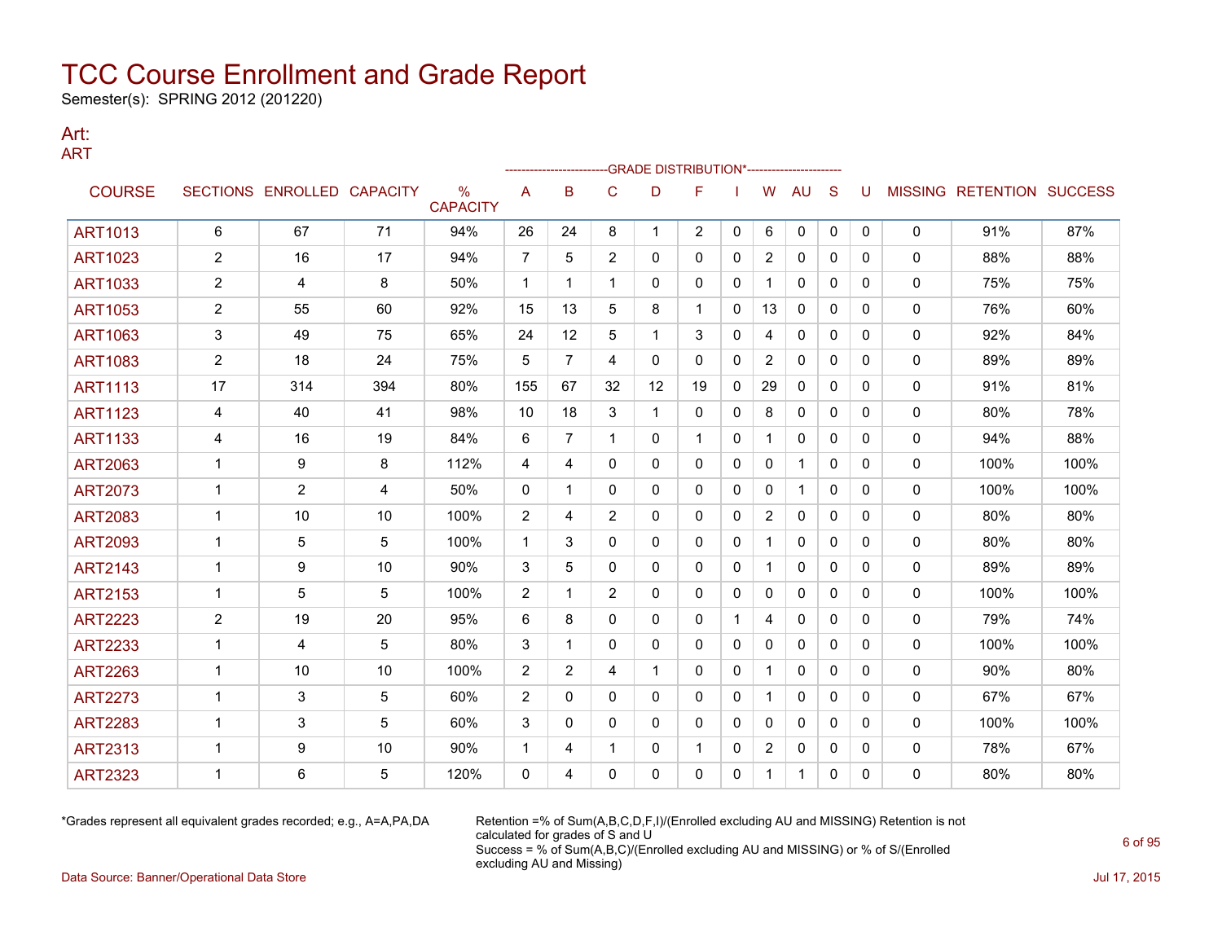Semester(s): SPRING 2012 (201220)

#### Art: ART

|                |                |                            |     |                                  |                |                |                | -GRADE DISTRIBUTION*---------------------- |                |              |                |              |              |          |              |                                  |      |
|----------------|----------------|----------------------------|-----|----------------------------------|----------------|----------------|----------------|--------------------------------------------|----------------|--------------|----------------|--------------|--------------|----------|--------------|----------------------------------|------|
| <b>COURSE</b>  |                | SECTIONS ENROLLED CAPACITY |     | $\frac{0}{0}$<br><b>CAPACITY</b> | A              | в              | C              | D                                          | F              |              | W              | AU           | S            | U        |              | <b>MISSING RETENTION SUCCESS</b> |      |
| <b>ART1013</b> | 6              | 67                         | 71  | 94%                              | 26             | 24             | 8              | 1                                          | $\overline{2}$ | 0            | 6              | 0            | 0            | 0        | 0            | 91%                              | 87%  |
| <b>ART1023</b> | $\overline{2}$ | 16                         | 17  | 94%                              | $\overline{7}$ | 5              | $\overline{2}$ | 0                                          | $\mathbf{0}$   | 0            | $\overline{2}$ | $\mathbf{0}$ | $\mathbf{0}$ | 0        | 0            | 88%                              | 88%  |
| <b>ART1033</b> | $\overline{2}$ | 4                          | 8   | 50%                              | $\mathbf 1$    | 1              | 1              | 0                                          | 0              | 0            | 1              | 0            | $\mathbf{0}$ | 0        | 0            | 75%                              | 75%  |
| <b>ART1053</b> | $\overline{2}$ | 55                         | 60  | 92%                              | 15             | 13             | 5              | 8                                          | -1             | 0            | 13             | 0            | 0            | 0        | 0            | 76%                              | 60%  |
| <b>ART1063</b> | 3              | 49                         | 75  | 65%                              | 24             | 12             | 5              | $\mathbf 1$                                | 3              | $\mathbf{0}$ | 4              | 0            | $\mathbf{0}$ | 0        | 0            | 92%                              | 84%  |
| <b>ART1083</b> | $\overline{2}$ | 18                         | 24  | 75%                              | 5              | $\overline{7}$ | 4              | 0                                          | $\mathbf{0}$   | 0            | $\overline{2}$ | 0            | $\mathbf{0}$ | 0        | 0            | 89%                              | 89%  |
| <b>ART1113</b> | 17             | 314                        | 394 | 80%                              | 155            | 67             | 32             | 12                                         | 19             | 0            | 29             | $\mathbf{0}$ | $\Omega$     | 0        | 0            | 91%                              | 81%  |
| <b>ART1123</b> | 4              | 40                         | 41  | 98%                              | 10             | 18             | 3              | $\mathbf{1}$                               | $\mathbf{0}$   | 0            | 8              | $\mathbf{0}$ | $\Omega$     | 0        | 0            | 80%                              | 78%  |
| <b>ART1133</b> | 4              | 16                         | 19  | 84%                              | 6              | $\overline{7}$ | $\mathbf{1}$   | 0                                          | $\mathbf{1}$   | $\mathbf{0}$ |                | 0            | $\mathbf{0}$ | $\Omega$ | 0            | 94%                              | 88%  |
| <b>ART2063</b> | $\mathbf 1$    | 9                          | 8   | 112%                             | 4              | 4              | 0              | 0                                          | 0              | 0            | 0              | -1           | 0            | 0        | 0            | 100%                             | 100% |
| <b>ART2073</b> | -1             | 2                          | 4   | 50%                              | 0              | 1              | $\mathbf{0}$   | 0                                          | $\mathbf{0}$   | 0            | 0              | 1            | $\mathbf{0}$ | 0        | 0            | 100%                             | 100% |
| <b>ART2083</b> | $\mathbf 1$    | 10                         | 10  | 100%                             | 2              | 4              | $\overline{2}$ | 0                                          | $\mathbf{0}$   | 0            | $\overline{2}$ | $\mathbf{0}$ | $\mathbf{0}$ | 0        | 0            | 80%                              | 80%  |
| <b>ART2093</b> | $\mathbf{1}$   | 5                          | 5   | 100%                             | $\mathbf{1}$   | 3              | $\mathbf{0}$   | 0                                          | $\mathbf{0}$   | 0            | $\mathbf{1}$   | $\mathbf{0}$ | $\Omega$     | 0        | 0            | 80%                              | 80%  |
| <b>ART2143</b> | $\mathbf{1}$   | 9                          | 10  | 90%                              | 3              | 5              | 0              | 0                                          | $\mathbf{0}$   | 0            | $\mathbf{1}$   | $\mathbf{0}$ | $\mathbf{0}$ | 0        | 0            | 89%                              | 89%  |
| <b>ART2153</b> | $\mathbf{1}$   | 5                          | 5   | 100%                             | 2              | 1              | $\overline{2}$ | 0                                          | $\mathbf{0}$   | 0            | $\mathbf{0}$   | $\mathbf{0}$ | $\mathbf{0}$ | 0        | 0            | 100%                             | 100% |
| <b>ART2223</b> | $\overline{2}$ | 19                         | 20  | 95%                              | 6              | 8              | 0              | 0                                          | 0              | $\mathbf 1$  | 4              | 0            | $\mathbf{0}$ | 0        | 0            | 79%                              | 74%  |
| <b>ART2233</b> | $\mathbf{1}$   | 4                          | 5   | 80%                              | 3              | 1              | $\mathbf{0}$   | 0                                          | $\mathbf{0}$   | 0            | 0              | $\mathbf{0}$ | $\mathbf{0}$ | 0        | $\mathbf{0}$ | 100%                             | 100% |
| <b>ART2263</b> | $\mathbf{1}$   | 10                         | 10  | 100%                             | $\overline{2}$ | $\overline{2}$ | 4              | $\mathbf 1$                                | $\mathbf{0}$   | 0            |                | $\mathbf{0}$ | $\Omega$     | 0        | 0            | 90%                              | 80%  |
| <b>ART2273</b> | $\mathbf 1$    | 3                          | 5   | 60%                              | $\overline{2}$ | 0              | 0              | 0                                          | 0              | 0            |                | 0            | $\mathbf{0}$ | 0        | 0            | 67%                              | 67%  |
| <b>ART2283</b> | -1             | 3                          | 5   | 60%                              | 3              | 0              | 0              | 0                                          | $\mathbf{0}$   | $\Omega$     | 0              | 0            | $\mathbf{0}$ | 0        | 0            | 100%                             | 100% |
| <b>ART2313</b> | $\mathbf 1$    | 9                          | 10  | 90%                              | -1             | 4              | 1              | 0                                          | -1             | 0            | $\overline{2}$ | 0            | 0            | 0        | 0            | 78%                              | 67%  |
| <b>ART2323</b> | 1              | 6                          | 5   | 120%                             | $\mathbf 0$    | 4              | 0              | $\Omega$                                   | $\Omega$       | $\mathbf{0}$ | 1              | $\mathbf 1$  | $\mathbf{0}$ | 0        | 0            | 80%                              | 80%  |

\*Grades represent all equivalent grades recorded; e.g., A=A,PA,DA Retention =% of Sum(A,B,C,D,F,I)/(Enrolled excluding AU and MISSING) Retention is not calculated for grades of S and U Success = % of Sum(A,B,C)/(Enrolled excluding AU and MISSING) or % of S/(Enrolled excluding AU and Missing)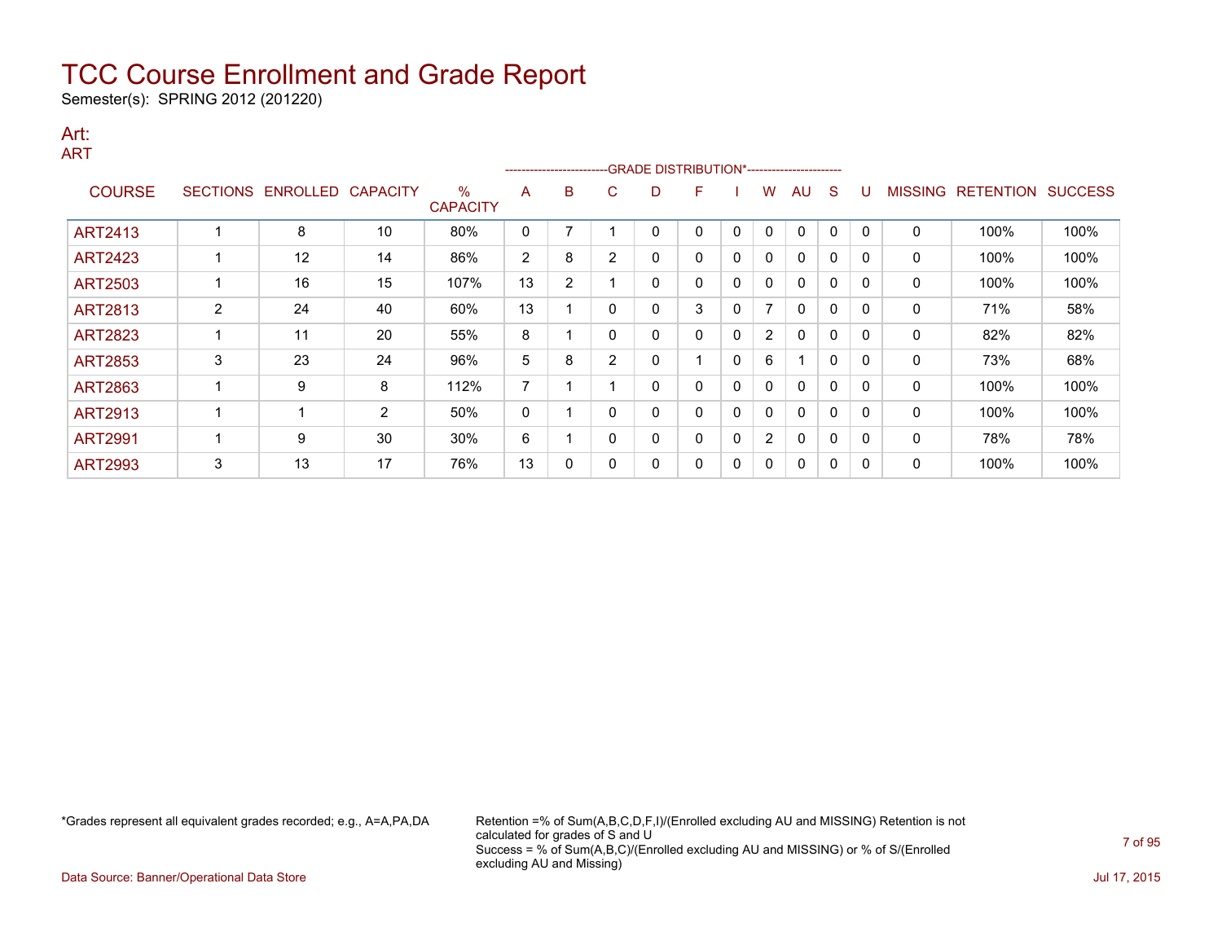Semester(s): SPRING 2012 (201220)

#### Art: ART

|                |   |                            |    |                         |                |                |                | ------------------------GRADE                DISTRIBUTION*---------------------- |   |          |                          |              |             |              |                |                  |                |
|----------------|---|----------------------------|----|-------------------------|----------------|----------------|----------------|----------------------------------------------------------------------------------|---|----------|--------------------------|--------------|-------------|--------------|----------------|------------------|----------------|
| <b>COURSE</b>  |   | SECTIONS ENROLLED CAPACITY |    | $\%$<br><b>CAPACITY</b> | A              | B              | C.             | D                                                                                | F |          | w                        | AU           | S           |              | <b>MISSING</b> | <b>RETENTION</b> | <b>SUCCESS</b> |
| <b>ART2413</b> |   | 8                          | 10 | 80%                     | 0              |                |                | 0                                                                                | 0 | $\Omega$ | $\mathbf{0}$             | 0            | $\mathbf 0$ | $\Omega$     | 0              | 100%             | 100%           |
| <b>ART2423</b> |   | 12                         | 14 | 86%                     | $\overline{2}$ | 8              | $\overline{2}$ | 0                                                                                | 0 | 0        | 0                        | 0            | $\mathbf 0$ | 0            | 0              | 100%             | 100%           |
| <b>ART2503</b> |   | 16                         | 15 | 107%                    | 13             | $\overline{2}$ |                | 0                                                                                | 0 | 0        | 0                        | $\mathbf{0}$ | $\Omega$    | 0            | 0              | 100%             | 100%           |
| <b>ART2813</b> | 2 | 24                         | 40 | 60%                     | 13             |                | 0              | 0                                                                                | 3 | 0        | $\overline{\phantom{a}}$ | 0            | $\mathbf 0$ | $\Omega$     | 0              | 71%              | 58%            |
| <b>ART2823</b> |   | 11                         | 20 | 55%                     | 8              |                | 0              | 0                                                                                | 0 | $\Omega$ | $\mathbf{2}^{\prime}$    | $\Omega$     | $\Omega$    | $\Omega$     | 0              | 82%              | 82%            |
| <b>ART2853</b> | 3 | 23                         | 24 | 96%                     | 5              | 8              | 2              | 0                                                                                |   | $\Omega$ | 6                        |              | $\Omega$    | <sup>0</sup> | 0              | 73%              | 68%            |
| <b>ART2863</b> |   | 9                          | 8  | 112%                    | 7              |                |                | 0                                                                                | 0 | 0        | 0                        | $\mathbf{0}$ | $\Omega$    | 0            | 0              | 100%             | 100%           |
| <b>ART2913</b> |   |                            | 2  | 50%                     | 0              |                |                | 0                                                                                | 0 | 0        | 0                        | 0            | 0           | <sup>0</sup> | 0              | 100%             | 100%           |
| <b>ART2991</b> |   | 9                          | 30 | 30%                     | 6              |                | 0              | 0                                                                                | 0 | 0        | $\overline{2}$           | 0            | 0           | $\Omega$     | 0              | 78%              | 78%            |
| <b>ART2993</b> | 3 | 13                         | 17 | 76%                     | 13             | 0              |                | 0                                                                                | 0 | 0        | 0                        | 0            | 0           | 0            | 0              | 100%             | 100%           |

\*Grades represent all equivalent grades recorded; e.g., A=A,PA,DA Retention =% of Sum(A,B,C,D,F,I)/(Enrolled excluding AU and MISSING) Retention is not calculated for grades of S and U Success = % of Sum(A,B,C)/(Enrolled excluding AU and MISSING) or % of S/(Enrolled excluding AU and Missing)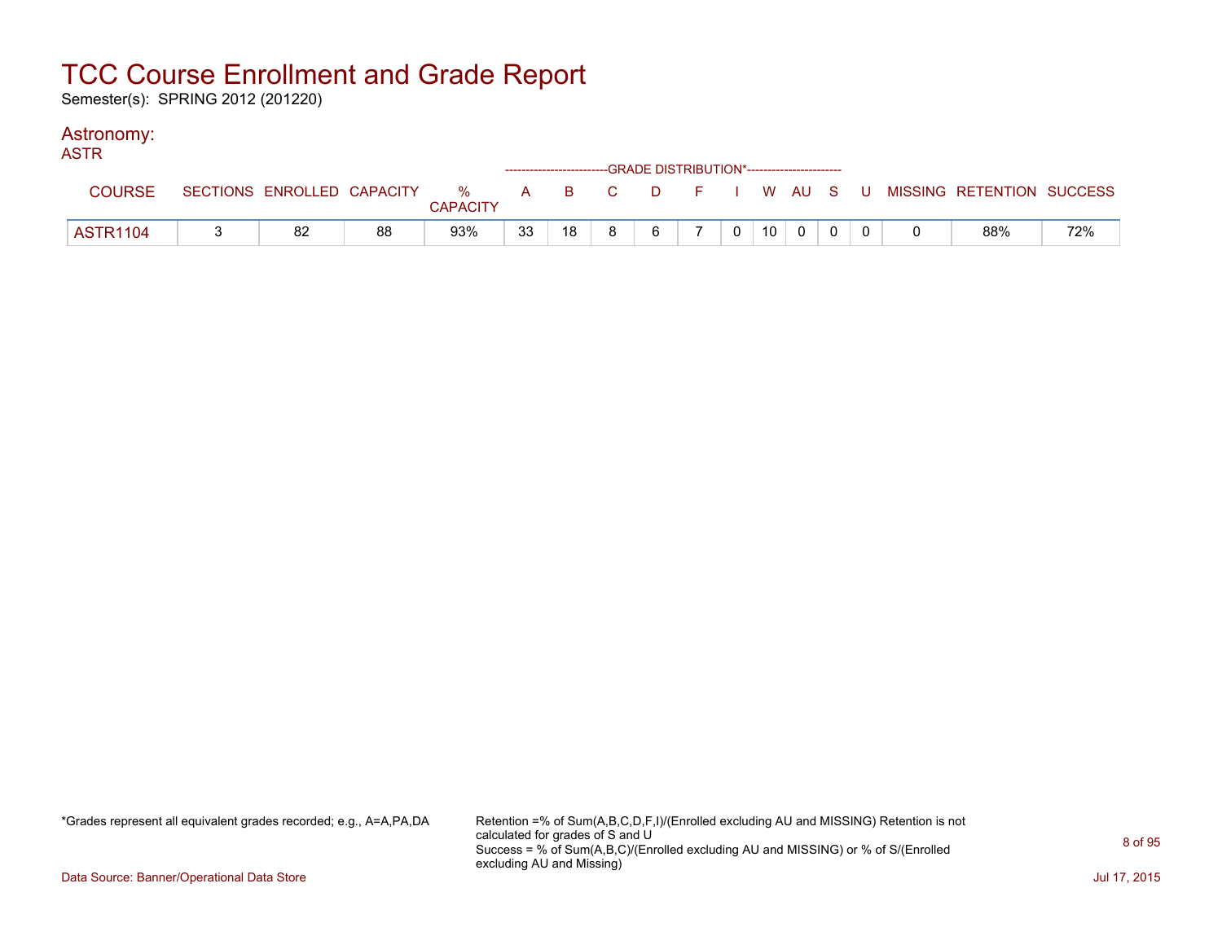Semester(s): SPRING 2012 (201220)

### Astronomy:

| <b>ASTR</b>     |    |    |                 |    |    |    | ------------------------GRADE DISTRIBUTION*----------------------- |                |                 |          |  |                                                                             |     |
|-----------------|----|----|-----------------|----|----|----|--------------------------------------------------------------------|----------------|-----------------|----------|--|-----------------------------------------------------------------------------|-----|
| <b>COURSE</b>   |    |    | <b>CAPACITY</b> |    |    |    |                                                                    |                |                 |          |  | SECTIONS ENROLLED CAPACITY % A B C D F I W AU S U MISSING RETENTION SUCCESS |     |
| <b>ASTR1104</b> | 82 | 88 | 93%             | 33 | 18 | R. | 6                                                                  | 0 <sup>1</sup> | 10 <sup>1</sup> | $\Omega$ |  | 88%                                                                         | 72% |

\*Grades represent all equivalent grades recorded; e.g., A=A,PA,DA Retention =% of Sum(A,B,C,D,F,I)/(Enrolled excluding AU and MISSING) Retention is not calculated for grades of S and U Success = % of Sum(A,B,C)/(Enrolled excluding AU and MISSING) or % of S/(Enrolled excluding AU and Missing)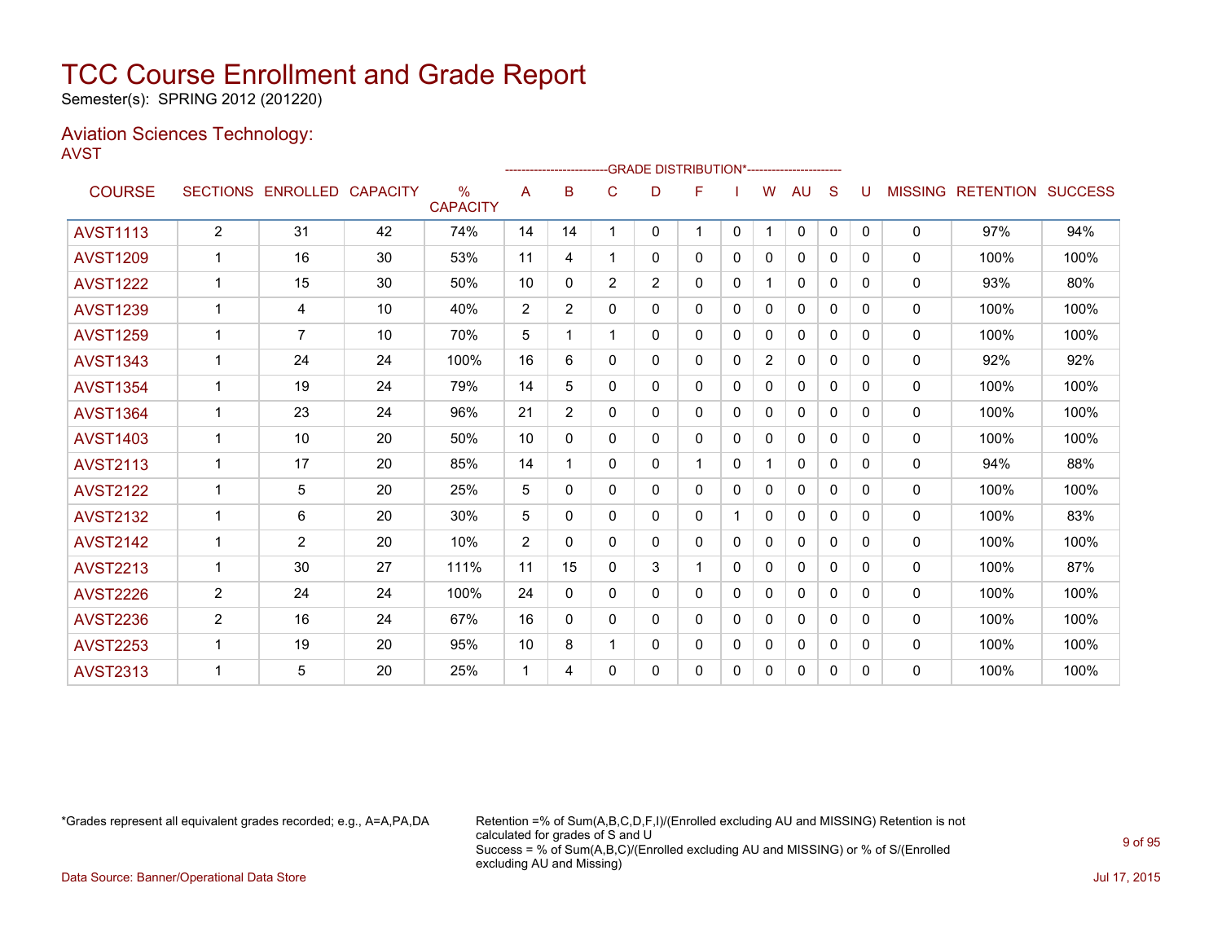Semester(s): SPRING 2012 (201220)

#### Aviation Sciences Technology: AVST

|                 |                |                   |                 |                                  |                |                |                | ------------------------GRADE                DISTRIBUTION*---------------------- |    |          |                |              |              |          |                |                  |                |
|-----------------|----------------|-------------------|-----------------|----------------------------------|----------------|----------------|----------------|----------------------------------------------------------------------------------|----|----------|----------------|--------------|--------------|----------|----------------|------------------|----------------|
| <b>COURSE</b>   |                | SECTIONS ENROLLED | <b>CAPACITY</b> | $\frac{0}{0}$<br><b>CAPACITY</b> | A              | B              | C              | D                                                                                | F  |          | W              | AU           | S            |          | <b>MISSING</b> | <b>RETENTION</b> | <b>SUCCESS</b> |
| <b>AVST1113</b> | $\overline{2}$ | 31                | 42              | 74%                              | 14             | 14             | 1              | 0                                                                                | 1. | 0        | $\mathbf{1}$   | $\mathbf{0}$ | $\mathbf{0}$ | $\Omega$ | 0              | 97%              | 94%            |
| <b>AVST1209</b> |                | 16                | 30              | 53%                              | 11             | 4              |                | 0                                                                                | 0  | $\Omega$ | 0              | $\mathbf{0}$ | $\Omega$     | 0        | $\mathbf{0}$   | 100%             | 100%           |
| <b>AVST1222</b> | $\mathbf 1$    | 15                | 30              | 50%                              | 10             | 0              | $\overline{2}$ | $\overline{2}$                                                                   | 0  | $\Omega$ | 1              | 0            | $\Omega$     | 0        | $\mathbf{0}$   | 93%              | 80%            |
| <b>AVST1239</b> | 1              | 4                 | 10              | 40%                              | $\overline{2}$ | $\overline{2}$ | 0              | 0                                                                                | 0  | 0        | 0              | 0            | 0            | 0        | 0              | 100%             | 100%           |
| <b>AVST1259</b> |                | $\overline{7}$    | 10              | 70%                              | 5              |                |                | 0                                                                                | 0  | 0        | 0              | 0            | $\Omega$     | 0        | 0              | 100%             | 100%           |
| <b>AVST1343</b> |                | 24                | 24              | 100%                             | 16             | 6              | $\Omega$       | 0                                                                                | 0  | $\Omega$ | $\overline{2}$ | $\mathbf{0}$ | $\Omega$     | 0        | 0              | 92%              | 92%            |
| <b>AVST1354</b> |                | 19                | 24              | 79%                              | 14             | 5              | 0              | 0                                                                                | 0  | 0        | $\mathbf{0}$   | 0            | $\Omega$     | 0        | 0              | 100%             | 100%           |
| <b>AVST1364</b> |                | 23                | 24              | 96%                              | 21             | $\overline{2}$ | 0              | 0                                                                                | 0  | 0        | 0              | 0            | $\Omega$     | 0        | 0              | 100%             | 100%           |
| <b>AVST1403</b> |                | 10                | 20              | 50%                              | 10             | 0              | 0              | 0                                                                                | 0  | 0        | 0              | $\mathbf{0}$ | $\Omega$     | 0        | $\mathbf{0}$   | 100%             | 100%           |
| <b>AVST2113</b> |                | 17                | 20              | 85%                              | 14             |                | 0              | 0                                                                                | 1. | 0        | 1              | 0            | $\Omega$     | 0        | $\mathbf{0}$   | 94%              | 88%            |
| <b>AVST2122</b> |                | 5                 | 20              | 25%                              | 5              | 0              | 0              | 0                                                                                | 0  | $\Omega$ | 0              | 0            | 0            | 0        | 0              | 100%             | 100%           |
| <b>AVST2132</b> | 1              | 6                 | 20              | 30%                              | 5              | $\Omega$       | 0              | 0                                                                                | 0  |          | 0              | 0            | $\Omega$     | 0        | 0              | 100%             | 83%            |
| <b>AVST2142</b> |                | $\overline{2}$    | 20              | 10%                              | $\overline{2}$ | $\Omega$       | $\Omega$       | $\Omega$                                                                         | 0  | $\Omega$ | 0              | $\mathbf{0}$ | $\Omega$     | 0        | $\mathbf{0}$   | 100%             | 100%           |
| <b>AVST2213</b> | $\mathbf{1}$   | 30                | 27              | 111%                             | 11             | 15             | 0              | 3                                                                                |    | 0        | $\mathbf{0}$   | $\Omega$     | $\Omega$     | 0        | 0              | 100%             | 87%            |
| <b>AVST2226</b> | $\overline{2}$ | 24                | 24              | 100%                             | 24             | 0              | 0              | 0                                                                                | 0  | 0        | 0              | 0            | $\Omega$     | 0        | 0              | 100%             | 100%           |
| <b>AVST2236</b> | $\overline{2}$ | 16                | 24              | 67%                              | 16             | $\Omega$       | 0              | 0                                                                                | 0  | 0        | $\Omega$       | $\mathbf{0}$ | $\Omega$     | 0        | $\mathbf{0}$   | 100%             | 100%           |
| <b>AVST2253</b> |                | 19                | 20              | 95%                              | 10             | 8              |                | 0                                                                                | 0  | 0        | 0              | 0            | $\Omega$     | 0        | $\mathbf{0}$   | 100%             | 100%           |
| <b>AVST2313</b> |                | 5                 | 20              | 25%                              | 1              | 4              | $\Omega$       | 0                                                                                | 0  | 0        | 0              | 0            | 0            | $\Omega$ | 0              | 100%             | 100%           |

\*Grades represent all equivalent grades recorded; e.g., A=A,PA,DA Retention =% of Sum(A,B,C,D,F,I)/(Enrolled excluding AU and MISSING) Retention is not calculated for grades of S and U Success = % of Sum(A,B,C)/(Enrolled excluding AU and MISSING) or % of S/(Enrolled excluding AU and Missing) Data Source: Banner/Operational Data Store Jul 17, 2015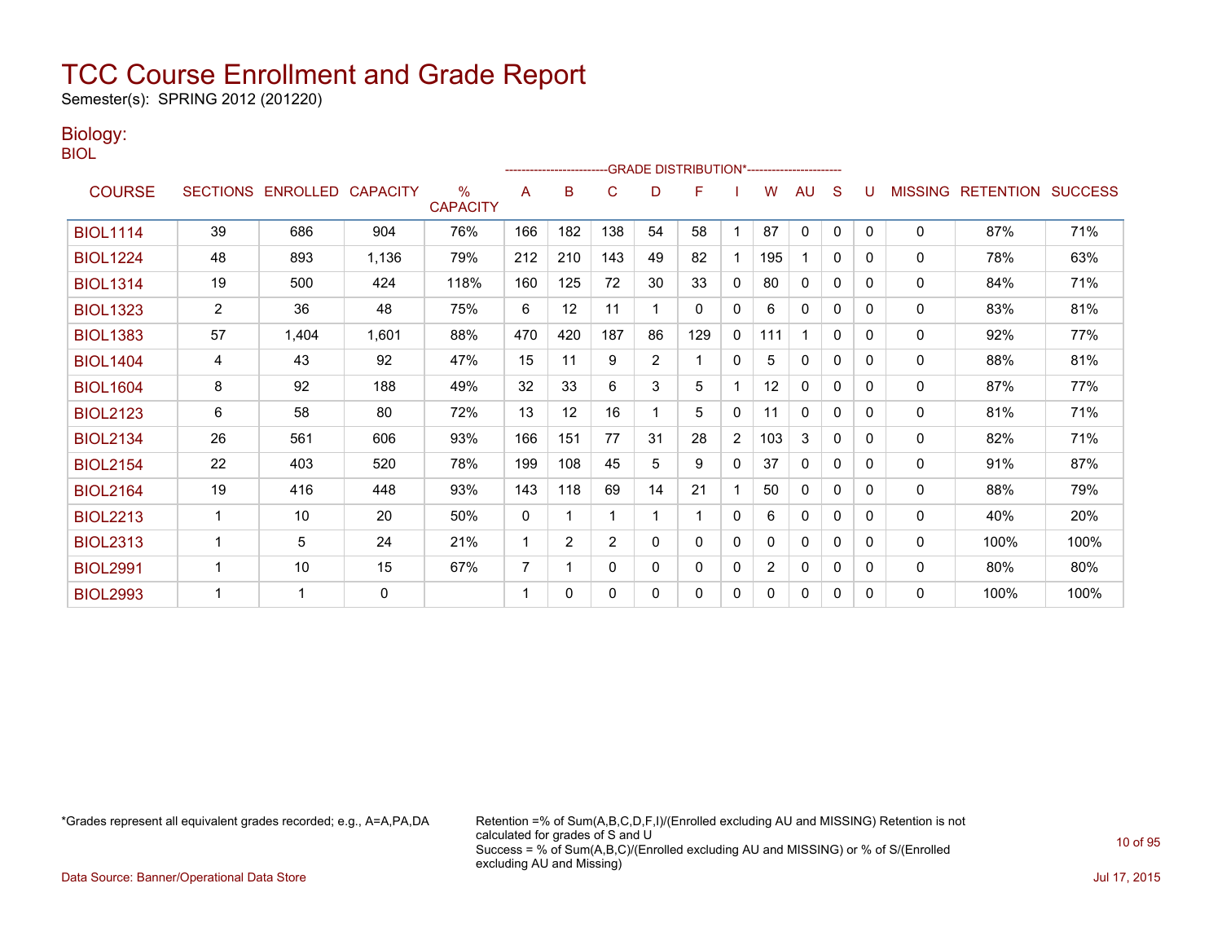Semester(s): SPRING 2012 (201220)

### Biology:

| ۰. | M.<br>۰. |  |
|----|----------|--|
|    |          |  |

|                 |                |                            |       |                         |              | ------------------------ |          |          | -- GRADE DISTRIBUTION*----------------------- |              |     |              |              |          |              |                                  |      |
|-----------------|----------------|----------------------------|-------|-------------------------|--------------|--------------------------|----------|----------|-----------------------------------------------|--------------|-----|--------------|--------------|----------|--------------|----------------------------------|------|
| <b>COURSE</b>   |                | SECTIONS ENROLLED CAPACITY |       | $\%$<br><b>CAPACITY</b> | A            | B                        | C        | D        | F                                             |              | W   | AU           | S            | U        |              | <b>MISSING RETENTION SUCCESS</b> |      |
| <b>BIOL1114</b> | 39             | 686                        | 904   | 76%                     | 166          | 182                      | 138      | 54       | 58                                            |              | 87  | $\mathbf{0}$ | $\mathbf{0}$ | $\Omega$ | 0            | 87%                              | 71%  |
| <b>BIOL1224</b> | 48             | 893                        | 1,136 | 79%                     | 212          | 210                      | 143      | 49       | 82                                            |              | 195 |              | $\mathbf{0}$ | 0        | 0            | 78%                              | 63%  |
| <b>BIOL1314</b> | 19             | 500                        | 424   | 118%                    | 160          | 125                      | 72       | 30       | 33                                            | $\mathbf 0$  | 80  | $\mathbf{0}$ | 0            | 0        | 0            | 84%                              | 71%  |
| <b>BIOL1323</b> | $\overline{2}$ | 36                         | 48    | 75%                     | 6            | 12                       | 11       |          | $\Omega$                                      | $\Omega$     | 6   | $\mathbf{0}$ | $\Omega$     | 0        | $\mathbf{0}$ | 83%                              | 81%  |
| <b>BIOL1383</b> | 57             | 1,404                      | 1,601 | 88%                     | 470          | 420                      | 187      | 86       | 129                                           | $\mathbf{0}$ | 11  |              | $\mathbf{0}$ | 0        | 0            | 92%                              | 77%  |
| <b>BIOL1404</b> | 4              | 43                         | 92    | 47%                     | 15           | 11                       | 9        | 2        |                                               | 0            | 5   | $\mathbf{0}$ | $\mathbf{0}$ | 0        | 0            | 88%                              | 81%  |
| <b>BIOL1604</b> | 8              | 92                         | 188   | 49%                     | 32           | 33                       | 6        | 3        | 5                                             |              | 12  | $\mathbf{0}$ | 0            | 0        | 0            | 87%                              | 77%  |
| <b>BIOL2123</b> | 6              | 58                         | 80    | 72%                     | 13           | 12                       | 16       |          | 5                                             | $\mathbf{0}$ | 11  | $\mathbf{0}$ | $\mathbf{0}$ | 0        | 0            | 81%                              | 71%  |
| <b>BIOL2134</b> | 26             | 561                        | 606   | 93%                     | 166          | 151                      | 77       | 31       | 28                                            | 2            | 103 | 3            | 0            | 0        | 0            | 82%                              | 71%  |
| <b>BIOL2154</b> | 22             | 403                        | 520   | 78%                     | 199          | 108                      | 45       | 5        | 9                                             | $\mathbf{0}$ | 37  | $\Omega$     | $\Omega$     | 0        | 0            | 91%                              | 87%  |
| <b>BIOL2164</b> | 19             | 416                        | 448   | 93%                     | 143          | 118                      | 69       | 14       | 21                                            |              | 50  | $\mathbf{0}$ | $\mathbf{0}$ | 0        | 0            | 88%                              | 79%  |
| <b>BIOL2213</b> | 1              | 10                         | 20    | 50%                     | $\mathbf{0}$ | 1                        | 1        |          |                                               | $\mathbf{0}$ | 6   | $\mathbf{0}$ | 0            | 0        | 0            | 40%                              | 20%  |
| <b>BIOL2313</b> | 1              | 5                          | 24    | 21%                     | 1            | $\overline{2}$           | 2        | $\Omega$ | $\mathbf{0}$                                  | $\Omega$     | 0   | $\mathbf{0}$ | $\mathbf{0}$ | 0        | $\mathbf{0}$ | 100%                             | 100% |
| <b>BIOL2991</b> |                | 10                         | 15    | 67%                     | 7            | 1                        | $\Omega$ | 0        | 0                                             | $\mathbf{0}$ | 2   | $\mathbf{0}$ | 0            | 0        | 0            | 80%                              | 80%  |
| <b>BIOL2993</b> | ٠              | 1                          | 0     |                         | 1            | 0                        | $\Omega$ | 0        | 0                                             | $\mathbf{0}$ | 0   | $\mathbf{0}$ | 0            | 0        | 0            | 100%                             | 100% |

\*Grades represent all equivalent grades recorded; e.g., A=A,PA,DA Retention =% of Sum(A,B,C,D,F,I)/(Enrolled excluding AU and MISSING) Retention is not calculated for grades of S and U Success = % of Sum(A,B,C)/(Enrolled excluding AU and MISSING) or % of S/(Enrolled excluding AU and Missing)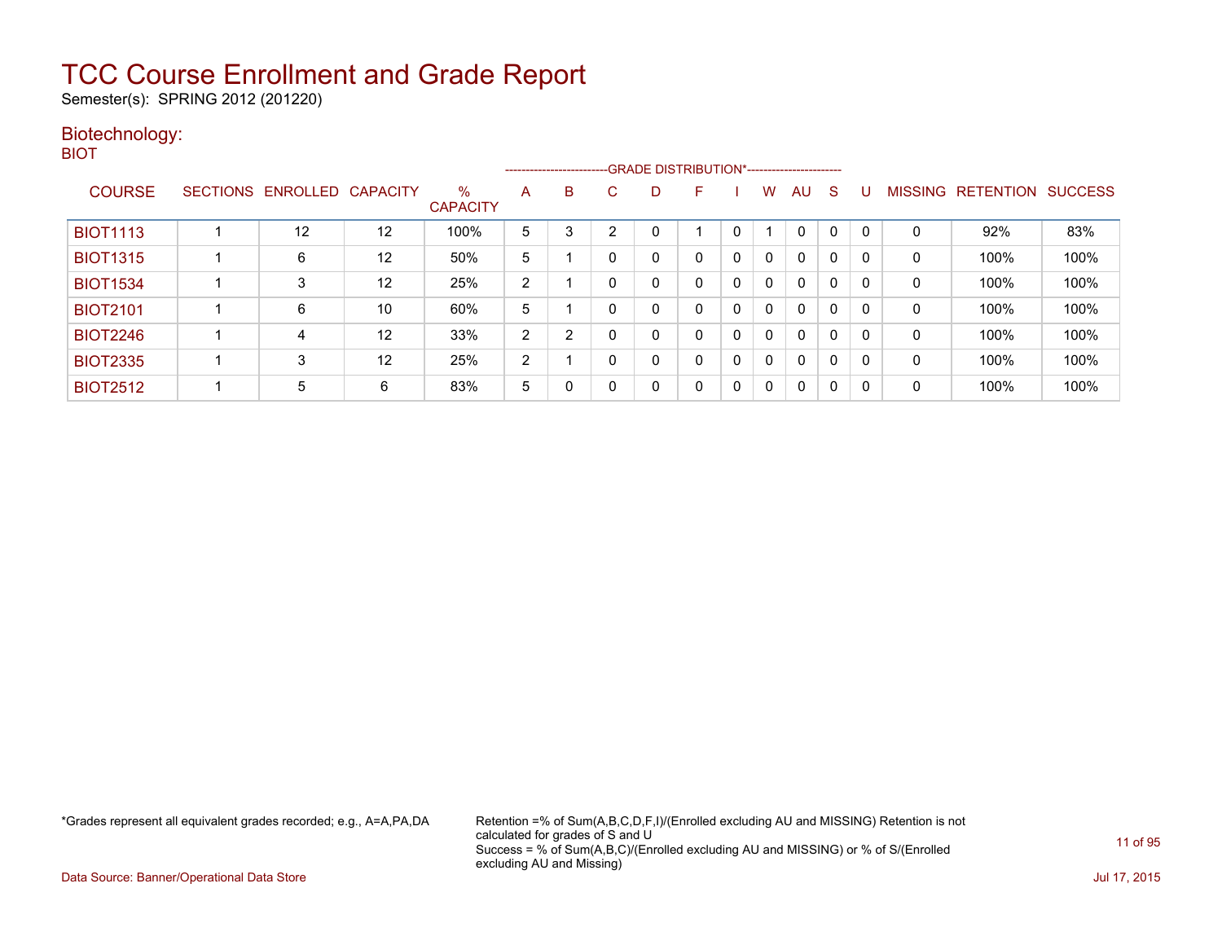Semester(s): SPRING 2012 (201220)

### Biotechnology:

BIOT

|                 |                   |                 |                         |   | --------------------------GRADE DISTRIBUTION*----------------------- |   |          |   |   |              |              |              |          |                |                  |                |
|-----------------|-------------------|-----------------|-------------------------|---|----------------------------------------------------------------------|---|----------|---|---|--------------|--------------|--------------|----------|----------------|------------------|----------------|
| <b>COURSE</b>   | SECTIONS ENROLLED | <b>CAPACITY</b> | $\%$<br><b>CAPACITY</b> | A | B                                                                    | C | D        | F |   | w            | AU           | S            |          | <b>MISSING</b> | <b>RETENTION</b> | <b>SUCCESS</b> |
| <b>BIOT1113</b> | 12                | 12              | 100%                    | 5 | 3                                                                    | ◠ | 0        |   | 0 |              | 0            |              | $\Omega$ | 0              | 92%              | 83%            |
| <b>BIOT1315</b> | 6                 | 12              | 50%                     | 5 |                                                                      | 0 | 0        | 0 | 0 | 0            | $\Omega$     | $\mathbf{0}$ | $\Omega$ | 0              | 100%             | 100%           |
| <b>BIOT1534</b> | 3                 | 12              | 25%                     | 2 |                                                                      | 0 | 0        | 0 | 0 | $\mathbf{0}$ | $\mathbf{0}$ | $\Omega$     | $\Omega$ | 0              | 100%             | 100%           |
| <b>BIOT2101</b> | 6                 | 10              | 60%                     | 5 |                                                                      |   | $\Omega$ | 0 | 0 | $\mathbf{0}$ | $\mathbf{0}$ | 0            | 0        | 0              | 100%             | 100%           |
| <b>BIOT2246</b> | 4                 | 12              | 33%                     | 2 | 2                                                                    |   | 0        | 0 | 0 | 0            | $\Omega$     | 0            | 0        | 0              | 100%             | 100%           |
| <b>BIOT2335</b> | 3                 | 12              | 25%                     | 2 |                                                                      |   | 0        | 0 | 0 | 0            | $\mathbf{0}$ | $\Omega$     | $\Omega$ | 0              | 100%             | 100%           |
| <b>BIOT2512</b> | 5                 | 6               | 83%                     | 5 | $\mathbf{0}$                                                         |   | 0        | 0 | 0 | $\Omega$     | $\mathbf{0}$ | $\Omega$     | 0        | 0              | 100%             | 100%           |

\*Grades represent all equivalent grades recorded; e.g., A=A,PA,DA Retention =% of Sum(A,B,C,D,F,I)/(Enrolled excluding AU and MISSING) Retention is not calculated for grades of S and U Success = % of Sum(A,B,C)/(Enrolled excluding AU and MISSING) or % of S/(Enrolled excluding AU and Missing)

Data Source: Banner/Operational Data Store Jul 17, 2015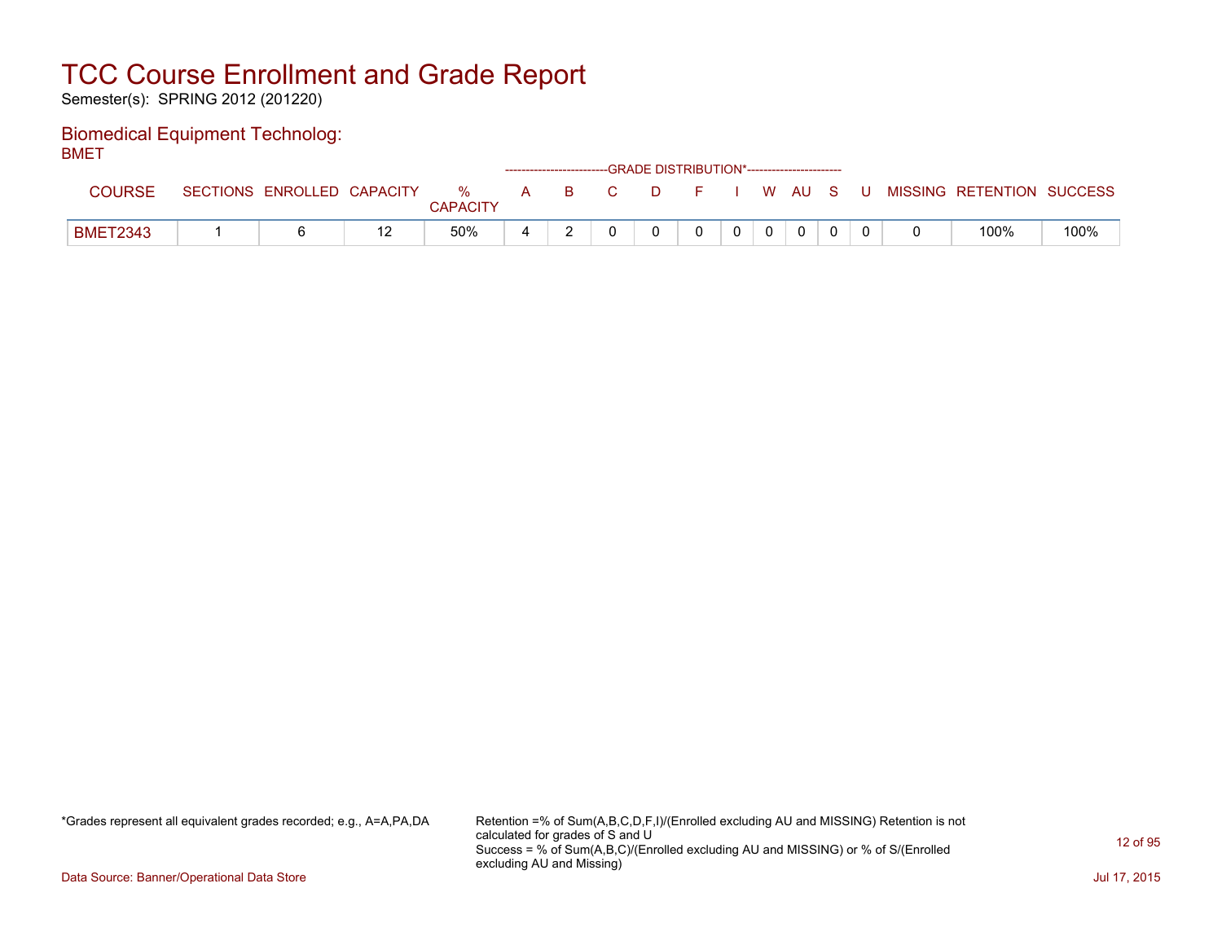Semester(s): SPRING 2012 (201220)

#### Biomedical Equipment Technolog: BMET

| -----           |                            |                         |              |   |          | ------------------------GRADE DISTRIBUTION*----------------------- |  |       |  |                           |      |
|-----------------|----------------------------|-------------------------|--------------|---|----------|--------------------------------------------------------------------|--|-------|--|---------------------------|------|
| <b>COURSE</b>   | SECTIONS ENROLLED CAPACITY | $\%$<br><b>CAPACITY</b> | $\mathsf{A}$ | B | <b>C</b> | D                                                                  |  | WAUS. |  | MISSING RETENTION SUCCESS |      |
| <b>BMET2343</b> |                            | 50%                     | ∸            |   |          |                                                                    |  |       |  | 100%                      | 100% |

\*Grades represent all equivalent grades recorded; e.g., A=A,PA,DA Retention =% of Sum(A,B,C,D,F,I)/(Enrolled excluding AU and MISSING) Retention is not calculated for grades of S and U Success = % of Sum(A,B,C)/(Enrolled excluding AU and MISSING) or % of S/(Enrolled excluding AU and Missing)

Data Source: Banner/Operational Data Store Jul 17, 2015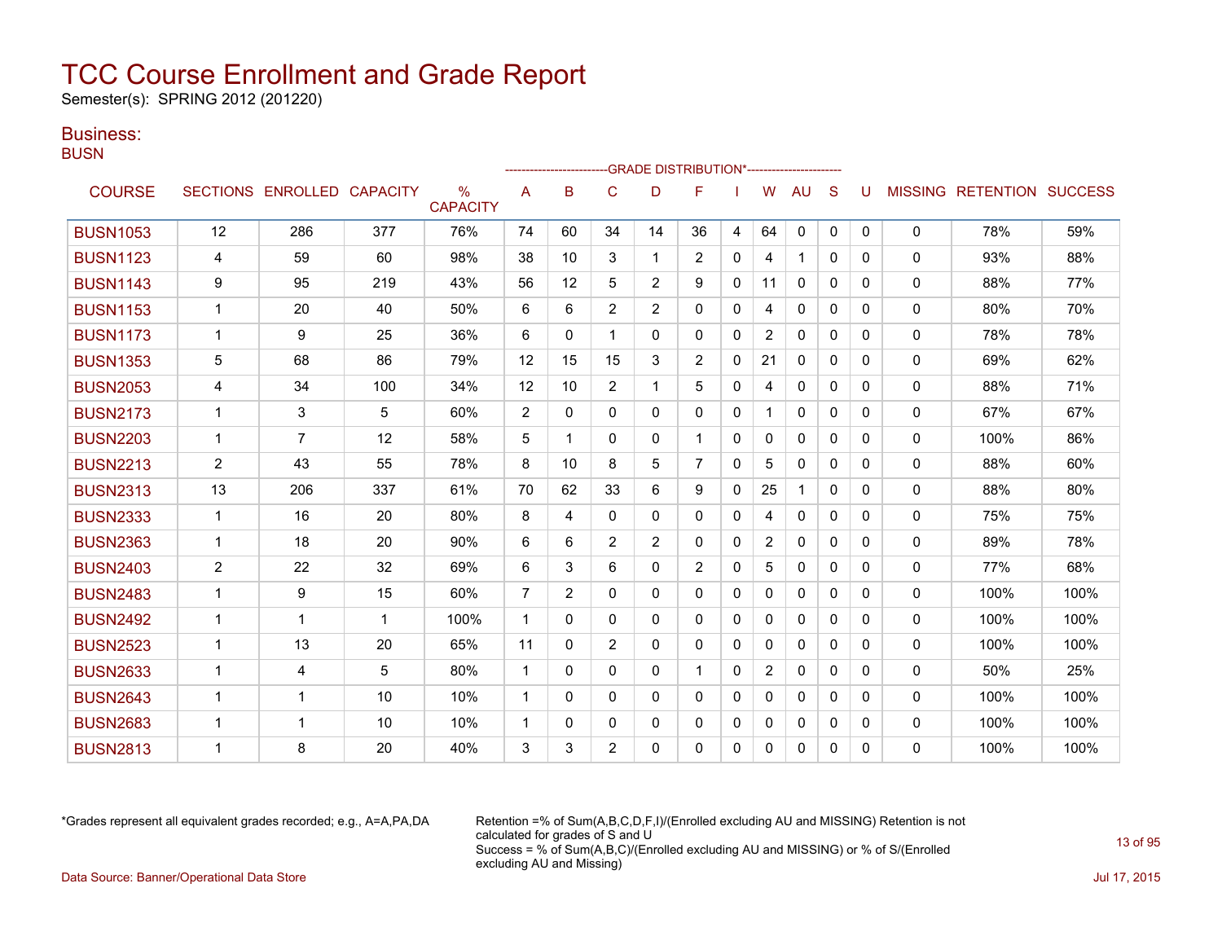Semester(s): SPRING 2012 (201220)

### Business:

**BUSN** 

|                 |                |                            |             |                                  |                |                |                |                | -GRADE DISTRIBUTION*----------------------- |              |                |                      |              |          |              |                           |      |
|-----------------|----------------|----------------------------|-------------|----------------------------------|----------------|----------------|----------------|----------------|---------------------------------------------|--------------|----------------|----------------------|--------------|----------|--------------|---------------------------|------|
| <b>COURSE</b>   |                | SECTIONS ENROLLED CAPACITY |             | $\frac{0}{0}$<br><b>CAPACITY</b> | A              | B              | C              | D              | F                                           |              | W              | AU                   | S            | U        |              | MISSING RETENTION SUCCESS |      |
| <b>BUSN1053</b> | 12             | 286                        | 377         | 76%                              | 74             | 60             | 34             | 14             | 36                                          | 4            | 64             | 0                    | $\mathbf{0}$ | 0        | 0            | 78%                       | 59%  |
| <b>BUSN1123</b> | 4              | 59                         | 60          | 98%                              | 38             | 10             | 3              | 1              | 2                                           | $\Omega$     | 4              | $\blacktriangleleft$ | $\Omega$     | 0        | $\mathbf{0}$ | 93%                       | 88%  |
| <b>BUSN1143</b> | 9              | 95                         | 219         | 43%                              | 56             | 12             | 5              | 2              | 9                                           | 0            | 11             | $\Omega$             | $\Omega$     | 0        | $\mathbf{0}$ | 88%                       | 77%  |
| <b>BUSN1153</b> | $\mathbf{1}$   | 20                         | 40          | 50%                              | 6              | 6              | $\overline{2}$ | 2              | $\mathbf{0}$                                | 0            | 4              | $\mathbf{0}$         | 0            | 0        | $\mathbf{0}$ | 80%                       | 70%  |
| <b>BUSN1173</b> | $\mathbf{1}$   | 9                          | 25          | 36%                              | 6              | $\Omega$       | 1              | $\Omega$       | $\Omega$                                    | $\Omega$     | $\overline{2}$ | $\mathbf{0}$         | $\Omega$     | $\Omega$ | 0            | 78%                       | 78%  |
| <b>BUSN1353</b> | 5              | 68                         | 86          | 79%                              | 12             | 15             | 15             | 3              | $\overline{2}$                              | 0            | 21             | $\mathbf{0}$         | $\mathbf{0}$ | 0        | 0            | 69%                       | 62%  |
| <b>BUSN2053</b> | 4              | 34                         | 100         | 34%                              | 12             | 10             | $\overline{2}$ |                | 5                                           | 0            | 4              | $\mathbf{0}$         | $\Omega$     | 0        | 0            | 88%                       | 71%  |
| <b>BUSN2173</b> | 1              | 3                          | 5           | 60%                              | 2              | 0              | $\Omega$       | $\Omega$       | $\Omega$                                    | 0            |                | 0                    | $\Omega$     | 0        | $\mathbf{0}$ | 67%                       | 67%  |
| <b>BUSN2203</b> | $\mathbf{1}$   | $\overline{7}$             | 12          | 58%                              | 5              | 1              | 0              | 0              | 1                                           | $\mathbf{0}$ | $\mathbf{0}$   | $\mathbf{0}$         | $\mathbf{0}$ | 0        | $\mathbf{0}$ | 100%                      | 86%  |
| <b>BUSN2213</b> | $\overline{2}$ | 43                         | 55          | 78%                              | 8              | 10             | 8              | 5              | $\overline{7}$                              | $\Omega$     | 5              | $\mathbf{0}$         | $\Omega$     | 0        | $\mathbf{0}$ | 88%                       | 60%  |
| <b>BUSN2313</b> | 13             | 206                        | 337         | 61%                              | 70             | 62             | 33             | 6              | 9                                           | $\Omega$     | 25             | $\mathbf{1}$         | $\mathbf{0}$ | 0        | 0            | 88%                       | 80%  |
| <b>BUSN2333</b> | $\mathbf{1}$   | 16                         | 20          | 80%                              | 8              | 4              | 0              | 0              | $\mathbf{0}$                                | 0            | 4              | $\mathbf{0}$         | $\mathbf{0}$ | 0        | 0            | 75%                       | 75%  |
| <b>BUSN2363</b> | 1              | 18                         | 20          | 90%                              | 6              | 6              | $\overline{2}$ | $\overline{2}$ | $\mathbf{0}$                                | 0            | $\overline{2}$ | 0                    | $\Omega$     | 0        | 0            | 89%                       | 78%  |
| <b>BUSN2403</b> | $\overline{2}$ | 22                         | 32          | 69%                              | 6              | 3              | 6              | $\Omega$       | 2                                           | $\Omega$     | 5              | $\Omega$             | $\Omega$     | 0        | $\mathbf{0}$ | 77%                       | 68%  |
| <b>BUSN2483</b> | $\mathbf{1}$   | 9                          | 15          | 60%                              | $\overline{7}$ | $\overline{2}$ | $\Omega$       | 0              | $\Omega$                                    | 0            | $\mathbf{0}$   | $\mathbf{0}$         | $\Omega$     | 0        | $\mathbf{0}$ | 100%                      | 100% |
| <b>BUSN2492</b> | $\mathbf{1}$   | 1                          | $\mathbf 1$ | 100%                             | $\mathbf{1}$   | $\Omega$       | $\Omega$       | $\Omega$       | $\Omega$                                    | $\mathbf{0}$ | 0              | $\mathbf{0}$         | $\Omega$     | 0        | 0            | 100%                      | 100% |
| <b>BUSN2523</b> | $\mathbf{1}$   | 13                         | 20          | 65%                              | 11             | $\Omega$       | $\overline{2}$ | 0              | $\mathbf{0}$                                | $\mathbf{0}$ | 0              | $\mathbf{0}$         | $\mathbf{0}$ | 0        | 0            | 100%                      | 100% |
| <b>BUSN2633</b> | $\mathbf{1}$   | 4                          | 5           | 80%                              | $\mathbf 1$    | $\Omega$       | $\Omega$       | $\Omega$       | -1                                          | $\Omega$     | $\overline{2}$ | $\mathbf{0}$         | $\Omega$     | 0        | $\mathbf{0}$ | 50%                       | 25%  |
| <b>BUSN2643</b> | $\mathbf 1$    | 1                          | 10          | 10%                              | $\mathbf 1$    | 0              | 0              | 0              | $\Omega$                                    | 0            | $\mathbf{0}$   | $\Omega$             | $\Omega$     | 0        | $\mathbf{0}$ | 100%                      | 100% |
| <b>BUSN2683</b> | 1              | 1                          | 10          | 10%                              | $\mathbf 1$    | $\Omega$       | $\mathbf{0}$   | 0              | $\mathbf{0}$                                | 0            | $\mathbf{0}$   | $\mathbf{0}$         | $\mathbf{0}$ | 0        | $\mathbf{0}$ | 100%                      | 100% |
| <b>BUSN2813</b> | 1              | 8                          | 20          | 40%                              | 3              | 3              | $\overline{2}$ | $\Omega$       | $\Omega$                                    | $\mathbf{0}$ | $\Omega$       | $\mathbf{0}$         | $\mathbf{0}$ | $\Omega$ | $\Omega$     | 100%                      | 100% |

\*Grades represent all equivalent grades recorded; e.g., A=A,PA,DA Retention =% of Sum(A,B,C,D,F,I)/(Enrolled excluding AU and MISSING) Retention is not calculated for grades of S and U Success = % of Sum(A,B,C)/(Enrolled excluding AU and MISSING) or % of S/(Enrolled excluding AU and Missing) Data Source: Banner/Operational Data Store Jul 17, 2015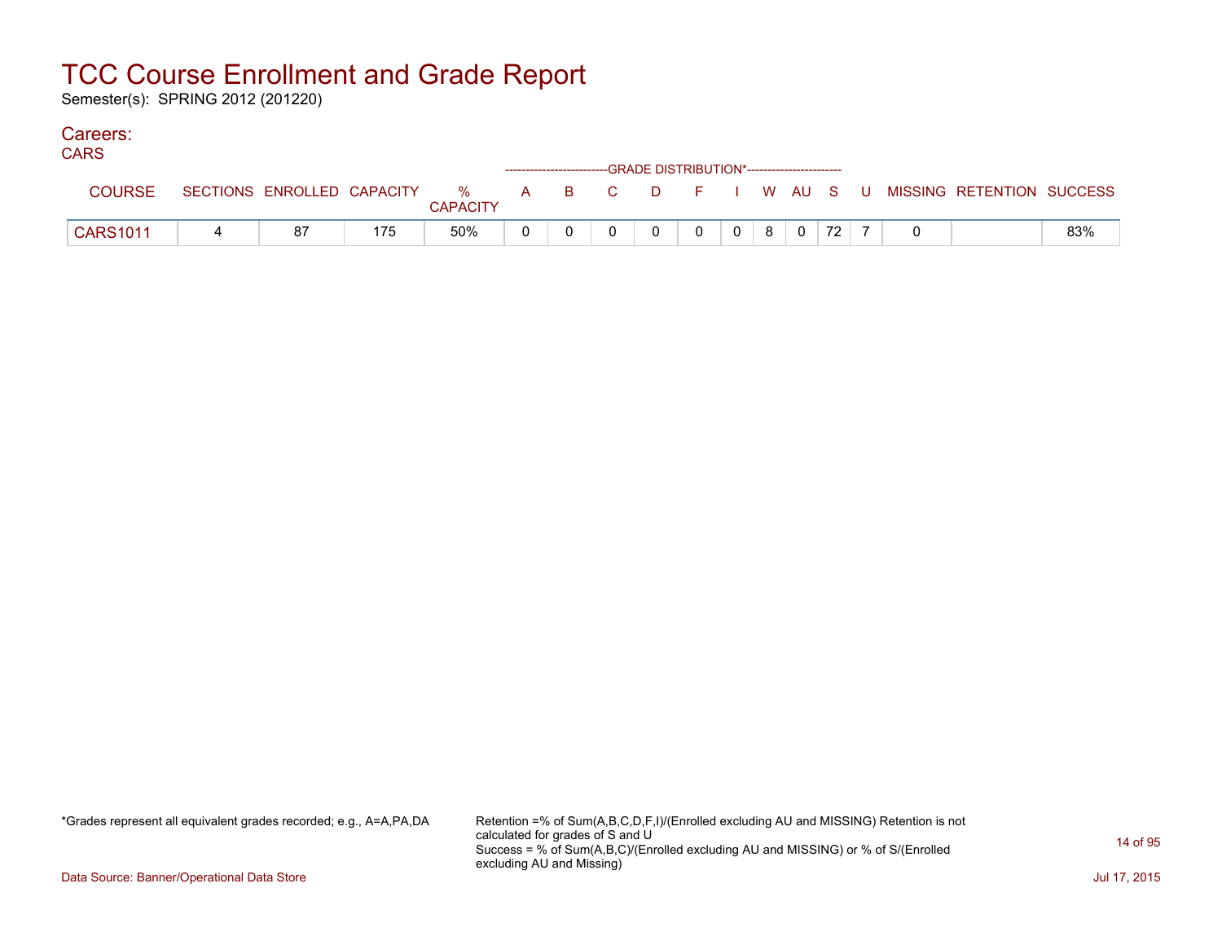Semester(s): SPRING 2012 (201220)

#### Careers: CA<sub>D</sub>C<sub>1</sub>

| <b>UARS</b>     |                            |                            |  | ------------------------GRADE DISTRIBUTION*----------------------- |    |    |         |  |    |  |                           |     |
|-----------------|----------------------------|----------------------------|--|--------------------------------------------------------------------|----|----|---------|--|----|--|---------------------------|-----|
| <b>COURSE</b>   | SECTIONS ENROLLED CAPACITY | % A B C<br><b>CAPACITY</b> |  |                                                                    | D. | F. | I WAUSU |  |    |  | MISSING RETENTION SUCCESS |     |
| <b>CARS1011</b> | 87                         | 50%                        |  |                                                                    |    |    |         |  | 72 |  |                           | 83% |

\*Grades represent all equivalent grades recorded; e.g., A=A,PA,DA Retention =% of Sum(A,B,C,D,F,I)/(Enrolled excluding AU and MISSING) Retention is not calculated for grades of S and U Success = % of Sum(A,B,C)/(Enrolled excluding AU and MISSING) or % of S/(Enrolled excluding AU and Missing)

Data Source: Banner/Operational Data Store Jul 17, 2015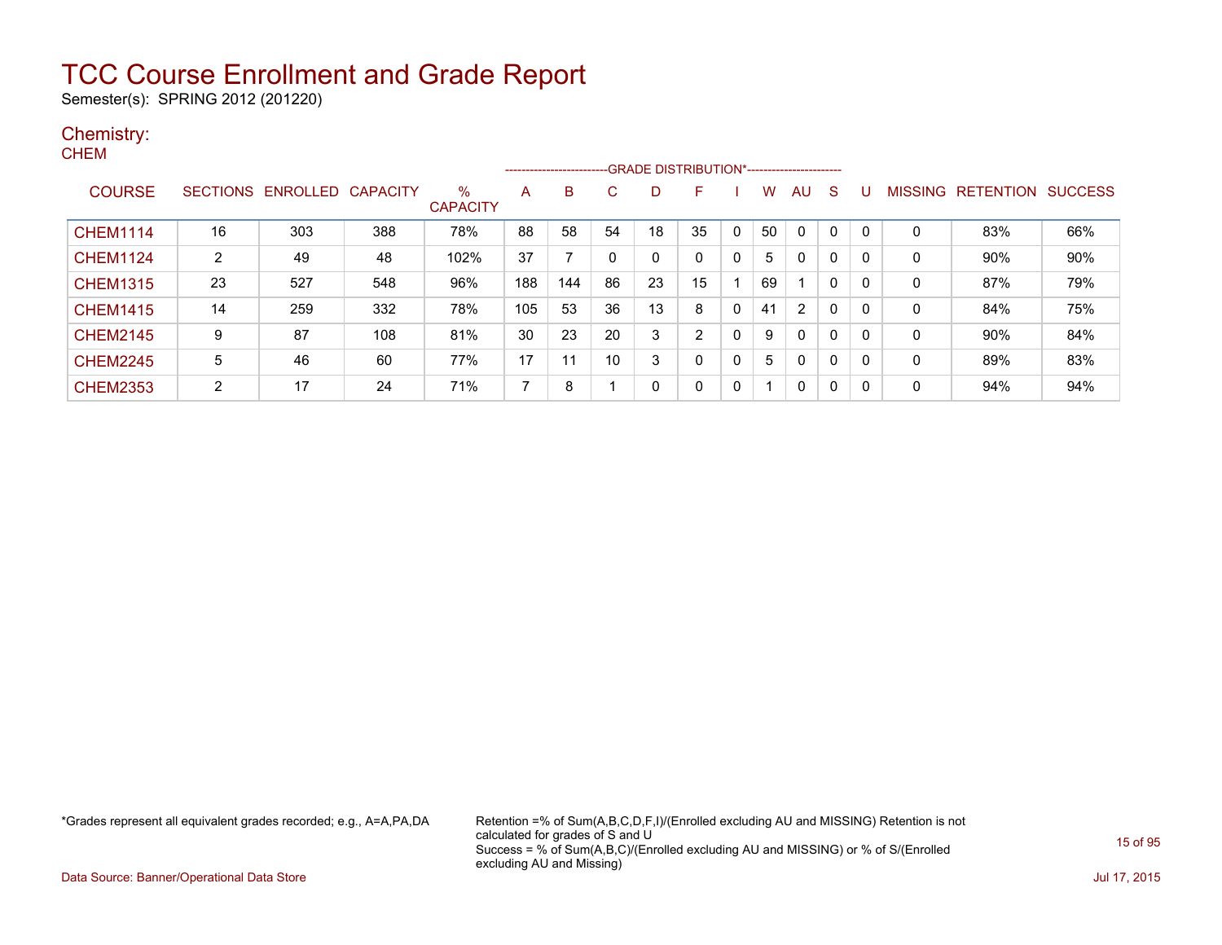Semester(s): SPRING 2012 (201220)

#### Chemistry: **CHEM**

|                 |    |                            |     |                      |     | --------------------- |    |    | -GRADE DISTRIBUTION*----------------------- |             |    |              |              |   |         |                  |                |
|-----------------|----|----------------------------|-----|----------------------|-----|-----------------------|----|----|---------------------------------------------|-------------|----|--------------|--------------|---|---------|------------------|----------------|
| <b>COURSE</b>   |    | SECTIONS ENROLLED CAPACITY |     | %<br><b>CAPACITY</b> | A   | B                     | C  | D  | F                                           |             | w  | AU           | S            | U | MISSING | <b>RETENTION</b> | <b>SUCCESS</b> |
| <b>CHEM1114</b> | 16 | 303                        | 388 | 78%                  | 88  | 58                    | 54 | 18 | 35                                          | 0           | 50 | 0            |              | 0 | 0       | 83%              | 66%            |
| <b>CHEM1124</b> | 2  | 49                         | 48  | 102%                 | 37  |                       | 0  | 0  | 0                                           | 0           | 5  | 0            | 0            | 0 | 0       | 90%              | 90%            |
| <b>CHEM1315</b> | 23 | 527                        | 548 | 96%                  | 188 | 144                   | 86 | 23 | 15                                          |             | 69 |              | 0            | 0 | 0       | 87%              | 79%            |
| <b>CHEM1415</b> | 14 | 259                        | 332 | 78%                  | 105 | 53                    | 36 | 13 | 8                                           | $\mathbf 0$ | 41 | 2            | $\mathbf{0}$ | 0 | 0       | 84%              | 75%            |
| <b>CHEM2145</b> | 9  | 87                         | 108 | 81%                  | 30  | 23                    | 20 | 3  | C                                           | 0           | 9  | $\mathbf{0}$ | $\mathbf{0}$ | 0 | 0       | 90%              | 84%            |
| <b>CHEM2245</b> | 5  | 46                         | 60  | 77%                  | 17  |                       | 10 | 3  | 0                                           | 0           | 5. | $\mathbf{0}$ | 0            | 0 | 0       | 89%              | 83%            |
| <b>CHEM2353</b> | 2  | 17                         | 24  | 71%                  | 7   | 8                     |    | 0  | 0                                           | 0           |    | 0            | 0            | 0 | 0       | 94%              | 94%            |

\*Grades represent all equivalent grades recorded; e.g., A=A,PA,DA Retention =% of Sum(A,B,C,D,F,I)/(Enrolled excluding AU and MISSING) Retention is not calculated for grades of S and U Success = % of Sum(A,B,C)/(Enrolled excluding AU and MISSING) or % of S/(Enrolled excluding AU and Missing)

Data Source: Banner/Operational Data Store Jul 17, 2015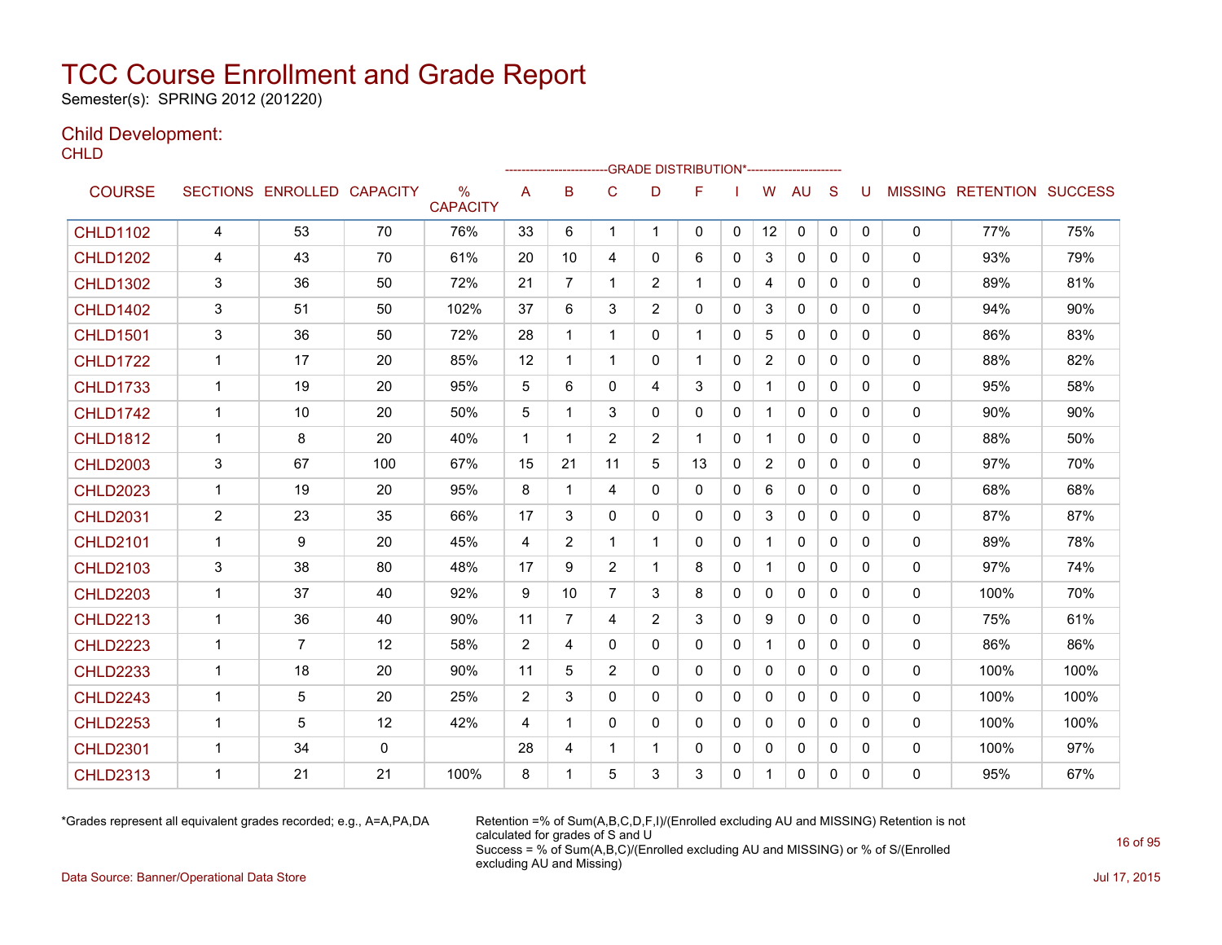Semester(s): SPRING 2012 (201220)

### Child Development:

**CHLD** 

|                 |                |                            |     |                      |                | --------------------- |                |                | --GRADE DISTRIBUTION*---------------------- |              |                |              |              |              |              |                                  |      |
|-----------------|----------------|----------------------------|-----|----------------------|----------------|-----------------------|----------------|----------------|---------------------------------------------|--------------|----------------|--------------|--------------|--------------|--------------|----------------------------------|------|
| <b>COURSE</b>   |                | SECTIONS ENROLLED CAPACITY |     | %<br><b>CAPACITY</b> | A              | B                     | C              | D              | F                                           |              | W              | AU           | <sub>S</sub> | U            |              | <b>MISSING RETENTION SUCCESS</b> |      |
| <b>CHLD1102</b> | 4              | 53                         | 70  | 76%                  | 33             | 6                     | 1              | $\mathbf 1$    | 0                                           | $\mathbf{0}$ | 12             | 0            | 0            | 0            | 0            | 77%                              | 75%  |
| <b>CHLD1202</b> | 4              | 43                         | 70  | 61%                  | 20             | 10                    | 4              | $\Omega$       | 6                                           | $\Omega$     | 3              | $\mathbf{0}$ | $\Omega$     | $\Omega$     | $\mathbf{0}$ | 93%                              | 79%  |
| <b>CHLD1302</b> | 3              | 36                         | 50  | 72%                  | 21             | $\overline{7}$        | 1              | $\overline{2}$ | 1                                           | $\mathbf{0}$ | 4              | $\mathbf{0}$ | $\Omega$     | 0            | 0            | 89%                              | 81%  |
| <b>CHLD1402</b> | 3              | 51                         | 50  | 102%                 | 37             | 6                     | 3              | 2              | 0                                           | $\mathbf{0}$ | 3              | 0            | $\mathbf{0}$ | 0            | 0            | 94%                              | 90%  |
| <b>CHLD1501</b> | 3              | 36                         | 50  | 72%                  | 28             | 1                     | 1              | 0              | 1                                           | 0            | 5              | 0            | 0            | 0            | 0            | 86%                              | 83%  |
| <b>CHLD1722</b> | $\mathbf{1}$   | 17                         | 20  | 85%                  | 12             | 1                     | $\mathbf{1}$   | $\mathbf{0}$   | $\mathbf 1$                                 | $\mathbf{0}$ | $\overline{2}$ | $\mathbf{0}$ | $\Omega$     | $\Omega$     | $\Omega$     | 88%                              | 82%  |
| <b>CHLD1733</b> | $\mathbf{1}$   | 19                         | 20  | 95%                  | 5              | 6                     | 0              | 4              | 3                                           | 0            | $\mathbf 1$    | 0            | $\mathbf{0}$ | 0            | 0            | 95%                              | 58%  |
| <b>CHLD1742</b> | 1              | 10                         | 20  | 50%                  | 5              | 1                     | 3              | $\mathbf{0}$   | 0                                           | $\mathbf{0}$ | $\mathbf{1}$   | $\mathbf{0}$ | $\mathbf{0}$ | $\mathbf{0}$ | 0            | 90%                              | 90%  |
| <b>CHLD1812</b> | $\mathbf{1}$   | 8                          | 20  | 40%                  | $\mathbf{1}$   | $\mathbf 1$           | $\overline{2}$ | $\overline{2}$ | $\mathbf 1$                                 | $\mathbf{0}$ | $\mathbf 1$    | $\mathbf{0}$ | $\Omega$     | $\Omega$     | 0            | 88%                              | 50%  |
| <b>CHLD2003</b> | 3              | 67                         | 100 | 67%                  | 15             | 21                    | 11             | 5              | 13                                          | $\mathbf{0}$ | $\overline{2}$ | $\mathbf{0}$ | $\Omega$     | 0            | $\Omega$     | 97%                              | 70%  |
| <b>CHLD2023</b> | 1              | 19                         | 20  | 95%                  | 8              | 1                     | 4              | $\mathbf{0}$   | 0                                           | $\mathbf{0}$ | 6              | $\mathbf{0}$ | $\Omega$     | 0            | 0            | 68%                              | 68%  |
| <b>CHLD2031</b> | $\overline{2}$ | 23                         | 35  | 66%                  | 17             | 3                     | 0              | $\mathbf{0}$   | 0                                           | $\mathbf{0}$ | 3              | $\mathbf{0}$ | $\mathbf{0}$ | 0            | $\mathbf{0}$ | 87%                              | 87%  |
| <b>CHLD2101</b> | 1              | 9                          | 20  | 45%                  | 4              | $\overline{2}$        | 1              | 1              | 0                                           | $\mathbf{0}$ | $\mathbf 1$    | $\mathbf{0}$ | $\Omega$     | 0            | 0            | 89%                              | 78%  |
| <b>CHLD2103</b> | 3              | 38                         | 80  | 48%                  | 17             | 9                     | $\overline{c}$ | $\mathbf{1}$   | 8                                           | $\mathbf{0}$ | $\mathbf{1}$   | 0            | $\mathbf{0}$ | 0            | 0            | 97%                              | 74%  |
| <b>CHLD2203</b> | $\mathbf{1}$   | 37                         | 40  | 92%                  | 9              | 10                    | $\overline{7}$ | 3              | 8                                           | $\mathbf{0}$ | $\mathbf{0}$   | $\mathbf{0}$ | $\Omega$     | $\mathbf{0}$ | 0            | 100%                             | 70%  |
| <b>CHLD2213</b> | $\mathbf{1}$   | 36                         | 40  | 90%                  | 11             | $\overline{7}$        | 4              | $\overline{2}$ | 3                                           | $\mathbf{0}$ | 9              | $\mathbf{0}$ | $\Omega$     | $\Omega$     | 0            | 75%                              | 61%  |
| <b>CHLD2223</b> | $\mathbf{1}$   | $\overline{7}$             | 12  | 58%                  | 2              | 4                     | $\Omega$       | $\mathbf{0}$   | 0                                           | $\mathbf{0}$ | $\mathbf{1}$   | $\mathbf{0}$ | $\Omega$     | $\Omega$     | 0            | 86%                              | 86%  |
| <b>CHLD2233</b> | 1              | 18                         | 20  | 90%                  | 11             | 5                     | $\overline{2}$ | $\mathbf{0}$   | 0                                           | $\mathbf{0}$ | $\mathbf{0}$   | $\mathbf{0}$ | $\mathbf{0}$ | $\mathbf{0}$ | 0            | 100%                             | 100% |
| <b>CHLD2243</b> | 1              | 5                          | 20  | 25%                  | $\overline{2}$ | 3                     | 0              | $\mathbf{0}$   | 0                                           | $\mathbf{0}$ | 0              | $\mathbf{0}$ | $\mathbf{0}$ | 0            | 0            | 100%                             | 100% |
| <b>CHLD2253</b> | $\mathbf{1}$   | 5                          | 12  | 42%                  | 4              | 1                     | $\Omega$       | $\mathbf{0}$   | 0                                           | $\Omega$     | $\mathbf{0}$   | 0            | $\Omega$     | $\Omega$     | 0            | 100%                             | 100% |
| <b>CHLD2301</b> | 1              | 34                         | 0   |                      | 28             | 4                     | 1              | 1              | 0                                           | $\mathbf{0}$ | 0              | 0            | $\mathbf{0}$ | 0            | 0            | 100%                             | 97%  |
| <b>CHLD2313</b> | 1              | 21                         | 21  | 100%                 | 8              | 1                     | 5              | 3              | 3                                           | 0            | 1.             | 0            | 0            | $\Omega$     | $\mathbf{0}$ | 95%                              | 67%  |

\*Grades represent all equivalent grades recorded; e.g., A=A,PA,DA Retention =% of Sum(A,B,C,D,F,I)/(Enrolled excluding AU and MISSING) Retention is not calculated for grades of S and U Success = % of Sum(A,B,C)/(Enrolled excluding AU and MISSING) or % of S/(Enrolled excluding AU and Missing)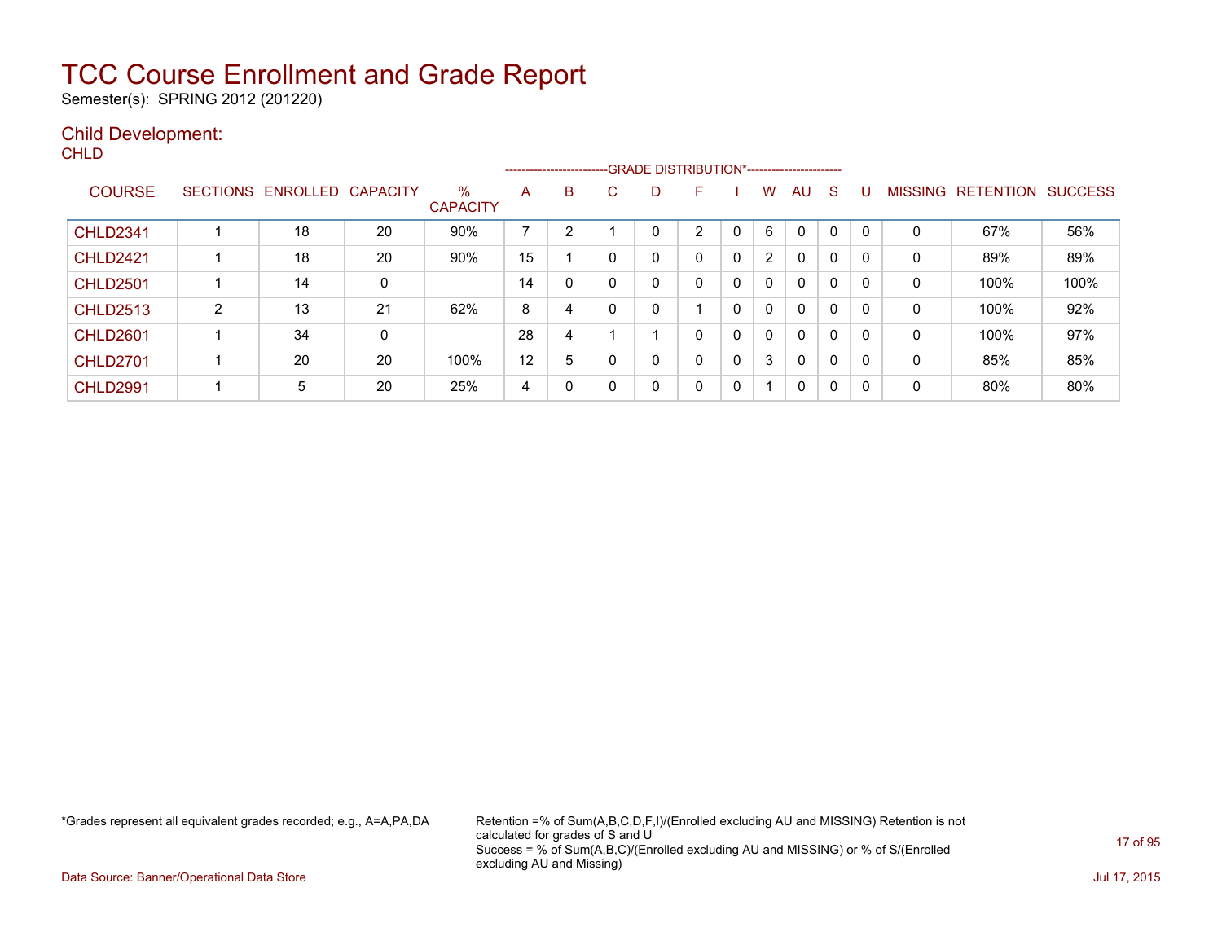Semester(s): SPRING 2012 (201220)

### Child Development:

**CHLD** 

|                 |                 |          |                 |                         |    |    |          | --------------------------GRADE DISTRIBUTION*----------------------- |   |              |                      |              |              |          |                |                  |                |
|-----------------|-----------------|----------|-----------------|-------------------------|----|----|----------|----------------------------------------------------------------------|---|--------------|----------------------|--------------|--------------|----------|----------------|------------------|----------------|
| <b>COURSE</b>   | <b>SECTIONS</b> | ENROLLED | <b>CAPACITY</b> | $\%$<br><b>CAPACITY</b> | A  | B. | C.       | D                                                                    | F |              | W                    | AU           | <sub>S</sub> |          | <b>MISSING</b> | <b>RETENTION</b> | <b>SUCCESS</b> |
| <b>CHLD2341</b> |                 | 18       | 20              | 90%                     | 7  | っ  |          |                                                                      | 2 | $\Omega$     | 6                    | $\mathbf{0}$ | $\mathbf 0$  |          | 0              | 67%              | 56%            |
| <b>CHLD2421</b> |                 | 18       | 20              | 90%                     | 15 |    | 0        | 0                                                                    | 0 | 0            | $\mathbf{2}^{\circ}$ | 0            | 0            |          | 0              | 89%              | 89%            |
| <b>CHLD2501</b> |                 | 14       | 0               |                         | 14 | 0  | $\Omega$ | 0                                                                    | 0 | $\mathbf{0}$ | $\Omega$             | $\mathbf{0}$ | $\mathbf{0}$ | $\Omega$ | 0              | 100%             | 100%           |
| <b>CHLD2513</b> | 2               | 13       | 21              | 62%                     | 8  | 4  | $\Omega$ | 0                                                                    |   | 0            | $\Omega$             | $\mathbf{0}$ | 0            | 0        | 0              | 100%             | 92%            |
| <b>CHLD2601</b> |                 | 34       | 0               |                         | 28 | 4  |          |                                                                      | 0 | $\mathbf 0$  | $\Omega$             | $\mathbf{0}$ | 0            | 0        | 0              | 100%             | 97%            |
| <b>CHLD2701</b> |                 | 20       | 20              | 100%                    | 12 | 5  |          | 0                                                                    | 0 | 0            | 3                    | $\mathbf{0}$ | 0            | 0        | 0              | 85%              | 85%            |
| <b>CHLD2991</b> |                 | 5        | 20              | 25%                     | 4  |    |          | 0                                                                    | 0 | 0            |                      | 0            | 0            | 0        | 0              | 80%              | 80%            |

\*Grades represent all equivalent grades recorded; e.g., A=A,PA,DA Retention =% of Sum(A,B,C,D,F,I)/(Enrolled excluding AU and MISSING) Retention is not calculated for grades of S and U Success = % of Sum(A,B,C)/(Enrolled excluding AU and MISSING) or % of S/(Enrolled excluding AU and Missing)

Data Source: Banner/Operational Data Store Jul 17, 2015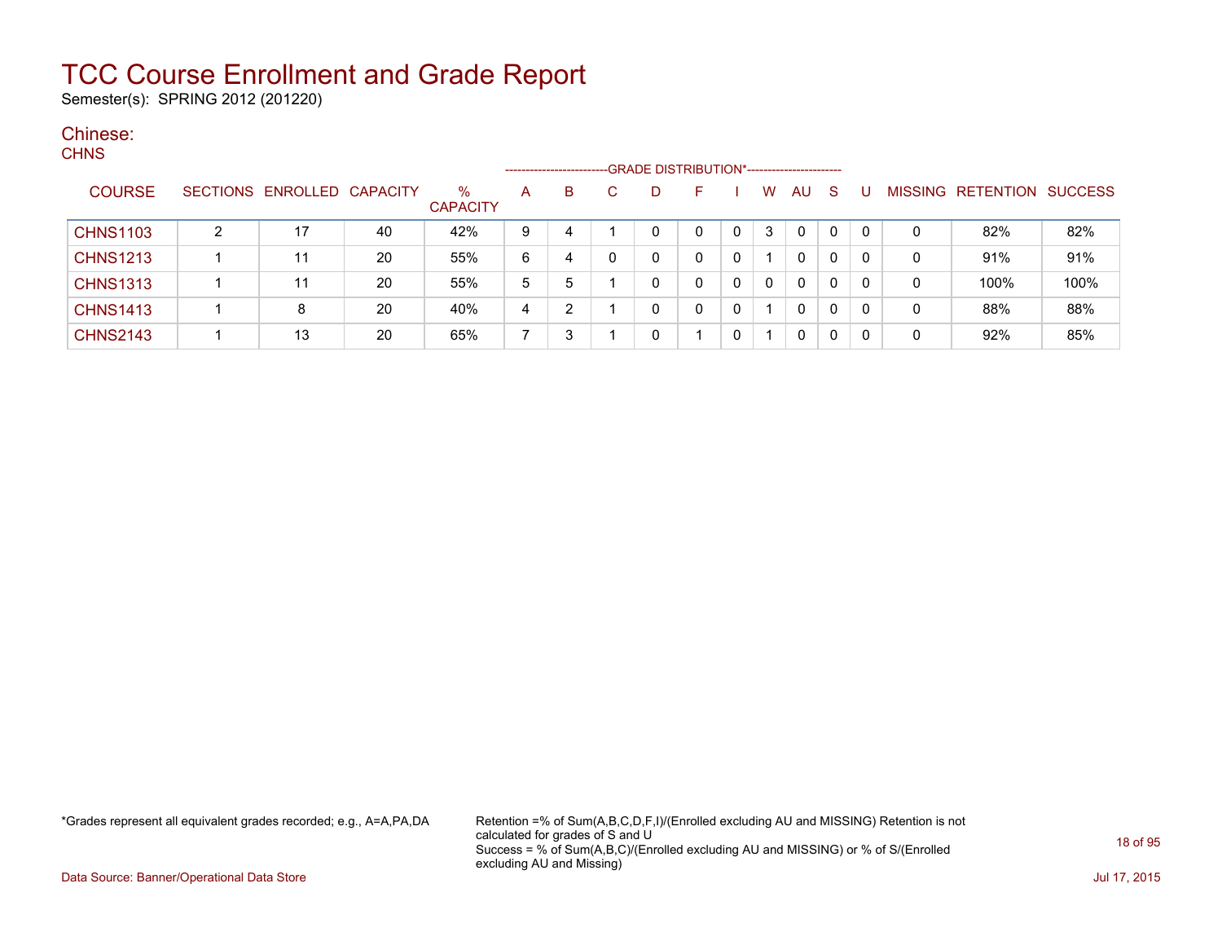Semester(s): SPRING 2012 (201220)

### Chinese:

| <b>CHNS</b>     |                            |    |                      |   | ---------------------- |              |    |                             |              |   |        |    |                         |     |
|-----------------|----------------------------|----|----------------------|---|------------------------|--------------|----|-----------------------------|--------------|---|--------|----|-------------------------|-----|
| <b>COURSE</b>   | SECTIONS ENROLLED CAPACITY |    | %<br><b>CAPACITY</b> | A | B.                     | $\mathbf{C}$ | D. | and the second state of the |              |   | W AU S | -U | MISSING RETENTION SUCCE |     |
| <b>CHNS1103</b> |                            | 40 | 42%                  | 9 |                        |              |    |                             | $\mathbf{0}$ | 3 |        |    | 82%                     | 82% |
| <b>CHNS1213</b> |                            | 20 | 55%                  | 6 |                        |              |    |                             |              |   |        |    | 91%                     | 91% |

\*Grades represent all equivalent grades recorded; e.g., A=A,PA,DA Retention =% of Sum(A,B,C,D,F,I)/(Enrolled excluding AU and MISSING) Retention is not calculated for grades of S and U Success = % of Sum(A,B,C)/(Enrolled excluding AU and MISSING) or % of S/(Enrolled excluding AU and Missing)

CHNS1313 | 1 | 11 | 20 | 55% | 5 | 5 | 1 | 0 | 0 | 0 | 0 | 0 | 0 | 0 | 100% | 100% CHNS1413 | 1 | 8 | 20 | 40% | 4 | 2 | 1 | 0 | 0 | 0 | 1 | 0 | 0 | 0 | 88% | 88% | CHNS2143 | 1 | 13 | 20 | 65% | 7 | 3 | 1 | 0 | 1 | 0 | 0 | 0 | 0 | 0 | 92% | 85%

Data Source: Banner/Operational Data Store Jul 17, 2015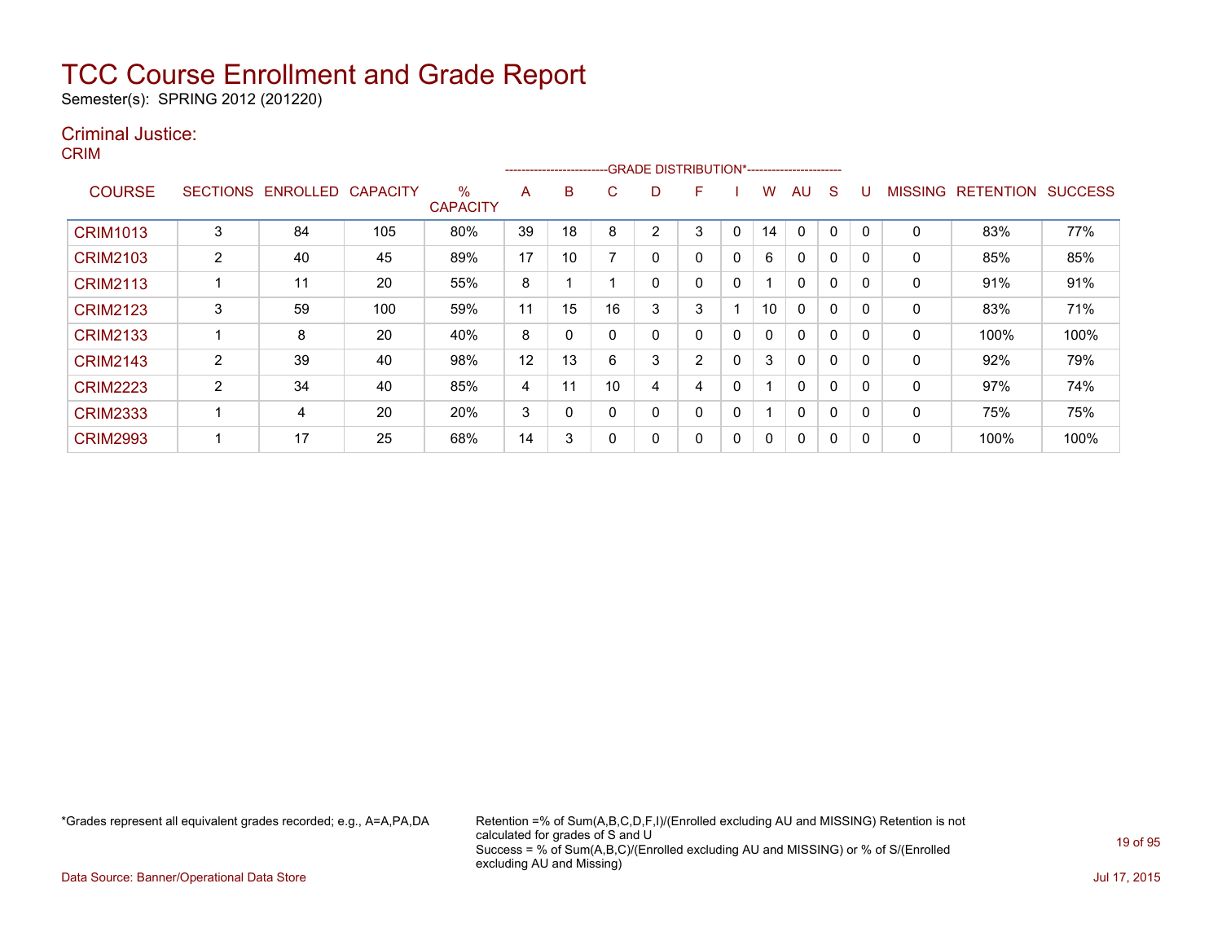Semester(s): SPRING 2012 (201220)

### Criminal Justice:

CRIM

|                 |                 |          |                 |                         |    | ------------------------ |    |   | --GRADE DISTRIBUTION*----------------------- |              |    |              |          |              |                |                  |                |
|-----------------|-----------------|----------|-----------------|-------------------------|----|--------------------------|----|---|----------------------------------------------|--------------|----|--------------|----------|--------------|----------------|------------------|----------------|
| <b>COURSE</b>   | <b>SECTIONS</b> | ENROLLED | <b>CAPACITY</b> | $\%$<br><b>CAPACITY</b> | A  | B                        | C  | D | F                                            |              | w  | AU           | S        |              | <b>MISSING</b> | <b>RETENTION</b> | <b>SUCCESS</b> |
| <b>CRIM1013</b> | 3               | 84       | 105             | 80%                     | 39 | 18                       | 8  | 2 | 3                                            | $\Omega$     | 14 | 0            | 0        | $\mathbf{0}$ | 0              | 83%              | 77%            |
| <b>CRIM2103</b> | 2               | 40       | 45              | 89%                     | 17 | 10                       |    | 0 | 0                                            | 0            | 6  | $\Omega$     | 0        | 0            | 0              | 85%              | 85%            |
| <b>CRIM2113</b> |                 | 11       | 20              | 55%                     | 8  |                          |    | 0 | 0                                            | $\mathbf{0}$ |    | $\Omega$     | $\Omega$ | $\Omega$     | 0              | 91%              | 91%            |
| <b>CRIM2123</b> | 3               | 59       | 100             | 59%                     | 11 | 15                       | 16 | 3 | 3                                            |              | 10 | $\Omega$     | $\Omega$ | $\Omega$     | 0              | 83%              | 71%            |
| <b>CRIM2133</b> |                 | 8        | 20              | 40%                     | 8  | 0                        |    | 0 | 0                                            | 0            | 0  | $\Omega$     | 0        | $\Omega$     | 0              | 100%             | 100%           |
| <b>CRIM2143</b> | 2               | 39       | 40              | 98%                     | 12 | 13                       | 6  | 3 | 2                                            | 0            | 3  | $\Omega$     | 0        | 0            | 0              | 92%              | 79%            |
| <b>CRIM2223</b> | $\overline{2}$  | 34       | 40              | 85%                     | 4  | 11                       | 10 | 4 | 4                                            | 0            |    | $\Omega$     | 0        | $\Omega$     | 0              | 97%              | 74%            |
| <b>CRIM2333</b> |                 | 4        | 20              | 20%                     | 3  | 0                        |    | 0 | 0                                            | 0            | ◢  | $\mathbf{0}$ | 0        | $\Omega$     | 0              | 75%              | 75%            |
| <b>CRIM2993</b> |                 | 17       | 25              | 68%                     | 14 | 3                        |    | 0 | 0                                            | 0            | 0  | 0            | 0        | 0            | 0              | 100%             | 100%           |

\*Grades represent all equivalent grades recorded; e.g., A=A,PA,DA Retention =% of Sum(A,B,C,D,F,I)/(Enrolled excluding AU and MISSING) Retention is not calculated for grades of S and U Success = % of Sum(A,B,C)/(Enrolled excluding AU and MISSING) or % of S/(Enrolled excluding AU and Missing)

Data Source: Banner/Operational Data Store Jul 17, 2015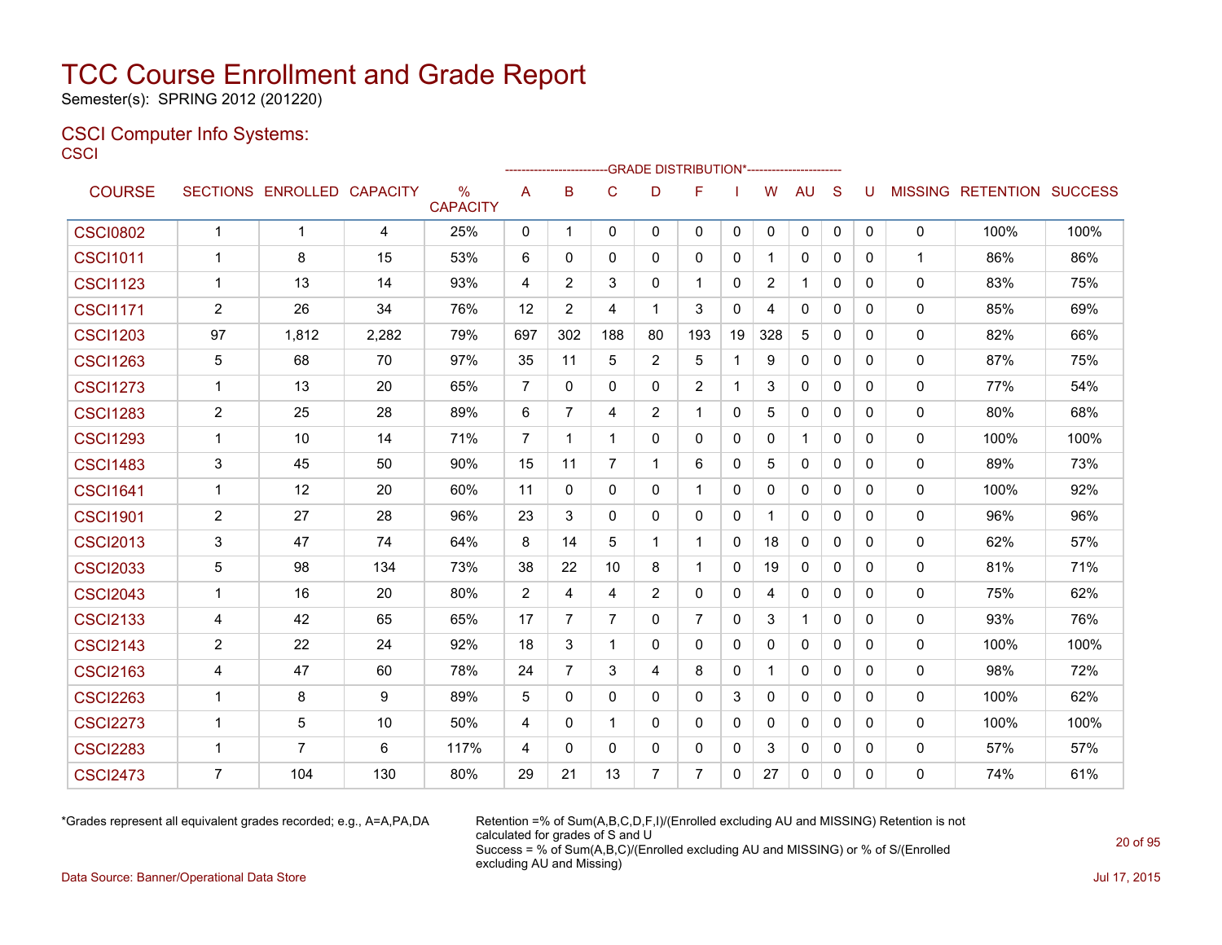Semester(s): SPRING 2012 (201220)

#### CSCI Computer Info Systems: **CSCI**

|                 |                |                            |       |                                  |                |                |                |                | -GRADE DISTRIBUTION*----------------------- |              |                |              |              |              |              |                           |      |
|-----------------|----------------|----------------------------|-------|----------------------------------|----------------|----------------|----------------|----------------|---------------------------------------------|--------------|----------------|--------------|--------------|--------------|--------------|---------------------------|------|
| <b>COURSE</b>   |                | SECTIONS ENROLLED CAPACITY |       | $\frac{0}{0}$<br><b>CAPACITY</b> | A              | в              | C              | D              | F                                           |              | W              | <b>AU</b>    | S            | U            |              | MISSING RETENTION SUCCESS |      |
| <b>CSCI0802</b> | $\mathbf{1}$   | $\mathbf 1$                | 4     | 25%                              | 0              | $\mathbf{1}$   | 0              | 0              | 0                                           | 0            | 0              | 0            | 0            | 0            | 0            | 100%                      | 100% |
| <b>CSCI1011</b> | $\mathbf 1$    | 8                          | 15    | 53%                              | 6              | $\Omega$       | $\mathbf{0}$   | $\Omega$       | $\Omega$                                    | $\mathbf{0}$ | 1              | $\mathbf{0}$ | $\Omega$     | 0            | $\mathbf{1}$ | 86%                       | 86%  |
| <b>CSCI1123</b> | $\mathbf{1}$   | 13                         | 14    | 93%                              | 4              | 2              | 3              | $\Omega$       | $\mathbf 1$                                 | $\mathbf{0}$ | $\overline{2}$ | $\mathbf{1}$ | $\mathbf{0}$ | $\mathbf{0}$ | 0            | 83%                       | 75%  |
| <b>CSCI1171</b> | $\overline{2}$ | 26                         | 34    | 76%                              | 12             | $\overline{2}$ | 4              | $\mathbf 1$    | 3                                           | $\mathbf{0}$ | 4              | $\Omega$     | $\Omega$     | $\Omega$     | 0            | 85%                       | 69%  |
| <b>CSCI1203</b> | 97             | 1,812                      | 2,282 | 79%                              | 697            | 302            | 188            | 80             | 193                                         | 19           | 328            | 5            | $\mathbf{0}$ | $\mathbf{0}$ | 0            | 82%                       | 66%  |
| <b>CSCI1263</b> | 5              | 68                         | 70    | 97%                              | 35             | 11             | 5              | 2              | 5                                           | $\mathbf{1}$ | 9              | $\Omega$     | $\Omega$     | $\Omega$     | 0            | 87%                       | 75%  |
| <b>CSCI1273</b> | $\mathbf{1}$   | 13                         | 20    | 65%                              | $\overline{7}$ | $\mathbf{0}$   | $\mathbf{0}$   | $\Omega$       | 2                                           | $\mathbf{1}$ | 3              | $\Omega$     | $\mathbf{0}$ | $\mathbf{0}$ | 0            | 77%                       | 54%  |
| <b>CSCI1283</b> | $\overline{2}$ | 25                         | 28    | 89%                              | 6              | $\overline{7}$ | 4              | $\overline{2}$ | $\overline{\mathbf{1}}$                     | 0            | 5              | $\Omega$     | $\Omega$     | $\Omega$     | 0            | 80%                       | 68%  |
| <b>CSCI1293</b> | $\mathbf{1}$   | 10                         | 14    | 71%                              | $\overline{7}$ | $\mathbf{1}$   | $\mathbf{1}$   | $\Omega$       | $\Omega$                                    | $\mathbf{0}$ | $\mathbf{0}$   | $\mathbf{1}$ | $\Omega$     | $\Omega$     | $\Omega$     | 100%                      | 100% |
| <b>CSCI1483</b> | 3              | 45                         | 50    | 90%                              | 15             | 11             | $\overline{7}$ | -1             | 6                                           | 0            | 5              | 0            | $\mathbf{0}$ | 0            | 0            | 89%                       | 73%  |
| <b>CSCI1641</b> | 1              | 12                         | 20    | 60%                              | 11             | $\mathbf{0}$   | $\mathbf{0}$   | $\mathbf{0}$   | 1                                           | $\mathbf{0}$ | 0              | 0            | $\Omega$     | 0            | 0            | 100%                      | 92%  |
| <b>CSCI1901</b> | $\overline{2}$ | 27                         | 28    | 96%                              | 23             | 3              | $\mathbf{0}$   | $\Omega$       | $\mathbf{0}$                                | 0            | 1              | 0            | $\mathbf{0}$ | 0            | 0            | 96%                       | 96%  |
| <b>CSCI2013</b> | 3              | 47                         | 74    | 64%                              | 8              | 14             | 5              | -1             | -1                                          | $\mathbf{0}$ | 18             | $\mathbf{0}$ | $\Omega$     | 0            | 0            | 62%                       | 57%  |
| <b>CSCI2033</b> | 5              | 98                         | 134   | 73%                              | 38             | 22             | 10             | 8              | $\mathbf 1$                                 | 0            | 19             | 0            | $\mathbf{0}$ | 0            | 0            | 81%                       | 71%  |
| <b>CSCI2043</b> | $\mathbf{1}$   | 16                         | 20    | 80%                              | 2              | 4              | 4              | 2              | $\mathbf{0}$                                | 0            | 4              | 0            | $\Omega$     | $\Omega$     | 0            | 75%                       | 62%  |
| <b>CSCI2133</b> | 4              | 42                         | 65    | 65%                              | 17             | $\overline{7}$ | $\overline{7}$ | $\Omega$       | $\overline{7}$                              | $\mathbf{0}$ | 3              | $\mathbf{1}$ | $\mathbf{0}$ | $\mathbf{0}$ | 0            | 93%                       | 76%  |
| <b>CSCI2143</b> | $\overline{2}$ | 22                         | 24    | 92%                              | 18             | 3              | $\mathbf{1}$   | $\Omega$       | $\Omega$                                    | $\mathbf{0}$ | 0              | $\mathbf{0}$ | $\Omega$     | $\Omega$     | 0            | 100%                      | 100% |
| <b>CSCI2163</b> | 4              | 47                         | 60    | 78%                              | 24             | $\overline{7}$ | 3              | 4              | 8                                           | $\mathbf{0}$ | 1              | $\Omega$     | $\Omega$     | $\Omega$     | 0            | 98%                       | 72%  |
| <b>CSCI2263</b> | 1              | 8                          | 9     | 89%                              | 5              | $\Omega$       | $\mathbf{0}$   | $\mathbf{0}$   | $\mathbf{0}$                                | 3            | 0              | $\mathbf{0}$ | $\mathbf{0}$ | $\Omega$     | 0            | 100%                      | 62%  |
| <b>CSCI2273</b> | 1              | 5                          | 10    | 50%                              | 4              | $\Omega$       | $\mathbf{1}$   | $\Omega$       | $\Omega$                                    | $\mathbf{0}$ | $\Omega$       | $\Omega$     | $\Omega$     | $\Omega$     | $\Omega$     | 100%                      | 100% |
| <b>CSCI2283</b> | $\mathbf 1$    | $\overline{7}$             | 6     | 117%                             | 4              | $\Omega$       | $\mathbf{0}$   | $\mathbf{0}$   | $\mathbf{0}$                                | 0            | 3              | 0            | $\mathbf{0}$ | $\Omega$     | 0            | 57%                       | 57%  |
| <b>CSCI2473</b> | $\overline{7}$ | 104                        | 130   | 80%                              | 29             | 21             | 13             | $\overline{7}$ | $\overline{7}$                              | $\Omega$     | 27             | $\Omega$     | $\mathbf{0}$ | 0            | $\Omega$     | 74%                       | 61%  |

\*Grades represent all equivalent grades recorded; e.g., A=A,PA,DA Retention =% of Sum(A,B,C,D,F,I)/(Enrolled excluding AU and MISSING) Retention is not calculated for grades of S and U Success = % of Sum(A,B,C)/(Enrolled excluding AU and MISSING) or % of S/(Enrolled excluding AU and Missing)

Data Source: Banner/Operational Data Store Jul 17, 2015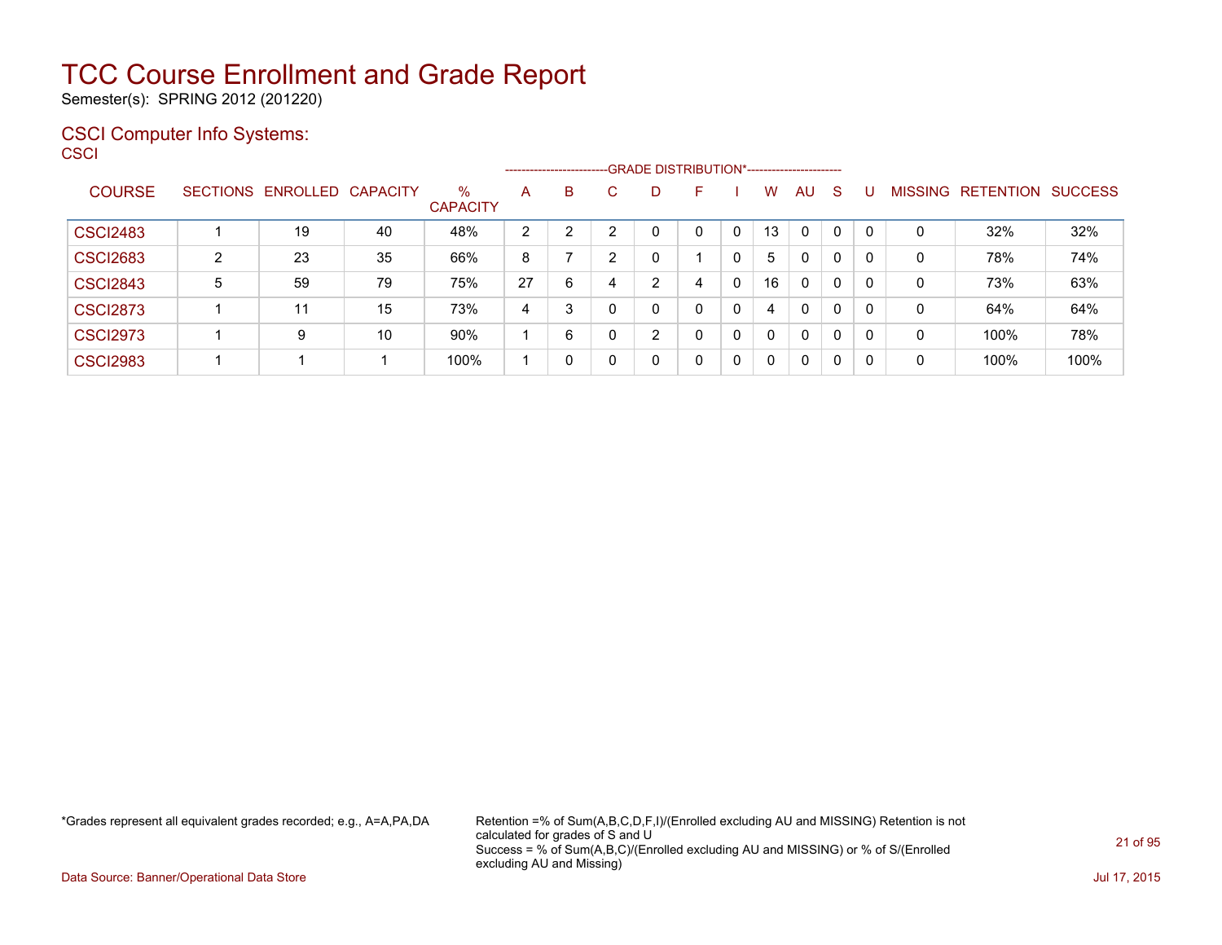Semester(s): SPRING 2012 (201220)

#### CSCI Computer Info Systems: **CSCI**

| SCI             |                |                            |    |                                  |                | ---------------------- |   | ---GRADE DISTRIBUTION*----------------------- |              |   |          |              |              |             |              |                                  |      |
|-----------------|----------------|----------------------------|----|----------------------------------|----------------|------------------------|---|-----------------------------------------------|--------------|---|----------|--------------|--------------|-------------|--------------|----------------------------------|------|
| <b>COURSE</b>   |                | SECTIONS ENROLLED CAPACITY |    | $\frac{0}{0}$<br><b>CAPACITY</b> | A              | <sub>B</sub>           | C | D                                             | F            |   | W        | AU.          | <sub>S</sub> | U           |              | <b>MISSING RETENTION SUCCESS</b> |      |
| <b>CSCI2483</b> |                | 19                         | 40 | 48%                              | $\overline{c}$ | 2                      | 2 | 0                                             | $\mathbf{0}$ | 0 | 13       | $\mathbf{0}$ | $\mathbf{0}$ | $\mathbf 0$ | $\mathbf{0}$ | 32%                              | 32%  |
| <b>CSCI2683</b> | $\overline{2}$ | 23                         | 35 | 66%                              | 8              |                        | 2 | 0                                             |              | 0 | 5        | $\mathbf{0}$ | $\Omega$     | 0           | $\mathbf{0}$ | 78%                              | 74%  |
| <b>CSCI2843</b> | 5              | 59                         | 79 | 75%                              | 27             | 6                      | 4 | 2                                             | 4            | 0 | 16       | $\mathbf{0}$ | 0            | 0           | $\mathbf{0}$ | 73%                              | 63%  |
| <b>CSCI2873</b> |                | 11                         | 15 | 73%                              | 4              | 3                      | 0 | 0                                             | $\mathbf{0}$ | 0 | 4        | $\mathbf{0}$ | $\Omega$     | 0           | 0            | 64%                              | 64%  |
| <b>CSCI2973</b> |                | 9                          | 10 | 90%                              | 1              | 6                      | 0 | $\overline{2}$                                | $\mathbf{0}$ | 0 | $\Omega$ | $\mathbf{0}$ | $\Omega$     | $\mathbf 0$ | $\mathbf{0}$ | 100%                             | 78%  |
| <b>CSCI2983</b> |                |                            |    | 100%                             | 1              | 0                      | 0 | 0                                             | 0            | 0 | 0        | $\mathbf 0$  | $\mathbf{0}$ | $\mathbf 0$ | 0            | 100%                             | 100% |
|                 |                |                            |    |                                  |                |                        |   |                                               |              |   |          |              |              |             |              |                                  |      |

\*Grades represent all equivalent grades recorded; e.g., A=A,PA,DA Retention =% of Sum(A,B,C,D,F,I)/(Enrolled excluding AU and MISSING) Retention is not calculated for grades of S and U Success = % of Sum(A,B,C)/(Enrolled excluding AU and MISSING) or % of S/(Enrolled excluding AU and Missing)

Data Source: Banner/Operational Data Store Jul 17, 2015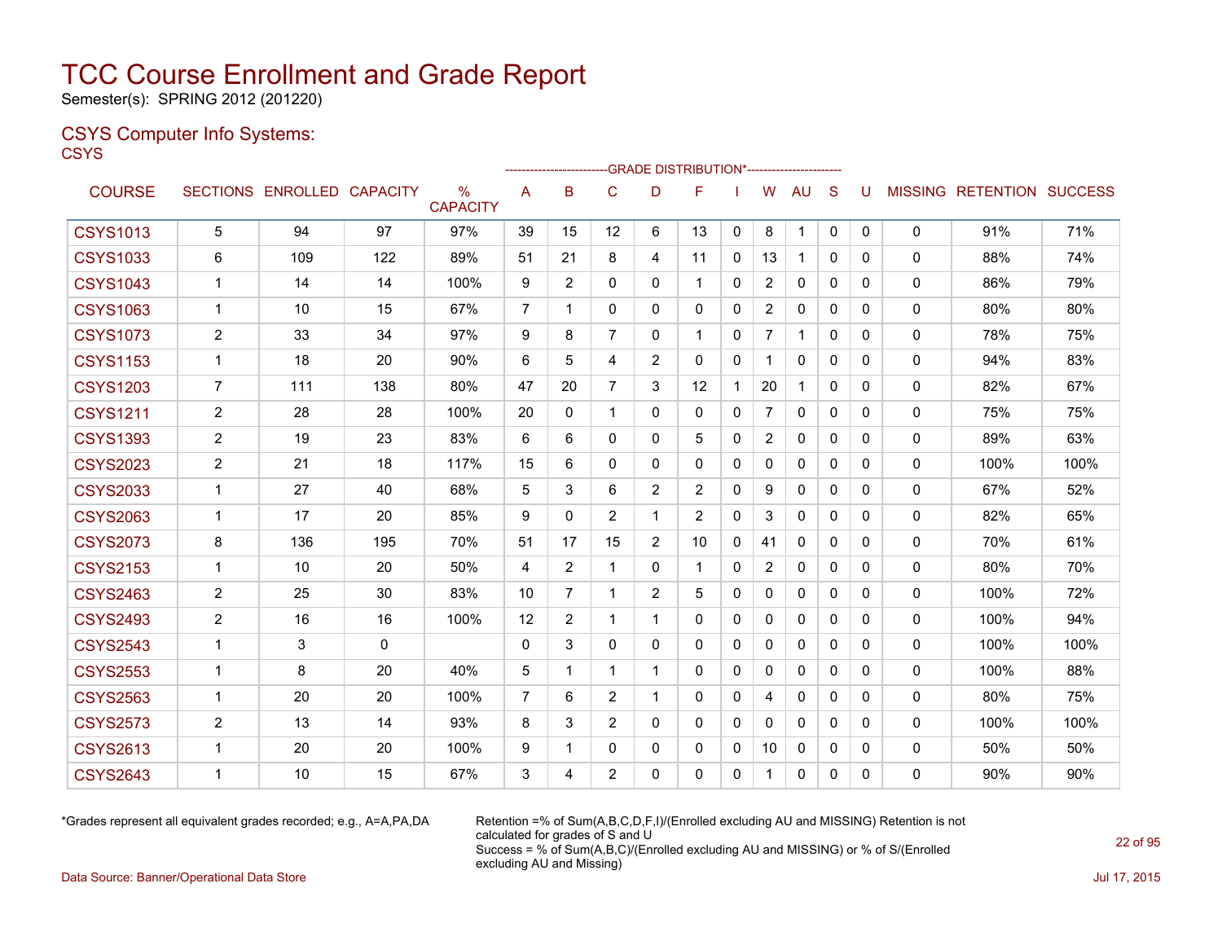Semester(s): SPRING 2012 (201220)

#### CSYS Computer Info Systems: **CSYS**

|                 |                |                            |     |                                  |                |                |                |                | <b>GRADE DISTRIBUTION</b> |              |                |              |              |              |              |                           |      |
|-----------------|----------------|----------------------------|-----|----------------------------------|----------------|----------------|----------------|----------------|---------------------------|--------------|----------------|--------------|--------------|--------------|--------------|---------------------------|------|
| <b>COURSE</b>   |                | SECTIONS ENROLLED CAPACITY |     | $\frac{0}{0}$<br><b>CAPACITY</b> | A              | B              | C              | D              | F                         |              | W              | <b>AU</b>    | S            | U            |              | MISSING RETENTION SUCCESS |      |
| <b>CSYS1013</b> | 5              | 94                         | 97  | 97%                              | 39             | 15             | 12             | 6              | 13                        | $\mathbf{0}$ | 8              | $\mathbf{1}$ | $\mathbf{0}$ | $\mathbf{0}$ | $\Omega$     | 91%                       | 71%  |
| <b>CSYS1033</b> | 6              | 109                        | 122 | 89%                              | 51             | 21             | 8              | 4              | 11                        | $\Omega$     | 13             | 1            | 0            | 0            | $\Omega$     | 88%                       | 74%  |
| <b>CSYS1043</b> | 1              | 14                         | 14  | 100%                             | 9              | $\overline{2}$ | $\Omega$       | 0              | 1                         | $\mathbf{0}$ | $\overline{c}$ | $\mathbf{0}$ | $\mathbf{0}$ | 0            | $\mathbf{0}$ | 86%                       | 79%  |
| <b>CSYS1063</b> | $\mathbf{1}$   | 10                         | 15  | 67%                              | $\overline{7}$ | 1              | $\Omega$       | 0              | $\Omega$                  | $\mathbf{0}$ | $\overline{2}$ | $\Omega$     | $\Omega$     | $\Omega$     | $\mathbf{0}$ | 80%                       | 80%  |
| <b>CSYS1073</b> | 2              | 33                         | 34  | 97%                              | 9              | 8              | $\overline{7}$ | $\Omega$       | 1                         | $\Omega$     | $\overline{7}$ | $\mathbf 1$  | $\Omega$     | $\Omega$     | $\mathbf{0}$ | 78%                       | 75%  |
| <b>CSYS1153</b> | $\mathbf 1$    | 18                         | 20  | 90%                              | 6              | 5              | 4              | $\overline{2}$ | 0                         | 0            | $\mathbf 1$    | 0            | 0            | 0            | 0            | 94%                       | 83%  |
| <b>CSYS1203</b> | $\overline{7}$ | 111                        | 138 | 80%                              | 47             | 20             | $\overline{7}$ | 3              | 12                        | 1            | 20             | 1            | $\Omega$     | $\Omega$     | $\mathbf{0}$ | 82%                       | 67%  |
| <b>CSYS1211</b> | 2              | 28                         | 28  | 100%                             | 20             | 0              | $\mathbf 1$    | 0              | $\mathbf{0}$              | $\Omega$     | $\overline{7}$ | $\mathbf{0}$ | $\Omega$     | 0            | 0            | 75%                       | 75%  |
| <b>CSYS1393</b> | $\overline{2}$ | 19                         | 23  | 83%                              | 6              | 6              | $\mathbf{0}$   | 0              | 5                         | $\mathbf{0}$ | $\overline{2}$ | $\mathbf{0}$ | $\mathbf{0}$ | 0            | $\mathbf{0}$ | 89%                       | 63%  |
| <b>CSYS2023</b> | 2              | 21                         | 18  | 117%                             | 15             | 6              | $\Omega$       | 0              | $\mathbf{0}$              | $\Omega$     | 0              | 0            | $\mathbf{0}$ | 0            | $\Omega$     | 100%                      | 100% |
| <b>CSYS2033</b> | $\mathbf{1}$   | 27                         | 40  | 68%                              | 5              | 3              | 6              | 2              | 2                         | 0            | 9              | 0            | 0            | 0            | $\mathbf{0}$ | 67%                       | 52%  |
| <b>CSYS2063</b> | $\mathbf{1}$   | 17                         | 20  | 85%                              | 9              | $\Omega$       | 2              | 1              | 2                         | $\Omega$     | 3              | $\mathbf{0}$ | $\Omega$     | $\Omega$     | $\mathbf{0}$ | 82%                       | 65%  |
| <b>CSYS2073</b> | 8              | 136                        | 195 | 70%                              | 51             | 17             | 15             | $\overline{2}$ | 10                        | 0            | 41             | $\mathbf{0}$ | $\Omega$     | 0            | $\mathbf{0}$ | 70%                       | 61%  |
| <b>CSYS2153</b> | 1              | 10                         | 20  | 50%                              | 4              | 2              | $\mathbf 1$    | 0              | 1                         | 0            | $\overline{2}$ | 0            | $\Omega$     | 0            | 0            | 80%                       | 70%  |
| <b>CSYS2463</b> | 2              | 25                         | 30  | 83%                              | 10             | 7              | $\mathbf{1}$   | $\overline{2}$ | 5                         | $\Omega$     | 0              | $\mathbf{0}$ | $\Omega$     | $\Omega$     | $\mathbf{0}$ | 100%                      | 72%  |
| <b>CSYS2493</b> | 2              | 16                         | 16  | 100%                             | 12             | 2              | $\mathbf 1$    | 1              | 0                         | 0            | 0              | 0            | 0            | 0            | 0            | 100%                      | 94%  |
| <b>CSYS2543</b> | 1              | 3                          | 0   |                                  | $\mathbf{0}$   | 3              | 0              | 0              | 0                         | $\mathbf{0}$ | 0              | $\mathbf{0}$ | $\Omega$     | 0            | $\mathbf{0}$ | 100%                      | 100% |
| <b>CSYS2553</b> | 1              | 8                          | 20  | 40%                              | 5              | 1              | $\mathbf 1$    | 1              | 0                         | 0            | 0              | 0            | $\mathbf{0}$ | 0            | $\mathbf{0}$ | 100%                      | 88%  |
| <b>CSYS2563</b> | 1              | 20                         | 20  | 100%                             | $\overline{7}$ | 6              | 2              | 1              | 0                         | $\mathbf{0}$ | 4              | 0            | $\Omega$     | $\Omega$     | 0            | 80%                       | 75%  |
| <b>CSYS2573</b> | 2              | 13                         | 14  | 93%                              | 8              | 3              | 2              | 0              | $\Omega$                  | $\Omega$     | $\mathbf{0}$   | 0            | $\Omega$     | $\Omega$     | $\mathbf{0}$ | 100%                      | 100% |
| <b>CSYS2613</b> | 1              | 20                         | 20  | 100%                             | 9              | 1              | 0              | 0              | 0                         | 0            | 10             | 0            | $\mathbf{0}$ | 0            | 0            | 50%                       | 50%  |
| <b>CSYS2643</b> | $\mathbf 1$    | 10                         | 15  | 67%                              | 3              | 4              | 2              | 0              | 0                         | $\mathbf{0}$ | 1              | 0            | $\mathbf{0}$ | $\Omega$     | 0            | 90%                       | 90%  |
|                 |                |                            |     |                                  |                |                |                |                |                           |              |                |              |              |              |              |                           |      |

 $-0.01855$  DIOTOIDUTIONS

\*Grades represent all equivalent grades recorded; e.g., A=A,PA,DA Retention =% of Sum(A,B,C,D,F,I)/(Enrolled excluding AU and MISSING) Retention is not calculated for grades of S and U Success = % of Sum(A,B,C)/(Enrolled excluding AU and MISSING) or % of S/(Enrolled excluding AU and Missing)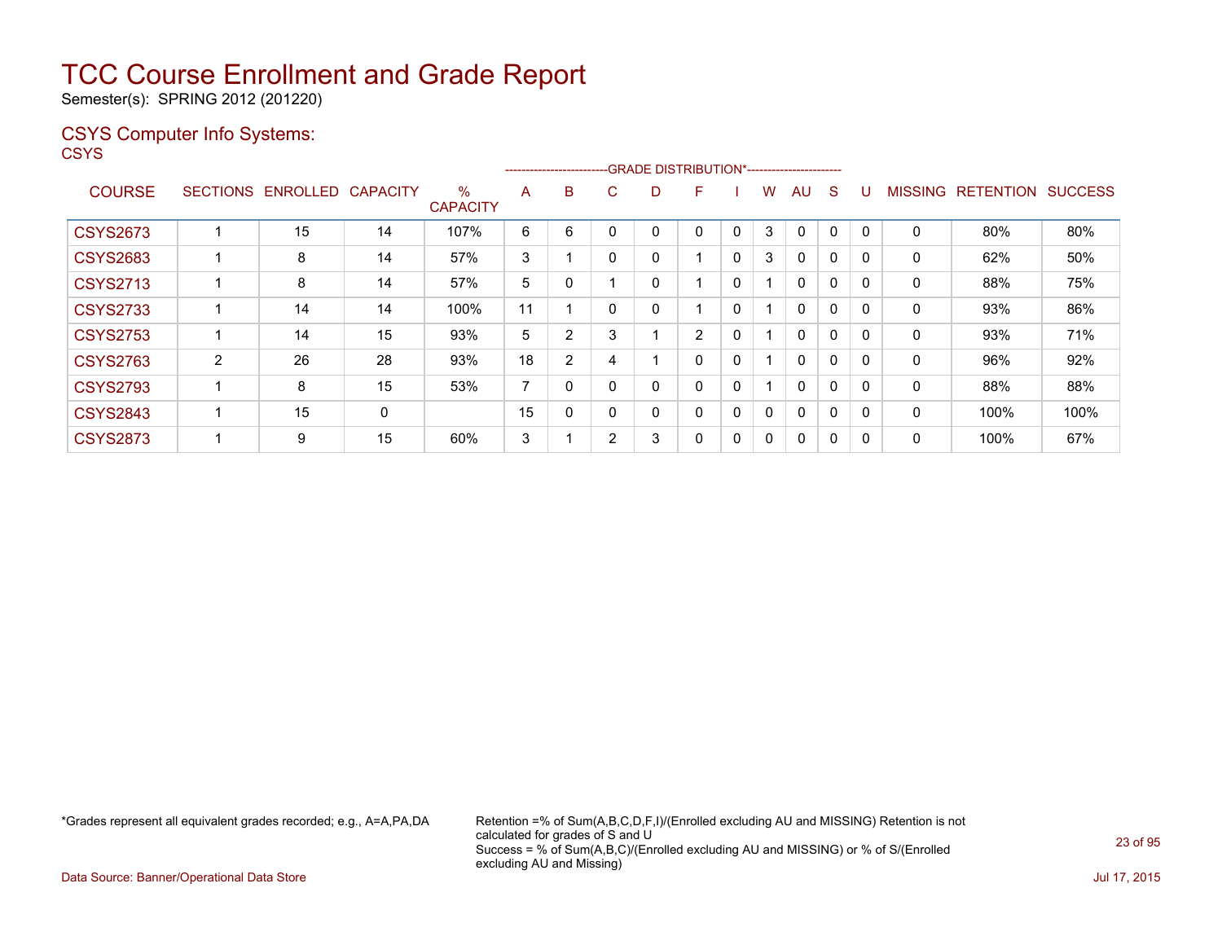Semester(s): SPRING 2012 (201220)

### CSYS Computer Info Systems:

**CSYS** 

|                 |                 |                 |                 |                         |                |          |   |   | -----------------------GRADE DISTRIBUTION*----------------------- |   |   |              |              |              |                |                  |                |
|-----------------|-----------------|-----------------|-----------------|-------------------------|----------------|----------|---|---|-------------------------------------------------------------------|---|---|--------------|--------------|--------------|----------------|------------------|----------------|
| <b>COURSE</b>   | <b>SECTIONS</b> | <b>ENROLLED</b> | <b>CAPACITY</b> | $\%$<br><b>CAPACITY</b> | A              | B        | Ü | D | F                                                                 |   | w | AU           | S            |              | <b>MISSING</b> | <b>RETENTION</b> | <b>SUCCESS</b> |
| <b>CSYS2673</b> |                 | 15              | 14              | 107%                    | 6              | 6        |   | 0 | 0                                                                 | 0 | 3 | $\mathbf 0$  | $\mathbf{0}$ | $\mathbf{0}$ | 0              | 80%              | 80%            |
| <b>CSYS2683</b> |                 | 8               | 14              | 57%                     | 3              |          |   | 0 | $\overline{ }$                                                    | 0 | 3 | $\Omega$     | 0            | 0            | 0              | 62%              | 50%            |
| <b>CSYS2713</b> |                 | 8               | 14              | 57%                     | 5              |          |   | 0 |                                                                   | 0 |   | $\mathbf{0}$ | $\mathbf 0$  | 0            | 0              | 88%              | 75%            |
| <b>CSYS2733</b> |                 | 14              | 14              | 100%                    | 11             |          |   | 0 |                                                                   | 0 |   | $\Omega$     | 0            | 0            | 0              | 93%              | 86%            |
| <b>CSYS2753</b> |                 | 14              | 15              | 93%                     | 5              | 2        | 3 |   | $\overline{2}$                                                    | 0 |   | $\Omega$     | $\Omega$     | $\Omega$     | 0              | 93%              | 71%            |
| <b>CSYS2763</b> | $\overline{2}$  | 26              | 28              | 93%                     | 18             | 2        | 4 |   | 0                                                                 | 0 |   | $\Omega$     | 0            | 0            | 0              | 96%              | 92%            |
| <b>CSYS2793</b> |                 | 8               | 15              | 53%                     | $\overline{ }$ | $\Omega$ |   | 0 | 0                                                                 | 0 |   | $\mathbf{0}$ | 0            | $\Omega$     | 0              | 88%              | 88%            |
| <b>CSYS2843</b> |                 | 15              | 0               |                         | 15             | $\Omega$ |   | 0 | 0                                                                 | 0 | 0 | $\mathbf{0}$ | 0            | $\Omega$     | 0              | 100%             | 100%           |
| <b>CSYS2873</b> |                 | 9               | 15              | 60%                     | 3              |          | 2 | 3 | 0                                                                 | 0 | 0 | $\Omega$     | 0            | 0            | 0              | 100%             | 67%            |

\*Grades represent all equivalent grades recorded; e.g., A=A,PA,DA Retention =% of Sum(A,B,C,D,F,I)/(Enrolled excluding AU and MISSING) Retention is not calculated for grades of S and U Success = % of Sum(A,B,C)/(Enrolled excluding AU and MISSING) or % of S/(Enrolled excluding AU and Missing)

Data Source: Banner/Operational Data Store Jul 17, 2015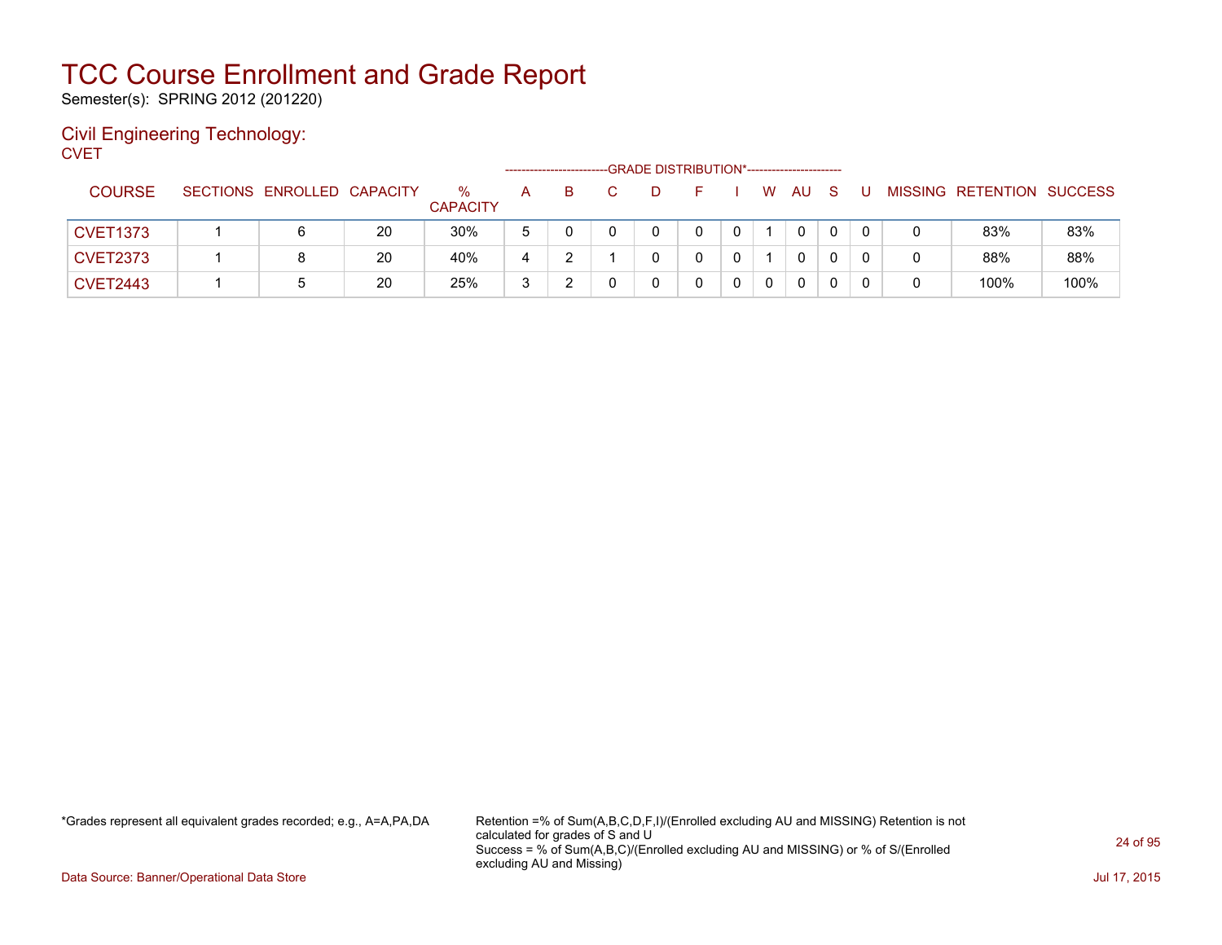Semester(s): SPRING 2012 (201220)

#### Civil Engineering Technology: **CVET**

|                 |                            |    |                         |              | ----------------------- |  | -GRADE DISTRIBUTION*---------------------- |    |              |              |  |                           |      |
|-----------------|----------------------------|----|-------------------------|--------------|-------------------------|--|--------------------------------------------|----|--------------|--------------|--|---------------------------|------|
| <b>COURSE</b>   | SECTIONS ENROLLED CAPACITY |    | $\%$<br><b>CAPACITY</b> | A            | B.                      |  |                                            | W. | AU           | <sub>S</sub> |  | MISSING RETENTION SUCCESS |      |
| <b>CVET1373</b> | 6                          | 20 | 30%                     | <sub>5</sub> |                         |  |                                            |    | $\mathbf{0}$ |              |  | 83%                       | 83%  |
| <b>CVET2373</b> | 8                          | 20 | 40%                     |              |                         |  |                                            |    | 0            |              |  | 88%                       | 88%  |
| <b>CVET2443</b> |                            | 20 | 25%                     | ્ર<br>J      |                         |  |                                            |    | $\mathbf{0}$ |              |  | 100%                      | 100% |

\*Grades represent all equivalent grades recorded; e.g., A=A,PA,DA Retention =% of Sum(A,B,C,D,F,I)/(Enrolled excluding AU and MISSING) Retention is not calculated for grades of S and U Success = % of Sum(A,B,C)/(Enrolled excluding AU and MISSING) or % of S/(Enrolled excluding AU and Missing)

Data Source: Banner/Operational Data Store Jul 17, 2015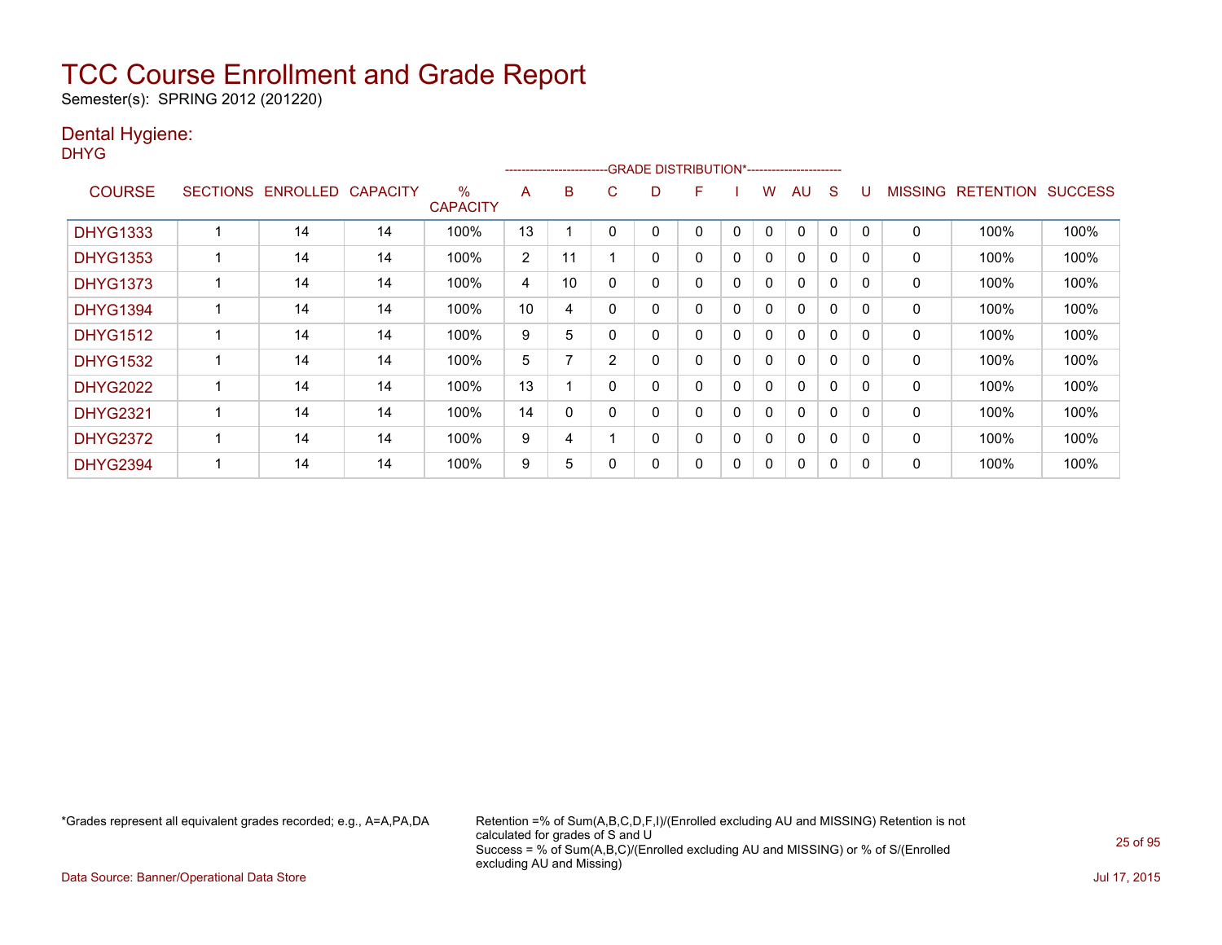Semester(s): SPRING 2012 (201220)

### Dental Hygiene:

DHYG

|                 |                 |          |                 |                         |                | ------------------------ |                | -GRADE DISTRIBUTION*----------------------- |   |          |   |              |          |              |                |                  |                |
|-----------------|-----------------|----------|-----------------|-------------------------|----------------|--------------------------|----------------|---------------------------------------------|---|----------|---|--------------|----------|--------------|----------------|------------------|----------------|
| <b>COURSE</b>   | <b>SECTIONS</b> | ENROLLED | <b>CAPACITY</b> | $\%$<br><b>CAPACITY</b> | A              | B                        | С              | D                                           | F |          | w | AU           | S        |              | <b>MISSING</b> | <b>RETENTION</b> | <b>SUCCESS</b> |
| <b>DHYG1333</b> |                 | 14       | 14              | 100%                    | 13             |                          |                |                                             | 0 | 0        | 0 | 0            | 0        |              | 0              | 100%             | 100%           |
| <b>DHYG1353</b> |                 | 14       | 14              | 100%                    | $\overline{2}$ | 11                       |                | 0                                           | 0 | 0        | 0 | 0            | $\Omega$ | $\Omega$     | 0              | 100%             | 100%           |
| <b>DHYG1373</b> |                 | 14       | 14              | 100%                    | 4              | 10                       |                | 0                                           | 0 | $\Omega$ | 0 | $\Omega$     | $\Omega$ | $\Omega$     | 0              | 100%             | 100%           |
| <b>DHYG1394</b> |                 | 14       | 14              | 100%                    | 10             | 4                        |                | 0                                           | 0 | 0        | 0 | $\mathbf{0}$ | $\Omega$ | $\Omega$     | 0              | 100%             | 100%           |
| <b>DHYG1512</b> |                 | 14       | 14              | 100%                    | 9              | 5                        |                | 0                                           | 0 | $\Omega$ | 0 | $\mathbf{0}$ | $\Omega$ | $\Omega$     | 0              | 100%             | 100%           |
| <b>DHYG1532</b> |                 | 14       | 14              | 100%                    | 5              |                          | $\overline{2}$ | 0                                           | 0 | $\Omega$ | 0 | $\mathbf{0}$ | $\Omega$ | <sup>0</sup> | 0              | 100%             | 100%           |
| <b>DHYG2022</b> |                 | 14       | 14              | 100%                    | 13             |                          | 0              | 0                                           | 0 | 0        | 0 | 0            | 0        | $\Omega$     | 0              | 100%             | 100%           |
| <b>DHYG2321</b> |                 | 14       | 14              | 100%                    | 14             | 0                        |                | 0                                           | 0 | 0        | 0 | 0            | $\Omega$ | $\Omega$     | 0              | 100%             | 100%           |
| <b>DHYG2372</b> |                 | 14       | 14              | 100%                    | 9              | 4                        |                | 0                                           | 0 | 0        | 0 | 0            | 0        | $\Omega$     | 0              | 100%             | 100%           |
| <b>DHYG2394</b> |                 | 14       | 14              | 100%                    | 9              | 5                        |                | 0                                           | 0 | 0        | 0 | 0            | 0        | O            | 0              | 100%             | 100%           |

\*Grades represent all equivalent grades recorded; e.g., A=A,PA,DA Retention =% of Sum(A,B,C,D,F,I)/(Enrolled excluding AU and MISSING) Retention is not calculated for grades of S and U Success = % of Sum(A,B,C)/(Enrolled excluding AU and MISSING) or % of S/(Enrolled excluding AU and Missing)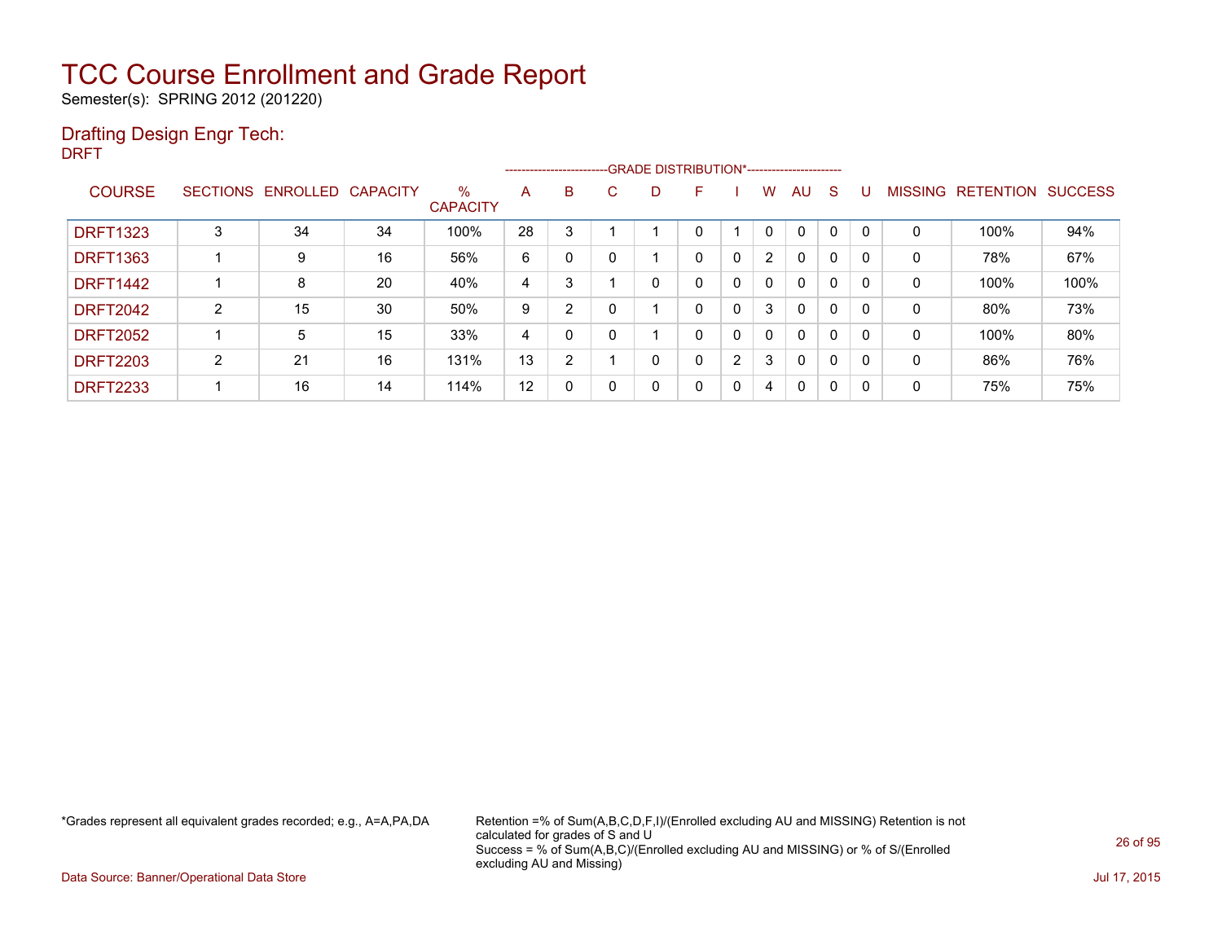Semester(s): SPRING 2012 (201220)

### Drafting Design Engr Tech:

DRFT

|                 |   |                            |    |                         |                | ------------------------ |        |   | --GRADE DISTRIBUTION*----------------------- |   |                |              |              |          |                |                  |                |
|-----------------|---|----------------------------|----|-------------------------|----------------|--------------------------|--------|---|----------------------------------------------|---|----------------|--------------|--------------|----------|----------------|------------------|----------------|
| <b>COURSE</b>   |   | SECTIONS ENROLLED CAPACITY |    | $\%$<br><b>CAPACITY</b> | A              | B                        | ⌒<br>U | D | F                                            |   | w              | AU           | -S           |          | <b>MISSING</b> | <b>RETENTION</b> | <b>SUCCESS</b> |
| <b>DRFT1323</b> | 3 | 34                         | 34 | 100%                    | 28             | 3                        |        |   | 0                                            |   | 0              | $\Omega$     |              | $\Omega$ | 0              | 100%             | 94%            |
| <b>DRFT1363</b> |   | 9                          | 16 | 56%                     | 6              | $\Omega$                 |        |   | 0                                            | 0 | $\overline{2}$ | $\mathbf{0}$ | $\mathbf{0}$ | $\Omega$ | $\mathbf 0$    | 78%              | 67%            |
| <b>DRFT1442</b> |   | 8                          | 20 | 40%                     | 4              | 3                        |        | 0 | 0                                            | 0 | $\mathbf{0}$   | $\mathbf{0}$ | 0            | $\Omega$ | 0              | 100%             | 100%           |
| <b>DRFT2042</b> | 2 | 15                         | 30 | 50%                     | 9              | $\overline{2}$           |        |   | 0                                            | 0 | 3              | $\Omega$     | $\Omega$     | $\Omega$ | 0              | 80%              | 73%            |
| <b>DRFT2052</b> |   | 5                          | 15 | 33%                     | $\overline{4}$ | $\Omega$                 |        |   | 0                                            | 0 | 0              | $\Omega$     | 0            | 0        | 0              | 100%             | 80%            |
| <b>DRFT2203</b> | 2 | 21                         | 16 | 131%                    | 13             | $\overline{2}$           |        | 0 | 0                                            | 2 | 3              | $\Omega$     | 0            | 0        | 0              | 86%              | 76%            |
| <b>DRFT2233</b> |   | 16                         | 14 | 114%                    | 12             | 0                        |        | 0 | 0                                            | 0 | 4              | 0            | $\Omega$     | $\Omega$ | 0              | 75%              | 75%            |

\*Grades represent all equivalent grades recorded; e.g., A=A,PA,DA Retention =% of Sum(A,B,C,D,F,I)/(Enrolled excluding AU and MISSING) Retention is not calculated for grades of S and U Success = % of Sum(A,B,C)/(Enrolled excluding AU and MISSING) or % of S/(Enrolled excluding AU and Missing)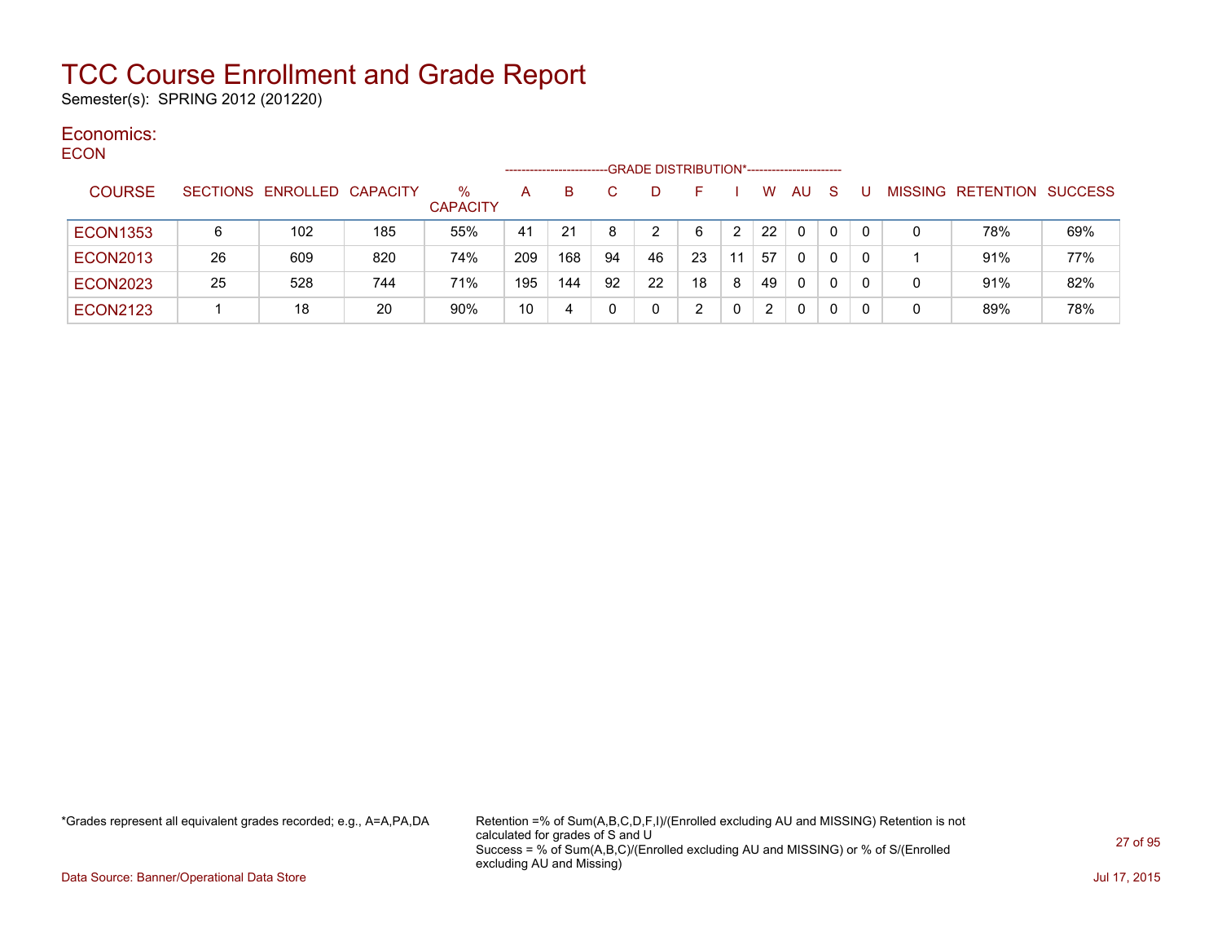Semester(s): SPRING 2012 (201220)

#### Economics: ECON

| ᄃᅛᄓ             |                 |                   |     |                      | --------------------- |     |    | -GRADE DISTRIBUTION*----------------------- |    |    |              |           |              |    |                |                   |     |
|-----------------|-----------------|-------------------|-----|----------------------|-----------------------|-----|----|---------------------------------------------|----|----|--------------|-----------|--------------|----|----------------|-------------------|-----|
| <b>COURSE</b>   | <b>SECTIONS</b> | ENROLLED CAPACITY |     | %<br><b>CAPACITY</b> | A                     | B.  |    | D                                           |    |    | w            | <b>AU</b> | <sub>S</sub> |    | <b>MISSING</b> | RETENTION SUCCESS |     |
| <b>ECON1353</b> | 6               | 102               | 185 | 55%                  | 41                    | 21  |    | 2                                           | 6  |    | 22           | $\Omega$  | 0            |    | 0              | 78%               | 69% |
| <b>ECON2013</b> | 26              | 609               | 820 | 74%                  | 209                   | 168 | 94 | 46                                          | 23 | 11 | 57           | 0         | 0            |    |                | 91%               | 77% |
| <b>ECON2023</b> | 25              | 528               | 744 | 71%                  | 195                   | 144 | 92 | 22                                          | 18 | 8  | 49           | 0         | 0            |    | 0              | 91%               | 82% |
| <b>ECON2123</b> |                 | 18                | 20  | 90%                  | 10                    | 4   |    | 0                                           |    |    | $\mathbf{2}$ | 0         | 0            | -0 | 0              | 89%               | 78% |

\*Grades represent all equivalent grades recorded; e.g., A=A,PA,DA Retention =% of Sum(A,B,C,D,F,I)/(Enrolled excluding AU and MISSING) Retention is not calculated for grades of S and U Success = % of Sum(A,B,C)/(Enrolled excluding AU and MISSING) or % of S/(Enrolled excluding AU and Missing)

Data Source: Banner/Operational Data Store Jul 17, 2015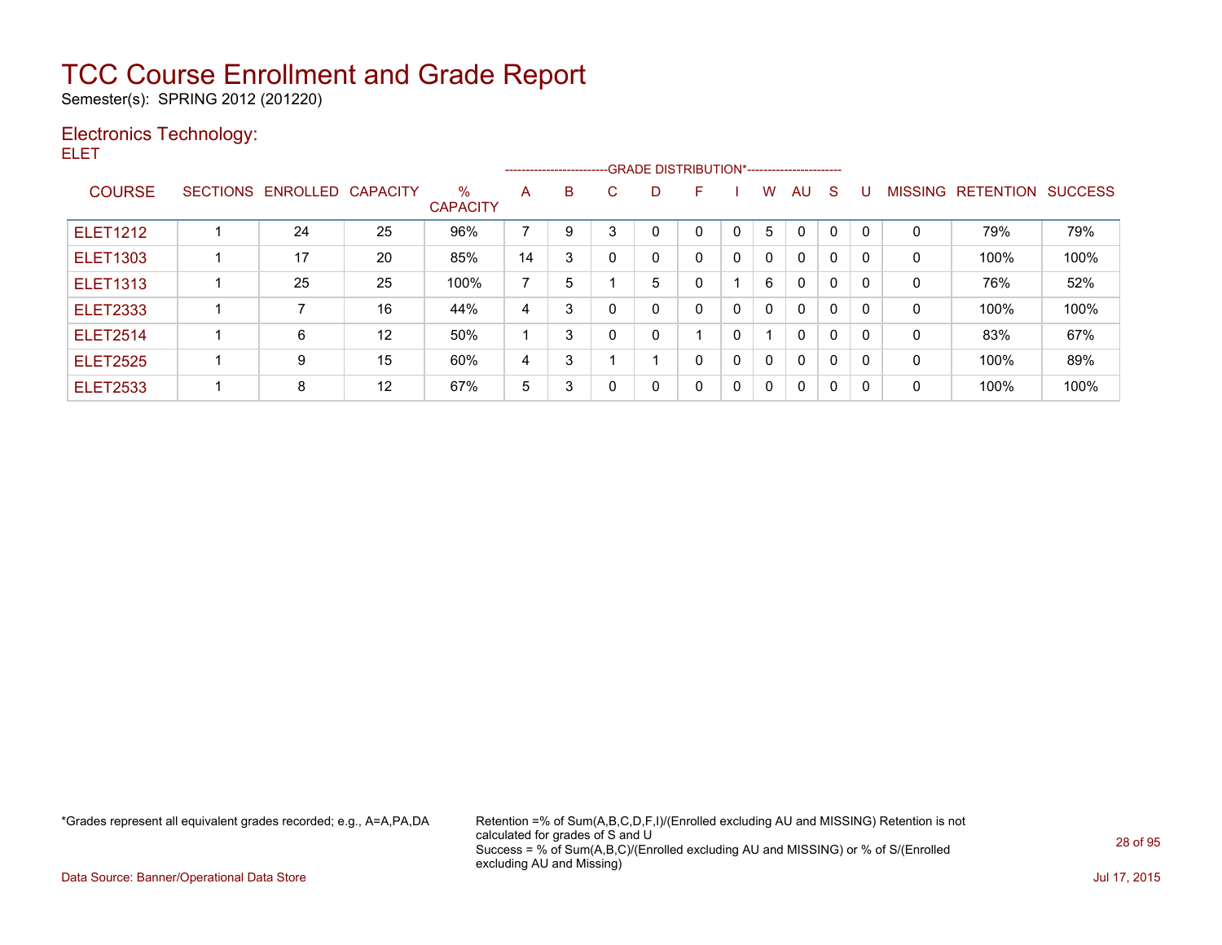Semester(s): SPRING 2012 (201220)

### Electronics Technology:

ELET

|                 |                            |    |                         |                |   | --------------------------GRADE DISTRIBUTION*----------------------- |   |              |   |              |              |              |              |   |                   |                |
|-----------------|----------------------------|----|-------------------------|----------------|---|----------------------------------------------------------------------|---|--------------|---|--------------|--------------|--------------|--------------|---|-------------------|----------------|
| <b>COURSE</b>   | SECTIONS ENROLLED CAPACITY |    | $\%$<br><b>CAPACITY</b> | A              | B | С                                                                    | D | F            |   | W            | AU.          | <sub>S</sub> | U            |   | MISSING RETENTION | <b>SUCCESS</b> |
| <b>ELET1212</b> | 24                         | 25 | 96%                     | $\overline{ }$ | 9 | 3                                                                    | 0 | 0            |   | 5            | $\Omega$     | $\Omega$     | $\mathbf{0}$ | 0 | 79%               | 79%            |
| <b>ELET1303</b> | 17                         | 20 | 85%                     | 14             | 3 |                                                                      | 0 | 0            | 0 | $\mathbf{0}$ | $\mathbf{0}$ | $\Omega$     |              | 0 | 100%              | 100%           |
| <b>ELET1313</b> | 25                         | 25 | 100%                    | $\overline{ }$ | 5 |                                                                      | 5 | 0            |   | 6            | $\Omega$     | 0            | 0            | 0 | 76%               | 52%            |
| <b>ELET2333</b> |                            | 16 | 44%                     | 4              | 3 |                                                                      | 0 | 0            | 0 | $\mathbf{0}$ | $\Omega$     | $\Omega$     | 0            | 0 | 100%              | 100%           |
| <b>ELET2514</b> | 6                          | 12 | 50%                     |                | 3 |                                                                      | 0 |              | 0 |              | $\mathbf{0}$ | $\Omega$     | 0            | 0 | 83%               | 67%            |
| <b>ELET2525</b> | 9                          | 15 | 60%                     | 4              | 3 |                                                                      |   | $\mathbf{0}$ | 0 | 0            | $\Omega$     | $\Omega$     | 0            | 0 | 100%              | 89%            |
| <b>ELET2533</b> | 8                          | 12 | 67%                     | 5              | 3 |                                                                      | 0 | $\mathbf{0}$ | 0 | $\Omega$     | $\Omega$     | 0            | 0            | 0 | 100%              | 100%           |

\*Grades represent all equivalent grades recorded; e.g., A=A,PA,DA Retention =% of Sum(A,B,C,D,F,I)/(Enrolled excluding AU and MISSING) Retention is not calculated for grades of S and U Success = % of Sum(A,B,C)/(Enrolled excluding AU and MISSING) or % of S/(Enrolled excluding AU and Missing)

Data Source: Banner/Operational Data Store Jul 17, 2015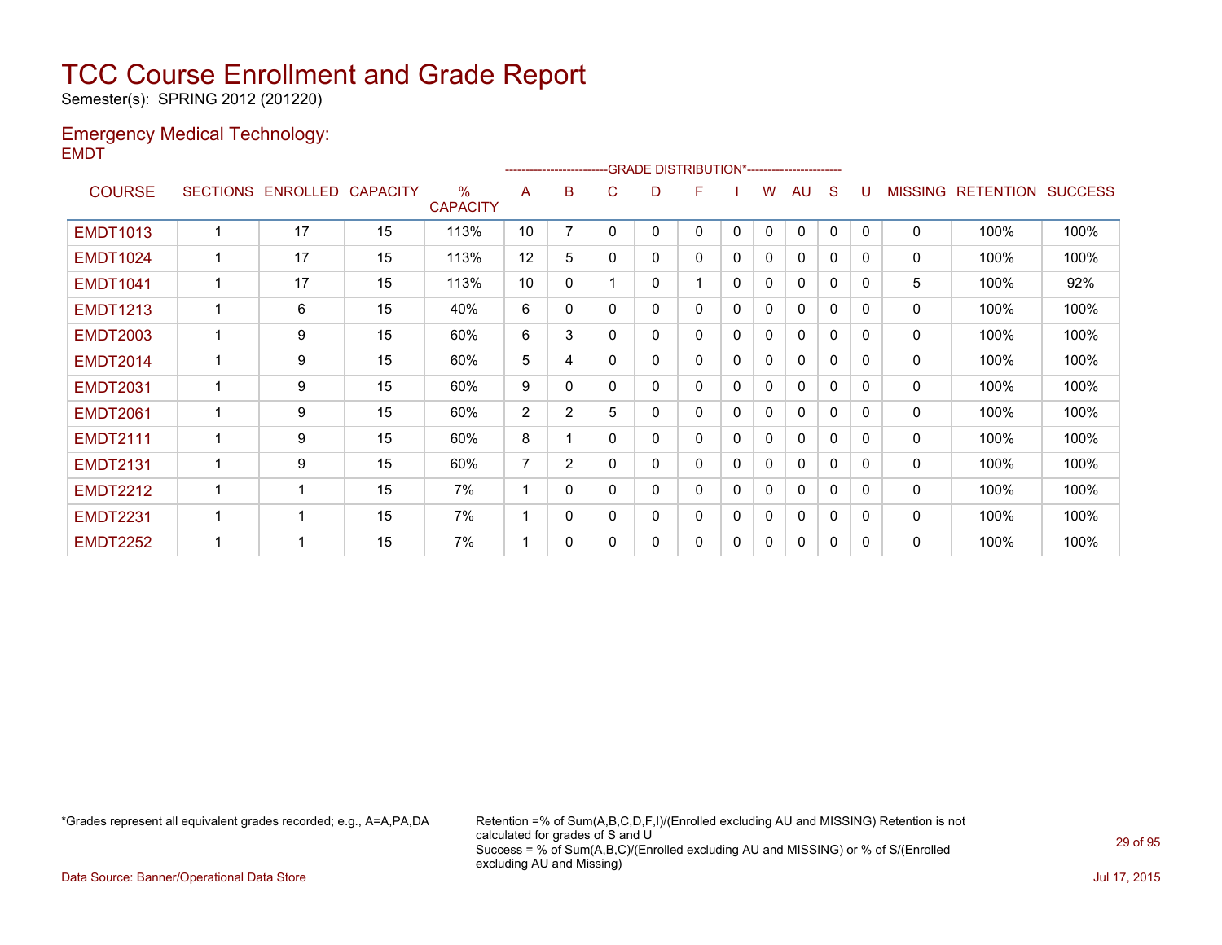Semester(s): SPRING 2012 (201220)

#### Emergency Medical Technology: EMDT

|                 |                 |          |                 |                                  |    |                | ------------------------GRADE                DISTRIBUTION*---------------------- |   |   |              |   |              |              |              |                |                  |                |
|-----------------|-----------------|----------|-----------------|----------------------------------|----|----------------|----------------------------------------------------------------------------------|---|---|--------------|---|--------------|--------------|--------------|----------------|------------------|----------------|
| <b>COURSE</b>   | <b>SECTIONS</b> | ENROLLED | <b>CAPACITY</b> | $\frac{0}{0}$<br><b>CAPACITY</b> | A  | в              | C.                                                                               | D | F |              | w | AU           | S            |              | <b>MISSING</b> | <b>RETENTION</b> | <b>SUCCESS</b> |
| <b>EMDT1013</b> | ٠               | 17       | 15              | 113%                             | 10 | 7              | 0                                                                                | 0 | 0 | 0            | 0 | $\mathbf{0}$ | 0            | $\Omega$     | $\mathbf{0}$   | 100%             | 100%           |
| <b>EMDT1024</b> |                 | 17       | 15              | 113%                             | 12 | 5              | 0                                                                                | 0 | 0 | 0            | 0 | 0            | 0            | $\Omega$     | 0              | 100%             | 100%           |
| <b>EMDT1041</b> |                 | 17       | 15              | 113%                             | 10 | $\mathbf{0}$   |                                                                                  | 0 |   | $\mathbf 0$  | 0 | $\mathbf{0}$ | $\mathbf{0}$ | $\Omega$     | 5              | 100%             | 92%            |
| <b>EMDT1213</b> | 1               | 6        | 15              | 40%                              | 6  | 0              | $\Omega$                                                                         | 0 | 0 | 0            | 0 | 0            | 0            | $\Omega$     | 0              | 100%             | 100%           |
| <b>EMDT2003</b> | 1               | 9        | 15              | 60%                              | 6  | 3              | $\Omega$                                                                         | 0 | 0 | $\mathbf{0}$ | 0 | $\mathbf{0}$ | $\mathbf{0}$ | $\Omega$     | 0              | 100%             | 100%           |
| <b>EMDT2014</b> | 1               | 9        | 15              | 60%                              | 5  | 4              | $\Omega$                                                                         | 0 | 0 | 0            | 0 | $\mathbf{0}$ | 0            | $\Omega$     | 0              | 100%             | 100%           |
| <b>EMDT2031</b> | 1               | 9        | 15              | 60%                              | 9  | 0              | $\Omega$                                                                         | 0 | 0 | $\mathbf{0}$ | 0 | $\mathbf{0}$ | $\mathbf 0$  | $\Omega$     | $\mathbf{0}$   | 100%             | 100%           |
| <b>EMDT2061</b> |                 | 9        | 15              | 60%                              | 2  | $\overline{2}$ | 5                                                                                | 0 | 0 | 0            | 0 | 0            | 0            | <sup>0</sup> | 0              | 100%             | 100%           |
| <b>EMDT2111</b> | ٠               | 9        | 15              | 60%                              | 8  |                | $\Omega$                                                                         | 0 | 0 | 0            | 0 | $\mathbf{0}$ | $\Omega$     | $\Omega$     | 0              | 100%             | 100%           |
| <b>EMDT2131</b> | 1               | 9        | 15              | 60%                              | 7  | $\overline{2}$ | 0                                                                                | 0 | 0 | 0            | 0 | 0            | 0            | <sup>0</sup> | 0              | 100%             | 100%           |
| <b>EMDT2212</b> | 4               | 1        | 15              | 7%                               |    | $\Omega$       | $\Omega$                                                                         | 0 | 0 | 0            | 0 | $\mathbf{0}$ | $\Omega$     | $\Omega$     | 0              | 100%             | 100%           |
| <b>EMDT2231</b> | ٠               | 1        | 15              | 7%                               |    | 0              | $\Omega$                                                                         | 0 | 0 | 0            | 0 | $\mathbf{0}$ | 0            | <sup>0</sup> | 0              | 100%             | 100%           |
| <b>EMDT2252</b> | 1               | 1        | 15              | 7%                               |    | 0              | $\Omega$                                                                         | 0 | 0 | 0            | 0 | $\mathbf{0}$ | 0            | $\Omega$     | 0              | 100%             | 100%           |

\*Grades represent all equivalent grades recorded; e.g., A=A,PA,DA Retention =% of Sum(A,B,C,D,F,I)/(Enrolled excluding AU and MISSING) Retention is not calculated for grades of S and U Success = % of Sum(A,B,C)/(Enrolled excluding AU and MISSING) or % of S/(Enrolled excluding AU and Missing)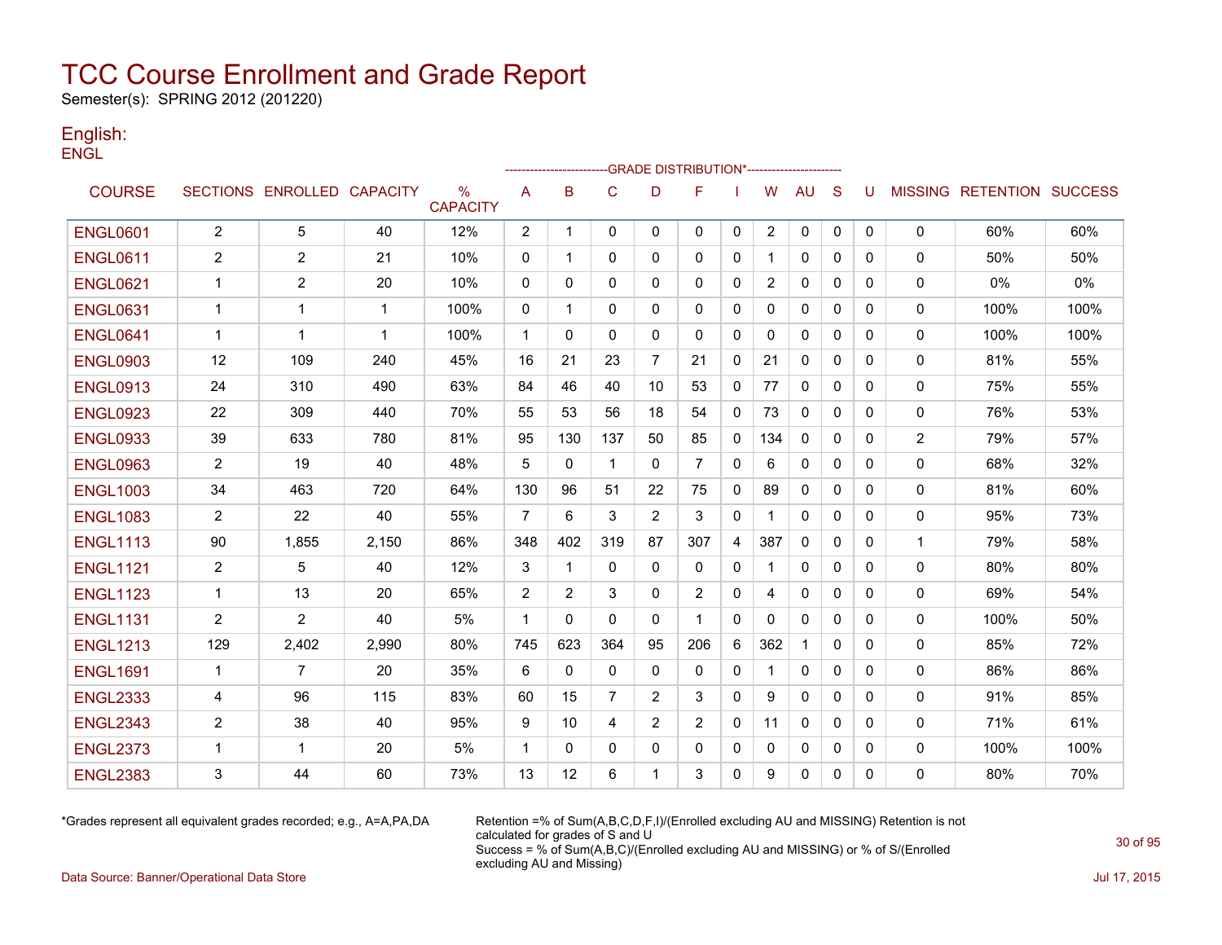Semester(s): SPRING 2012 (201220)

#### English: **ENGL**

|                 |                |                            |             |                         |                |              |                |                | ---GRADE                                   DISTRIBUTION*------------------------ |              |                |              |              |              |                |                                  |      |
|-----------------|----------------|----------------------------|-------------|-------------------------|----------------|--------------|----------------|----------------|----------------------------------------------------------------------------------|--------------|----------------|--------------|--------------|--------------|----------------|----------------------------------|------|
| <b>COURSE</b>   |                | SECTIONS ENROLLED CAPACITY |             | $\%$<br><b>CAPACITY</b> | A              | B            | $\mathbf C$    | D              | F                                                                                |              | W              | <b>AU</b>    | S            | U            |                | <b>MISSING RETENTION SUCCESS</b> |      |
| <b>ENGL0601</b> | $\overline{2}$ | 5                          | 40          | 12%                     | $\overline{2}$ | $\mathbf 1$  | 0              | $\mathbf{0}$   | $\mathbf{0}$                                                                     | $\mathbf 0$  | $\mathbf{2}$   | 0            | $\mathbf{0}$ | $\mathbf{0}$ | $\mathbf 0$    | 60%                              | 60%  |
| <b>ENGL0611</b> | $\overline{2}$ | $\overline{2}$             | 21          | 10%                     | 0              | $\mathbf{1}$ | $\mathbf{0}$   | 0              | 0                                                                                | 0            | 1              | $\mathbf{0}$ | $\mathbf{0}$ | $\Omega$     | 0              | 50%                              | 50%  |
| <b>ENGL0621</b> | $\mathbf 1$    | 2                          | 20          | 10%                     | 0              | $\Omega$     | $\mathbf{0}$   | $\mathbf{0}$   | $\mathbf{0}$                                                                     | $\mathbf 0$  | $\overline{2}$ | 0            | $\mathbf{0}$ | 0            | 0              | 0%                               | 0%   |
| <b>ENGL0631</b> | $\mathbf 1$    | 1                          | 1           | 100%                    | 0              | 1            | 0              | 0              | 0                                                                                | 0            | 0              | 0            | $\mathbf{0}$ | 0            | 0              | 100%                             | 100% |
| <b>ENGL0641</b> | $\mathbf 1$    | 1                          | $\mathbf 1$ | 100%                    | $\mathbf{1}$   | $\Omega$     | $\mathbf{0}$   | $\mathbf{0}$   | $\mathbf{0}$                                                                     | $\mathbf{0}$ | 0              | $\mathbf{0}$ | $\mathbf{0}$ | 0            | $\mathbf{0}$   | 100%                             | 100% |
| <b>ENGL0903</b> | 12             | 109                        | 240         | 45%                     | 16             | 21           | 23             | $\overline{7}$ | 21                                                                               | $\mathbf 0$  | 21             | $\mathbf{0}$ | $\mathbf{0}$ | $\Omega$     | 0              | 81%                              | 55%  |
| <b>ENGL0913</b> | 24             | 310                        | 490         | 63%                     | 84             | 46           | 40             | 10             | 53                                                                               | $\mathbf 0$  | 77             | $\mathbf{0}$ | $\mathbf{0}$ | $\Omega$     | $\mathbf 0$    | 75%                              | 55%  |
| <b>ENGL0923</b> | 22             | 309                        | 440         | 70%                     | 55             | 53           | 56             | 18             | 54                                                                               | $\mathbf{0}$ | 73             | $\mathbf{0}$ | $\Omega$     | $\Omega$     | 0              | 76%                              | 53%  |
| <b>ENGL0933</b> | 39             | 633                        | 780         | 81%                     | 95             | 130          | 137            | 50             | 85                                                                               | $\mathbf 0$  | 134            | $\mathbf{0}$ | $\mathbf{0}$ | 0            | $\overline{2}$ | 79%                              | 57%  |
| <b>ENGL0963</b> | $\overline{2}$ | 19                         | 40          | 48%                     | 5              | 0            | $\overline{1}$ | 0              | $\overline{7}$                                                                   | $\mathbf 0$  | 6              | $\mathbf{0}$ | $\mathbf{0}$ | $\Omega$     | 0              | 68%                              | 32%  |
| <b>ENGL1003</b> | 34             | 463                        | 720         | 64%                     | 130            | 96           | 51             | 22             | 75                                                                               | 0            | 89             | 0            | $\mathbf{0}$ | 0            | 0              | 81%                              | 60%  |
| <b>ENGL1083</b> | $\overline{2}$ | 22                         | 40          | 55%                     | $\overline{7}$ | 6            | 3              | 2              | 3                                                                                | $\mathbf 0$  |                | $\mathbf{0}$ | $\mathbf{0}$ | 0            | 0              | 95%                              | 73%  |
| <b>ENGL1113</b> | 90             | 1,855                      | 2,150       | 86%                     | 348            | 402          | 319            | 87             | 307                                                                              | 4            | 387            | $\mathbf{0}$ | $\Omega$     | 0            | 1              | 79%                              | 58%  |
| <b>ENGL1121</b> | $\overline{2}$ | 5                          | 40          | 12%                     | 3              | $\mathbf{1}$ | $\Omega$       | $\mathbf{0}$   | $\mathbf{0}$                                                                     | $\mathbf 0$  | 1              | 0            | $\mathbf{0}$ | 0            | 0              | 80%                              | 80%  |
| <b>ENGL1123</b> | $\mathbf{1}$   | 13                         | 20          | 65%                     | 2              | 2            | 3              | $\Omega$       | 2                                                                                | 0            | 4              | $\mathbf{0}$ | $\mathbf{0}$ | $\mathbf{0}$ | 0              | 69%                              | 54%  |
| <b>ENGL1131</b> | 2              | 2                          | 40          | 5%                      | $\mathbf{1}$   | $\Omega$     | $\mathbf{0}$   | $\mathbf{0}$   | 1                                                                                | $\mathbf{0}$ | 0              | 0            | $\mathbf{0}$ | $\mathbf{0}$ | 0              | 100%                             | 50%  |
| <b>ENGL1213</b> | 129            | 2,402                      | 2,990       | 80%                     | 745            | 623          | 364            | 95             | 206                                                                              | 6            | 362            | $\mathbf{1}$ | $\Omega$     | $\Omega$     | 0              | 85%                              | 72%  |
| <b>ENGL1691</b> | $\mathbf{1}$   | $\overline{7}$             | 20          | 35%                     | 6              | 0            | 0              | 0              | 0                                                                                | 0            |                | 0            | $\mathbf{0}$ | $\mathbf{0}$ | 0              | 86%                              | 86%  |
| <b>ENGL2333</b> | 4              | 96                         | 115         | 83%                     | 60             | 15           | $\overline{7}$ | 2              | 3                                                                                | $\mathbf{0}$ | 9              | $\mathbf{0}$ | $\Omega$     | $\Omega$     | 0              | 91%                              | 85%  |
| <b>ENGL2343</b> | $\overline{2}$ | 38                         | 40          | 95%                     | 9              | 10           | 4              | 2              | 2                                                                                | $\mathbf{0}$ | 11             | $\mathbf{0}$ | $\Omega$     | $\Omega$     | 0              | 71%                              | 61%  |
| <b>ENGL2373</b> | $\mathbf 1$    | 1                          | 20          | 5%                      | $\mathbf{1}$   | $\mathbf{0}$ | $\mathbf{0}$   | 0              | $\mathbf{0}$                                                                     | 0            | 0              | 0            | $\mathbf{0}$ | 0            | 0              | 100%                             | 100% |
| <b>ENGL2383</b> | 3              | 44                         | 60          | 73%                     | 13             | 12           | 6              | 1              | 3                                                                                | 0            | 9              | $\mathbf{0}$ | 0            | 0            | 0              | 80%                              | 70%  |

\*Grades represent all equivalent grades recorded; e.g., A=A,PA,DA Retention =% of Sum(A,B,C,D,F,I)/(Enrolled excluding AU and MISSING) Retention is not calculated for grades of S and U Success = % of Sum(A,B,C)/(Enrolled excluding AU and MISSING) or % of S/(Enrolled excluding AU and Missing)

Data Source: Banner/Operational Data Store Jul 17, 2015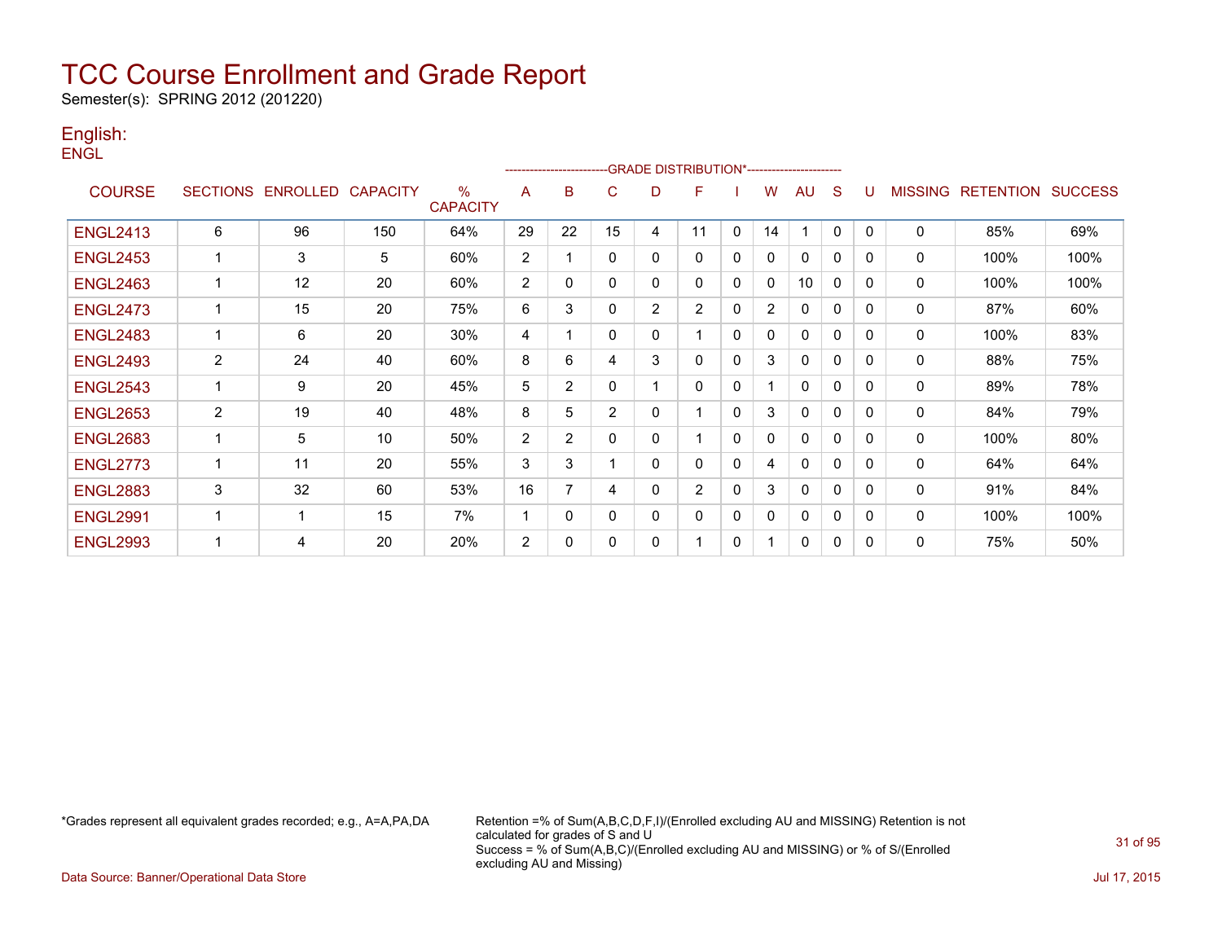Semester(s): SPRING 2012 (201220)

#### English: **ENGL**

|                 |                |                            |     |                         |                | --------------------- |             |                | -GRADE DISTRIBUTION*----------------------- |              |                |              |          |              |                |                  |                |
|-----------------|----------------|----------------------------|-----|-------------------------|----------------|-----------------------|-------------|----------------|---------------------------------------------|--------------|----------------|--------------|----------|--------------|----------------|------------------|----------------|
| <b>COURSE</b>   |                | SECTIONS ENROLLED CAPACITY |     | $\%$<br><b>CAPACITY</b> | A              | B                     | C           | D              | F                                           |              | W              | AU           | S        |              | <b>MISSING</b> | <b>RETENTION</b> | <b>SUCCESS</b> |
| <b>ENGL2413</b> | 6              | 96                         | 150 | 64%                     | 29             | 22                    | 15          | 4              | 11                                          | $\mathbf{0}$ | 14             | 1            | $\Omega$ | $\mathbf{0}$ | $\mathbf 0$    | 85%              | 69%            |
| <b>ENGL2453</b> | $\mathbf 1$    | 3                          | 5   | 60%                     | $\overline{2}$ |                       | $\mathbf 0$ | $\Omega$       | $\Omega$                                    | $\mathbf{0}$ | 0              | $\Omega$     | 0        | $\Omega$     | $\mathbf 0$    | 100%             | 100%           |
| <b>ENGL2463</b> | -1             | 12                         | 20  | 60%                     | $\overline{2}$ | $\Omega$              | $\mathbf 0$ | 0              | $\Omega$                                    | $\mathbf{0}$ | 0              | 10           | 0        | 0            | 0              | 100%             | 100%           |
| <b>ENGL2473</b> | $\mathbf{1}$   | 15                         | 20  | 75%                     | 6              | 3                     | $\mathbf 0$ | $\overline{2}$ | $\overline{2}$                              | 0            | $\overline{2}$ | $\Omega$     | $\Omega$ | $\Omega$     | 0              | 87%              | 60%            |
| <b>ENGL2483</b> | 1              | 6                          | 20  | 30%                     | 4              |                       | 0           | 0              |                                             | 0            | 0              | 0            | $\Omega$ | $\Omega$     | 0              | 100%             | 83%            |
| <b>ENGL2493</b> | $\overline{2}$ | 24                         | 40  | 60%                     | 8              | 6                     | 4           | 3              | $\Omega$                                    | 0            | 3              | 0            | $\Omega$ | $\Omega$     | 0              | 88%              | 75%            |
| <b>ENGL2543</b> | 1              | 9                          | 20  | 45%                     | 5              | 2                     | $\mathbf 0$ |                | 0                                           | 0            |                | $\Omega$     | $\Omega$ | <sup>0</sup> | 0              | 89%              | 78%            |
| <b>ENGL2653</b> | $\overline{2}$ | 19                         | 40  | 48%                     | 8              | 5                     | 2           | $\mathbf{0}$   |                                             | $\mathbf{0}$ | 3              | $\Omega$     | $\Omega$ | $\Omega$     | 0              | 84%              | 79%            |
| <b>ENGL2683</b> | 1              | 5                          | 10  | 50%                     | $\overline{2}$ | 2                     | $\mathbf 0$ | 0              |                                             | 0            | 0              | $\Omega$     | $\Omega$ | 0            | 0              | 100%             | 80%            |
| <b>ENGL2773</b> | $\mathbf 1$    | 11                         | 20  | 55%                     | 3              | 3                     |             | 0              | 0                                           | 0            | 4              | $\mathbf{0}$ | 0        | $\Omega$     | 0              | 64%              | 64%            |
| <b>ENGL2883</b> | 3              | 32                         | 60  | 53%                     | 16             | 7                     | 4           | 0              | $\overline{2}$                              | $\mathbf{0}$ | 3              | $\mathbf{0}$ | $\Omega$ | $\Omega$     | $\mathbf{0}$   | 91%              | 84%            |
| <b>ENGL2991</b> | $\mathbf 1$    |                            | 15  | 7%                      | 1              | 0                     | $\mathbf 0$ | 0              | 0                                           | $\mathbf{0}$ | 0              | 0            | 0        | $\Omega$     | 0              | 100%             | 100%           |
| <b>ENGL2993</b> | ٠              | 4                          | 20  | 20%                     | $\overline{2}$ | $\Omega$              | $\mathbf 0$ | 0              |                                             | 0            |                | 0            | 0        | 0            | $\mathbf 0$    | 75%              | 50%            |

\*Grades represent all equivalent grades recorded; e.g., A=A,PA,DA Retention =% of Sum(A,B,C,D,F,I)/(Enrolled excluding AU and MISSING) Retention is not calculated for grades of S and U Success = % of Sum(A,B,C)/(Enrolled excluding AU and MISSING) or % of S/(Enrolled excluding AU and Missing)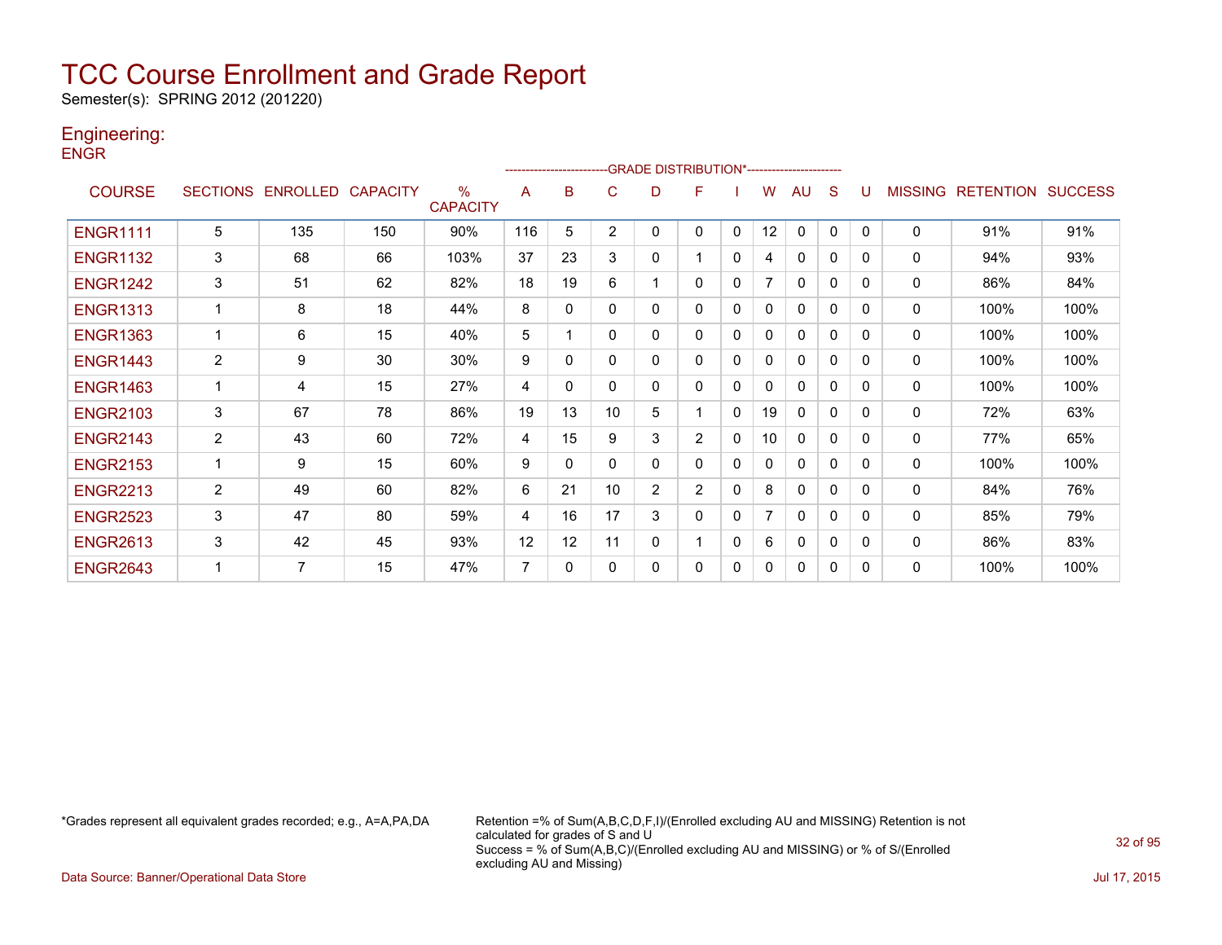Semester(s): SPRING 2012 (201220)

### Engineering:

**ENGR** 

|                 |                 |          |                 |                                  |     | ---------------------- |                |                | -GRADE DISTRIBUTION*---------------------- |              |    |              |              |          |                |                  |                |
|-----------------|-----------------|----------|-----------------|----------------------------------|-----|------------------------|----------------|----------------|--------------------------------------------|--------------|----|--------------|--------------|----------|----------------|------------------|----------------|
| <b>COURSE</b>   | <b>SECTIONS</b> | ENROLLED | <b>CAPACITY</b> | $\frac{0}{0}$<br><b>CAPACITY</b> | A   | в                      | C              | D              | F                                          |              | W  | AU           | S            |          | <b>MISSING</b> | <b>RETENTION</b> | <b>SUCCESS</b> |
| <b>ENGR1111</b> | 5               | 135      | 150             | 90%                              | 116 | 5                      | $\overline{2}$ | 0              | 0                                          | $\mathbf{0}$ | 12 | $\mathbf{0}$ | $\mathbf{0}$ | $\Omega$ | 0              | 91%              | 91%            |
| <b>ENGR1132</b> | 3               | 68       | 66              | 103%                             | 37  | 23                     | 3              | 0              |                                            | 0            | 4  | 0            | 0            | 0        | 0              | 94%              | 93%            |
| <b>ENGR1242</b> | 3               | 51       | 62              | 82%                              | 18  | 19                     | 6              |                | 0                                          | 0            |    | $\mathbf{0}$ | 0            | 0        | 0              | 86%              | 84%            |
| <b>ENGR1313</b> |                 | 8        | 18              | 44%                              | 8   | $\Omega$               | $\Omega$       | 0              | 0                                          | $\mathbf 0$  | 0  | $\mathbf{0}$ | $\Omega$     | $\Omega$ | 0              | 100%             | 100%           |
| <b>ENGR1363</b> |                 | 6        | 15              | 40%                              | 5   |                        | 0              | 0              | 0                                          | 0            | 0  | $\Omega$     | 0            | $\Omega$ | 0              | 100%             | 100%           |
| <b>ENGR1443</b> | 2               | 9        | 30              | 30%                              | 9   | 0                      | 0              | 0              | 0                                          | $\mathbf 0$  | 0  | $\mathbf{0}$ | 0            | $\Omega$ | 0              | 100%             | 100%           |
| <b>ENGR1463</b> | $\mathbf{1}$    | 4        | 15              | 27%                              | 4   | $\Omega$               | $\Omega$       | 0              | 0                                          | 0            | 0  | $\mathbf{0}$ | 0            | $\Omega$ | 0              | 100%             | 100%           |
| <b>ENGR2103</b> | 3               | 67       | 78              | 86%                              | 19  | 13                     | 10             | 5              |                                            | 0            | 19 | $\mathbf{0}$ | 0            | $\Omega$ | 0              | 72%              | 63%            |
| <b>ENGR2143</b> | $\overline{2}$  | 43       | 60              | 72%                              | 4   | 15                     | 9              | 3              | $\overline{2}$                             | 0            | 10 | $\mathbf{0}$ | 0            | $\Omega$ | 0              | 77%              | 65%            |
| <b>ENGR2153</b> | 1               | 9        | 15              | 60%                              | 9   | 0                      | $\Omega$       | 0              | 0                                          | 0            | 0  | $\mathbf{0}$ | 0            | $\Omega$ | 0              | 100%             | 100%           |
| <b>ENGR2213</b> | $\overline{2}$  | 49       | 60              | 82%                              | 6   | 21                     | 10             | $\overline{2}$ | $\overline{2}$                             | 0            | 8  | $\mathbf{0}$ | 0            | $\Omega$ | $\Omega$       | 84%              | 76%            |
| <b>ENGR2523</b> | 3               | 47       | 80              | 59%                              | 4   | 16                     | 17             | 3              | 0                                          | 0            | 7  | $\mathbf{0}$ | 0            | 0        | 0              | 85%              | 79%            |
| <b>ENGR2613</b> | 3               | 42       | 45              | 93%                              | 12  | 12                     | 11             | 0              |                                            | $\mathbf{0}$ | 6  | 0            | 0            | $\Omega$ | 0              | 86%              | 83%            |
| <b>ENGR2643</b> |                 | 7        | 15              | 47%                              | 7   | 0                      | $\Omega$       | 0              | 0                                          | 0            | 0  | $\mathbf{0}$ | 0            | 0        | $\Omega$       | 100%             | 100%           |

\*Grades represent all equivalent grades recorded; e.g., A=A,PA,DA Retention =% of Sum(A,B,C,D,F,I)/(Enrolled excluding AU and MISSING) Retention is not calculated for grades of S and U Success = % of Sum(A,B,C)/(Enrolled excluding AU and MISSING) or % of S/(Enrolled excluding AU and Missing)

Data Source: Banner/Operational Data Store Jul 17, 2015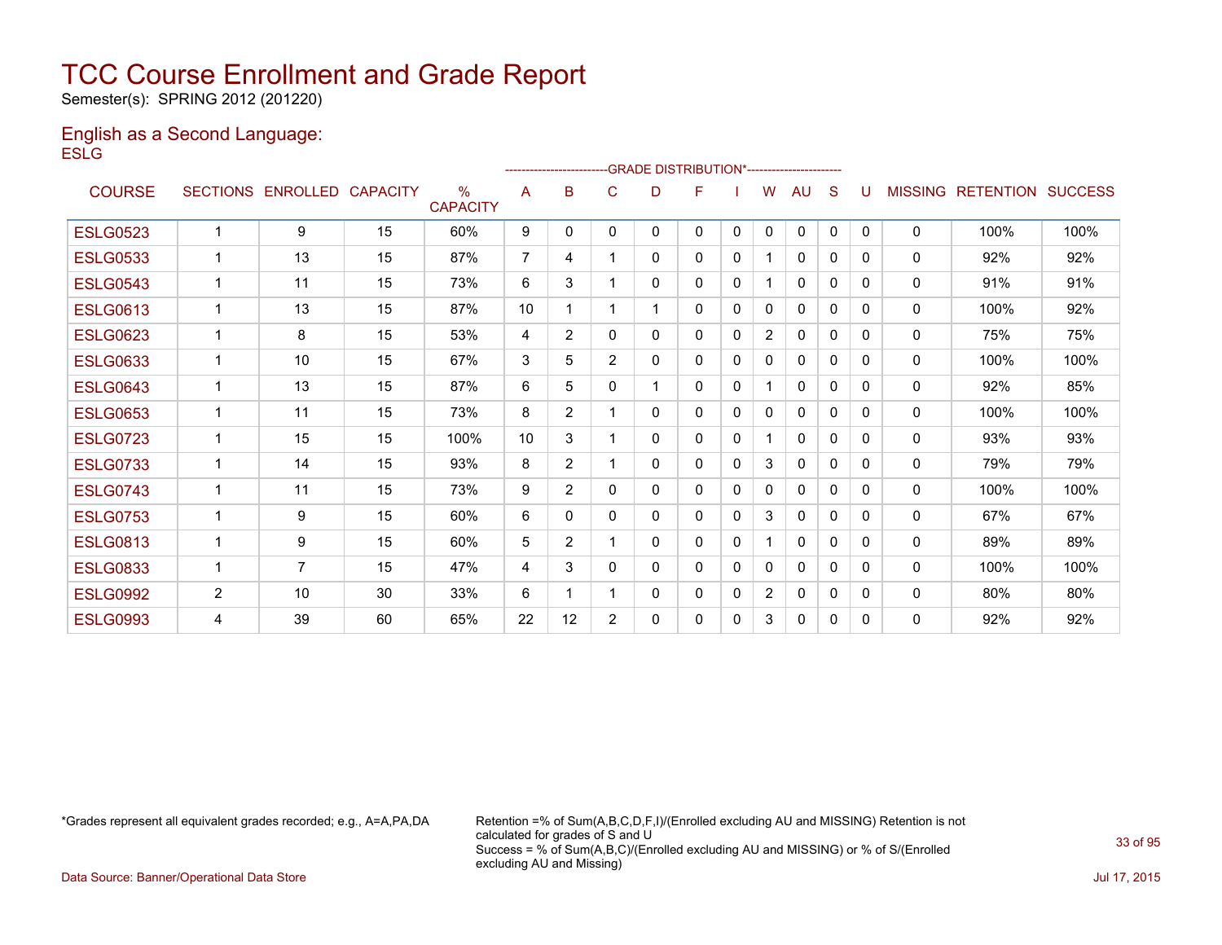Semester(s): SPRING 2012 (201220)

#### English as a Second Language: **ESLG**

|                 |                |                            |    |                                  |                |                |                | ------------------------GRADE                DISTRIBUTION*---------------------- |   |              |                |              |              |              |                |                  |                |
|-----------------|----------------|----------------------------|----|----------------------------------|----------------|----------------|----------------|----------------------------------------------------------------------------------|---|--------------|----------------|--------------|--------------|--------------|----------------|------------------|----------------|
| <b>COURSE</b>   |                | SECTIONS ENROLLED CAPACITY |    | $\frac{0}{0}$<br><b>CAPACITY</b> | A              | B              | C              | D                                                                                | F |              | W              | AU           | S            | U            | <b>MISSING</b> | <b>RETENTION</b> | <b>SUCCESS</b> |
| <b>ESLG0523</b> | 1              | 9                          | 15 | 60%                              | 9              | $\mathbf{0}$   | $\mathbf{0}$   | 0                                                                                | 0 | $\mathbf{0}$ | $\Omega$       | 0            | $\mathbf{0}$ | $\mathbf{0}$ | 0              | 100%             | 100%           |
| <b>ESLG0533</b> | 1              | 13                         | 15 | 87%                              | $\overline{7}$ | 4              |                | 0                                                                                | 0 | 0            |                | 0            | 0            | 0            | 0              | 92%              | 92%            |
| <b>ESLG0543</b> | 1              | 11                         | 15 | 73%                              | 6              | 3              |                | 0                                                                                | 0 | 0            |                | 0            | $\Omega$     | $\Omega$     | $\mathbf 0$    | 91%              | 91%            |
| <b>ESLG0613</b> | 1              | 13                         | 15 | 87%                              | 10             | 1              |                |                                                                                  | 0 | 0            | 0              | $\mathbf{0}$ | $\Omega$     | 0            | $\mathbf{0}$   | 100%             | 92%            |
| <b>ESLG0623</b> | 1              | 8                          | 15 | 53%                              | 4              | $\overline{2}$ | 0              | 0                                                                                | 0 | 0            | $\overline{2}$ | $\mathbf{0}$ | $\Omega$     | 0            | $\mathbf{0}$   | 75%              | 75%            |
| <b>ESLG0633</b> |                | 10                         | 15 | 67%                              | 3              | 5              | $\overline{2}$ | 0                                                                                | 0 | $\Omega$     | 0              | $\mathbf{0}$ | $\Omega$     | 0            | 0              | 100%             | 100%           |
| <b>ESLG0643</b> |                | 13                         | 15 | 87%                              | 6              | 5              | 0              |                                                                                  | 0 | $\mathbf{0}$ |                | $\mathbf{0}$ | $\Omega$     | 0            | $\mathbf{0}$   | 92%              | 85%            |
| <b>ESLG0653</b> |                | 11                         | 15 | 73%                              | 8              | $\overline{2}$ |                | 0                                                                                | 0 | 0            | 0              | $\mathbf{0}$ | $\Omega$     | 0            | 0              | 100%             | 100%           |
| <b>ESLG0723</b> | 1              | 15                         | 15 | 100%                             | 10             | 3              |                | 0                                                                                | 0 | 0            | 1              | 0            | $\mathbf{0}$ | 0            | 0              | 93%              | 93%            |
| <b>ESLG0733</b> | 1              | 14                         | 15 | 93%                              | 8              | $\overline{2}$ |                | 0                                                                                | 0 | $\mathbf{0}$ | 3              | 0            | $\mathbf{0}$ | 0            | 0              | 79%              | 79%            |
| <b>ESLG0743</b> | 1              | 11                         | 15 | 73%                              | 9              | $\overline{2}$ | 0              | 0                                                                                | 0 | $\mathbf{0}$ | 0              | $\mathbf{0}$ | $\mathbf{0}$ | 0            | $\mathbf{0}$   | 100%             | 100%           |
| <b>ESLG0753</b> | 1              | 9                          | 15 | 60%                              | 6              | $\Omega$       | 0              | 0                                                                                | 0 | $\Omega$     | 3              | $\Omega$     | $\Omega$     | 0            | $\mathbf{0}$   | 67%              | 67%            |
| <b>ESLG0813</b> | 1              | 9                          | 15 | 60%                              | 5              | $\overline{2}$ |                | 0                                                                                | 0 | 0            |                | $\mathbf{0}$ | $\Omega$     | 0            | $\mathbf{0}$   | 89%              | 89%            |
| <b>ESLG0833</b> | 1              | $\overline{7}$             | 15 | 47%                              | 4              | 3              | 0              | 0                                                                                | 0 | 0            | 0              | 0            | $\Omega$     | 0            | $\mathbf{0}$   | 100%             | 100%           |
| <b>ESLG0992</b> | $\overline{2}$ | 10                         | 30 | 33%                              | 6              | 1              |                | 0                                                                                | 0 | 0            | $\overline{2}$ | 0            | $\mathbf{0}$ | 0            | 0              | 80%              | 80%            |
| <b>ESLG0993</b> | 4              | 39                         | 60 | 65%                              | 22             | 12             | 2              | 0                                                                                | 0 | 0            | 3              | 0            | 0            | 0            | 0              | 92%              | 92%            |

\*Grades represent all equivalent grades recorded; e.g., A=A,PA,DA Retention =% of Sum(A,B,C,D,F,I)/(Enrolled excluding AU and MISSING) Retention is not calculated for grades of S and U Success = % of Sum(A,B,C)/(Enrolled excluding AU and MISSING) or % of S/(Enrolled excluding AU and Missing)

Data Source: Banner/Operational Data Store Jul 17, 2015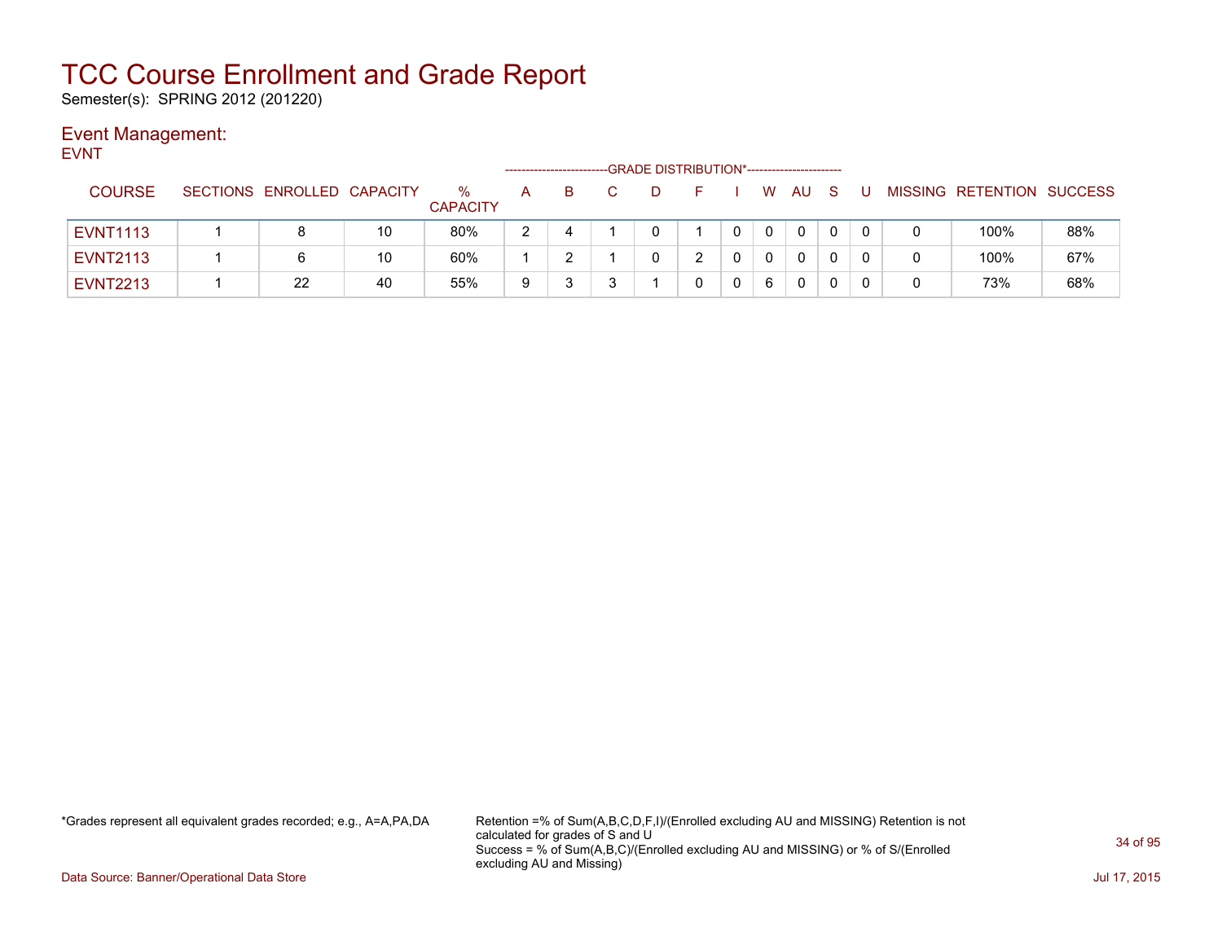Semester(s): SPRING 2012 (201220)

### Event Management:

| <b>EVNT</b>     |                            |    |                         |   |    | -GRADE DISTRIBUTION*----------------------- |    |          |    |     |              |   |                           |     |
|-----------------|----------------------------|----|-------------------------|---|----|---------------------------------------------|----|----------|----|-----|--------------|---|---------------------------|-----|
| <b>COURSE</b>   | SECTIONS ENROLLED CAPACITY |    | $\%$<br><b>CAPACITY</b> | A | B. | D                                           | н. | W        | AU | - S | U            |   | MISSING RETENTION SUCCESS |     |
| <b>EVNT1113</b> | 8                          | 10 | 80%                     | 2 | 4  |                                             |    | $\Omega$ | 0  | 0   | $\mathbf{0}$ | 0 | 100%                      | 88% |
| <b>EVNT2113</b> | 6                          | 10 | 60%                     |   |    |                                             |    | 0        | 0  |     | 0            | 0 | 100%                      | 67% |
| <b>EVNT2213</b> | 22                         | 40 | 55%                     | 9 |    |                                             |    | 6        | 0  |     | 0            | 0 | 73%                       | 68% |

\*Grades represent all equivalent grades recorded; e.g., A=A,PA,DA Retention =% of Sum(A,B,C,D,F,I)/(Enrolled excluding AU and MISSING) Retention is not calculated for grades of S and U Success = % of Sum(A,B,C)/(Enrolled excluding AU and MISSING) or % of S/(Enrolled excluding AU and Missing)

Data Source: Banner/Operational Data Store Jul 17, 2015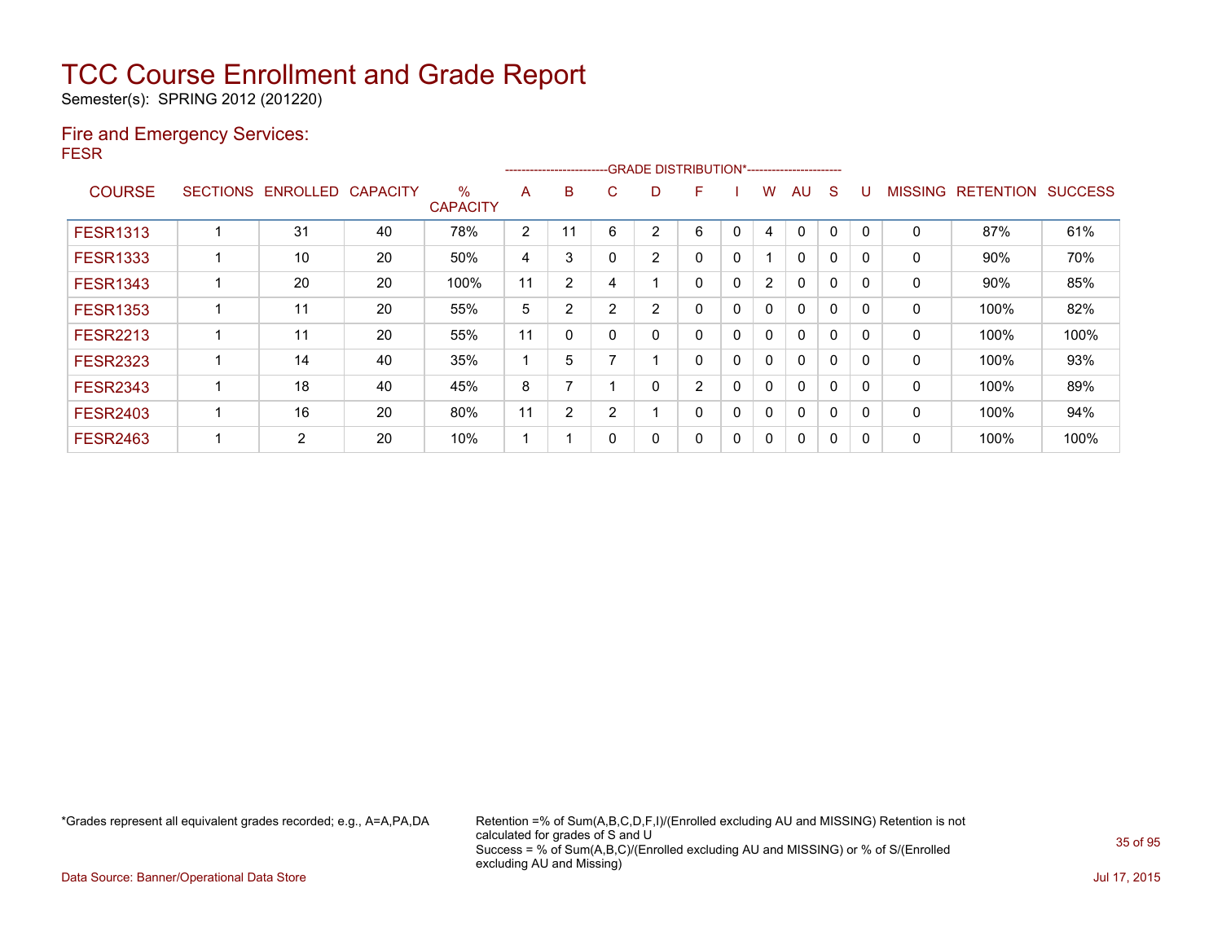Semester(s): SPRING 2012 (201220)

#### Fire and Emergency Services: FESR

|                 |                 |          |                 |                         |    |    |                       |                | ------------------------GRADE                DISTRIBUTION*---------------------- |             |                |              |   |             |                |                  |                |
|-----------------|-----------------|----------|-----------------|-------------------------|----|----|-----------------------|----------------|----------------------------------------------------------------------------------|-------------|----------------|--------------|---|-------------|----------------|------------------|----------------|
| <b>COURSE</b>   | <b>SECTIONS</b> | ENROLLED | <b>CAPACITY</b> | $\%$<br><b>CAPACITY</b> | A  | B  | C.                    | D              | F                                                                                |             | w              | AU           | S |             | <b>MISSING</b> | <b>RETENTION</b> | <b>SUCCESS</b> |
| <b>FESR1313</b> |                 | 31       | 40              | 78%                     | 2  | 11 | 6                     | 2              | 6                                                                                | 0           | 4              | $\Omega$     | 0 | $\mathbf 0$ | 0              | 87%              | 61%            |
| <b>FESR1333</b> |                 | 10       | 20              | 50%                     | 4  | 3  | 0                     | $\overline{2}$ | 0                                                                                | 0           |                | $\Omega$     | 0 |             | 0              | 90%              | 70%            |
| <b>FESR1343</b> |                 | 20       | 20              | 100%                    | 11 | 2  | 4                     |                | 0                                                                                | $\mathbf 0$ | $\overline{2}$ | $\mathbf{0}$ | 0 | $\Omega$    | 0              | 90%              | 85%            |
| <b>FESR1353</b> |                 | 11       | 20              | 55%                     | 5  | 2  | 2                     | 2              | 0                                                                                | $\mathbf 0$ | 0              | $\mathbf{0}$ | 0 | $\Omega$    | 0              | 100%             | 82%            |
| <b>FESR2213</b> |                 | 11       | 20              | 55%                     | 11 | 0  | 0                     |                | 0                                                                                | 0           | 0              | $\Omega$     | 0 |             | 0              | 100%             | 100%           |
| <b>FESR2323</b> |                 | 14       | 40              | 35%                     |    | 5  | $\overline{ }$        |                | 0                                                                                | $\mathbf 0$ | 0              | $\mathbf{0}$ | 0 | $\Omega$    | $\mathbf 0$    | 100%             | 93%            |
| <b>FESR2343</b> |                 | 18       | 40              | 45%                     | 8  |    |                       |                | 2                                                                                | 0           | 0              | $\mathbf{0}$ | 0 | $\Omega$    | 0              | 100%             | 89%            |
| <b>FESR2403</b> |                 | 16       | 20              | 80%                     | 11 | 2  | $\mathbf{2}^{\prime}$ |                | 0                                                                                | $\mathbf 0$ | 0              | $\mathbf{0}$ | 0 |             | 0              | 100%             | 94%            |
| <b>FESR2463</b> |                 | 2        | 20              | 10%                     |    |    | 0                     |                | 0                                                                                | 0           | 0              | 0            | 0 | 0           | 0              | 100%             | 100%           |

\*Grades represent all equivalent grades recorded; e.g., A=A,PA,DA Retention =% of Sum(A,B,C,D,F,I)/(Enrolled excluding AU and MISSING) Retention is not calculated for grades of S and U Success = % of Sum(A,B,C)/(Enrolled excluding AU and MISSING) or % of S/(Enrolled excluding AU and Missing)

Data Source: Banner/Operational Data Store Jul 17, 2015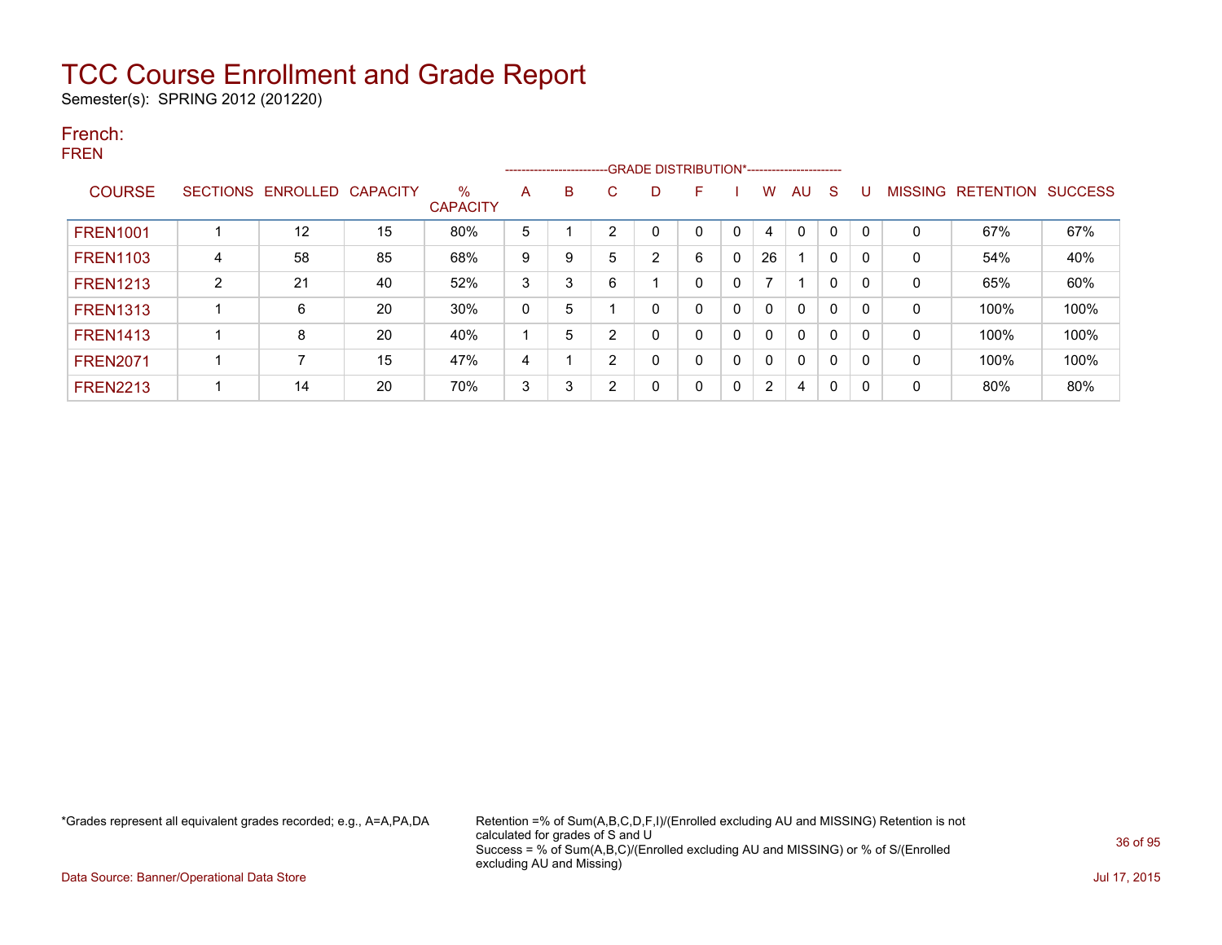Semester(s): SPRING 2012 (201220)

#### French: FREN

|                 |                |                            | ----------------------- |                      |   |   |                |              |          |   |          |              |              |   |                |                  |                |
|-----------------|----------------|----------------------------|-------------------------|----------------------|---|---|----------------|--------------|----------|---|----------|--------------|--------------|---|----------------|------------------|----------------|
| <b>COURSE</b>   |                | SECTIONS ENROLLED CAPACITY |                         | ℅<br><b>CAPACITY</b> | A | B | C              | D            | F        |   | W        | AU           | <sub>S</sub> | U | <b>MISSING</b> | <b>RETENTION</b> | <b>SUCCESS</b> |
| <b>FREN1001</b> |                | 12                         | 15                      | 80%                  | 5 |   | $\overline{2}$ |              |          | 0 | 4        | $\mathbf{0}$ | $\mathbf 0$  |   | 0              | 67%              | 67%            |
| <b>FREN1103</b> | 4              | 58                         | 85                      | 68%                  | 9 | 9 | 5              | 2            | 6        | 0 | 26       |              | 0            | 0 | 0              | 54%              | 40%            |
| <b>FREN1213</b> | $\overline{2}$ | 21                         | 40                      | 52%                  | 3 | 3 | 6              |              |          | 0 |          |              | $\Omega$     | 0 | 0              | 65%              | 60%            |
| <b>FREN1313</b> |                | 6                          | 20                      | $30\%$               | 0 | 5 |                | 0            |          | 0 | $\Omega$ | $\mathbf{0}$ | $\mathbf{0}$ | 0 | 0              | 100%             | 100%           |
| <b>FREN1413</b> |                | 8                          | 20                      | 40%                  |   | 5 | 2              | 0            |          | 0 | $\Omega$ | $\Omega$     | $\mathbf{0}$ | 0 | 0              | 100%             | 100%           |
| <b>FREN2071</b> |                | 7                          | 15                      | 47%                  | 4 |   | $\overline{2}$ | 0            |          | 0 | $\Omega$ | $\mathbf{0}$ | $\mathbf{0}$ | 0 | 0              | 100%             | 100%           |
| <b>FREN2213</b> |                | 14                         | 20                      | 70%                  | 3 | 3 | $\overline{2}$ | $\mathbf{0}$ | $\Omega$ | 0 | 2        | 4            | $\Omega$     | 0 | 0              | 80%              | 80%            |

\*Grades represent all equivalent grades recorded; e.g., A=A,PA,DA Retention =% of Sum(A,B,C,D,F,I)/(Enrolled excluding AU and MISSING) Retention is not calculated for grades of S and U Success = % of Sum(A,B,C)/(Enrolled excluding AU and MISSING) or % of S/(Enrolled excluding AU and Missing)

Data Source: Banner/Operational Data Store Jul 17, 2015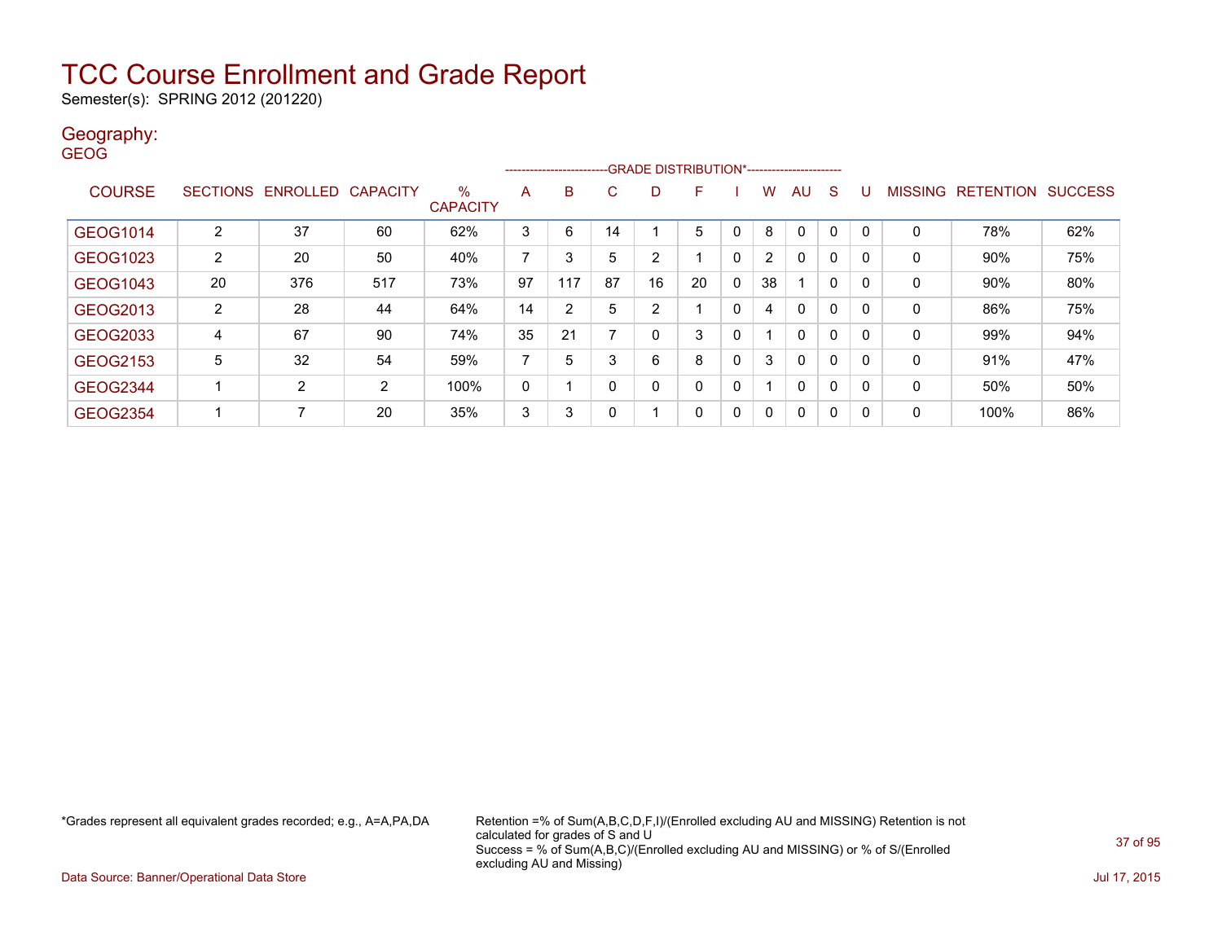Semester(s): SPRING 2012 (201220)

#### Geography: **GEOG**

|                 |                |                            |     |                 |    | ---------------------- |    | <b>GRADE DISTRIBUTION*-----------------------</b> |    |   |              |              |              |   |              |                           |     |
|-----------------|----------------|----------------------------|-----|-----------------|----|------------------------|----|---------------------------------------------------|----|---|--------------|--------------|--------------|---|--------------|---------------------------|-----|
| <b>COURSE</b>   |                | SECTIONS ENROLLED CAPACITY |     | %               | A  | B                      | C  | D                                                 | F  |   | w            | AU           | <sub>S</sub> | U |              | MISSING RETENTION SUCCESS |     |
|                 |                |                            |     | <b>CAPACITY</b> |    |                        |    |                                                   |    |   |              |              |              |   |              |                           |     |
| GEOG1014        | $\overline{2}$ | 37                         | 60  | 62%             | 3  | 6                      | 14 |                                                   | 5  | 0 | 8            | 0            | 0            | 0 | 0            | 78%                       | 62% |
| GEOG1023        | 2              | 20                         | 50  | 40%             | 7  | 3                      | 5  | 2                                                 |    | 0 | 2            | $\mathbf{0}$ | $\mathbf{0}$ | 0 | 0            | 90%                       | 75% |
| GEOG1043        | 20             | 376                        | 517 | 73%             | 97 | 117                    | 87 | 16                                                | 20 | 0 | 38           |              | $\mathbf{0}$ | 0 | 0            | 90%                       | 80% |
| GEOG2013        | $\overline{2}$ | 28                         | 44  | 64%             | 14 | $\overline{2}$         | 5  | 2                                                 |    | 0 | 4            | $\mathbf{0}$ | $\mathbf{0}$ | 0 | 0            | 86%                       | 75% |
| GEOG2033        | 4              | 67                         | 90  | 74%             | 35 | 21                     | ⇁  | 0                                                 | 3  | 0 |              | $\mathbf{0}$ | $\mathbf{0}$ | 0 | $\mathbf{0}$ | 99%                       | 94% |
| GEOG2153        | 5              | 32                         | 54  | 59%             | 7  | 5                      | 3  | 6                                                 | 8  | 0 | 3            | $\mathbf{0}$ | $\mathbf{0}$ | 0 | 0            | 91%                       | 47% |
| <b>GEOG2344</b> |                | $\overline{2}$             | 2   | 100%            | 0  |                        | 0  | 0                                                 | ∩  | 0 |              | $\mathbf{0}$ | $\mathbf{0}$ | 0 | 0            | 50%                       | 50% |
| <b>GEOG2354</b> |                | 7                          | 20  | 35%             | 3  | 3                      | 0  |                                                   | 0  | 0 | $\mathbf{0}$ | $\mathbf{0}$ | $\mathbf{0}$ | 0 | 0            | 100%                      | 86% |

\*Grades represent all equivalent grades recorded; e.g., A=A,PA,DA Retention =% of Sum(A,B,C,D,F,I)/(Enrolled excluding AU and MISSING) Retention is not calculated for grades of S and U Success = % of Sum(A,B,C)/(Enrolled excluding AU and MISSING) or % of S/(Enrolled excluding AU and Missing)

Data Source: Banner/Operational Data Store Jul 17, 2015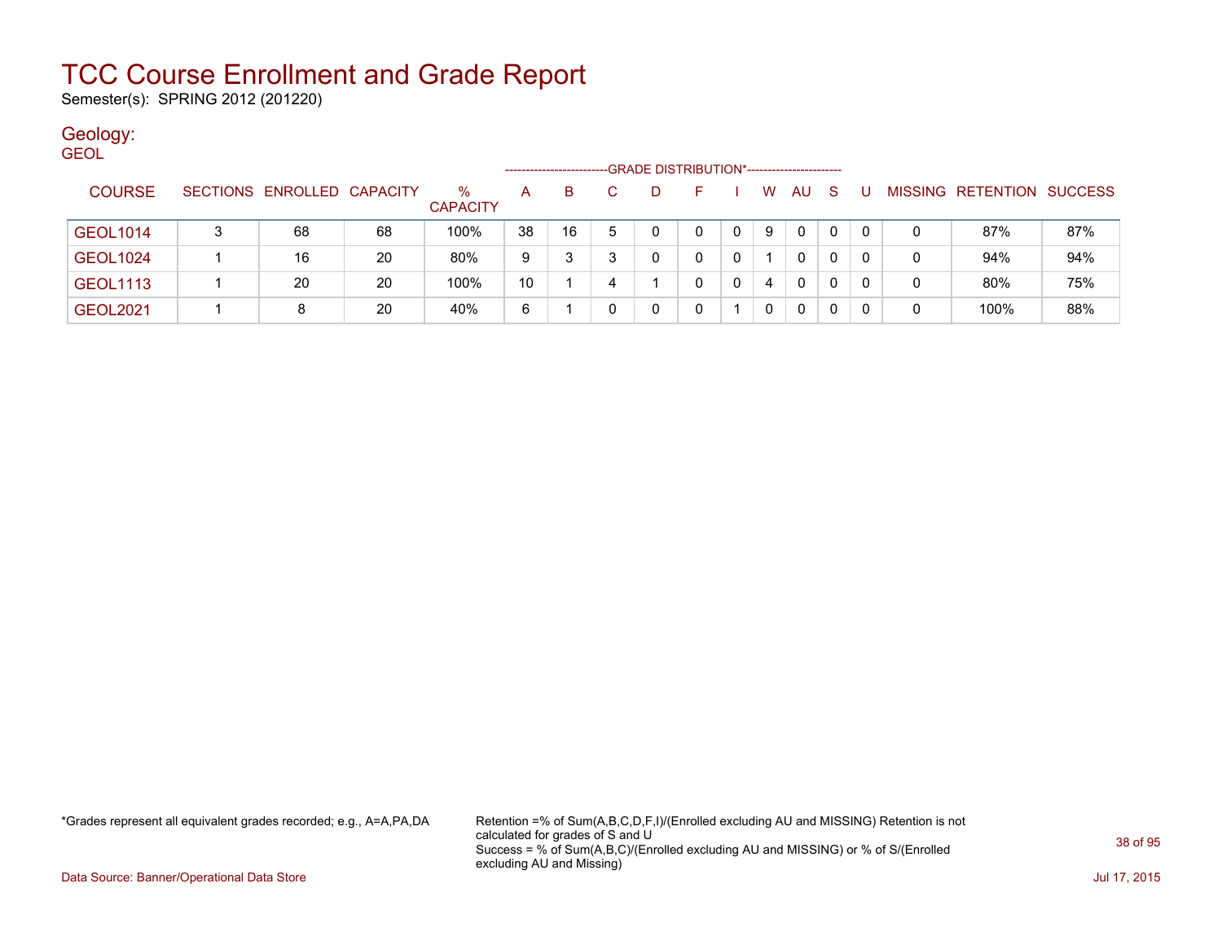Semester(s): SPRING 2012 (201220)

### Geology:

| <b>GEOL</b>     |  |                            |    |                 |    |    |    |                                             |    |   |   |              |    |   |   |                           |     |
|-----------------|--|----------------------------|----|-----------------|----|----|----|---------------------------------------------|----|---|---|--------------|----|---|---|---------------------------|-----|
|                 |  |                            |    |                 |    |    |    | -GRADE DISTRIBUTION*----------------------- |    |   |   |              |    |   |   |                           |     |
| <b>COURSE</b>   |  | SECTIONS ENROLLED CAPACITY |    | $\%$            | A  | B. | C. | D                                           | н. |   | W | AU           | -S | U |   | MISSING RETENTION SUCCESS |     |
|                 |  |                            |    | <b>CAPACITY</b> |    |    |    |                                             |    |   |   |              |    |   |   |                           |     |
| <b>GEOL1014</b> |  | 68                         | 68 | 100%            | 38 | 16 | 5. |                                             | 0  | 0 | 9 | $\mathbf{0}$ | 0  |   |   | 87%                       | 87% |
|                 |  | 16                         | 20 | 80%             |    |    |    |                                             | 0  |   |   | 0            | 0  |   |   | 94%                       | 94% |
| <b>GEOL1024</b> |  |                            |    |                 | 9  |    |    |                                             |    |   |   |              |    |   | 0 |                           |     |
| <b>GEOL1113</b> |  | 20                         | 20 | 100%            | 10 |    |    |                                             | 0  | 0 | 4 | $\mathbf{0}$ | 0  |   |   | 80%                       | 75% |
| <b>GEOL2021</b> |  |                            | 20 | 40%             | 6  |    |    |                                             |    |   | 0 | 0            | 0  |   |   | 100%                      | 88% |

\*Grades represent all equivalent grades recorded; e.g., A=A,PA,DA Retention =% of Sum(A,B,C,D,F,I)/(Enrolled excluding AU and MISSING) Retention is not calculated for grades of S and U Success = % of Sum(A,B,C)/(Enrolled excluding AU and MISSING) or % of S/(Enrolled excluding AU and Missing)

Data Source: Banner/Operational Data Store Jul 17, 2015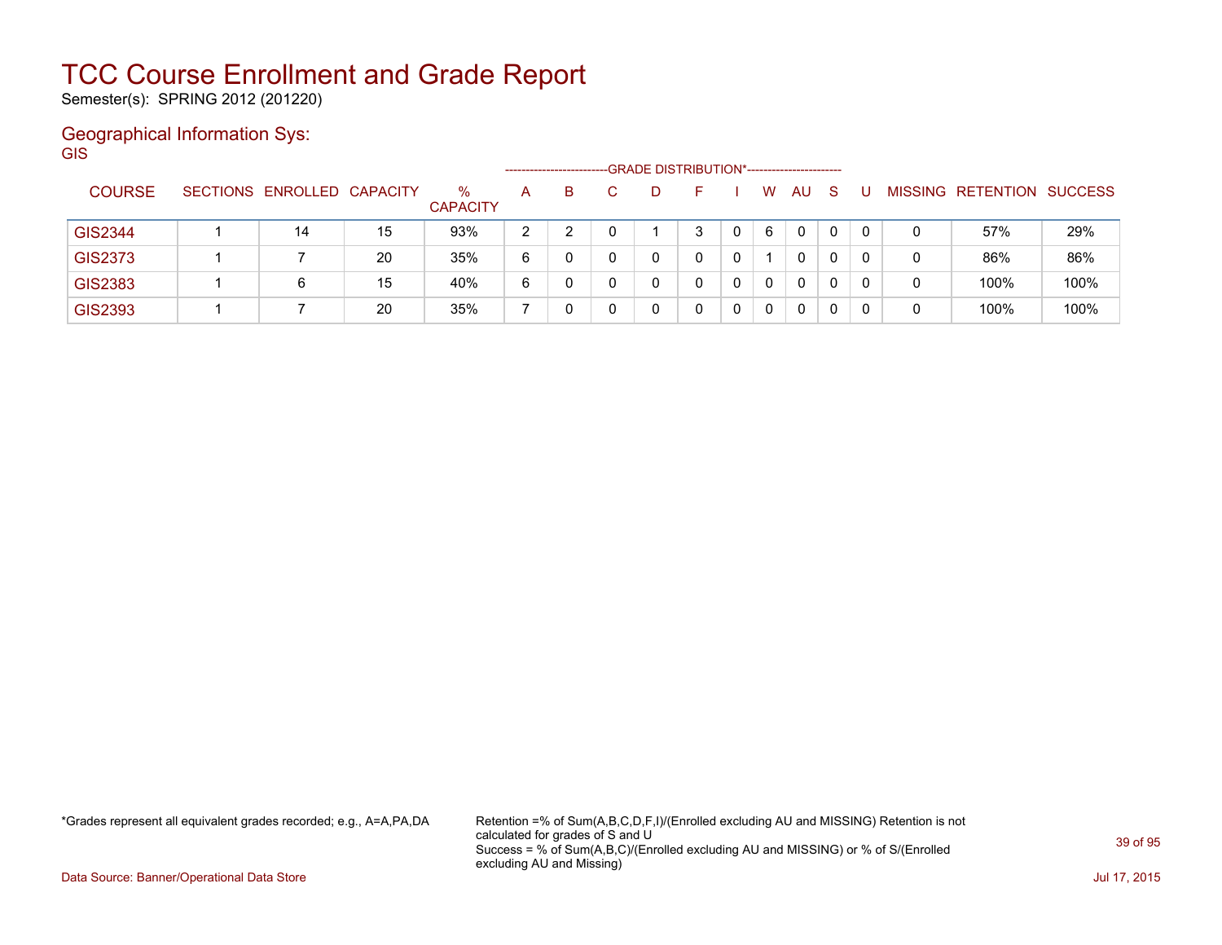Semester(s): SPRING 2012 (201220)

### Geographical Information Sys:

GIS --GRADE DISTRIBUTION\*-----------------------COURSE SECTIONS ENROLLED CAPACITY % **CAPACITY** A B C D F I W AU S U MISSING RETENTION SUCCESS GIS2344 | 1 | 14 | 15 | 93% | 2 | 2 | 0 | 1 | 3 | 0 | 6 | 0 | 0 | 0 | 0 | 57% | 29% GIS2373 | 1 | 7 20 | 35% | 6 | 0 | 0 | 0 | 0 | 1 | 0 | 0 | 0 86% 86% GIS2383 | 1 | 6 | 15 | 40% | 6 | 0 | 0 | 0 | 0 | 0 | 0 | 0 | 0 | 100% | 100% GIS2393 1 7 20 35% 7 0 0 0 0 0 0 0 0 0 0 100% 100%

\*Grades represent all equivalent grades recorded; e.g., A=A,PA,DA Retention =% of Sum(A,B,C,D,F,I)/(Enrolled excluding AU and MISSING) Retention is not calculated for grades of S and U Success = % of Sum(A,B,C)/(Enrolled excluding AU and MISSING) or % of S/(Enrolled excluding AU and Missing)

Data Source: Banner/Operational Data Store Jul 17, 2015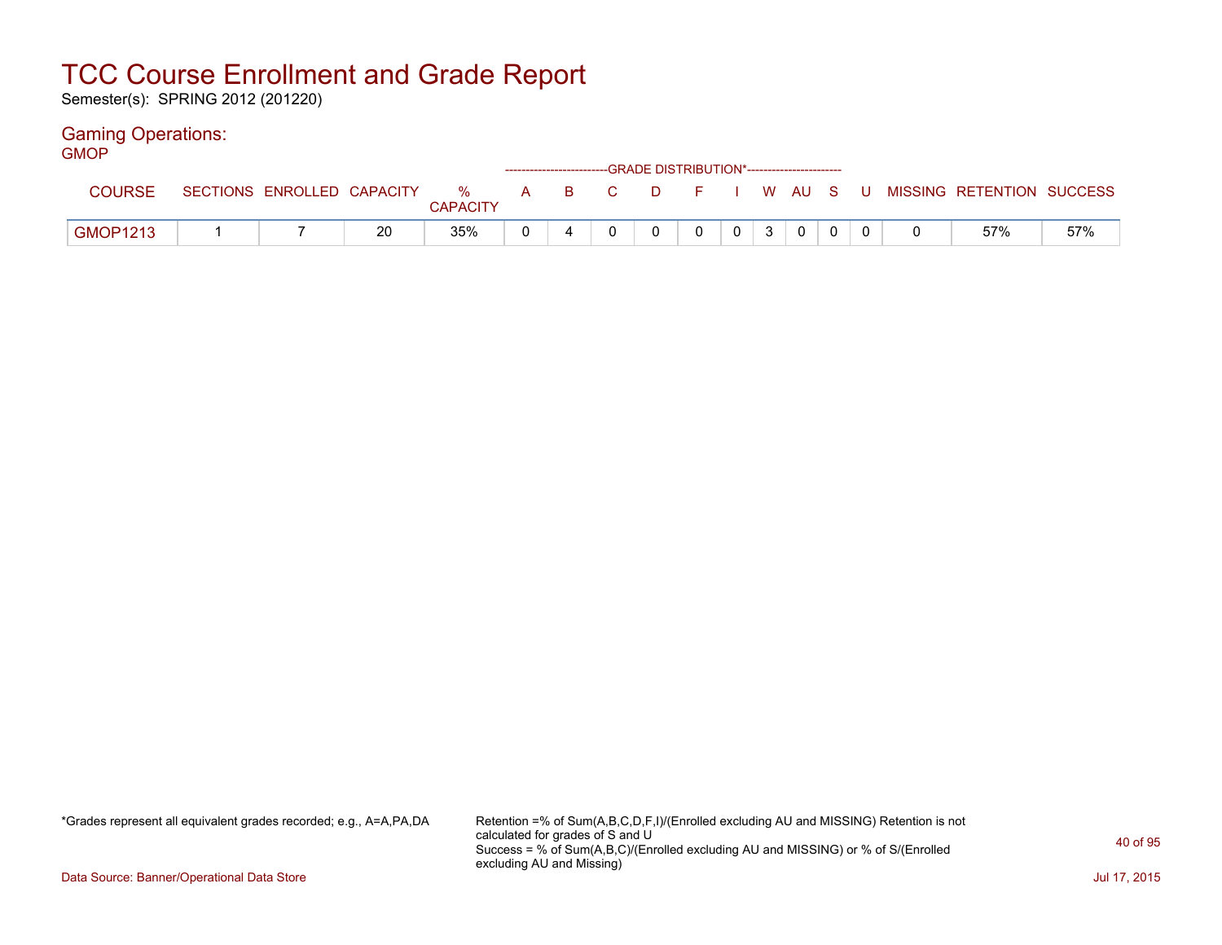Semester(s): SPRING 2012 (201220)

#### Gaming Operations: GMOP

| ושוט            |                            |    |                 |  |  | ------------------------GRADE DISTRIBUTION*----------------------- |                 |                |  |                                                  |     |
|-----------------|----------------------------|----|-----------------|--|--|--------------------------------------------------------------------|-----------------|----------------|--|--------------------------------------------------|-----|
| <b>COURSE</b>   | SECTIONS ENROLLED CAPACITY |    | <b>CAPACITY</b> |  |  |                                                                    |                 |                |  | % A B C D F I W AU S U MISSING—RETENTION SUCCESS |     |
| <b>GMOP1213</b> |                            | 20 | 35%             |  |  | $\Omega$                                                           | $0 \mid 3 \mid$ | $\overline{0}$ |  | 57%                                              | 57% |

\*Grades represent all equivalent grades recorded; e.g., A=A,PA,DA Retention =% of Sum(A,B,C,D,F,I)/(Enrolled excluding AU and MISSING) Retention is not calculated for grades of S and U Success = % of Sum(A,B,C)/(Enrolled excluding AU and MISSING) or % of S/(Enrolled excluding AU and Missing)

Data Source: Banner/Operational Data Store Jul 17, 2015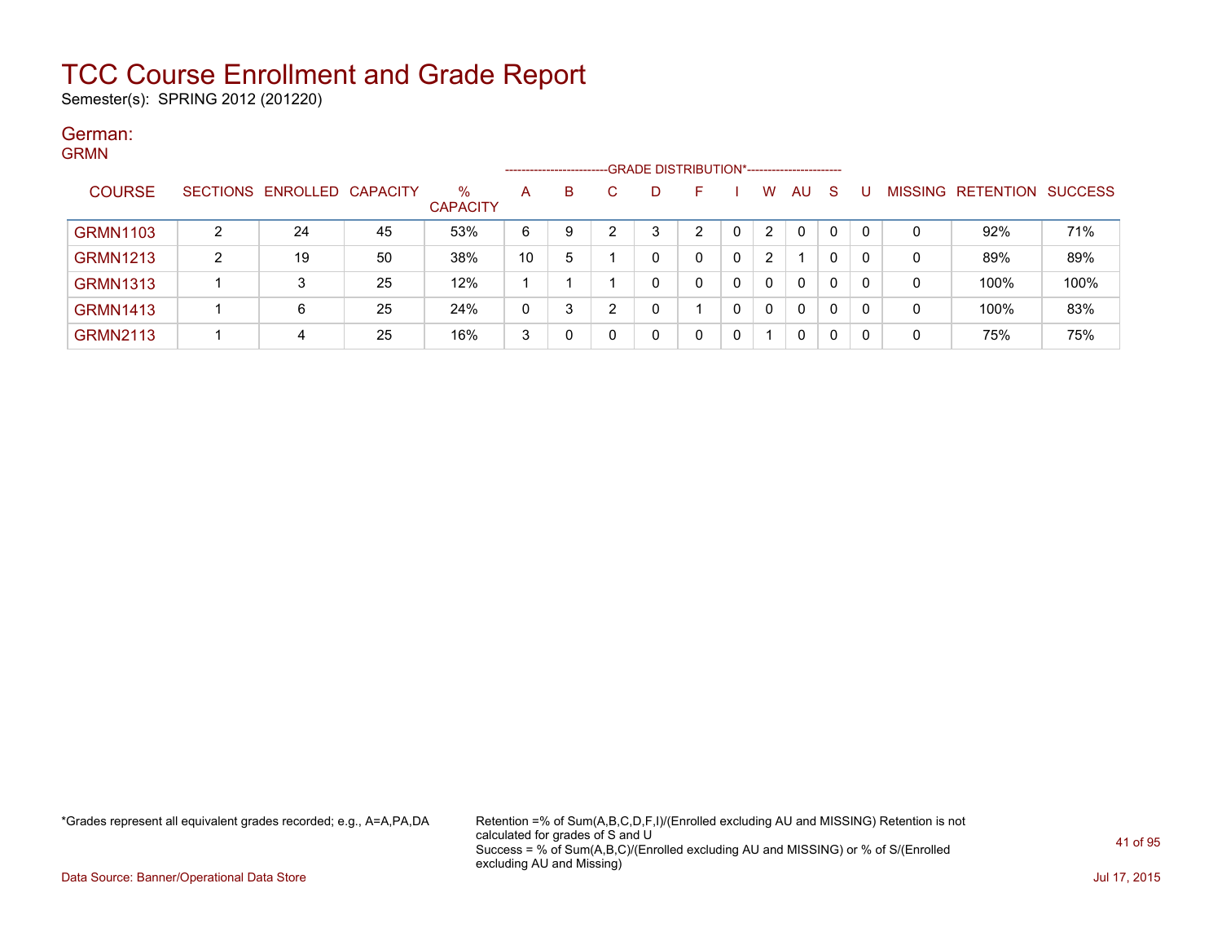Semester(s): SPRING 2012 (201220)

#### German: GRMN

| ------          |        |                            |    |                      |    |   |   | ------------------------GRADE DISTRIBUTION*----------------------- |   |   |                |              |              |    |         |                          |      |
|-----------------|--------|----------------------------|----|----------------------|----|---|---|--------------------------------------------------------------------|---|---|----------------|--------------|--------------|----|---------|--------------------------|------|
| <b>COURSE</b>   |        | SECTIONS ENROLLED CAPACITY |    | %<br><b>CAPACITY</b> | A  | В |   | D                                                                  |   |   | w              | AU           | <sub>S</sub> |    | MISSING | <b>RETENTION SUCCESS</b> |      |
| <b>GRMN1103</b> | ົ      | 24                         | 45 | 53%                  | 6  | 9 | ◠ | 3                                                                  | ົ | 0 | $\overline{2}$ | $\mathbf{0}$ | 0            | റ  | 0       | 92%                      | 71%  |
| <b>GRMN1213</b> | ົ<br>∠ | 19                         | 50 | 38%                  | 10 | 5 |   | C                                                                  |   | 0 | $\overline{2}$ |              | 0            |    | 0       | 89%                      | 89%  |
| <b>GRMN1313</b> |        |                            | 25 | 12%                  |    |   |   | 0                                                                  | 0 | 0 | $\Omega$       | $\mathbf{0}$ | 0            |    | 0       | 100%                     | 100% |
| <b>GRMN1413</b> |        | 6                          | 25 | 24%                  | 0  | 3 | ◠ | C                                                                  |   |   | $\Omega$       | $\mathbf{0}$ | 0            | -0 | 0       | 100%                     | 83%  |
| <b>GRMN2113</b> |        | 4                          | 25 | 16%                  | 3  |   |   | 0                                                                  |   | 0 |                | 0            | 0            | -0 | 0       | 75%                      | 75%  |

\*Grades represent all equivalent grades recorded; e.g., A=A,PA,DA Retention =% of Sum(A,B,C,D,F,I)/(Enrolled excluding AU and MISSING) Retention is not calculated for grades of S and U Success = % of Sum(A,B,C)/(Enrolled excluding AU and MISSING) or % of S/(Enrolled excluding AU and Missing)

Data Source: Banner/Operational Data Store Jul 17, 2015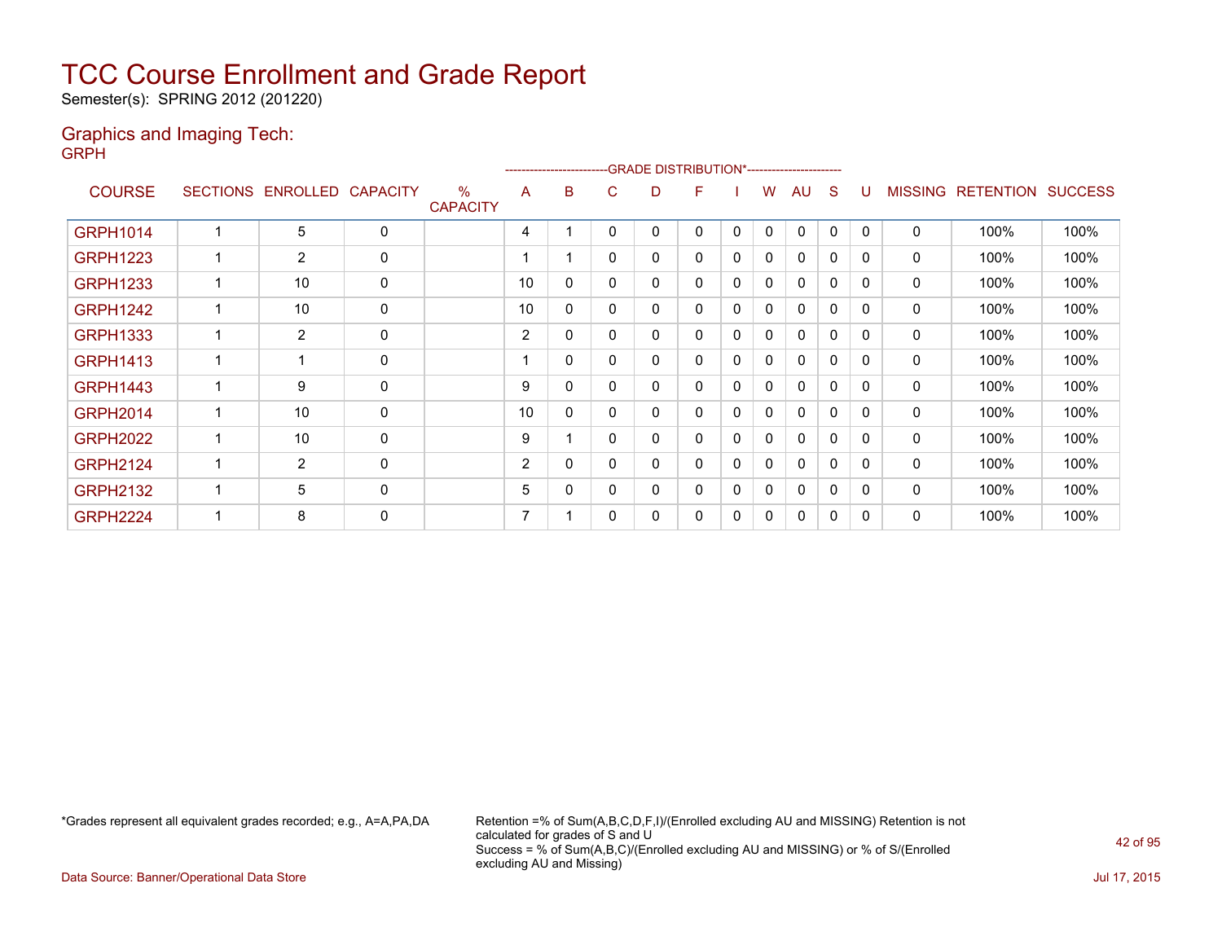Semester(s): SPRING 2012 (201220)

#### Graphics and Imaging Tech: GRPH

| -               |    |                            |              |                         | --------------------- |          |   |   | -GRADE DISTRIBUTION*---------------------- |   |              |              |             |              |                |                  |                |
|-----------------|----|----------------------------|--------------|-------------------------|-----------------------|----------|---|---|--------------------------------------------|---|--------------|--------------|-------------|--------------|----------------|------------------|----------------|
| <b>COURSE</b>   |    | SECTIONS ENROLLED CAPACITY |              | $\%$<br><b>CAPACITY</b> | A                     | B        | C | D | F                                          |   | w            | AU           | S           | U            | <b>MISSING</b> | <b>RETENTION</b> | <b>SUCCESS</b> |
| <b>GRPH1014</b> |    | 5                          | 0            |                         | 4                     |          | 0 | 0 | 0                                          | 0 | $\mathbf{0}$ | $\mathbf{0}$ | $\mathbf 0$ | $\mathbf{0}$ | $\Omega$       | 100%             | 100%           |
| <b>GRPH1223</b> | 1  | $\overline{2}$             | 0            |                         |                       |          | 0 | 0 | $\mathbf{0}$                               | 0 | $\mathbf{0}$ | $\mathbf{0}$ | 0           | 0            | 0              | 100%             | 100%           |
| <b>GRPH1233</b> |    | 10                         | 0            |                         | 10                    | 0        | 0 | 0 | $\mathbf{0}$                               | 0 | 0            | $\mathbf{0}$ | 0           | 0            | $\mathbf{0}$   | 100%             | 100%           |
| <b>GRPH1242</b> | 1  | 10                         | $\mathbf 0$  |                         | 10                    | 0        | 0 | 0 | $\mathbf{0}$                               | 0 | $\mathbf{0}$ | 0            | 0           | 0            | $\mathbf{0}$   | 100%             | 100%           |
| <b>GRPH1333</b> | 1  | $\overline{2}$             | 0            |                         | 2                     | 0        | 0 | 0 | 0                                          | 0 | 0            | $\mathbf{0}$ | 0           | 0            | 0              | 100%             | 100%           |
| <b>GRPH1413</b> | 1  |                            | 0            |                         |                       | $\Omega$ | 0 | 0 | $\mathbf{0}$                               | 0 | 0            | 0            | $\mathbf 0$ | 0            | $\mathbf{0}$   | 100%             | 100%           |
| <b>GRPH1443</b> | 1  | 9                          | 0            |                         | 9                     | 0        | 0 | 0 | 0                                          | 0 | 0            | 0            | 0           | 0            | 0              | 100%             | 100%           |
| <b>GRPH2014</b> |    | 10                         | 0            |                         | 10                    | 0        | 0 | 0 | 0                                          | 0 | 0            | 0            | 0           | 0            | 0              | 100%             | 100%           |
| <b>GRPH2022</b> | 1  | 10                         | 0            |                         | 9                     |          | 0 | 0 | $\mathbf{0}$                               | 0 | $\mathbf{0}$ | 0            | 0           | 0            | 0              | 100%             | 100%           |
| <b>GRPH2124</b> | 1  | 2                          | 0            |                         | 2                     | 0        | 0 | 0 | 0                                          | 0 | 0            | $\mathbf{0}$ | 0           | 0            | 0              | 100%             | 100%           |
| <b>GRPH2132</b> | -1 | 5                          | $\mathbf{0}$ |                         | 5                     | 0        | 0 | 0 | $\mathbf{0}$                               | 0 | 0            | $\mathbf{0}$ | 0           | 0            | $\mathbf{0}$   | 100%             | 100%           |
| <b>GRPH2224</b> |    | 8                          | 0            |                         | 7                     |          | 0 | 0 | 0                                          | 0 | 0            | 0            | 0           | 0            | 0              | 100%             | 100%           |

\*Grades represent all equivalent grades recorded; e.g., A=A,PA,DA Retention =% of Sum(A,B,C,D,F,I)/(Enrolled excluding AU and MISSING) Retention is not calculated for grades of S and U Success = % of Sum(A,B,C)/(Enrolled excluding AU and MISSING) or % of S/(Enrolled excluding AU and Missing)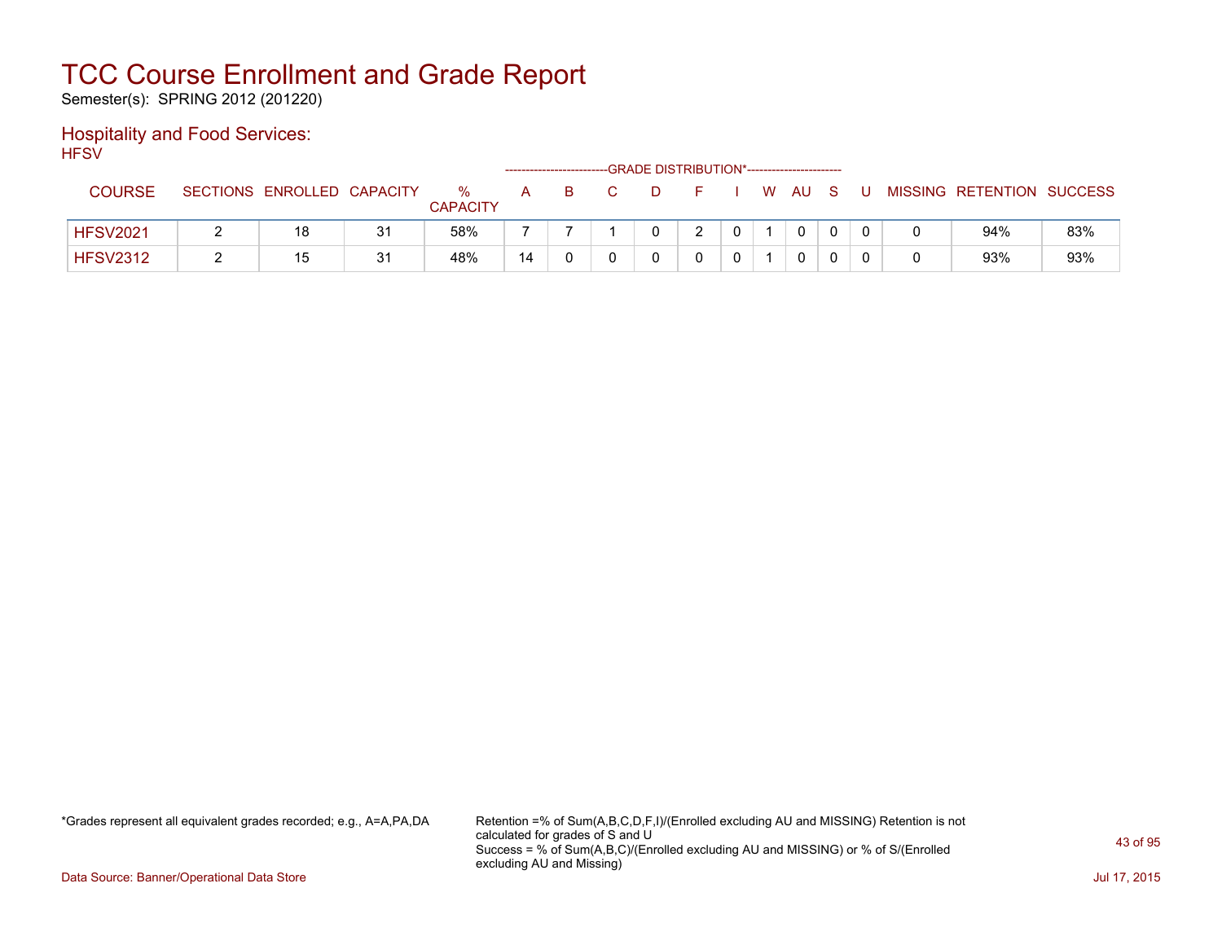Semester(s): SPRING 2012 (201220)

#### Hospitality and Food Services: **HFSV**

| .               |                            |    |                      |    |    |    |   | -GRADE DISTRIBUTION*----------------------- |  |      |          |   |                           |     |
|-----------------|----------------------------|----|----------------------|----|----|----|---|---------------------------------------------|--|------|----------|---|---------------------------|-----|
| <b>COURSE</b>   | SECTIONS ENROLLED CAPACITY |    | %<br><b>CAPACITY</b> | A  | -B | C. | D |                                             |  | W AU | S.       | U | MISSING RETENTION SUCCESS |     |
| <b>HFSV2021</b> | 18                         | 31 | 58%                  |    |    |    |   |                                             |  | 0    | $\Omega$ |   | 94%                       | 83% |
| <b>HFSV2312</b> | 15                         | 31 | 48%                  | 14 |    |    |   |                                             |  |      |          |   | 93%                       | 93% |

\*Grades represent all equivalent grades recorded; e.g., A=A,PA,DA Retention =% of Sum(A,B,C,D,F,I)/(Enrolled excluding AU and MISSING) Retention is not calculated for grades of S and U Success = % of Sum(A,B,C)/(Enrolled excluding AU and MISSING) or % of S/(Enrolled excluding AU and Missing)

Data Source: Banner/Operational Data Store Jul 17, 2015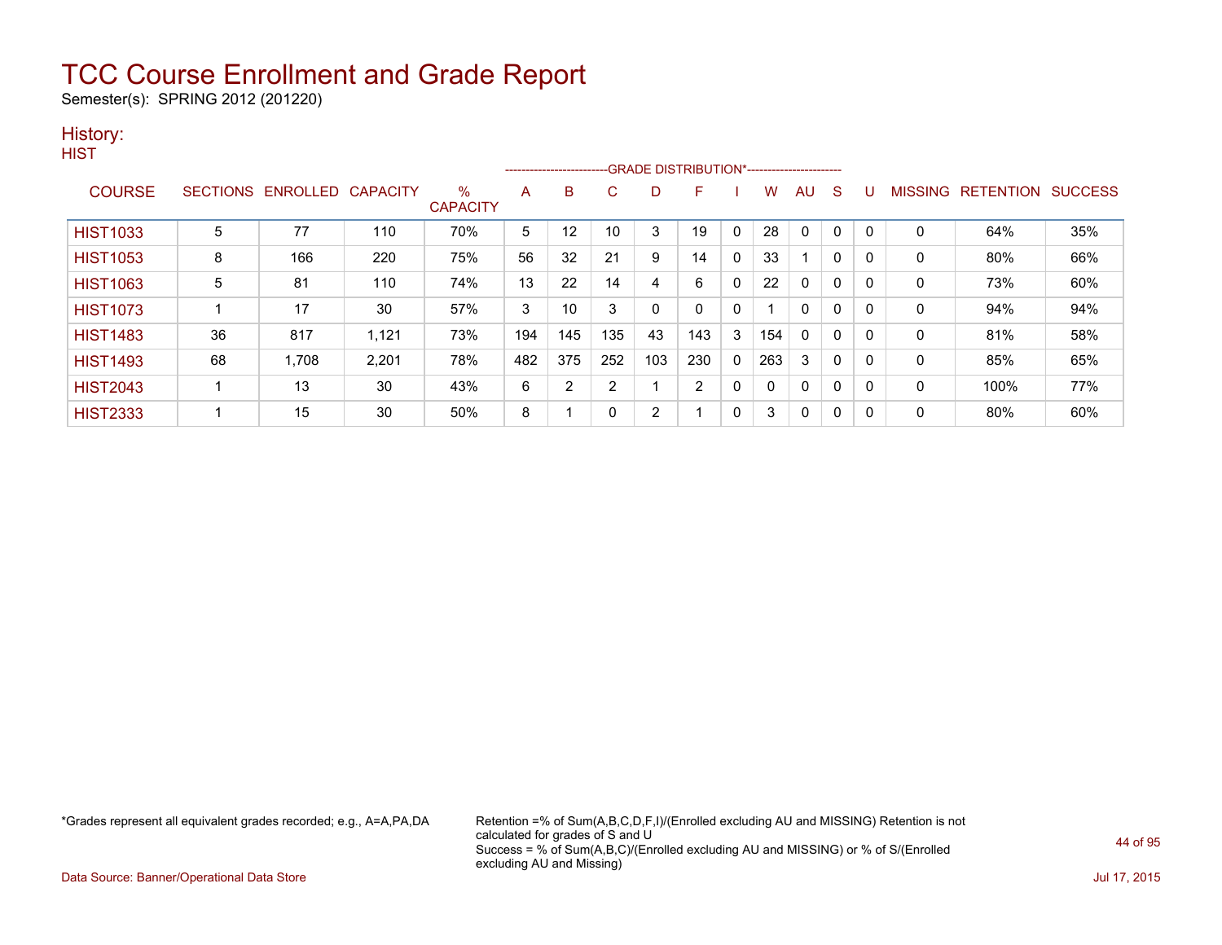Semester(s): SPRING 2012 (201220)

### History:

|  | v.<br>۰. |  |
|--|----------|--|
|  |          |  |

|                 |    |                   |                 |                      |     |                |     |     | --------------------------GRADE DISTRIBUTION*----------------------- |          |     |              |              |          |              |                          |     |
|-----------------|----|-------------------|-----------------|----------------------|-----|----------------|-----|-----|----------------------------------------------------------------------|----------|-----|--------------|--------------|----------|--------------|--------------------------|-----|
| <b>COURSE</b>   |    | SECTIONS ENROLLED | <b>CAPACITY</b> | %<br><b>CAPACITY</b> | A   | B              | C   | D   | F                                                                    |          | w   | AU           | S            |          | MISSING      | <b>RETENTION SUCCESS</b> |     |
| <b>HIST1033</b> | 5  | 77                | 110             | 70%                  | 5   | 12             | 10  | 3   | 19                                                                   |          | 28  | $\Omega$     | 0            |          | $\mathbf{0}$ | 64%                      | 35% |
| <b>HIST1053</b> | 8  | 166               | 220             | 75%                  | 56  | 32             | 21  | 9   | 14                                                                   | $\Omega$ | 33  |              | $\mathbf{0}$ | $\Omega$ | $\mathbf{0}$ | 80%                      | 66% |
| <b>HIST1063</b> | 5  | 81                | 110             | 74%                  | 13  | 22             | 14  | 4   | 6                                                                    | $\Omega$ | 22  | $\mathbf{0}$ | 0            |          | $\mathbf{0}$ | 73%                      | 60% |
| <b>HIST1073</b> |    | 17                | 30              | 57%                  | 3   | 10             | 3   | 0   | 0                                                                    | 0        |     | 0            | 0            | 0        | $\mathbf 0$  | 94%                      | 94% |
| <b>HIST1483</b> | 36 | 817               | 1,121           | 73%                  | 194 | 145            | 135 | 43  | 143                                                                  | 3        | 154 | $\mathbf{0}$ | $\mathbf{0}$ | $\Omega$ | $\mathbf 0$  | 81%                      | 58% |
| <b>HIST1493</b> | 68 | 1,708             | 2,201           | 78%                  | 482 | 375            | 252 | 103 | 230                                                                  | $\Omega$ | 263 | 3            | $\Omega$     | 0        | $\mathbf{0}$ | 85%                      | 65% |
| <b>HIST2043</b> |    | 13                | 30              | 43%                  | 6   | $\overline{2}$ | 2   |     | 2                                                                    | 0        |     | 0            | 0            | 0        | $\mathbf 0$  | 100%                     | 77% |
| <b>HIST2333</b> |    | 15                | 30              | 50%                  | 8   |                | 0   | 2   |                                                                      | 0        | 3   | 0            | 0            |          | 0            | 80%                      | 60% |

\*Grades represent all equivalent grades recorded; e.g., A=A,PA,DA Retention =% of Sum(A,B,C,D,F,I)/(Enrolled excluding AU and MISSING) Retention is not calculated for grades of S and U Success = % of Sum(A,B,C)/(Enrolled excluding AU and MISSING) or % of S/(Enrolled excluding AU and Missing)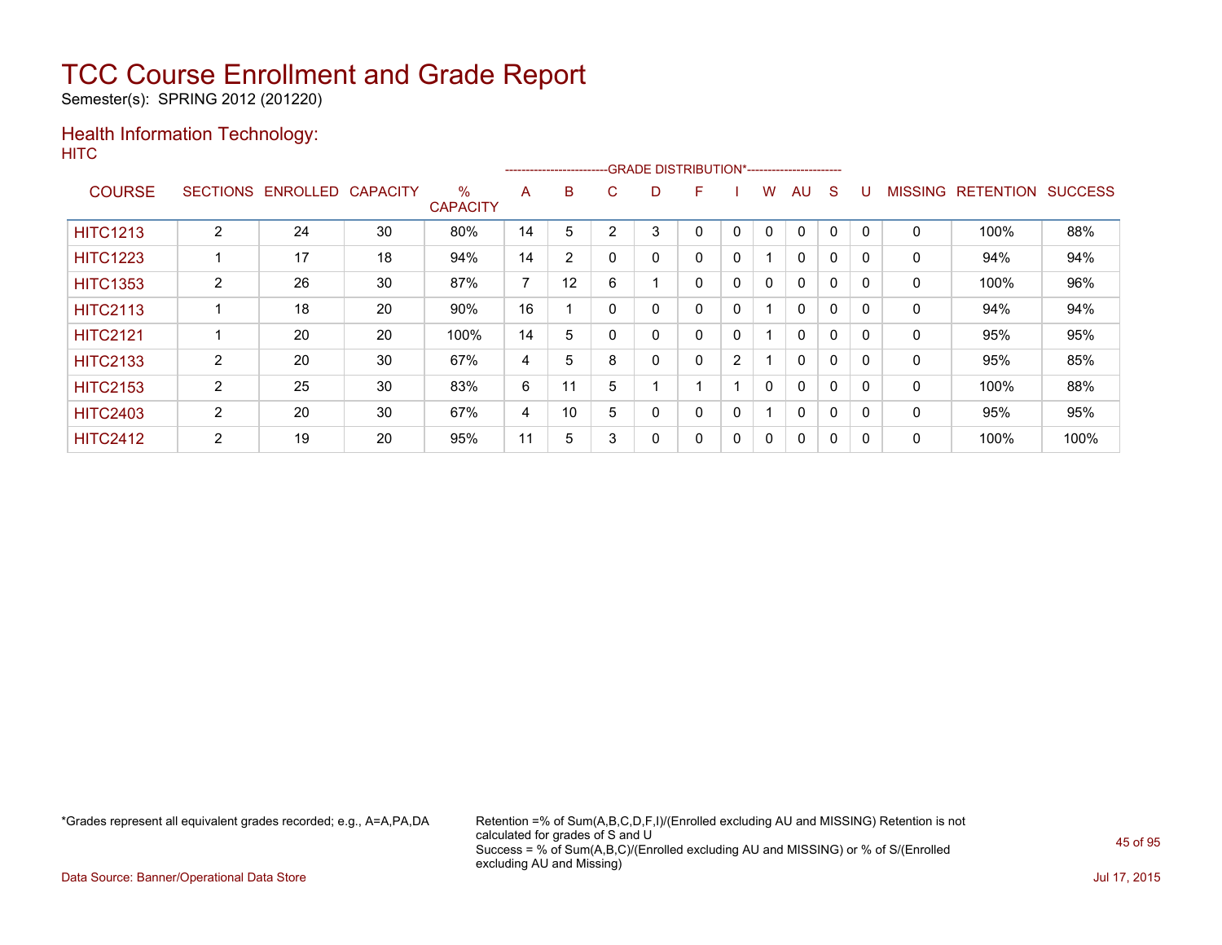Semester(s): SPRING 2012 (201220)

### Health Information Technology: **HITC**

|                 |                 |                 |                 |                         |    | --------------------------GRADE DISTRIBUTION*----------------------- |   |   |   |   |   |              |          |          |                |                  |                |
|-----------------|-----------------|-----------------|-----------------|-------------------------|----|----------------------------------------------------------------------|---|---|---|---|---|--------------|----------|----------|----------------|------------------|----------------|
| <b>COURSE</b>   | <b>SECTIONS</b> | <b>ENROLLED</b> | <b>CAPACITY</b> | $\%$<br><b>CAPACITY</b> | A  | B                                                                    | C | D | F |   | W | AU           | S        |          | <b>MISSING</b> | <b>RETENTION</b> | <b>SUCCESS</b> |
| <b>HITC1213</b> | 2               | 24              | 30              | 80%                     | 14 | 5                                                                    | 2 | 3 | 0 | 0 | 0 | 0            | $\Omega$ | $\Omega$ | 0              | 100%             | 88%            |
| <b>HITC1223</b> |                 | 17              | 18              | 94%                     | 14 | $\overline{2}$                                                       |   | 0 | 0 | 0 |   | $\mathbf{0}$ | $\Omega$ | 0        | 0              | 94%              | 94%            |
| <b>HITC1353</b> | 2               | 26              | 30              | 87%                     | ⇁  | 12                                                                   | 6 |   | 0 | 0 | 0 | $\Omega$     | 0        | $\Omega$ | 0              | 100%             | 96%            |
| <b>HITC2113</b> |                 | 18              | 20              | 90%                     | 16 |                                                                      |   | 0 | 0 | 0 |   | $\Omega$     | 0        | 0        | 0              | 94%              | 94%            |
| <b>HITC2121</b> |                 | 20              | 20              | 100%                    | 14 | 5                                                                    |   | 0 | 0 | 0 |   | $\mathbf{0}$ | $\Omega$ | 0        | 0              | 95%              | 95%            |
| <b>HITC2133</b> | 2               | 20              | 30              | 67%                     | 4  | 5                                                                    | 8 | 0 | 0 | 2 |   | $\Omega$     | $\Omega$ | $\Omega$ | 0              | 95%              | 85%            |
| <b>HITC2153</b> | $\overline{2}$  | 25              | 30              | 83%                     | 6  | 11                                                                   | 5 |   |   |   | 0 | $\Omega$     | 0        | 0        | 0              | 100%             | 88%            |
| <b>HITC2403</b> | $\overline{2}$  | 20              | 30              | 67%                     | 4  | 10                                                                   | 5 | 0 | 0 | 0 |   | $\mathbf{0}$ | $\Omega$ | 0        | 0              | 95%              | 95%            |
| <b>HITC2412</b> | 2               | 19              | 20              | 95%                     | 11 | 5                                                                    | 3 | 0 | 0 | 0 | 0 | 0            | $\Omega$ | 0        | 0              | 100%             | 100%           |

\*Grades represent all equivalent grades recorded; e.g., A=A,PA,DA Retention =% of Sum(A,B,C,D,F,I)/(Enrolled excluding AU and MISSING) Retention is not calculated for grades of S and U Success = % of Sum(A,B,C)/(Enrolled excluding AU and MISSING) or % of S/(Enrolled excluding AU and Missing)

Data Source: Banner/Operational Data Store Jul 17, 2015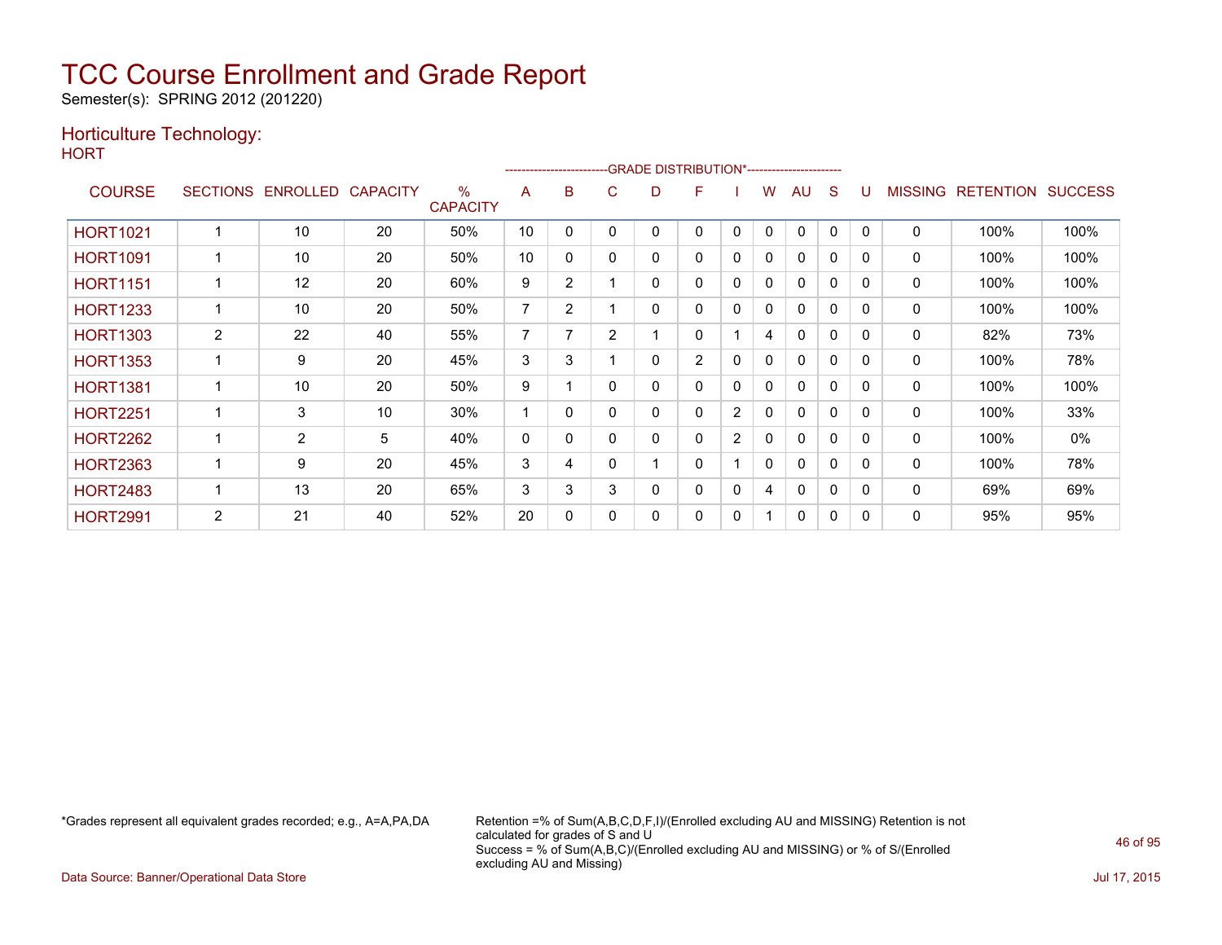Semester(s): SPRING 2012 (201220)

### Horticulture Technology:

**HORT** 

|                 |                 |                |                 |                         |              |                | -------------------------GRADE                DISTRIBUTION*--------------------- |   |                |   |              |              |          |              |                |                  |                |
|-----------------|-----------------|----------------|-----------------|-------------------------|--------------|----------------|----------------------------------------------------------------------------------|---|----------------|---|--------------|--------------|----------|--------------|----------------|------------------|----------------|
| <b>COURSE</b>   | <b>SECTIONS</b> | ENROLLED       | <b>CAPACITY</b> | $\%$<br><b>CAPACITY</b> | A            | B              | С                                                                                | D | F              |   | w            | AU.          | S        |              | <b>MISSING</b> | <b>RETENTION</b> | <b>SUCCESS</b> |
| <b>HORT1021</b> |                 | 10             | 20              | 50%                     | 10           | 0              | ი                                                                                | 0 | 0              | 0 | 0            | $\mathbf{0}$ | 0        | $\Omega$     | $\mathbf 0$    | 100%             | 100%           |
| <b>HORT1091</b> |                 | 10             | 20              | 50%                     | 10           | 0              | 0                                                                                | 0 | 0              | 0 | 0            | 0            | 0        | 0            | 0              | 100%             | 100%           |
| <b>HORT1151</b> |                 | 12             | 20              | 60%                     | 9            | $\overline{2}$ |                                                                                  | 0 | 0              | 0 | 0            | $\mathbf{0}$ | 0        | $\Omega$     | 0              | 100%             | 100%           |
| <b>HORT1233</b> |                 | 10             | 20              | 50%                     | 7            | $\overline{2}$ |                                                                                  | 0 | $\Omega$       | 0 | 0            | 0            | 0        | $\mathbf{0}$ | $\mathbf 0$    | 100%             | 100%           |
| <b>HORT1303</b> | 2               | 22             | 40              | 55%                     | 7            | 7              | $\overline{2}$                                                                   |   | 0              |   | 4            | $\mathbf{0}$ | 0        | 0            | 0              | 82%              | 73%            |
| <b>HORT1353</b> |                 | 9              | 20              | 45%                     | 3            | 3              |                                                                                  | 0 | $\overline{2}$ | 0 | $\mathbf{0}$ | $\mathbf{0}$ | 0        | $\Omega$     | 0              | 100%             | 78%            |
| <b>HORT1381</b> |                 | 10             | 20              | 50%                     | 9            |                | 0                                                                                | 0 | 0              | 0 | 0            | 0            | 0        | $\Omega$     | 0              | 100%             | 100%           |
| <b>HORT2251</b> |                 | 3              | 10              | 30%                     | 1            | 0              | ი                                                                                | 0 | 0              | 2 | 0            | $\Omega$     | 0        | $\Omega$     | 0              | 100%             | 33%            |
| <b>HORT2262</b> |                 | $\overline{2}$ | 5               | 40%                     | $\mathbf{0}$ | $\Omega$       | 0                                                                                | 0 | 0              | 2 | $\mathbf{0}$ | $\mathbf{0}$ | $\Omega$ | $\Omega$     | $\mathbf{0}$   | 100%             | 0%             |
| <b>HORT2363</b> |                 | 9              | 20              | 45%                     | 3            | 4              | 0                                                                                |   | 0              |   | 0            | 0            | 0        | $\mathbf{0}$ | 0              | 100%             | 78%            |
| <b>HORT2483</b> |                 | 13             | 20              | 65%                     | 3            | 3              | 3                                                                                | 0 | 0              | 0 | 4            | $\Omega$     | 0        | $\Omega$     | 0              | 69%              | 69%            |
| <b>HORT2991</b> | 2               | 21             | 40              | 52%                     | 20           | $\mathbf{0}$   | 0                                                                                | 0 | 0              | 0 |              | $\mathbf{0}$ | 0        | $\Omega$     | 0              | 95%              | 95%            |

\*Grades represent all equivalent grades recorded; e.g., A=A,PA,DA Retention =% of Sum(A,B,C,D,F,I)/(Enrolled excluding AU and MISSING) Retention is not calculated for grades of S and U Success = % of Sum(A,B,C)/(Enrolled excluding AU and MISSING) or % of S/(Enrolled excluding AU and Missing)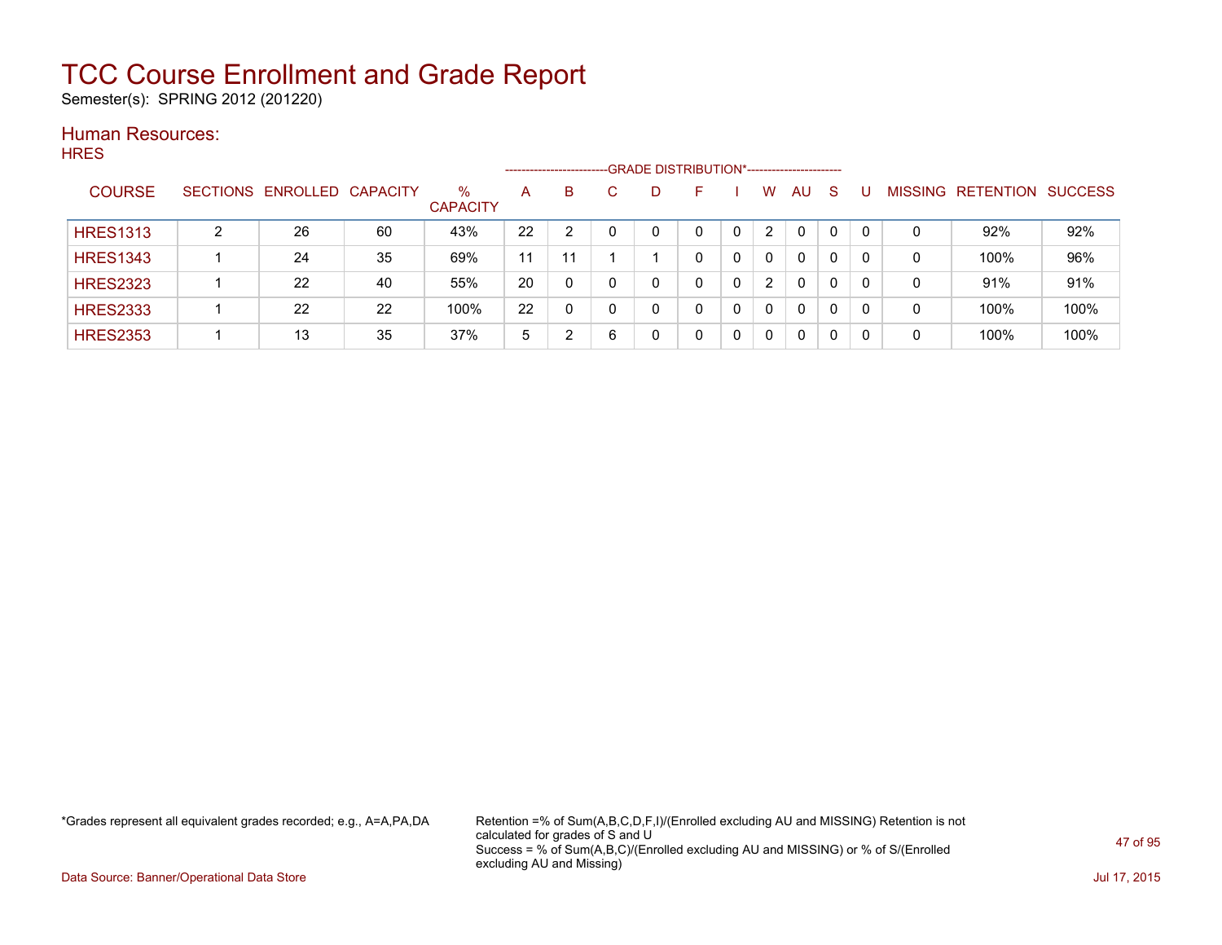Semester(s): SPRING 2012 (201220)

#### Human Resources: **HRES**

|                 |   |                            |    |                      |    | ---------------------- | -GRADE DISTRIBUTION*----------------------- |          |                |          |          |                |                  |                |
|-----------------|---|----------------------------|----|----------------------|----|------------------------|---------------------------------------------|----------|----------------|----------|----------|----------------|------------------|----------------|
| <b>COURSE</b>   |   | SECTIONS ENROLLED CAPACITY |    | %<br><b>CAPACITY</b> | A  | B                      | D                                           | <b>-</b> | w              | AU       | S        | <b>MISSING</b> | <b>RETENTION</b> | <b>SUCCESS</b> |
| <b>HRES1313</b> | ົ | 26                         | 60 | 43%                  | 22 |                        |                                             |          | $\overline{2}$ | $\Omega$ | $\Omega$ | 0              | 92%              | 92%            |
| <b>HRES1343</b> |   | 24                         | 35 | 69%                  | 11 | 11                     |                                             |          | $\Omega$       | 0        | 0        | 0              | 100%             | 96%            |
| <b>HRES2323</b> |   | 22                         | 40 | 55%                  | 20 | 0                      |                                             | 0        | 2              | 0        | 0        | 0              | 91%              | 91%            |
| <b>HRES2333</b> |   | 22                         | 22 | 100%                 | 22 | 0                      |                                             | 0        | $\Omega$       | 0        | 0        | 0              | 100%             | 100%           |
| <b>HRES2353</b> |   | 13                         | 35 | 37%                  | 5  |                        |                                             |          | $\mathbf{0}$   | 0        | 0        | 0              | 100%             | 100%           |

\*Grades represent all equivalent grades recorded; e.g., A=A,PA,DA Retention =% of Sum(A,B,C,D,F,I)/(Enrolled excluding AU and MISSING) Retention is not calculated for grades of S and U Success = % of Sum(A,B,C)/(Enrolled excluding AU and MISSING) or % of S/(Enrolled excluding AU and Missing)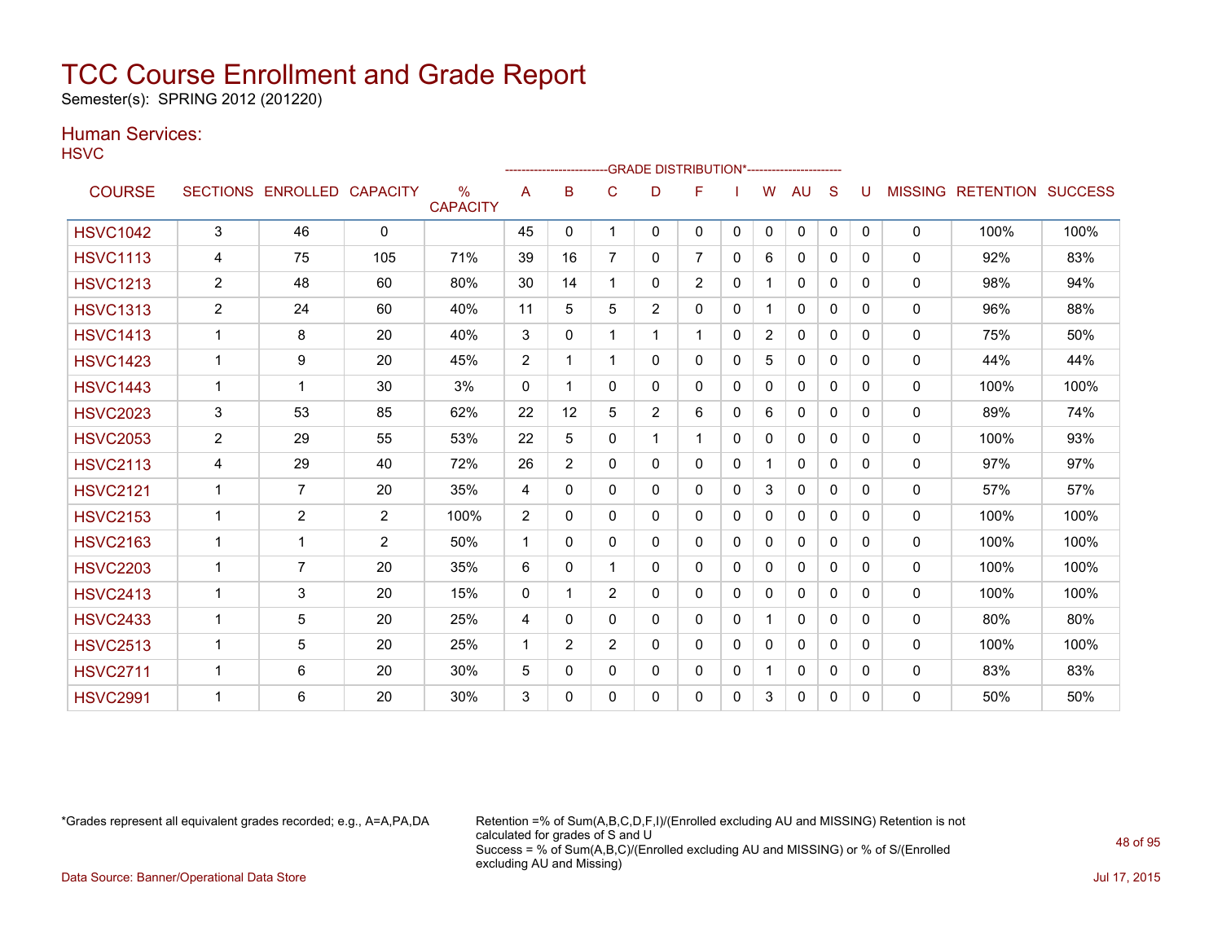Semester(s): SPRING 2012 (201220)

### Human Services:

**HSVC** 

|                 |                         |                   |                 |                         |              | ------------------- |                |                | --GRADE DISTRIBUTION*---------------------- |              |                |              |          |          |                |                          |      |
|-----------------|-------------------------|-------------------|-----------------|-------------------------|--------------|---------------------|----------------|----------------|---------------------------------------------|--------------|----------------|--------------|----------|----------|----------------|--------------------------|------|
| <b>COURSE</b>   |                         | SECTIONS ENROLLED | <b>CAPACITY</b> | $\%$<br><b>CAPACITY</b> | A            | B                   | C              | D              | F                                           |              | W              | AU           | S        |          | <b>MISSING</b> | <b>RETENTION SUCCESS</b> |      |
| <b>HSVC1042</b> | 3                       | 46                | $\mathbf{0}$    |                         | 45           | $\mathbf{0}$        |                | 0              | 0                                           | $\mathbf{0}$ | $\mathbf{0}$   | $\mathbf{0}$ | 0        | $\Omega$ | $\mathbf{0}$   | 100%                     | 100% |
| <b>HSVC1113</b> | 4                       | 75                | 105             | 71%                     | 39           | 16                  |                | 0              | $\overline{7}$                              | 0            | 6              | $\mathbf{0}$ | 0        | 0        | $\mathbf 0$    | 92%                      | 83%  |
| <b>HSVC1213</b> | $\overline{2}$          | 48                | 60              | 80%                     | 30           | 14                  |                | 0              | $\overline{2}$                              | 0            | 1              | $\mathbf{0}$ | $\Omega$ | $\Omega$ | $\mathbf{0}$   | 98%                      | 94%  |
| <b>HSVC1313</b> | $\overline{c}$          | 24                | 60              | 40%                     | 11           | 5                   | 5              | $\overline{2}$ | $\Omega$                                    | 0            | $\mathbf 1$    | $\mathbf{0}$ | $\Omega$ | 0        | 0              | 96%                      | 88%  |
| <b>HSVC1413</b> |                         | 8                 | 20              | 40%                     | 3            | 0                   |                | 1.             | $\mathbf 1$                                 | 0            | $\overline{2}$ | $\mathbf{0}$ | 0        | 0        | 0              | 75%                      | 50%  |
| <b>HSVC1423</b> | 1                       | 9                 | 20              | 45%                     | 2            |                     |                | 0              | 0                                           | 0            | 5              | $\mathbf{0}$ | 0        | 0        | $\mathbf{0}$   | 44%                      | 44%  |
| <b>HSVC1443</b> | 1                       | 1                 | 30              | 3%                      | $\mathbf{0}$ | 1                   | $\Omega$       | 0              | 0                                           | 0            | 0              | 0            | 0        | 0        | 0              | 100%                     | 100% |
| <b>HSVC2023</b> | 3                       | 53                | 85              | 62%                     | 22           | 12                  | 5              | $\overline{2}$ | 6                                           | $\Omega$     | 6              | $\mathbf{0}$ | 0        | $\Omega$ | 0              | 89%                      | 74%  |
| <b>HSVC2053</b> | $\overline{2}$          | 29                | 55              | 53%                     | 22           | 5                   | $\mathbf{0}$   | $\mathbf 1$    | $\mathbf{1}$                                | $\mathbf{0}$ | $\mathbf{0}$   | $\mathbf{0}$ | 0        | 0        | $\mathbf 0$    | 100%                     | 93%  |
| <b>HSVC2113</b> | 4                       | 29                | 40              | 72%                     | 26           | $\overline{2}$      | 0              | 0              | 0                                           | 0            | 1              | $\mathbf{0}$ | $\Omega$ | $\Omega$ | $\mathbf{0}$   | 97%                      | 97%  |
| <b>HSVC2121</b> | $\mathbf 1$             | $\overline{7}$    | 20              | 35%                     | 4            | $\mathbf{0}$        | 0              | 0              | 0                                           | 0            | 3              | 0            | $\Omega$ | 0        | 0              | 57%                      | 57%  |
| <b>HSVC2153</b> | 1                       | $\overline{2}$    | 2               | 100%                    | 2            | $\Omega$            | 0              | 0              | 0                                           | 0            | 0              | $\mathbf{0}$ | 0        | 0        | 0              | 100%                     | 100% |
| <b>HSVC2163</b> | 1                       | $\mathbf{1}$      | 2               | 50%                     | $\mathbf 1$  | 0                   | 0              | 0              | 0                                           | 0            | $\Omega$       | $\mathbf{0}$ | 0        | 0        | $\mathbf{0}$   | 100%                     | 100% |
| <b>HSVC2203</b> | 1                       | $\overline{7}$    | 20              | 35%                     | 6            | 0                   |                | 0              | 0                                           | 0            | 0              | $\Omega$     | 0        | 0        | $\mathbf{0}$   | 100%                     | 100% |
| <b>HSVC2413</b> | 1                       | 3                 | 20              | 15%                     | $\mathbf{0}$ |                     | $\overline{2}$ | 0              | $\Omega$                                    | $\Omega$     | 0              | $\mathbf{0}$ | 0        | $\Omega$ | $\mathbf{0}$   | 100%                     | 100% |
| <b>HSVC2433</b> | $\overline{\mathbf{1}}$ | 5                 | 20              | 25%                     | 4            | 0                   | 0              | 0              | 0                                           | 0            | 1              | $\mathbf{0}$ | 0        | 0        | 0              | 80%                      | 80%  |
| <b>HSVC2513</b> | 1                       | 5                 | 20              | 25%                     | 1            | $\overline{2}$      | $\overline{2}$ | 0              | 0                                           | $\Omega$     | 0              | $\mathbf{0}$ | 0        | $\Omega$ | $\mathbf{0}$   | 100%                     | 100% |
| <b>HSVC2711</b> |                         | 6                 | 20              | 30%                     | 5            | $\mathbf{0}$        | 0              | 0              | 0                                           | 0            | $\mathbf{1}$   | 0            | 0        | 0        | 0              | 83%                      | 83%  |
| <b>HSVC2991</b> |                         | 6                 | 20              | 30%                     | 3            | 0                   | 0              | 0              | 0                                           | 0            | 3              | 0            | 0        | $\Omega$ | $\mathbf{0}$   | 50%                      | 50%  |

\*Grades represent all equivalent grades recorded; e.g., A=A,PA,DA Retention =% of Sum(A,B,C,D,F,I)/(Enrolled excluding AU and MISSING) Retention is not calculated for grades of S and U Success = % of Sum(A,B,C)/(Enrolled excluding AU and MISSING) or % of S/(Enrolled excluding AU and Missing)

Data Source: Banner/Operational Data Store Jul 17, 2015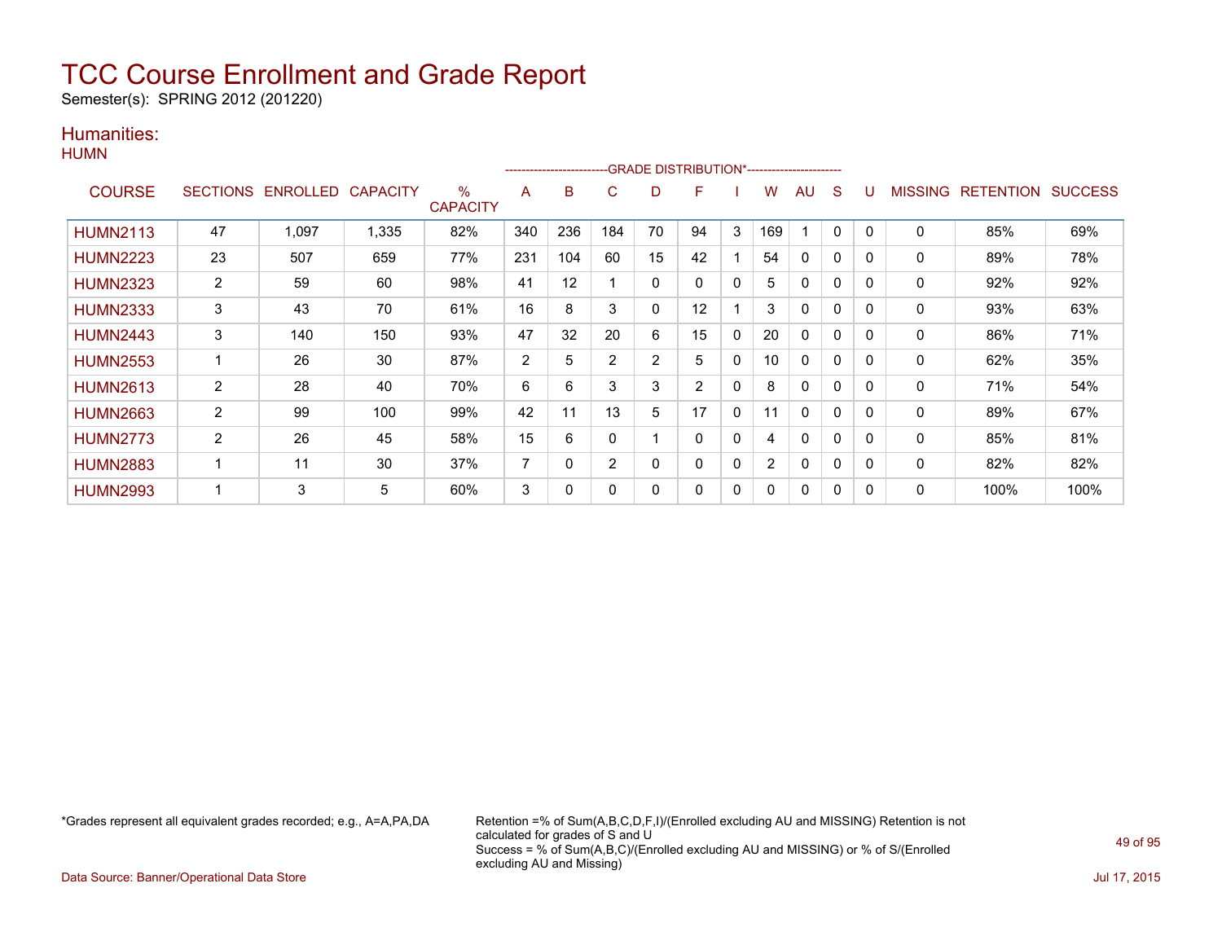Semester(s): SPRING 2012 (201220)

### Humanities: **HUMN**

|                 |                 |                   |       |                      |                |     |             |             | -GRADE DISTRIBUTION*----------------------- |              |     |              |              |          |              |                   |      |
|-----------------|-----------------|-------------------|-------|----------------------|----------------|-----|-------------|-------------|---------------------------------------------|--------------|-----|--------------|--------------|----------|--------------|-------------------|------|
| <b>COURSE</b>   | <b>SECTIONS</b> | ENROLLED CAPACITY |       | %<br><b>CAPACITY</b> | A              | B   | C           | D           | F                                           |              | w   | AU           | S            | U        | MISSING      | RETENTION SUCCESS |      |
| <b>HUMN2113</b> | 47              | 1,097             | 1,335 | 82%                  | 340            | 236 | 184         | 70          | 94                                          | 3            | 169 |              | 0            | 0        | $\Omega$     | 85%               | 69%  |
| <b>HUMN2223</b> | 23              | 507               | 659   | 77%                  | 231            | 104 | 60          | 15          | 42                                          |              | 54  | $\mathbf 0$  | 0            | $\Omega$ | 0            | 89%               | 78%  |
| <b>HUMN2323</b> | $\overline{2}$  | 59                | 60    | 98%                  | 41             | 12  |             | $\Omega$    | 0                                           | $\mathbf{0}$ | 5.  | $\mathbf{0}$ | $\mathbf{0}$ | $\Omega$ | 0            | 92%               | 92%  |
| <b>HUMN2333</b> | 3               | 43                | 70    | 61%                  | 16             | 8   | 3           | $\mathbf 0$ | 12                                          |              | 3   | 0            | $\mathbf{0}$ | $\Omega$ | 0            | 93%               | 63%  |
| <b>HUMN2443</b> | 3               | 140               | 150   | 93%                  | 47             | 32  | 20          | 6           | 15                                          | $\mathbf 0$  | 20  | 0            | 0            | 0        | 0            | 86%               | 71%  |
| <b>HUMN2553</b> |                 | 26                | 30    | 87%                  | $\overline{2}$ | 5   | 2           | 2           | 5                                           | $\Omega$     | 10  | $\Omega$     | 0            | $\Omega$ | 0            | 62%               | 35%  |
| <b>HUMN2613</b> | $\overline{2}$  | 28                | 40    | 70%                  | 6              | 6   | 3           | 3           | 2                                           | $\mathbf{0}$ | 8   | $\Omega$     | $\mathbf{0}$ | $\Omega$ | 0            | 71%               | 54%  |
| <b>HUMN2663</b> | $\overline{2}$  | 99                | 100   | 99%                  | 42             | 11  | 13          | 5           | 17                                          | $\Omega$     | 11  | $\mathbf{0}$ | $\mathbf{0}$ | $\Omega$ | $\mathbf{0}$ | 89%               | 67%  |
| <b>HUMN2773</b> | $\overline{2}$  | 26                | 45    | 58%                  | 15             | 6   | $\mathbf 0$ |             | $\Omega$                                    | $\mathbf{0}$ | 4   | $\Omega$     | $\mathbf{0}$ | $\Omega$ | 0            | 85%               | 81%  |
| <b>HUMN2883</b> | 1               | 11                | 30    | 37%                  | 7              | 0   | 2           | 0           | $\mathbf 0$                                 | $\mathbf{0}$ | 2   | 0            | $\mathbf{0}$ | 0        | 0            | 82%               | 82%  |
| <b>HUMN2993</b> | 1               | 3                 | 5     | 60%                  | 3              | 0   | 0           | 0           | 0                                           | $\Omega$     | 0   | 0            | 0            | 0        | 0            | 100%              | 100% |

\*Grades represent all equivalent grades recorded; e.g., A=A,PA,DA Retention =% of Sum(A,B,C,D,F,I)/(Enrolled excluding AU and MISSING) Retention is not calculated for grades of S and U Success = % of Sum(A,B,C)/(Enrolled excluding AU and MISSING) or % of S/(Enrolled excluding AU and Missing)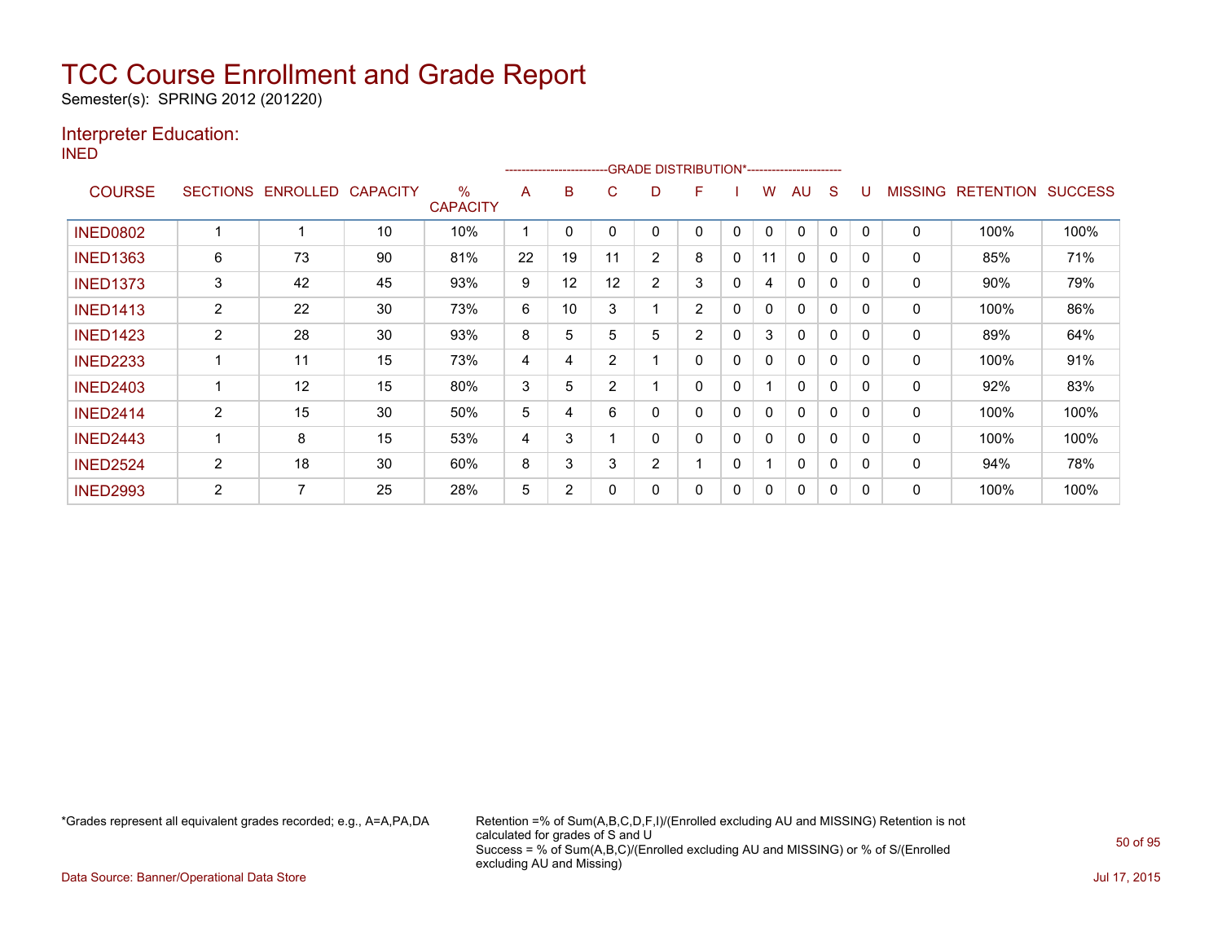Semester(s): SPRING 2012 (201220)

### Interpreter Education:

INED

|                 |                |                   |                 |                      |    |    |                | -------------------------GRADE                DISTRIBUTION*---------------------- |                |              |    |              |              |          |                |                  |                |
|-----------------|----------------|-------------------|-----------------|----------------------|----|----|----------------|-----------------------------------------------------------------------------------|----------------|--------------|----|--------------|--------------|----------|----------------|------------------|----------------|
| <b>COURSE</b>   |                | SECTIONS ENROLLED | <b>CAPACITY</b> | %<br><b>CAPACITY</b> | A  | B  | C              | D                                                                                 | F              |              | w  | AU           | S            |          | <b>MISSING</b> | <b>RETENTION</b> | <b>SUCCESS</b> |
| <b>INED0802</b> |                |                   | 10              | 10%                  |    |    |                | 0                                                                                 | 0              | 0            | 0  | $\Omega$     | 0            |          | 0              | 100%             | 100%           |
| <b>INED1363</b> | 6              | 73                | 90              | 81%                  | 22 | 19 | 11             | 2                                                                                 | 8              | 0            | 11 | $\mathbf{0}$ | $\Omega$     | 0        | 0              | 85%              | 71%            |
| <b>INED1373</b> | 3              | 42                | 45              | 93%                  | 9  | 12 | 12             | $\overline{2}$                                                                    | 3              | $\mathbf{0}$ | 4  | $\mathbf{0}$ | $\Omega$     | $\Omega$ | 0              | 90%              | 79%            |
| <b>INED1413</b> | 2              | 22                | 30              | 73%                  | 6  | 10 | 3              |                                                                                   | $\overline{2}$ | 0            | 0  | $\mathbf{0}$ | $\mathbf{0}$ | $\Omega$ | 0              | 100%             | 86%            |
| <b>INED1423</b> | 2              | 28                | 30              | 93%                  | 8  | 5  | 5              | 5                                                                                 | $\overline{2}$ | 0            | 3  | 0            | 0            | 0        | 0              | 89%              | 64%            |
| <b>INED2233</b> |                | 11                | 15              | 73%                  | 4  | 4  | $\overline{2}$ |                                                                                   | 0              | 0            | 0  | 0            | 0            |          | 0              | 100%             | 91%            |
| <b>INED2403</b> |                | 12                | 15              | 80%                  | 3  | 5  | $\overline{2}$ |                                                                                   | 0              | 0            |    | $\mathbf{0}$ | 0            | $\Omega$ | 0              | 92%              | 83%            |
| <b>INED2414</b> | 2              | 15                | 30              | 50%                  | 5  | 4  | 6              | 0                                                                                 | 0              | 0            | 0  | $\mathbf{0}$ | $\Omega$     |          | 0              | 100%             | 100%           |
| <b>INED2443</b> |                | 8                 | 15              | 53%                  | 4  | 3  |                | 0                                                                                 | 0              | 0            | 0  | $\mathbf{0}$ | $\Omega$     | $\Omega$ | 0              | 100%             | 100%           |
| <b>INED2524</b> | $\overline{2}$ | 18                | 30              | 60%                  | 8  | 3  | 3              | 2                                                                                 |                | $\mathbf{0}$ |    | $\mathbf{0}$ | $\Omega$     | $\Omega$ | $\Omega$       | 94%              | 78%            |
| <b>INED2993</b> | $\overline{2}$ | 7                 | 25              | 28%                  | 5  | 2  |                | 0                                                                                 | 0              | 0            | 0  | $\mathbf{0}$ | 0            |          | 0              | 100%             | 100%           |

\*Grades represent all equivalent grades recorded; e.g., A=A,PA,DA Retention =% of Sum(A,B,C,D,F,I)/(Enrolled excluding AU and MISSING) Retention is not calculated for grades of S and U Success = % of Sum(A,B,C)/(Enrolled excluding AU and MISSING) or % of S/(Enrolled excluding AU and Missing)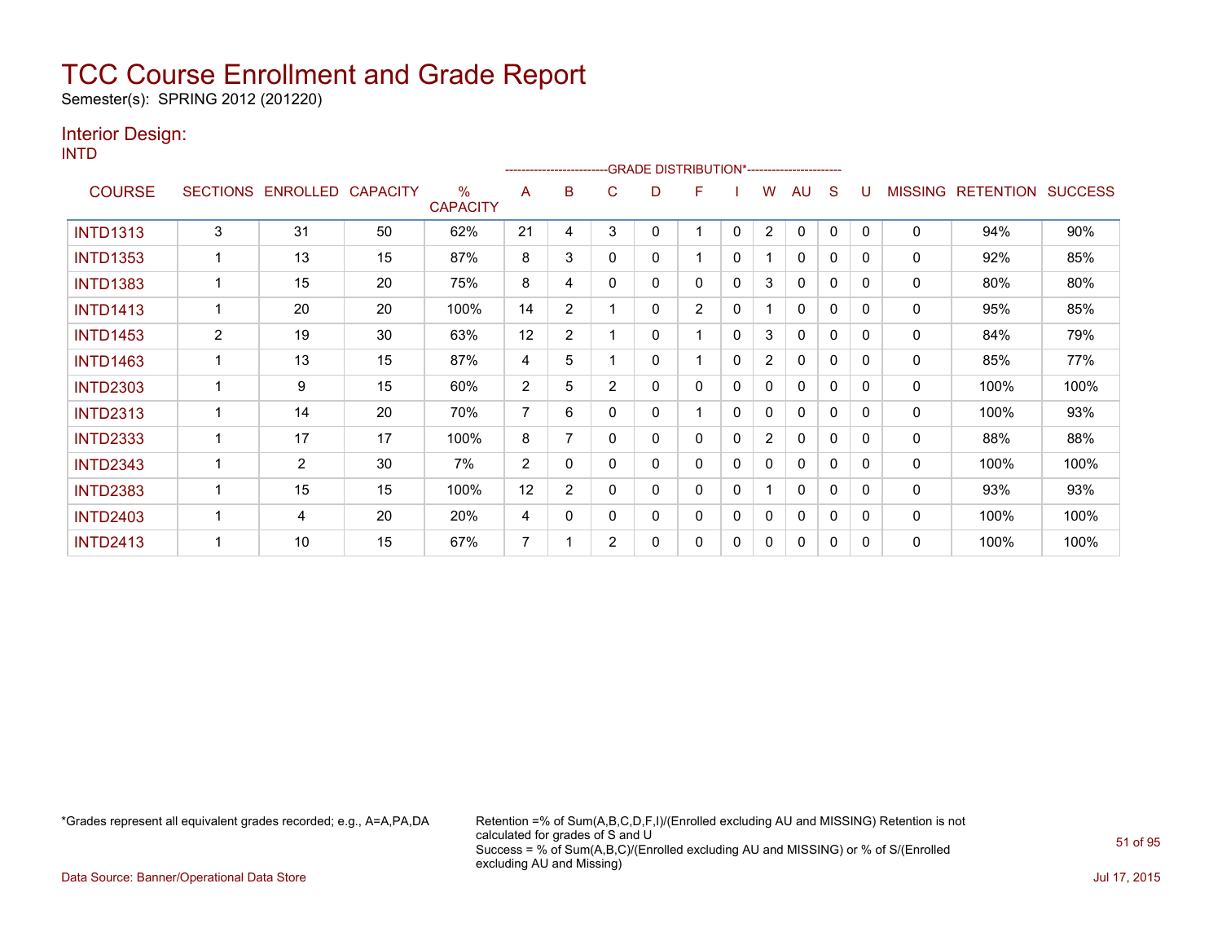Semester(s): SPRING 2012 (201220)

### Interior Design:

INTD

|                 |                |                   |                 |                                  |                |                |   | -------------------------GRADE                DISTRIBUTION*--------------------- |                |              |                |              |              |                |                |                  |                |
|-----------------|----------------|-------------------|-----------------|----------------------------------|----------------|----------------|---|----------------------------------------------------------------------------------|----------------|--------------|----------------|--------------|--------------|----------------|----------------|------------------|----------------|
| <b>COURSE</b>   |                | SECTIONS ENROLLED | <b>CAPACITY</b> | $\frac{0}{0}$<br><b>CAPACITY</b> | A              | в              | C | D                                                                                | F              |              | w              | AU           | S            |                | <b>MISSING</b> | <b>RETENTION</b> | <b>SUCCESS</b> |
| <b>INTD1313</b> | 3              | 31                | 50              | 62%                              | 21             | 4              | 3 | 0                                                                                |                | 0            | $\overline{2}$ | $\mathbf{0}$ | 0            | $\Omega$       | 0              | 94%              | 90%            |
| <b>INTD1353</b> |                | 13                | 15              | 87%                              | 8              | 3              | 0 | 0                                                                                |                | 0            |                | $\mathbf{0}$ | 0            | 0              | 0              | 92%              | 85%            |
| <b>INTD1383</b> |                | 15                | 20              | 75%                              | 8              | 4              | 0 | 0                                                                                | 0              | 0            | 3              | 0            | 0            | $\Omega$       | 0              | 80%              | 80%            |
| <b>INTD1413</b> |                | 20                | 20              | 100%                             | 14             | 2              |   | 0                                                                                | $\overline{2}$ | 0            |                | $\mathbf{0}$ | 0            | $\Omega$       | 0              | 95%              | 85%            |
| <b>INTD1453</b> | $\overline{c}$ | 19                | 30              | 63%                              | 12             | $\overline{2}$ |   | 0                                                                                |                | 0            | 3              | 0            | $\mathbf{0}$ | $\Omega$       | 0              | 84%              | 79%            |
| <b>INTD1463</b> |                | 13                | 15              | 87%                              | 4              | 5              |   | 0                                                                                |                | 0            | $\overline{2}$ | 0            | $\mathbf{0}$ | 0              | 0              | 85%              | 77%            |
| <b>INTD2303</b> |                | 9                 | 15              | 60%                              | $\overline{2}$ | 5              | 2 | 0                                                                                | 0              | 0            | 0              | $\mathbf{0}$ | 0            | $\Omega$       | 0              | 100%             | 100%           |
| <b>INTD2313</b> |                | 14                | 20              | 70%                              | $\overline{7}$ | 6              | 0 | 0                                                                                |                | $\mathbf{0}$ | 0              | $\mathbf{0}$ | 0            | 0              | 0              | 100%             | 93%            |
| <b>INTD2333</b> |                | 17                | 17              | 100%                             | 8              | 7              | 0 | 0                                                                                | 0              | $\mathbf{0}$ | $\overline{2}$ | $\mathbf{0}$ | $\mathbf{0}$ | $\Omega$       | 0              | 88%              | 88%            |
| <b>INTD2343</b> |                | $\overline{2}$    | 30              | 7%                               | $\overline{2}$ | $\Omega$       | 0 | 0                                                                                | 0              | 0            | 0              | 0            | 0            | $\overline{0}$ | 0              | 100%             | 100%           |
| <b>INTD2383</b> |                | 15                | 15              | 100%                             | 12             | $\overline{2}$ |   | 0                                                                                | 0              | 0            |                | $\mathbf{0}$ | $\mathbf{0}$ | $\Omega$       | 0              | 93%              | 93%            |
| <b>INTD2403</b> |                | 4                 | 20              | 20%                              | 4              | 0              | 0 | 0                                                                                | 0              | 0            | 0              | 0            | 0            | $\Omega$       | 0              | 100%             | 100%           |
| <b>INTD2413</b> |                | 10                | 15              | 67%                              | 7              |                | 2 | 0                                                                                | 0              | 0            | 0              | $\mathbf{0}$ | 0            | $\Omega$       | 0              | 100%             | 100%           |

\*Grades represent all equivalent grades recorded; e.g., A=A,PA,DA Retention =% of Sum(A,B,C,D,F,I)/(Enrolled excluding AU and MISSING) Retention is not calculated for grades of S and U Success = % of Sum(A,B,C)/(Enrolled excluding AU and MISSING) or % of S/(Enrolled excluding AU and Missing)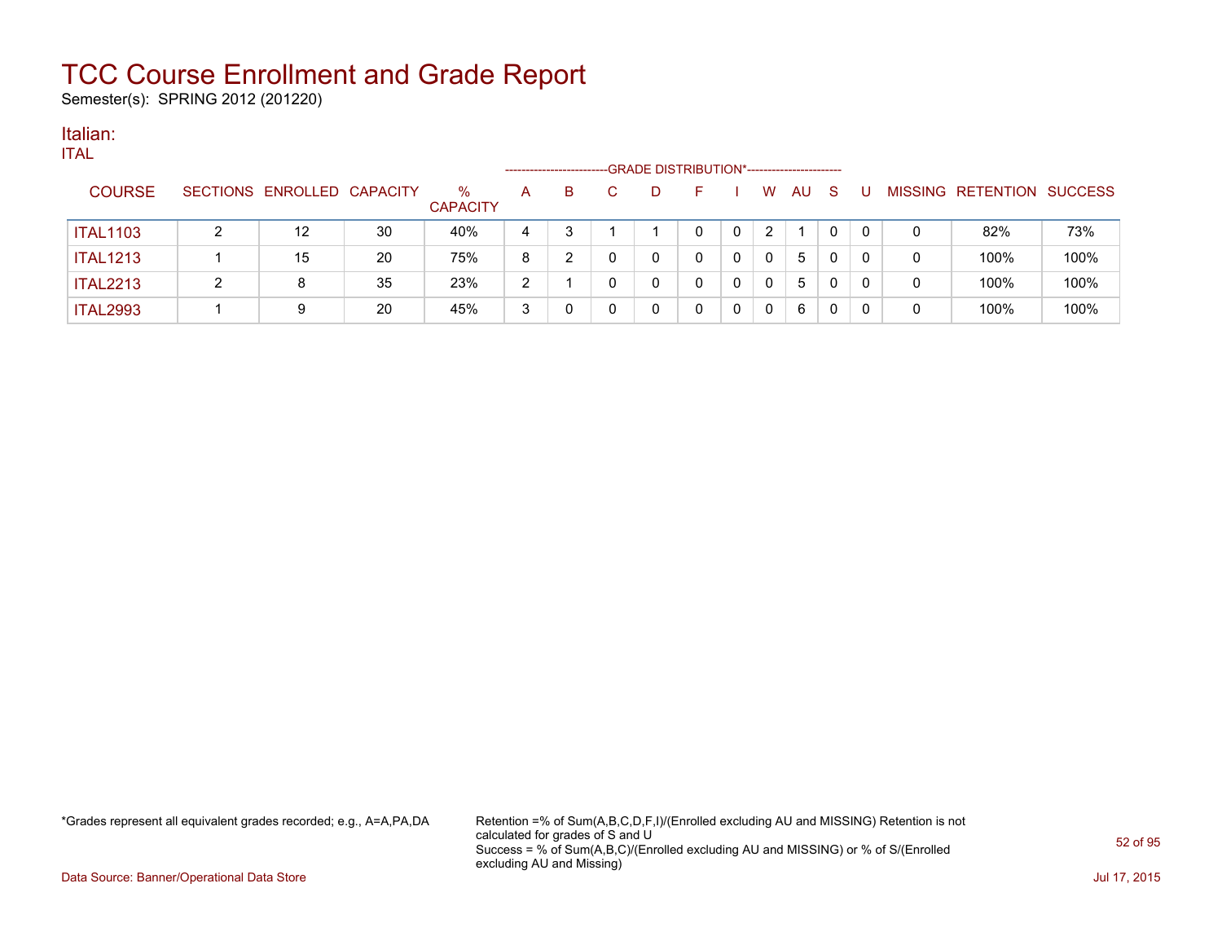Semester(s): SPRING 2012 (201220)

#### Italian: ITAL

| IIAL            |   |                            |    |                         | --------------------- |    | -GRADE DISTRIBUTION*----------------------- |   |   |              |    |    |          |   |                           |      |
|-----------------|---|----------------------------|----|-------------------------|-----------------------|----|---------------------------------------------|---|---|--------------|----|----|----------|---|---------------------------|------|
| <b>COURSE</b>   |   | SECTIONS ENROLLED CAPACITY |    | $\%$<br><b>CAPACITY</b> | A                     | B. | D                                           |   |   | W            | AU | -S | U        |   | MISSING RETENTION SUCCESS |      |
| <b>ITAL1103</b> | ົ | 12                         | 30 | 40%                     | 4                     |    |                                             |   | 0 | 2            |    | 0  |          | 0 | 82%                       | 73%  |
| <b>ITAL1213</b> |   | 15                         | 20 | 75%                     | 8                     |    |                                             | 0 | 0 | $\mathbf{0}$ | 5  | 0  | $\Omega$ | 0 | 100%                      | 100% |
| <b>ITAL2213</b> | ົ | 8                          | 35 | 23%                     | 2                     |    |                                             | 0 | 0 | $\mathbf{0}$ | 5  | 0  | 0        | 0 | 100%                      | 100% |
| <b>ITAL2993</b> |   | 9                          | 20 | 45%                     | 3                     |    |                                             |   | 0 | $\mathbf 0$  | 6  | 0  |          |   | 100%                      | 100% |

\*Grades represent all equivalent grades recorded; e.g., A=A,PA,DA Retention =% of Sum(A,B,C,D,F,I)/(Enrolled excluding AU and MISSING) Retention is not calculated for grades of S and U Success = % of Sum(A,B,C)/(Enrolled excluding AU and MISSING) or % of S/(Enrolled excluding AU and Missing)

Data Source: Banner/Operational Data Store Jul 17, 2015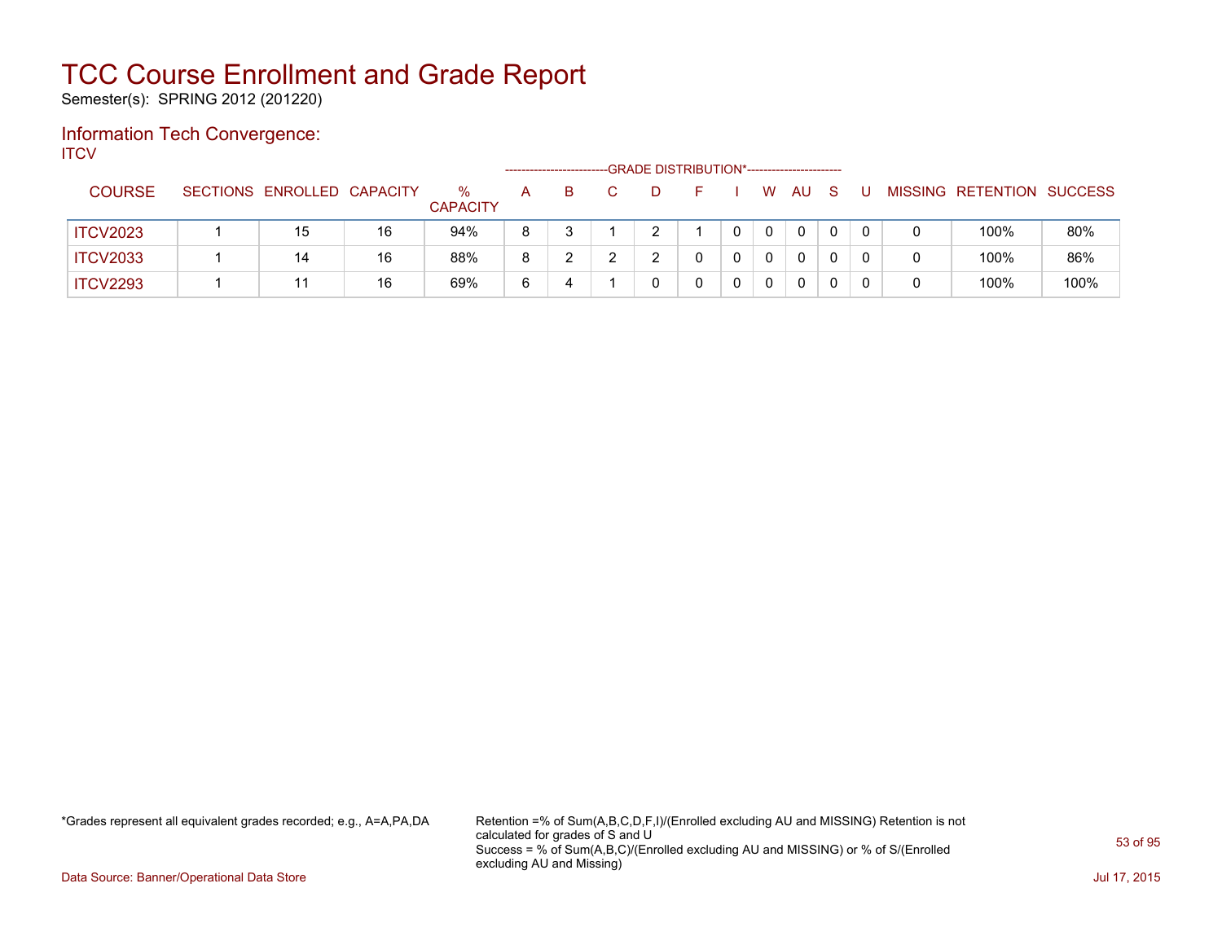Semester(s): SPRING 2012 (201220)

### Information Tech Convergence: **ITCV**

|                 |                            |    |                         |   | ---------------------- |  | -GRADE DISTRIBUTION*----------------------- |             |          |   |  |                           |      |
|-----------------|----------------------------|----|-------------------------|---|------------------------|--|---------------------------------------------|-------------|----------|---|--|---------------------------|------|
| <b>COURSE</b>   | SECTIONS ENROLLED CAPACITY |    | $\%$<br><b>CAPACITY</b> | A | B.                     |  |                                             | W           | AU       | S |  | MISSING RETENTION SUCCESS |      |
| <b>ITCV2023</b> | 15                         | 16 | 94%                     | 8 |                        |  |                                             | $\mathbf 0$ | $\Omega$ |   |  | 100%                      | 80%  |
| <b>ITCV2033</b> | 14                         | 16 | 88%                     | 8 |                        |  |                                             |             | 0        |   |  | 100%                      | 86%  |
| <b>ITCV2293</b> | 11                         | 16 | 69%                     | 6 | 4                      |  |                                             | 0           | 0        |   |  | 100%                      | 100% |

\*Grades represent all equivalent grades recorded; e.g., A=A,PA,DA Retention =% of Sum(A,B,C,D,F,I)/(Enrolled excluding AU and MISSING) Retention is not calculated for grades of S and U Success = % of Sum(A,B,C)/(Enrolled excluding AU and MISSING) or % of S/(Enrolled excluding AU and Missing)

Data Source: Banner/Operational Data Store Jul 17, 2015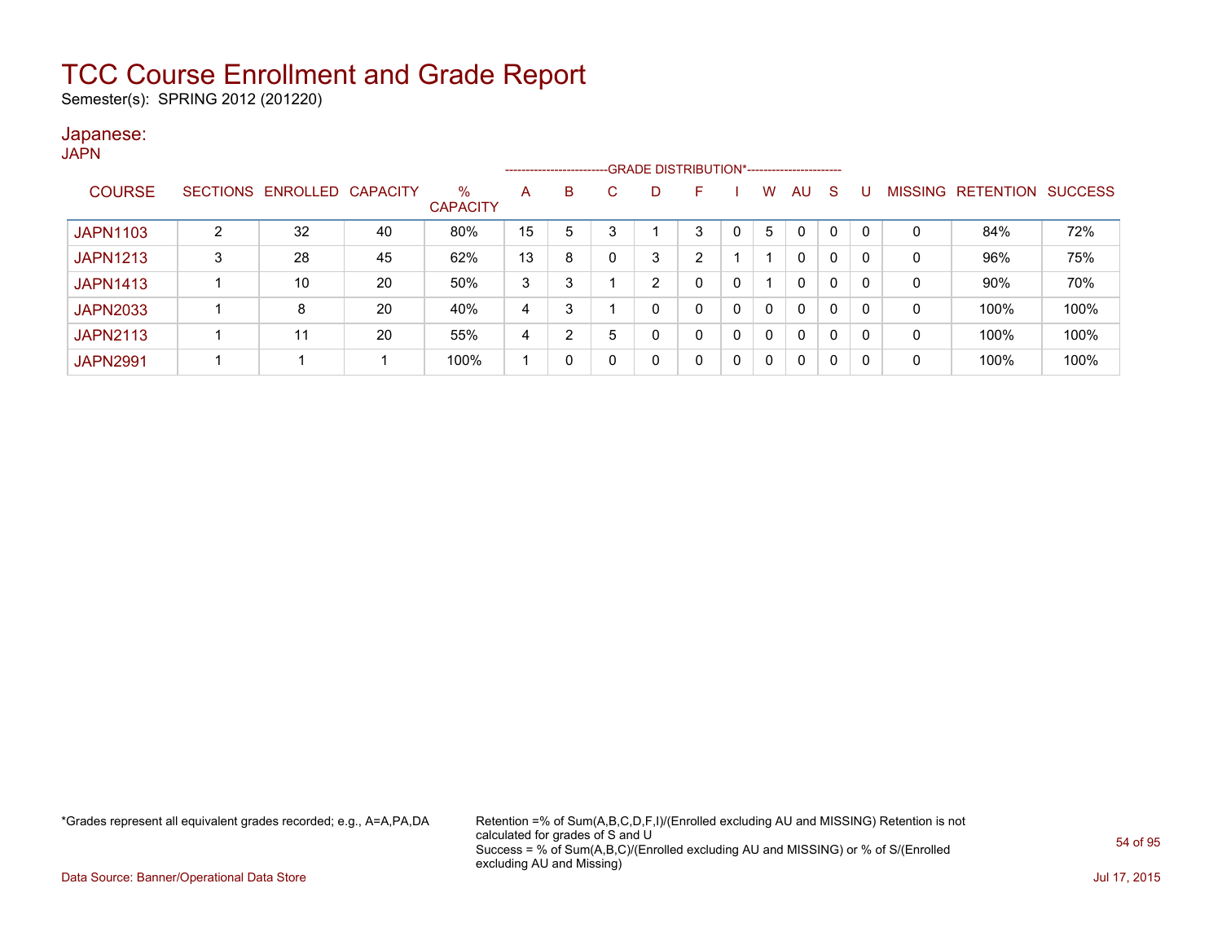Semester(s): SPRING 2012 (201220)

#### Japanese: **JAPN**

|                 |                 |          |                 |                         |    | ---------------------- |   |   |   |   |   |              |   |              |             |                  |                |
|-----------------|-----------------|----------|-----------------|-------------------------|----|------------------------|---|---|---|---|---|--------------|---|--------------|-------------|------------------|----------------|
| <b>COURSE</b>   | <b>SECTIONS</b> | ENROLLED | <b>CAPACITY</b> | $\%$<br><b>CAPACITY</b> | A  | B                      |   |   | F |   | w | AU           | S |              | MISSING     | <b>RETENTION</b> | <b>SUCCESS</b> |
| <b>JAPN1103</b> |                 | 32       | 40              | 80%                     | 15 | 5                      | 3 |   | 3 |   | 5 | $\mathbf{0}$ | 0 | 0            | C           | 84%              | 72%            |
| <b>JAPN1213</b> |                 | 28       | 45              | 62%                     | 13 | 8                      |   | 3 | ົ |   |   | 0            | 0 | 0            | $\mathbf 0$ | 96%              | 75%            |
| <b>JAPN1413</b> |                 | 10       | 20              | 50%                     | 3  | 3                      |   | ົ |   | 0 |   | 0            | 0 | 0            | 0           | 90%              | 70%            |
| <b>JAPN2033</b> |                 | 8        | 20              | 40%                     | 4  | 3                      |   | 0 | 0 | 0 | 0 | 0            | 0 | $\mathbf{0}$ | $\mathbf 0$ | 100%             | 100%           |
| <b>JAPN2113</b> |                 | 11       | 20              | 55%                     | 4  | ົ                      | 5 |   | 0 |   | 0 | 0            | 0 | 0            | 0           | 100%             | 100%           |
| <b>JAPN2991</b> |                 |          |                 | 100%                    |    | 0                      |   |   | 0 |   |   | 0            | 0 | 0            | 0           | 100%             | 100%           |

\*Grades represent all equivalent grades recorded; e.g., A=A,PA,DA Retention =% of Sum(A,B,C,D,F,I)/(Enrolled excluding AU and MISSING) Retention is not calculated for grades of S and U Success = % of Sum(A,B,C)/(Enrolled excluding AU and MISSING) or % of S/(Enrolled excluding AU and Missing)

Data Source: Banner/Operational Data Store Jul 17, 2015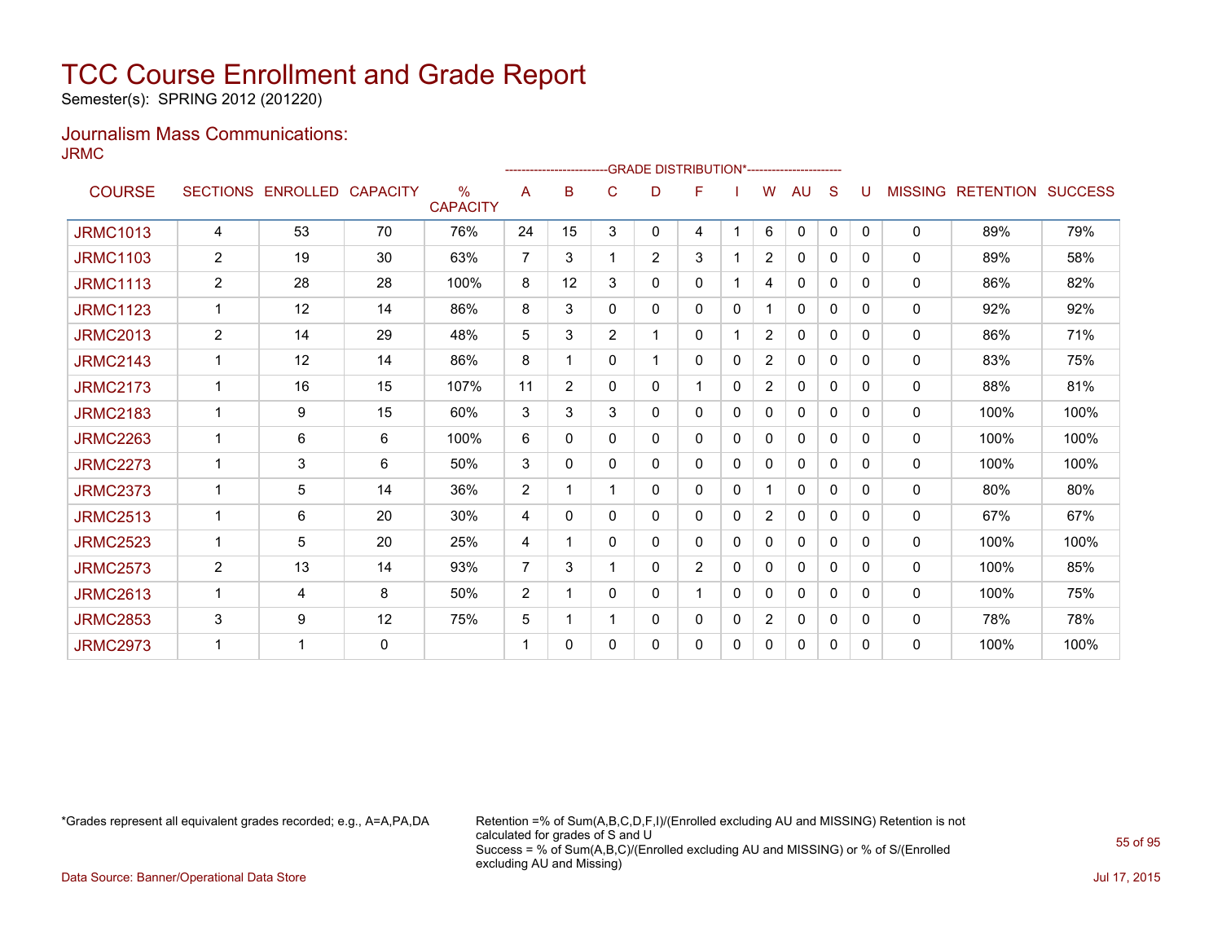Semester(s): SPRING 2012 (201220)

### Journalism Mass Communications: JRMC

|                 |                |                   |                 |                                  |                 | -------------------------GRADE                DISTRIBUTION*--------------------- |                |                |                |              |                |              |              |              |                |                          |      |
|-----------------|----------------|-------------------|-----------------|----------------------------------|-----------------|----------------------------------------------------------------------------------|----------------|----------------|----------------|--------------|----------------|--------------|--------------|--------------|----------------|--------------------------|------|
| <b>COURSE</b>   |                | SECTIONS ENROLLED | <b>CAPACITY</b> | $\frac{0}{0}$<br><b>CAPACITY</b> | A               | B                                                                                | C              | D              | F              |              | W              | AU           | S            | U            | <b>MISSING</b> | <b>RETENTION SUCCESS</b> |      |
| <b>JRMC1013</b> | 4              | 53                | 70              | 76%                              | 24              | 15                                                                               | 3              | 0              | 4              |              | 6              | $\mathbf{0}$ | $\mathbf{0}$ | $\Omega$     | $\mathbf{0}$   | 89%                      | 79%  |
| <b>JRMC1103</b> | 2              | 19                | 30              | 63%                              | $\overline{7}$  | 3                                                                                |                | $\overline{2}$ | 3              |              | 2              | $\mathbf{0}$ | $\Omega$     | $\Omega$     | 0              | 89%                      | 58%  |
| <b>JRMC1113</b> | 2              | 28                | 28              | 100%                             | 8               | 12                                                                               | 3              | 0              | 0              |              | 4              | 0            | $\Omega$     | $\Omega$     | 0              | 86%                      | 82%  |
| <b>JRMC1123</b> | $\mathbf{1}$   | 12                | 14              | 86%                              | 8               | 3                                                                                | 0              | 0              | 0              | $\mathbf{0}$ |                | 0            | $\Omega$     | 0            | 0              | 92%                      | 92%  |
| <b>JRMC2013</b> | 2              | 14                | 29              | 48%                              | $5\phantom{.0}$ | 3                                                                                | $\overline{2}$ |                | 0              |              | $\overline{2}$ | $\mathbf{0}$ | $\mathbf{0}$ | 0            | 0              | 86%                      | 71%  |
| <b>JRMC2143</b> | $\mathbf{1}$   | 12                | 14              | 86%                              | 8               | 1                                                                                | 0              | 1              | 0              | $\mathbf{0}$ | $\overline{2}$ | 0            | $\mathbf{0}$ | $\Omega$     | 0              | 83%                      | 75%  |
| <b>JRMC2173</b> | $\mathbf{1}$   | 16                | 15              | 107%                             | 11              | $\overline{2}$                                                                   | 0              | 0              | 1              | $\mathbf{0}$ | $\overline{2}$ | $\mathbf{0}$ | $\Omega$     | 0            | 0              | 88%                      | 81%  |
| <b>JRMC2183</b> |                | 9                 | 15              | 60%                              | 3               | 3                                                                                | 3              | 0              | 0              | $\mathbf{0}$ | $\mathbf{0}$   | $\Omega$     | $\mathbf{0}$ | 0            | 0              | 100%                     | 100% |
| <b>JRMC2263</b> | 1              | 6                 | 6               | 100%                             | 6               | 0                                                                                | 0              | 0              | 0              | $\mathbf{0}$ | $\Omega$       | $\mathbf{0}$ | $\Omega$     | 0            | 0              | 100%                     | 100% |
| <b>JRMC2273</b> | 1              | 3                 | 6               | 50%                              | 3               | $\mathbf{0}$                                                                     | 0              | 0              | 0              | $\mathbf{0}$ | 0              | $\mathbf{0}$ | $\Omega$     | 0            | 0              | 100%                     | 100% |
| <b>JRMC2373</b> | $\mathbf 1$    | 5                 | 14              | 36%                              | 2               |                                                                                  |                | 0              | 0              | $\mathbf{0}$ |                | 0            | $\Omega$     | 0            | $\mathbf{0}$   | 80%                      | 80%  |
| <b>JRMC2513</b> | $\mathbf 1$    | 6                 | 20              | 30%                              | 4               | 0                                                                                | 0              | 0              | 0              | 0            | 2              | $\mathbf{0}$ | $\Omega$     | <sup>0</sup> | $\mathbf{0}$   | 67%                      | 67%  |
| <b>JRMC2523</b> | $\mathbf{1}$   | 5                 | 20              | 25%                              | 4               |                                                                                  | 0              | 0              | 0              | 0            | 0              | $\mathbf{0}$ | 0            | 0            | $\mathbf{0}$   | 100%                     | 100% |
| <b>JRMC2573</b> | $\overline{2}$ | 13                | 14              | 93%                              | 7               | 3                                                                                |                | 0              | $\overline{2}$ | 0            | 0              | 0            | 0            | $\Omega$     | 0              | 100%                     | 85%  |
| <b>JRMC2613</b> | 1              | 4                 | 8               | 50%                              | $\overline{2}$  | 1                                                                                | 0              | 0              | 1              | $\Omega$     | 0              | 0            | 0            | $\Omega$     | 0              | 100%                     | 75%  |
| <b>JRMC2853</b> | 3              | 9                 | 12              | 75%                              | $5\phantom{.0}$ | 1                                                                                |                | 0              | 0              | $\mathbf{0}$ | $\overline{2}$ | 0            | 0            | 0            | 0              | 78%                      | 78%  |
| <b>JRMC2973</b> | 1              | 1                 | $\mathbf{0}$    |                                  | 1               | 0                                                                                | 0              | 0              | 0              | 0            | 0              | 0            | 0            | 0            | 0              | 100%                     | 100% |

\*Grades represent all equivalent grades recorded; e.g., A=A,PA,DA Retention =% of Sum(A,B,C,D,F,I)/(Enrolled excluding AU and MISSING) Retention is not calculated for grades of S and U Success = % of Sum(A,B,C)/(Enrolled excluding AU and MISSING) or % of S/(Enrolled excluding AU and Missing)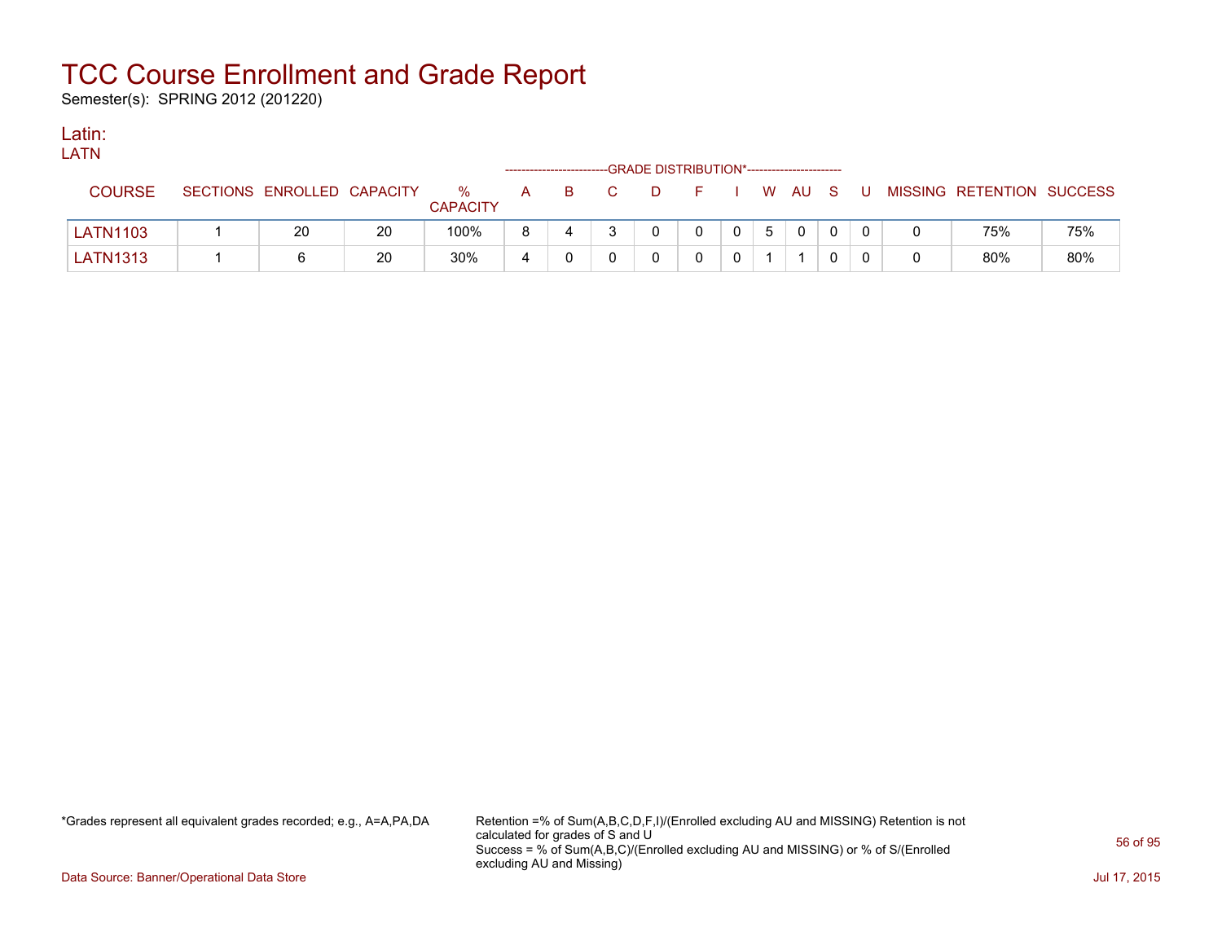Semester(s): SPRING 2012 (201220)

### Latin:

| <b>LATN</b>     |                            |    |                         |   |    |              |                                              |              |              |   |          |          |                           |     |
|-----------------|----------------------------|----|-------------------------|---|----|--------------|----------------------------------------------|--------------|--------------|---|----------|----------|---------------------------|-----|
|                 |                            |    |                         |   |    |              | --GRADE DISTRIBUTION*----------------------- |              |              |   |          |          |                           |     |
| <b>COURSE</b>   | SECTIONS ENROLLED CAPACITY |    | $\%$<br><b>CAPACITY</b> | A | B. | $\mathbf{C}$ | D.                                           | - F -        |              |   | W AU S U |          | MISSING RETENTION SUCCESS |     |
| <b>LATN1103</b> | 20                         | 20 | 100%                    |   | 4  |              | $\Omega$                                     | $\mathbf{0}$ | $\mathbf{0}$ | 5 |          | $\Omega$ | 75%                       | 75% |
| LATN1313        |                            | 20 | 30%                     | 4 |    |              |                                              |              | 0            |   |          |          | 80%                       | 80% |

\*Grades represent all equivalent grades recorded; e.g., A=A,PA,DA Retention =% of Sum(A,B,C,D,F,I)/(Enrolled excluding AU and MISSING) Retention is not calculated for grades of S and U Success = % of Sum(A,B,C)/(Enrolled excluding AU and MISSING) or % of S/(Enrolled excluding AU and Missing)

Data Source: Banner/Operational Data Store Jul 17, 2015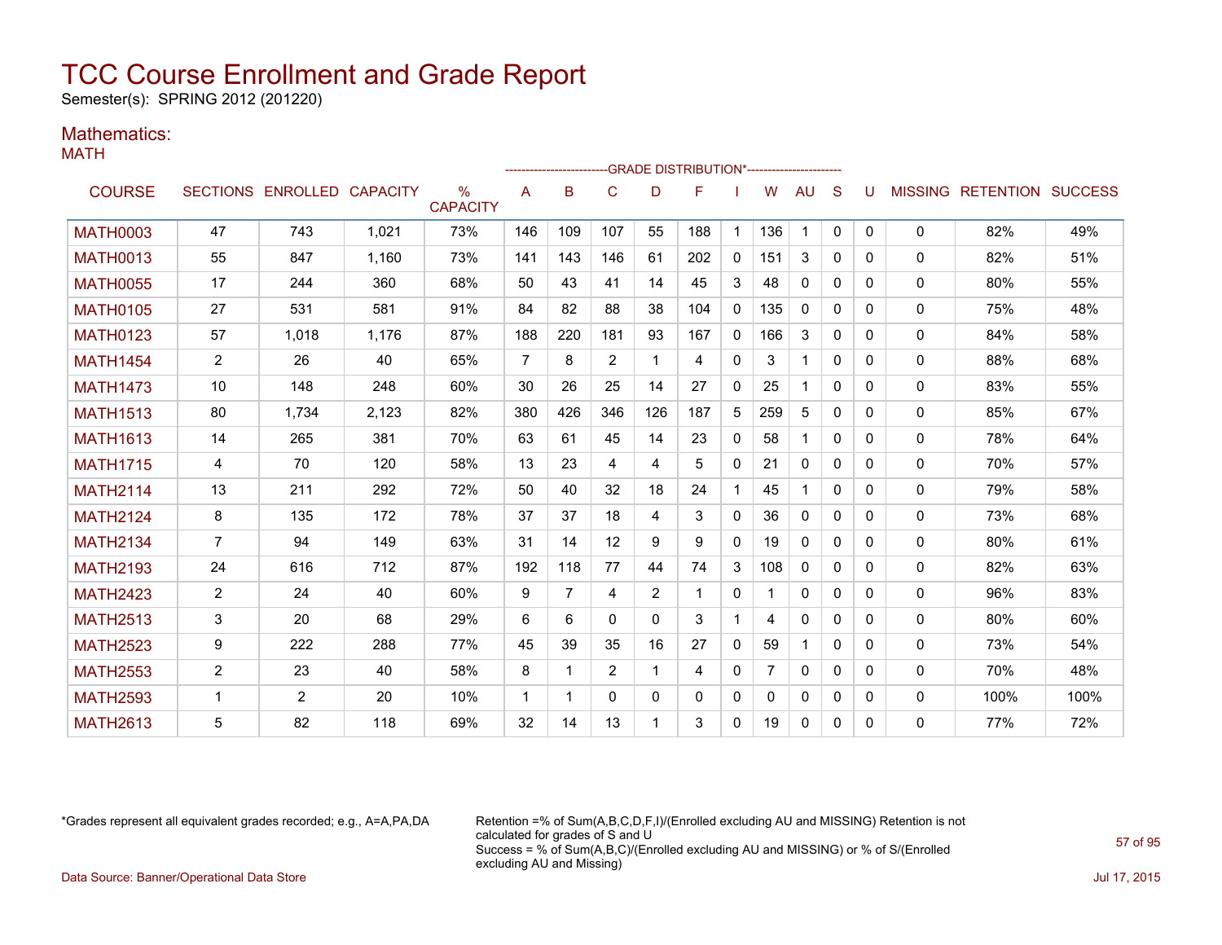Semester(s): SPRING 2012 (201220)

### Mathematics:

|                 |                |                            |       |                         |                |     |          |              | --GRADE DISTRIBUTION*----------------------- |              |     |              |              |              |              |                                  |      |
|-----------------|----------------|----------------------------|-------|-------------------------|----------------|-----|----------|--------------|----------------------------------------------|--------------|-----|--------------|--------------|--------------|--------------|----------------------------------|------|
| <b>COURSE</b>   |                | SECTIONS ENROLLED CAPACITY |       | $\%$<br><b>CAPACITY</b> | A              | B   | C        | D            | F                                            |              | W   | AU           | S            | U            |              | <b>MISSING RETENTION SUCCESS</b> |      |
| <b>MATH0003</b> | 47             | 743                        | 1,021 | 73%                     | 146            | 109 | 107      | 55           | 188                                          |              | 136 | 1            | $\Omega$     | $\mathbf{0}$ | $\Omega$     | 82%                              | 49%  |
| <b>MATH0013</b> | 55             | 847                        | 1.160 | 73%                     | 141            | 143 | 146      | 61           | 202                                          | $\mathbf{0}$ | 151 | 3            | $\Omega$     | 0            | $\mathbf{0}$ | 82%                              | 51%  |
| <b>MATH0055</b> | 17             | 244                        | 360   | 68%                     | 50             | 43  | 41       | 14           | 45                                           | 3            | 48  | $\mathbf{0}$ | $\Omega$     | $\Omega$     | $\mathbf{0}$ | 80%                              | 55%  |
| <b>MATH0105</b> | 27             | 531                        | 581   | 91%                     | 84             | 82  | 88       | 38           | 104                                          | $\mathbf{0}$ | 135 | $\mathbf{0}$ | $\mathbf{0}$ | 0            | $\mathbf{0}$ | 75%                              | 48%  |
| <b>MATH0123</b> | 57             | 1.018                      | 1,176 | 87%                     | 188            | 220 | 181      | 93           | 167                                          | $\mathbf{0}$ | 166 | 3            | $\Omega$     | 0            | 0            | 84%                              | 58%  |
| <b>MATH1454</b> | $\overline{2}$ | 26                         | 40    | 65%                     | $\overline{7}$ | 8   | 2        | -1           | 4                                            | $\mathbf{0}$ | 3   | 1            | $\Omega$     | 0            | $\mathbf{0}$ | 88%                              | 68%  |
| <b>MATH1473</b> | 10             | 148                        | 248   | 60%                     | 30             | 26  | 25       | 14           | 27                                           | $\mathbf{0}$ | 25  | 1            | $\Omega$     | 0            | $\mathbf{0}$ | 83%                              | 55%  |
| <b>MATH1513</b> | 80             | 1.734                      | 2,123 | 82%                     | 380            | 426 | 346      | 126          | 187                                          | 5            | 259 | 5            | $\Omega$     | $\Omega$     | 0            | 85%                              | 67%  |
| <b>MATH1613</b> | 14             | 265                        | 381   | 70%                     | 63             | 61  | 45       | 14           | 23                                           | $\mathbf{0}$ | 58  | 1            | $\Omega$     | $\Omega$     | $\mathbf{0}$ | 78%                              | 64%  |
| <b>MATH1715</b> | 4              | 70                         | 120   | 58%                     | 13             | 23  | 4        | 4            | 5                                            | $\mathbf{0}$ | 21  | 0            | 0            | 0            | $\mathbf{0}$ | 70%                              | 57%  |
| <b>MATH2114</b> | 13             | 211                        | 292   | 72%                     | 50             | 40  | 32       | 18           | 24                                           | $\mathbf 1$  | 45  | 1            | $\Omega$     | $\Omega$     | 0            | 79%                              | 58%  |
| <b>MATH2124</b> | 8              | 135                        | 172   | 78%                     | 37             | 37  | 18       | 4            | 3                                            | $\mathbf{0}$ | 36  | $\Omega$     | $\Omega$     | $\Omega$     | 0            | 73%                              | 68%  |
| <b>MATH2134</b> | $\overline{7}$ | 94                         | 149   | 63%                     | 31             | 14  | 12       | 9            | 9                                            | $\mathbf{0}$ | 19  | $\Omega$     | $\Omega$     | 0            | $\mathbf{0}$ | 80%                              | 61%  |
| <b>MATH2193</b> | 24             | 616                        | 712   | 87%                     | 192            | 118 | 77       | 44           | 74                                           | 3            | 108 | $\mathbf{0}$ | $\Omega$     | 0            | 0            | 82%                              | 63%  |
| <b>MATH2423</b> | $\overline{2}$ | 24                         | 40    | 60%                     | 9              | 7   | 4        | 2            |                                              | $\mathbf 0$  |     | $\mathbf{0}$ | $\Omega$     | $\Omega$     | 0            | 96%                              | 83%  |
| <b>MATH2513</b> | 3              | 20                         | 68    | 29%                     | 6              | 6   | $\Omega$ | $\Omega$     | 3                                            | $\mathbf{1}$ | 4   | $\mathbf{0}$ | $\Omega$     | $\Omega$     | 0            | 80%                              | 60%  |
| <b>MATH2523</b> | 9              | 222                        | 288   | 77%                     | 45             | 39  | 35       | 16           | 27                                           | $\mathbf{0}$ | 59  | 1            | $\Omega$     | 0            | $\Omega$     | 73%                              | 54%  |
| <b>MATH2553</b> | $\overline{2}$ | 23                         | 40    | 58%                     | 8              | 1   | 2        | -1           | 4                                            | $\mathbf{0}$ |     | 0            | $\Omega$     | $\Omega$     | 0            | 70%                              | 48%  |
| <b>MATH2593</b> | 1              | 2                          | 20    | 10%                     | 1              | 1   | $\Omega$ | $\mathbf{0}$ | $\Omega$                                     | $\mathbf{0}$ | 0   | $\mathbf{0}$ | $\Omega$     | $\Omega$     | 0            | 100%                             | 100% |
| <b>MATH2613</b> | 5              | 82                         | 118   | 69%                     | 32             | 14  | 13       | -1           | 3                                            | $\mathbf{0}$ | 19  | 0            | $\Omega$     | $\Omega$     | 0            | 77%                              | 72%  |

\*Grades represent all equivalent grades recorded; e.g., A=A,PA,DA Retention =% of Sum(A,B,C,D,F,I)/(Enrolled excluding AU and MISSING) Retention is not calculated for grades of S and U Success = % of Sum(A,B,C)/(Enrolled excluding AU and MISSING) or % of S/(Enrolled excluding AU and Missing) Data Source: Banner/Operational Data Store Jul 17, 2015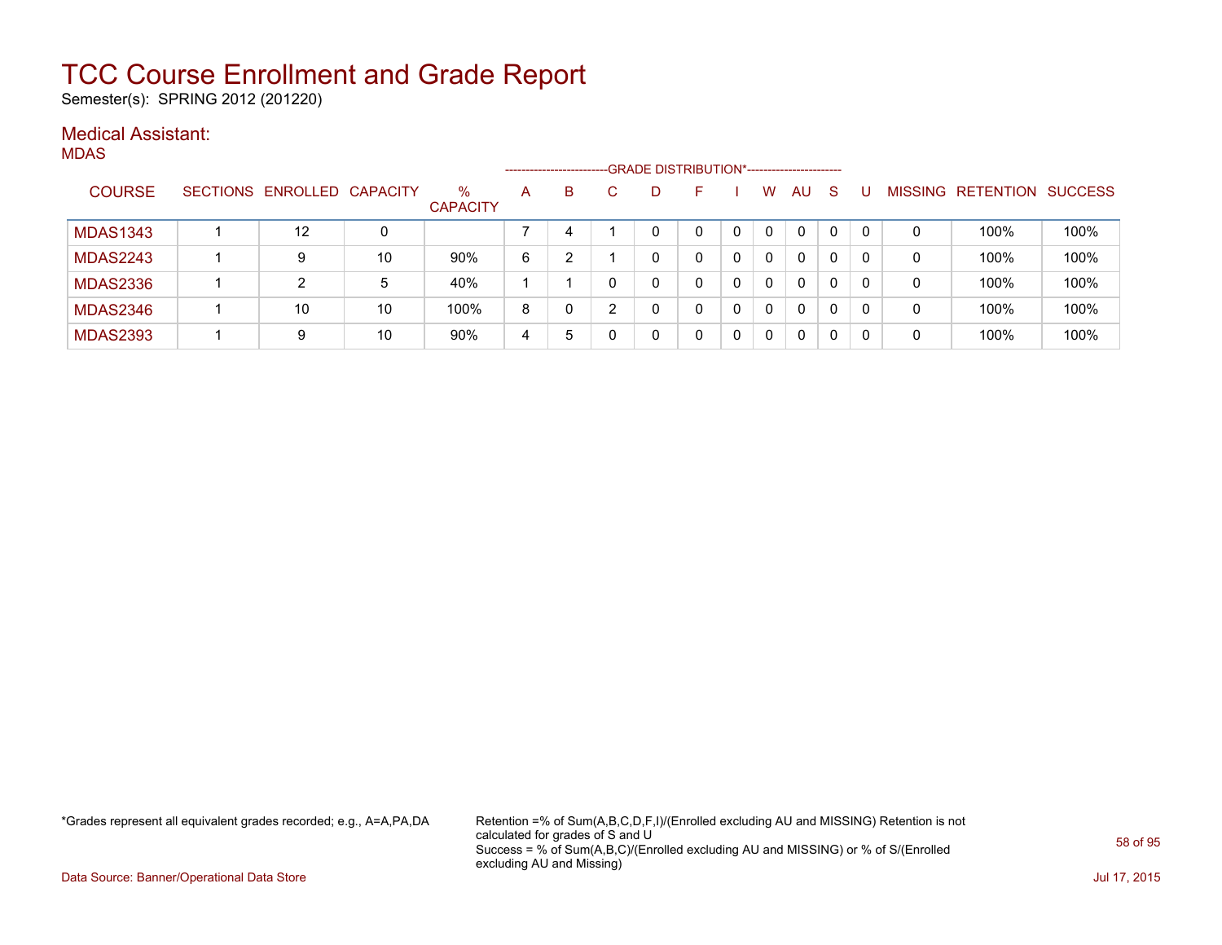Semester(s): SPRING 2012 (201220)

### Medical Assistant:

MDAS

|                 |                            |    |                         |   | --------------------- |    | -GRADE DISTRIBUTION*---------------------- |   |          |              |          |          |                |                          |      |
|-----------------|----------------------------|----|-------------------------|---|-----------------------|----|--------------------------------------------|---|----------|--------------|----------|----------|----------------|--------------------------|------|
| <b>COURSE</b>   | SECTIONS ENROLLED CAPACITY |    | $\%$<br><b>CAPACITY</b> | A | B                     | D. | F                                          |   | W        | AU           | <b>S</b> |          | <b>MISSING</b> | <b>RETENTION SUCCESS</b> |      |
| <b>MDAS1343</b> | 12                         | 0  |                         |   | 4                     |    | 0                                          |   | $\Omega$ | $\mathbf{0}$ | 0        | $\Omega$ | 0              | 100%                     | 100% |
| <b>MDAS2243</b> | 9                          | 10 | 90%                     | 6 |                       |    |                                            | 0 | 0        | $\Omega$     | 0        |          | 0              | 100%                     | 100% |
| <b>MDAS2336</b> | 2                          | 5  | 40%                     |   |                       |    |                                            |   | 0        | 0            | 0        |          | 0              | 100%                     | 100% |
| <b>MDAS2346</b> | 10                         | 10 | 100%                    | 8 | 0                     |    | 0                                          | 0 | 0        | $\Omega$     | 0        |          | 0              | 100%                     | 100% |
| <b>MDAS2393</b> | 9                          | 10 | 90%                     | 4 | 5                     |    | 0                                          |   | 0        | 0            | 0        |          | 0              | 100%                     | 100% |

\*Grades represent all equivalent grades recorded; e.g., A=A,PA,DA Retention =% of Sum(A,B,C,D,F,I)/(Enrolled excluding AU and MISSING) Retention is not calculated for grades of S and U Success = % of Sum(A,B,C)/(Enrolled excluding AU and MISSING) or % of S/(Enrolled excluding AU and Missing)

Data Source: Banner/Operational Data Store Jul 17, 2015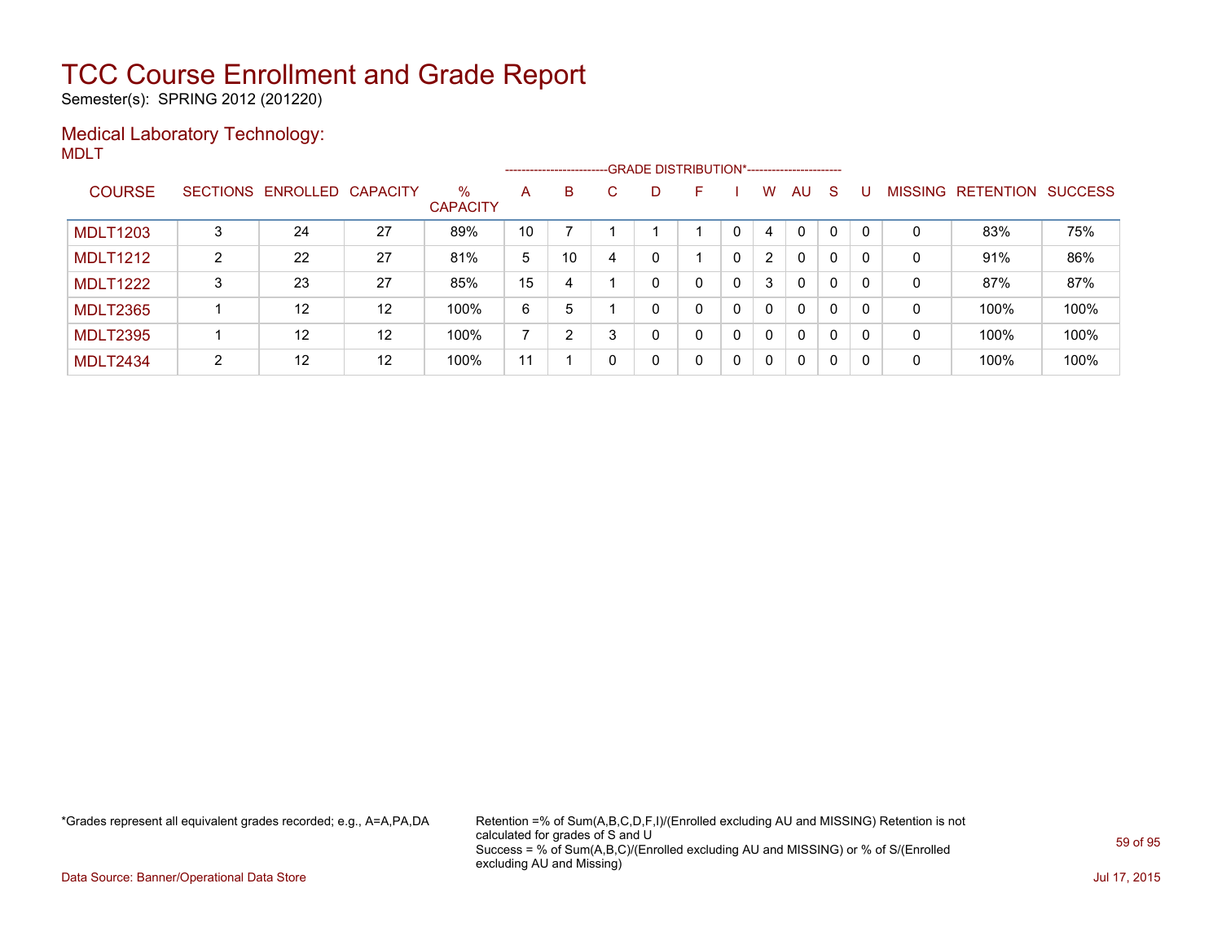Semester(s): SPRING 2012 (201220)

### Medical Laboratory Technology: MDLT

|                 |   |                            |                   |                         |    | ------------------------GRADE DISTRIBUTION*----------------------- |    |   |   |   |                       |          |              |              |   |                   |                |
|-----------------|---|----------------------------|-------------------|-------------------------|----|--------------------------------------------------------------------|----|---|---|---|-----------------------|----------|--------------|--------------|---|-------------------|----------------|
| <b>COURSE</b>   |   | SECTIONS ENROLLED CAPACITY |                   | $\%$<br><b>CAPACITY</b> | A  | B.                                                                 | C. | D | F |   | w                     | AU       | -S           |              |   | MISSING RETENTION | <b>SUCCESS</b> |
| <b>MDLT1203</b> |   | 24                         | 27                | 89%                     | 10 |                                                                    |    |   |   | 0 | 4                     | 0        | $\Omega$     | $\Omega$     | 0 | 83%               | 75%            |
| <b>MDLT1212</b> | 2 | 22                         | 27                | 81%                     | 5  | 10                                                                 | 4  | 0 |   | 0 | $\mathbf{2}^{\prime}$ | $\Omega$ | $\mathbf{0}$ | $\mathbf{0}$ | 0 | 91%               | 86%            |
| <b>MDLT1222</b> | 3 | 23                         | 27                | 85%                     | 15 | 4                                                                  |    | 0 | 0 | 0 | 3                     | $\Omega$ | $\mathbf{0}$ | $\mathbf{0}$ | 0 | 87%               | 87%            |
| <b>MDLT2365</b> |   | $12 \overline{ }$          | $12 \overline{ }$ | 100%                    | 6  | 5                                                                  |    | 0 | 0 | 0 | $\mathbf{0}$          | $\Omega$ | $\mathbf{0}$ | $\Omega$     | 0 | 100%              | 100%           |
| <b>MDLT2395</b> |   | 12                         | 12                | 100%                    |    | 2                                                                  |    | 0 | 0 | 0 | $\mathbf{0}$          | $\Omega$ | $\Omega$     | 0            | 0 | 100%              | 100%           |
| <b>MDLT2434</b> | 2 | 12                         | $12 \overline{ }$ | 100%                    | 11 |                                                                    | 0  | 0 | 0 | 0 | 0                     | $\Omega$ | $\mathbf{0}$ | $\mathbf{0}$ | 0 | 100%              | 100%           |

\*Grades represent all equivalent grades recorded; e.g., A=A,PA,DA Retention =% of Sum(A,B,C,D,F,I)/(Enrolled excluding AU and MISSING) Retention is not calculated for grades of S and U Success = % of Sum(A,B,C)/(Enrolled excluding AU and MISSING) or % of S/(Enrolled excluding AU and Missing)

Data Source: Banner/Operational Data Store Jul 17, 2015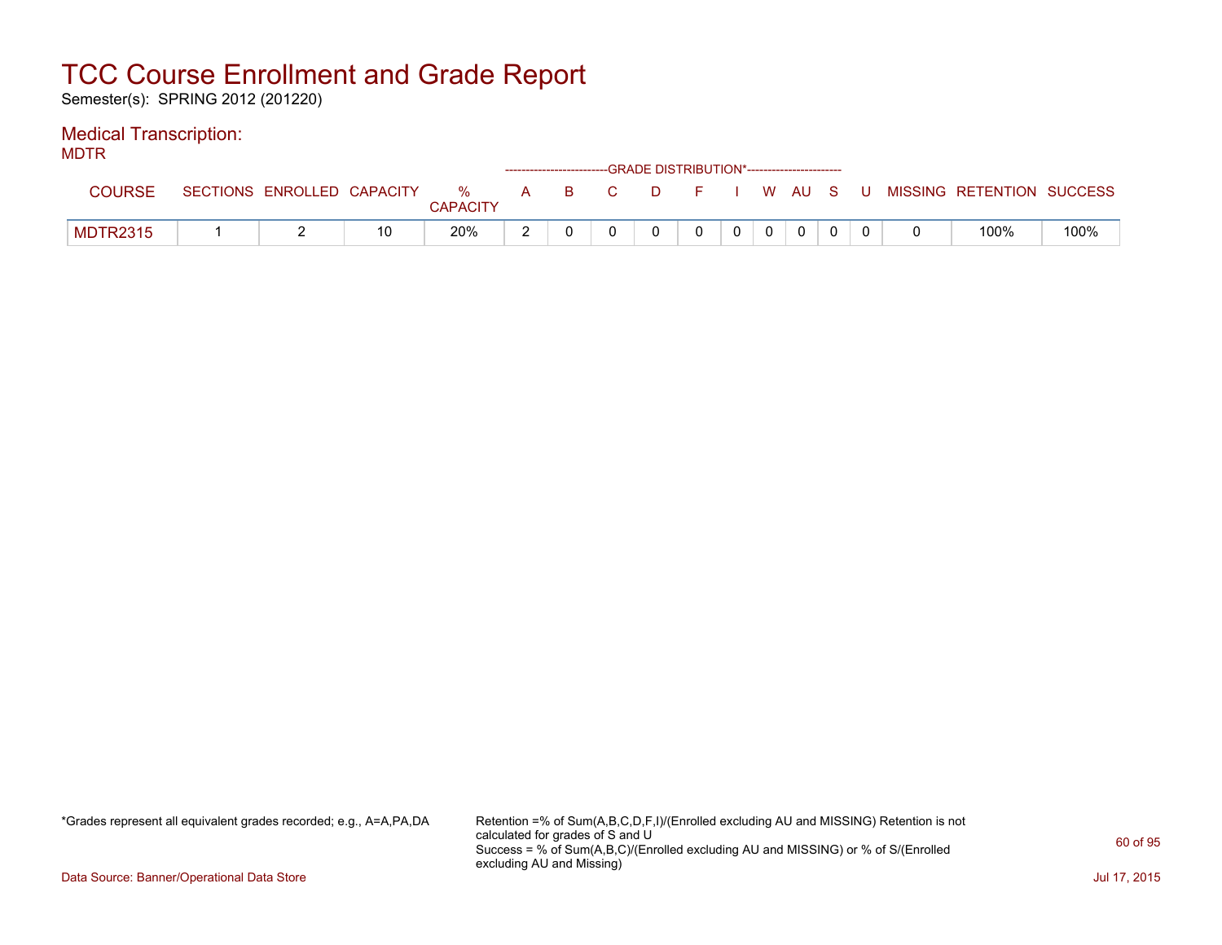Semester(s): SPRING 2012 (201220)

### Medical Transcription:

MDTR

| .               |                            |    |                      | ---------------------------- | -GRADE DISTRIBUTION*----------------------- |              |                |              |  |                           |      |
|-----------------|----------------------------|----|----------------------|------------------------------|---------------------------------------------|--------------|----------------|--------------|--|---------------------------|------|
| COURSE          | SECTIONS ENROLLED CAPACITY |    | %<br><b>CAPACITY</b> | A B C                        | DFIWAUSU                                    |              |                |              |  | MISSING RETENTION SUCCESS |      |
| <b>MDTR2315</b> |                            | 10 | 20%                  |                              |                                             | $\mathbf{0}$ | $\overline{0}$ | $\mathbf{0}$ |  | 100%                      | 100% |

\*Grades represent all equivalent grades recorded; e.g., A=A,PA,DA Retention =% of Sum(A,B,C,D,F,I)/(Enrolled excluding AU and MISSING) Retention is not calculated for grades of S and U Success = % of Sum(A,B,C)/(Enrolled excluding AU and MISSING) or % of S/(Enrolled excluding AU and Missing)

Data Source: Banner/Operational Data Store Jul 17, 2015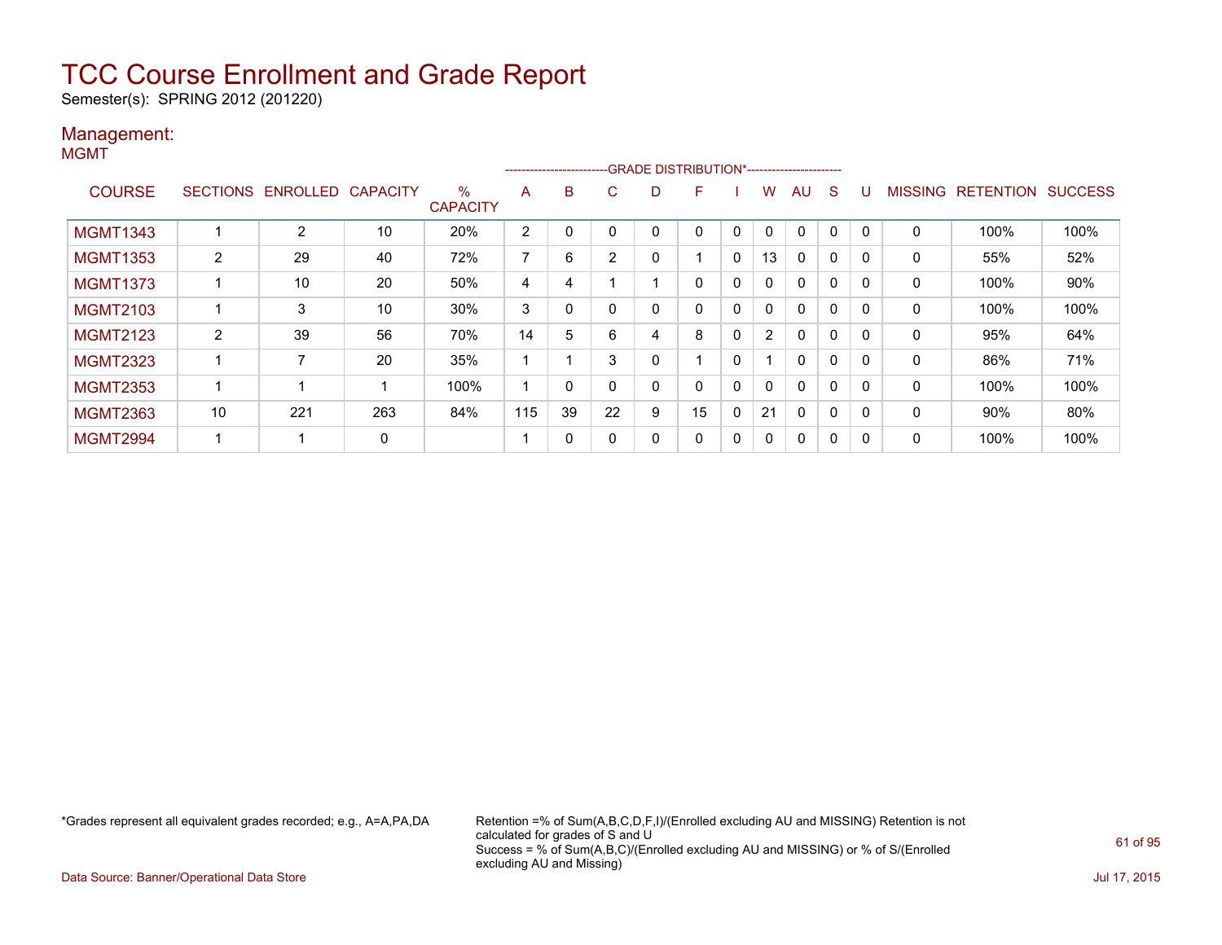Semester(s): SPRING 2012 (201220)

#### Management: MGMT

|                 |    |                   |                 |                         |                |    |                |    | ------------------------GRADE DISTRIBUTION*----------------------- |             |                |              |   |             |                |                  |                |
|-----------------|----|-------------------|-----------------|-------------------------|----------------|----|----------------|----|--------------------------------------------------------------------|-------------|----------------|--------------|---|-------------|----------------|------------------|----------------|
| <b>COURSE</b>   |    | SECTIONS ENROLLED | <b>CAPACITY</b> | $\%$<br><b>CAPACITY</b> | A              | B  | C.             | D. | F                                                                  |             | w              | AU           | S |             | <b>MISSING</b> | <b>RETENTION</b> | <b>SUCCESS</b> |
| <b>MGMT1343</b> |    | 2                 | 10              | 20%                     | $\overline{2}$ | 0  | $\Omega$       | 0  | 0                                                                  | 0           | $\mathbf{0}$   | $\Omega$     | 0 | $\mathbf 0$ | 0              | 100%             | 100%           |
| <b>MGMT1353</b> | 2  | 29                | 40              | 72%                     | ⇁              | 6  | $\overline{2}$ |    |                                                                    | 0           | 13             | 0            | 0 | $\Omega$    | 0              | 55%              | 52%            |
| <b>MGMT1373</b> |    | 10                | 20              | 50%                     | 4              | 4  |                |    | 0                                                                  | $\mathbf 0$ | 0              | $\mathbf{0}$ | 0 |             | 0              | 100%             | 90%            |
| <b>MGMT2103</b> |    | 3                 | 10              | 30%                     | 3              | 0  | 0              |    | 0                                                                  | $\mathbf 0$ | 0              | $\mathbf{0}$ | 0 | $\Omega$    | 0              | 100%             | 100%           |
| <b>MGMT2123</b> | 2  | 39                | 56              | 70%                     | 14             | 5  | 6              | 4  | 8                                                                  | $\mathbf 0$ | $\overline{2}$ | $\Omega$     | 0 | $\Omega$    | 0              | 95%              | 64%            |
| <b>MGMT2323</b> | ٠  | 7                 | 20              | 35%                     |                |    | 3              |    |                                                                    | $\mathbf 0$ |                | $\mathbf{0}$ | 0 | $\Omega$    | $\mathbf 0$    | 86%              | 71%            |
| <b>MGMT2353</b> |    |                   |                 | 100%                    |                | 0  | 0              | 0  | 0                                                                  | 0           | 0              | 0            | 0 | 0           | 0              | 100%             | 100%           |
| <b>MGMT2363</b> | 10 | 221               | 263             | 84%                     | 115            | 39 | 22             | 9  | 15                                                                 | 0           | 21             | $\mathbf{0}$ | 0 |             | $\mathbf 0$    | 90%              | 80%            |
| <b>MGMT2994</b> |    | -4                | 0               |                         |                | 0  | 0              | 0  | 0                                                                  | 0           | 0              | 0            | 0 | 0           | 0              | 100%             | 100%           |

\*Grades represent all equivalent grades recorded; e.g., A=A,PA,DA Retention =% of Sum(A,B,C,D,F,I)/(Enrolled excluding AU and MISSING) Retention is not calculated for grades of S and U Success = % of Sum(A,B,C)/(Enrolled excluding AU and MISSING) or % of S/(Enrolled excluding AU and Missing)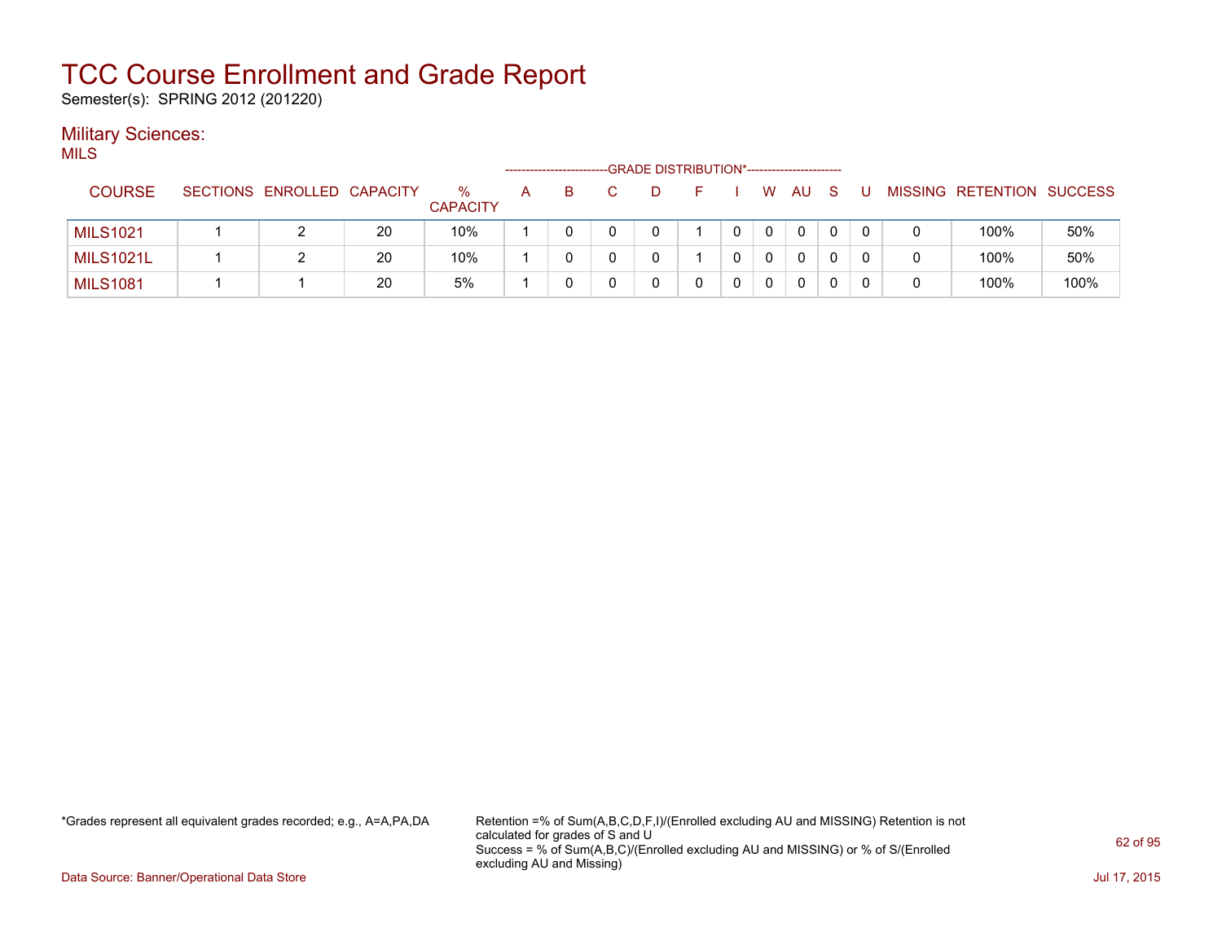Semester(s): SPRING 2012 (201220)

#### **Military Sciences:** MILS

| wu∟              |                            |    |                         | ------------------ |   | -GRADE DISTRIBUTION*----------------------- |  |   |    |    |   |   |                           |      |
|------------------|----------------------------|----|-------------------------|--------------------|---|---------------------------------------------|--|---|----|----|---|---|---------------------------|------|
| <b>COURSE</b>    | SECTIONS ENROLLED CAPACITY |    | $\%$<br><b>CAPACITY</b> | A                  | в |                                             |  | W | AU | -S |   |   | MISSING RETENTION SUCCESS |      |
| <b>MILS1021</b>  |                            | 20 | 10%                     |                    |   |                                             |  |   | 0  | 0  | 0 |   | 100%                      | 50%  |
| <b>MILS1021L</b> |                            | 20 | 10%                     |                    |   |                                             |  |   | 0  |    |   | 0 | 100%                      | 50%  |
| <b>MILS1081</b>  |                            | 20 | 5%                      |                    |   |                                             |  |   | 0  |    |   | 0 | 100%                      | 100% |

\*Grades represent all equivalent grades recorded; e.g., A=A,PA,DA Retention =% of Sum(A,B,C,D,F,I)/(Enrolled excluding AU and MISSING) Retention is not calculated for grades of S and U Success = % of Sum(A,B,C)/(Enrolled excluding AU and MISSING) or % of S/(Enrolled excluding AU and Missing)

Data Source: Banner/Operational Data Store Jul 17, 2015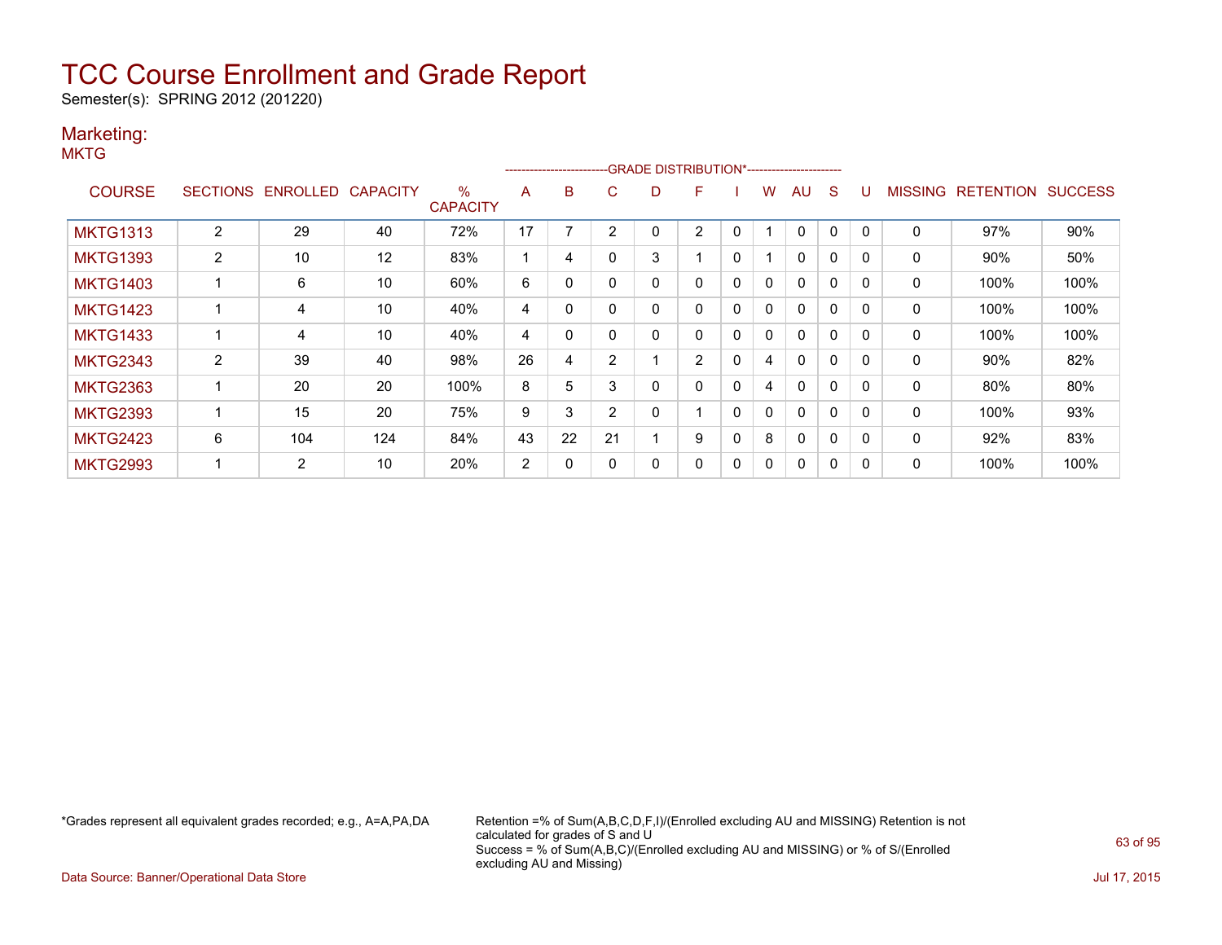Semester(s): SPRING 2012 (201220)

### Marketing:

**MKTG** 

|                 |                |                   |                 |                                  |                | ------------------------ |                | -GRADE DISTRIBUTION*----------------------- |                |              |              |              |              |          |                |                  |                |
|-----------------|----------------|-------------------|-----------------|----------------------------------|----------------|--------------------------|----------------|---------------------------------------------|----------------|--------------|--------------|--------------|--------------|----------|----------------|------------------|----------------|
| <b>COURSE</b>   |                | SECTIONS ENROLLED | <b>CAPACITY</b> | $\frac{0}{0}$<br><b>CAPACITY</b> | A              | B                        | C.             | D                                           | F              |              | W            | AU           | S            |          | <b>MISSING</b> | <b>RETENTION</b> | <b>SUCCESS</b> |
| <b>MKTG1313</b> | 2              | 29                | 40              | 72%                              | 17             |                          | n              |                                             | $\overline{2}$ | 0            |              | 0            | 0            |          | 0              | 97%              | 90%            |
| <b>MKTG1393</b> | $\overline{2}$ | 10                | 12              | 83%                              |                | 4                        |                | 3                                           |                | 0            |              | $\mathbf{0}$ | $\Omega$     | $\Omega$ | 0              | 90%              | 50%            |
| <b>MKTG1403</b> |                | 6                 | 10              | 60%                              | 6              | 0                        |                | 0                                           | 0              | 0            | 0            | $\mathbf{0}$ | $\Omega$     | $\Omega$ | 0              | 100%             | 100%           |
| <b>MKTG1423</b> |                | 4                 | 10              | 40%                              | 4              | $\Omega$                 |                | 0                                           | 0              | $\mathbf{0}$ | $\mathbf{0}$ | $\mathbf{0}$ | $\mathbf{0}$ | $\Omega$ | 0              | 100%             | 100%           |
| <b>MKTG1433</b> |                | 4                 | 10              | 40%                              | 4              | 0                        |                | 0                                           | 0              | $\mathbf{0}$ | $\mathbf{0}$ | $\mathbf{0}$ | $\mathbf{0}$ | $\Omega$ | 0              | 100%             | 100%           |
| <b>MKTG2343</b> | $\overline{2}$ | 39                | 40              | 98%                              | 26             | 4                        | 2              |                                             | $\overline{2}$ | $\mathbf{0}$ | 4            | $\mathbf{0}$ | $\mathbf{0}$ | $\Omega$ | 0              | 90%              | 82%            |
| <b>MKTG2363</b> |                | 20                | 20              | 100%                             | 8              | 5                        | 3              | 0                                           | 0              | $\mathbf{0}$ | 4            | $\mathbf{0}$ | $\mathbf{0}$ | $\Omega$ | $\mathbf{0}$   | 80%              | 80%            |
| <b>MKTG2393</b> |                | 15                | 20              | 75%                              | 9              | 3                        | $\overline{2}$ | 0                                           |                | $\mathbf{0}$ | $\mathbf{0}$ | $\mathbf{0}$ | 0            |          | $\mathbf{0}$   | 100%             | 93%            |
| <b>MKTG2423</b> | 6              | 104               | 124             | 84%                              | 43             | 22                       | 21             |                                             | 9              | 0            | 8            | $\mathbf{0}$ | 0            | $\Omega$ | 0              | 92%              | 83%            |
| <b>MKTG2993</b> |                | $\overline{2}$    | 10              | 20%                              | $\overline{2}$ | 0                        |                | 0                                           | 0              | 0            | 0            | 0            | 0            |          | 0              | 100%             | 100%           |

\*Grades represent all equivalent grades recorded; e.g., A=A,PA,DA Retention =% of Sum(A,B,C,D,F,I)/(Enrolled excluding AU and MISSING) Retention is not calculated for grades of S and U Success = % of Sum(A,B,C)/(Enrolled excluding AU and MISSING) or % of S/(Enrolled excluding AU and Missing)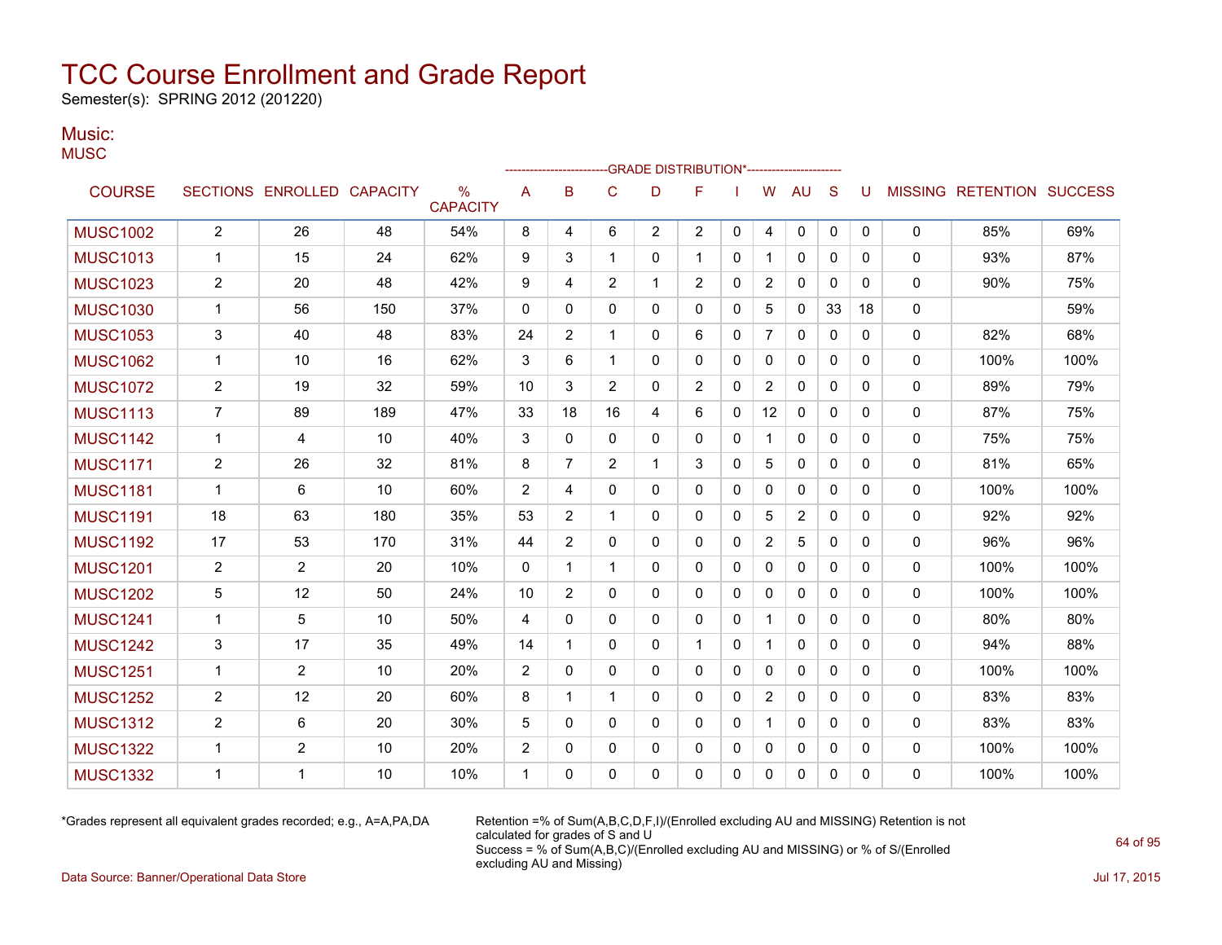Semester(s): SPRING 2012 (201220)

#### Music: **MUSC**

| $\sim$ $\sim$ $\sim$ |                |                            |     |                         |                |                |                |                | -GRADE DISTRIBUTION*----------------------- |              |                |                |              |              |              |                                  |      |
|----------------------|----------------|----------------------------|-----|-------------------------|----------------|----------------|----------------|----------------|---------------------------------------------|--------------|----------------|----------------|--------------|--------------|--------------|----------------------------------|------|
| <b>COURSE</b>        |                | SECTIONS ENROLLED CAPACITY |     | $\%$<br><b>CAPACITY</b> | A              | B              | $\mathbf C$    | D              | F                                           |              | W              | <b>AU</b>      | S            | U            |              | <b>MISSING RETENTION SUCCESS</b> |      |
| <b>MUSC1002</b>      | $\overline{2}$ | 26                         | 48  | 54%                     | 8              | 4              | 6              | $\overline{2}$ | $\overline{2}$                              | $\Omega$     | 4              | 0              | 0            | $\mathbf{0}$ | $\Omega$     | 85%                              | 69%  |
| <b>MUSC1013</b>      | 1              | 15                         | 24  | 62%                     | 9              | 3              | 1              | $\Omega$       | 1                                           | $\mathbf{0}$ | 1              | 0              | $\mathbf{0}$ | 0            | 0            | 93%                              | 87%  |
| <b>MUSC1023</b>      | $\overline{2}$ | 20                         | 48  | 42%                     | 9              | 4              | $\overline{2}$ | $\mathbf 1$    | $\overline{2}$                              | $\mathbf{0}$ | $\overline{2}$ | $\mathbf{0}$   | $\mathbf{0}$ | 0            | 0            | 90%                              | 75%  |
| <b>MUSC1030</b>      | 1              | 56                         | 150 | 37%                     | $\mathbf{0}$   | $\Omega$       | $\Omega$       | $\Omega$       | $\Omega$                                    | $\Omega$     | 5              | 0              | 33           | 18           | $\Omega$     |                                  | 59%  |
| <b>MUSC1053</b>      | 3              | 40                         | 48  | 83%                     | 24             | $\overline{c}$ | $\mathbf{1}$   | $\Omega$       | 6                                           | $\mathbf{0}$ | $\overline{7}$ | 0              | $\mathbf{0}$ | 0            | 0            | 82%                              | 68%  |
| <b>MUSC1062</b>      | 1              | 10                         | 16  | 62%                     | 3              | 6              | $\mathbf 1$    | $\Omega$       | 0                                           | $\mathbf{0}$ | $\Omega$       | $\mathbf{0}$   | $\mathbf{0}$ | 0            | 0            | 100%                             | 100% |
| <b>MUSC1072</b>      | $\overline{c}$ | 19                         | 32  | 59%                     | 10             | 3              | $\overline{2}$ | $\mathbf{0}$   | $\overline{2}$                              | $\mathbf{0}$ | $\overline{c}$ | 0              | $\mathbf{0}$ | $\mathbf{0}$ | $\mathbf{0}$ | 89%                              | 79%  |
| <b>MUSC1113</b>      | 7              | 89                         | 189 | 47%                     | 33             | 18             | 16             | 4              | 6                                           | $\mathbf{0}$ | 12             | 0              | $\mathbf{0}$ | 0            | 0            | 87%                              | 75%  |
| <b>MUSC1142</b>      | 1              | 4                          | 10  | 40%                     | 3              | $\mathbf{0}$   | $\mathbf{0}$   | 0              | 0                                           | $\mathbf{0}$ |                | 0              | $\mathbf{0}$ | 0            | 0            | 75%                              | 75%  |
| <b>MUSC1171</b>      | $\overline{2}$ | 26                         | 32  | 81%                     | 8              | 7              | 2              | 1              | 3                                           | $\mathbf{0}$ | 5              | 0              | $\mathbf{0}$ | 0            | $\mathbf{0}$ | 81%                              | 65%  |
| <b>MUSC1181</b>      | 1              | 6                          | 10  | 60%                     | 2              | 4              | $\mathbf{0}$   | $\Omega$       | $\mathbf{0}$                                | $\mathbf{0}$ | 0              | 0              | 0            | 0            | 0            | 100%                             | 100% |
| <b>MUSC1191</b>      | 18             | 63                         | 180 | 35%                     | 53             | 2              | $\mathbf 1$    | $\Omega$       | $\mathbf{0}$                                | $\mathbf{0}$ | 5              | $\overline{2}$ | $\mathbf{0}$ | 0            | 0            | 92%                              | 92%  |
| <b>MUSC1192</b>      | 17             | 53                         | 170 | 31%                     | 44             | $\overline{2}$ | $\Omega$       | $\Omega$       | 0                                           | $\mathbf{0}$ | $\overline{2}$ | 5              | $\mathbf{0}$ | $\mathbf{0}$ | 0            | 96%                              | 96%  |
| <b>MUSC1201</b>      | $\overline{c}$ | $\overline{2}$             | 20  | 10%                     | 0              | 1              | $\mathbf{1}$   | $\Omega$       | $\mathbf{0}$                                | $\mathbf{0}$ | 0              | $\mathbf{0}$   | $\mathbf{0}$ | 0            | 0            | 100%                             | 100% |
| <b>MUSC1202</b>      | 5              | 12                         | 50  | 24%                     | 10             | 2              | $\Omega$       | $\Omega$       | $\Omega$                                    | $\Omega$     | $\Omega$       | $\mathbf{0}$   | $\mathbf{0}$ | $\Omega$     | 0            | 100%                             | 100% |
| <b>MUSC1241</b>      | 1              | 5                          | 10  | 50%                     | 4              | 0              | $\mathbf 0$    | $\mathbf{0}$   | 0                                           | 0            | 1              | 0              | $\mathbf{0}$ | $\mathbf{0}$ | 0            | 80%                              | 80%  |
| <b>MUSC1242</b>      | 3              | 17                         | 35  | 49%                     | 14             | $\mathbf 1$    | $\Omega$       | $\Omega$       | 1                                           | $\mathbf{0}$ | 1              | 0              | $\mathbf{0}$ | $\Omega$     | 0            | 94%                              | 88%  |
| <b>MUSC1251</b>      | 1              | $\overline{2}$             | 10  | 20%                     | $\overline{c}$ | 0              | $\mathbf{0}$   | $\mathbf{0}$   | $\mathbf{0}$                                | $\mathbf{0}$ | 0              | 0              | $\mathbf{0}$ | 0            | 0            | 100%                             | 100% |
| <b>MUSC1252</b>      | $\overline{2}$ | 12                         | 20  | 60%                     | 8              | $\mathbf{1}$   | $\mathbf{1}$   | $\Omega$       | $\mathbf{0}$                                | $\mathbf{0}$ | 2              | 0              | $\mathbf{0}$ | $\mathbf{0}$ | 0            | 83%                              | 83%  |
| <b>MUSC1312</b>      | 2              | 6                          | 20  | 30%                     | 5              | 0              | $\mathbf{0}$   | $\Omega$       | $\mathbf{0}$                                | $\mathbf{0}$ | 1              | 0              | $\Omega$     | $\Omega$     | 0            | 83%                              | 83%  |
| <b>MUSC1322</b>      | 1              | $\overline{2}$             | 10  | 20%                     | $\overline{2}$ | 0              | 0              | 0              | 0                                           | $\mathbf{0}$ | 0              | 0              | 0            | 0            | 0            | 100%                             | 100% |
| <b>MUSC1332</b>      | 1              | 1                          | 10  | 10%                     | $\mathbf 1$    | $\Omega$       | 0              | 0              | 0                                           | 0            | 0              | 0              | 0            | 0            | 0            | 100%                             | 100% |
|                      |                |                            |     |                         |                |                |                |                |                                             |              |                |                |              |              |              |                                  |      |

\*Grades represent all equivalent grades recorded; e.g., A=A,PA,DA Retention =% of Sum(A,B,C,D,F,I)/(Enrolled excluding AU and MISSING) Retention is not calculated for grades of S and U Success = % of Sum(A,B,C)/(Enrolled excluding AU and MISSING) or % of S/(Enrolled excluding AU and Missing)

Data Source: Banner/Operational Data Store Jul 17, 2015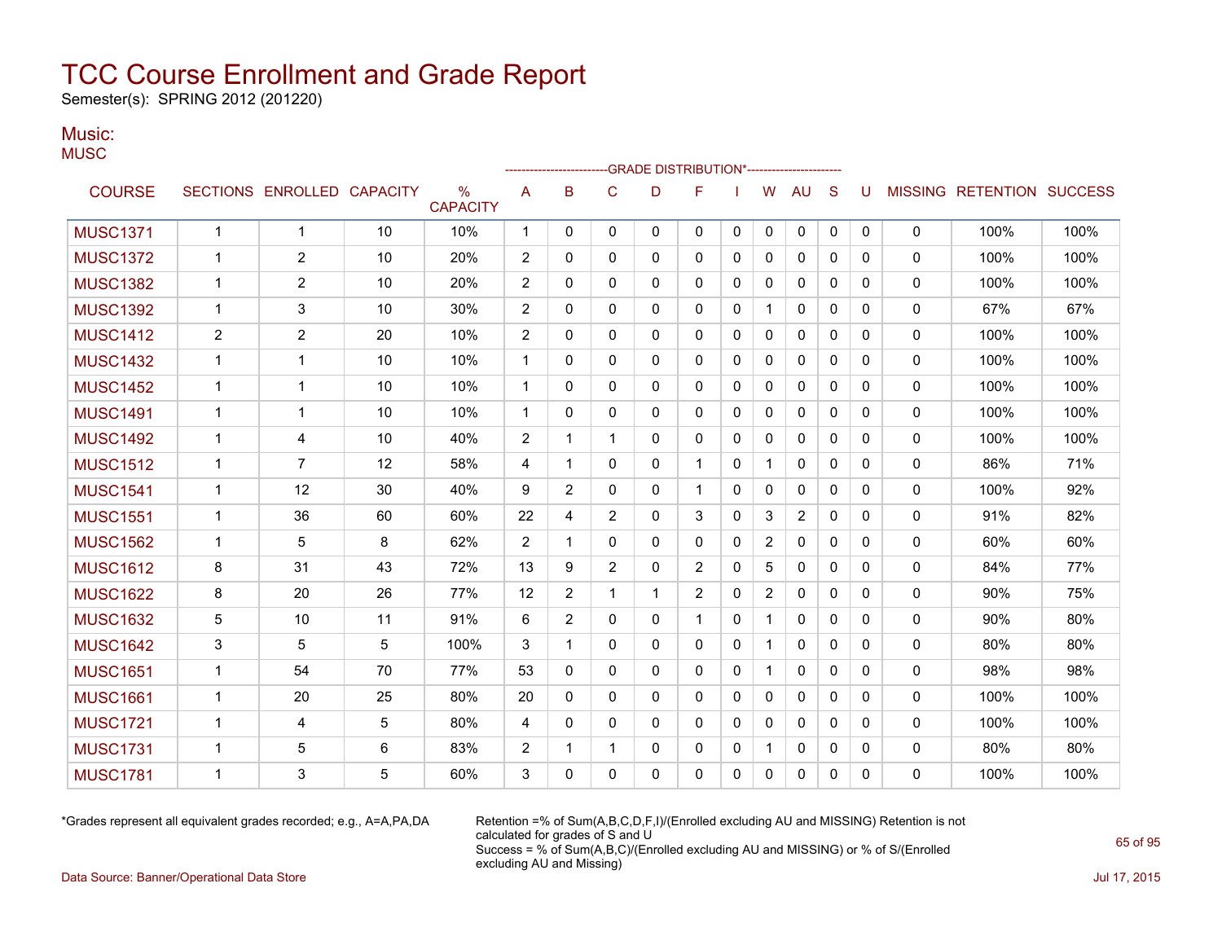Semester(s): SPRING 2012 (201220)

#### Music: **MUSC**

| uou              |                 |                 |                 |                         |                |                                                                                  |        |          |              |             |              |              |              |          |                |                  |                |
|------------------|-----------------|-----------------|-----------------|-------------------------|----------------|----------------------------------------------------------------------------------|--------|----------|--------------|-------------|--------------|--------------|--------------|----------|----------------|------------------|----------------|
|                  |                 |                 |                 |                         |                | ------------------------GRADE                DISTRIBUTION*---------------------- |        |          |              |             |              |              |              |          |                |                  |                |
| <b>COURSE</b>    | <b>SECTIONS</b> | <b>ENROLLED</b> | <b>CAPACITY</b> | $\%$<br><b>CAPACITY</b> | A              | B                                                                                | С      | D        | F            |             | W            | AU           | <sub>S</sub> | U        | <b>MISSING</b> | <b>RETENTION</b> | <b>SUCCESS</b> |
| <b>MUSC1371</b>  |                 |                 | 10              | 10%                     | 1              | 0                                                                                | 0      | $\Omega$ | 0            | $\mathbf 0$ | $\mathbf{0}$ | $\Omega$     | 0            | 0        | 0              | 100%             | 100%           |
| <b>MUSC1372</b>  |                 | $\overline{2}$  | 10              | 20%                     | $\overline{c}$ | 0                                                                                | 0      | 0        | 0            | 0           | 0            | $\mathbf{0}$ | 0            | 0        | $\mathbf{0}$   | 100%             | 100%           |
| <b>MUSC1382</b>  |                 | $\overline{2}$  | 10              | 20%                     | $\overline{c}$ | 0                                                                                | 0      | 0        | 0            | 0           | 0            | $\mathbf{0}$ | 0            | $\Omega$ | 0              | 100%             | 100%           |
| <b>MUSC1392</b>  |                 | 3               | 10              | 30%                     | $\overline{2}$ | 0                                                                                | 0      | $\Omega$ | 0            | 0           |              | $\mathbf{0}$ | $\Omega$     | 0        | 0              | 67%              | 67%            |
| <b>MUSC1412</b>  | $\overline{2}$  | $\overline{2}$  | 20              | 10%                     | $\overline{c}$ | 0                                                                                | 0      | 0        | $\mathbf{0}$ | 0           | $\mathbf{0}$ | $\mathbf{0}$ | $\mathbf{0}$ | 0        | 0              | 100%             | 100%           |
| <b>MUSC1432</b>  |                 |                 | 10              | 10%                     | 1              | 0                                                                                | 0      | 0        | $\mathbf{0}$ | 0           | $\mathbf{0}$ | $\mathbf{0}$ | 0            | 0        | $\Omega$       | 100%             | 100%           |
| <b>MUSC1452</b>  |                 |                 | 10              | 10%                     | 1              | 0                                                                                | 0      | 0        | $\Omega$     | 0           | 0            | 0            | 0            | 0        | 0              | 100%             | 100%           |
| <b>MUSC1491</b>  |                 |                 | 10              | 10%                     | 1              | 0                                                                                | 0      | 0        | 0            | 0           | $\mathbf{0}$ | 0            | 0            | 0        | 0              | 100%             | 100%           |
| <b>MUSC1492</b>  |                 | 4               | 10              | 40%                     | 2              |                                                                                  |        | 0        | 0            | 0           | 0            | 0            | 0            | 0        | 0              | 100%             | 100%           |
| <b>MUSC1512</b>  |                 | 7               | 12              | 58%                     | 4              |                                                                                  | 0      | 0        |              | 0           |              | 0            | 0            | 0        | 0              | 86%              | 71%            |
| <b>MUIOOIFIA</b> | $\overline{A}$  | $\sqrt{2}$      | $\Omega$        | 1001                    | $\sim$         | $\sim$                                                                           | $\sim$ | $\sim$   | A            | $\sim$      | $\sim$       | $\sim$       | $\sim$       | $\sim$   | $\sim$         | 4000             | 0.001          |

| <b>MUSC1432</b> |                | ٠  | 10 | 10%  |                | 0              | 0              | 0 | 0              | 0 | 0              | 0              | 0            | 0        | 0            | 100% | 100% |
|-----------------|----------------|----|----|------|----------------|----------------|----------------|---|----------------|---|----------------|----------------|--------------|----------|--------------|------|------|
| <b>MUSC1452</b> | 1              | 1  | 10 | 10%  | -1             | 0              | 0              | 0 | $\Omega$       | 0 | 0              | $\mathbf{0}$   | 0            | 0        | $\Omega$     | 100% | 100% |
| <b>MUSC1491</b> | 1              | 1  | 10 | 10%  |                | 0              | 0              | 0 | $\mathbf{0}$   | 0 | 0              | 0              | 0            | 0        | 0            | 100% | 100% |
| <b>MUSC1492</b> | 1              | 4  | 10 | 40%  | $\overline{2}$ |                |                | 0 | $\Omega$       | 0 | $\mathbf{0}$   | $\mathbf{0}$   | $\mathbf{0}$ | $\Omega$ | 0            | 100% | 100% |
| <b>MUSC1512</b> | 1              | 7  | 12 | 58%  | 4              |                | 0              | 0 |                | 0 | 1              | $\mathbf{0}$   | $\mathbf 0$  | $\Omega$ | $\Omega$     | 86%  | 71%  |
| <b>MUSC1541</b> | 1              | 12 | 30 | 40%  | 9              | $\overline{2}$ | 0              | 0 | $\overline{1}$ | 0 | 0              | 0              | 0            | 0        | $\mathbf 0$  | 100% | 92%  |
| <b>MUSC1551</b> | 1              | 36 | 60 | 60%  | 22             | 4              | $\overline{2}$ | 0 | 3              | 0 | 3              | $\overline{2}$ | 0            | $\Omega$ | $\mathbf{0}$ | 91%  | 82%  |
| <b>MUSC1562</b> | $\mathbf{1}$   | 5  | 8  | 62%  | $\overline{2}$ |                | 0              | 0 | 0              | 0 | $\overline{2}$ | 0              | $\mathbf 0$  | 0        | 0            | 60%  | 60%  |
| <b>MUSC1612</b> | 8              | 31 | 43 | 72%  | 13             | 9              | $\overline{2}$ | 0 | $\overline{2}$ | 0 | 5              | 0              | $\mathbf 0$  | 0        | $\mathbf 0$  | 84%  | 77%  |
| <b>MUSC1622</b> | 8              | 20 | 26 | 77%  | 12             | $\overline{2}$ |                | 1 | $\overline{2}$ | 0 | $\overline{2}$ | $\mathbf{0}$   | $\mathbf 0$  | 0        | $\Omega$     | 90%  | 75%  |
| <b>MUSC1632</b> | 5              | 10 | 11 | 91%  | 6              | $\overline{2}$ | 0              | 0 | 1              | 0 | $\mathbf 1$    | 0              | 0            | 0        | 0            | 90%  | 80%  |
| <b>MUSC1642</b> | 3              | 5  | 5  | 100% | 3              |                | 0              | 0 | $\mathbf{0}$   | 0 | 1              | $\mathbf{0}$   | $\mathbf{0}$ | $\Omega$ | $\mathbf{0}$ | 80%  | 80%  |
| <b>MUSC1651</b> | 1              | 54 | 70 | 77%  | 53             | 0              | 0              | 0 | $\mathbf{0}$   | 0 | 1              | $\mathbf{0}$   | $\Omega$     | $\Omega$ | $\mathbf 0$  | 98%  | 98%  |
| <b>MUSC1661</b> | $\overline{1}$ | 20 | 25 | 80%  | 20             | 0              | 0              | 0 | $\mathbf{0}$   | 0 | $\mathbf{0}$   | 0              | $\mathbf{0}$ | 0        | $\Omega$     | 100% | 100% |
| <b>MUSC1721</b> | -1             | 4  | 5  | 80%  | 4              | 0              | 0              | 0 | $\mathbf{0}$   | 0 | 0              | $\mathbf{0}$   | $\mathbf 0$  | $\Omega$ | $\mathbf{0}$ | 100% | 100% |
| <b>MUSC1731</b> | -1             | 5  | 6  | 83%  | 2              |                |                | 0 | 0              | 0 | 1              | 0              | 0            | 0        | 0            | 80%  | 80%  |
| <b>MUSC1781</b> | 1              | 3  | 5  | 60%  | 3              | 0              | 0              | 0 | $\mathbf{0}$   | 0 | 0              | 0              | 0            | 0        | $\mathbf 0$  | 100% | 100% |

\*Grades represent all equivalent grades recorded; e.g., A=A,PA,DA Retention =% of Sum(A,B,C,D,F,I)/(Enrolled excluding AU and MISSING) Retention is not calculated for grades of S and U Success = % of Sum(A,B,C)/(Enrolled excluding AU and MISSING) or % of S/(Enrolled excluding AU and Missing)

Data Source: Banner/Operational Data Store Jul 17, 2015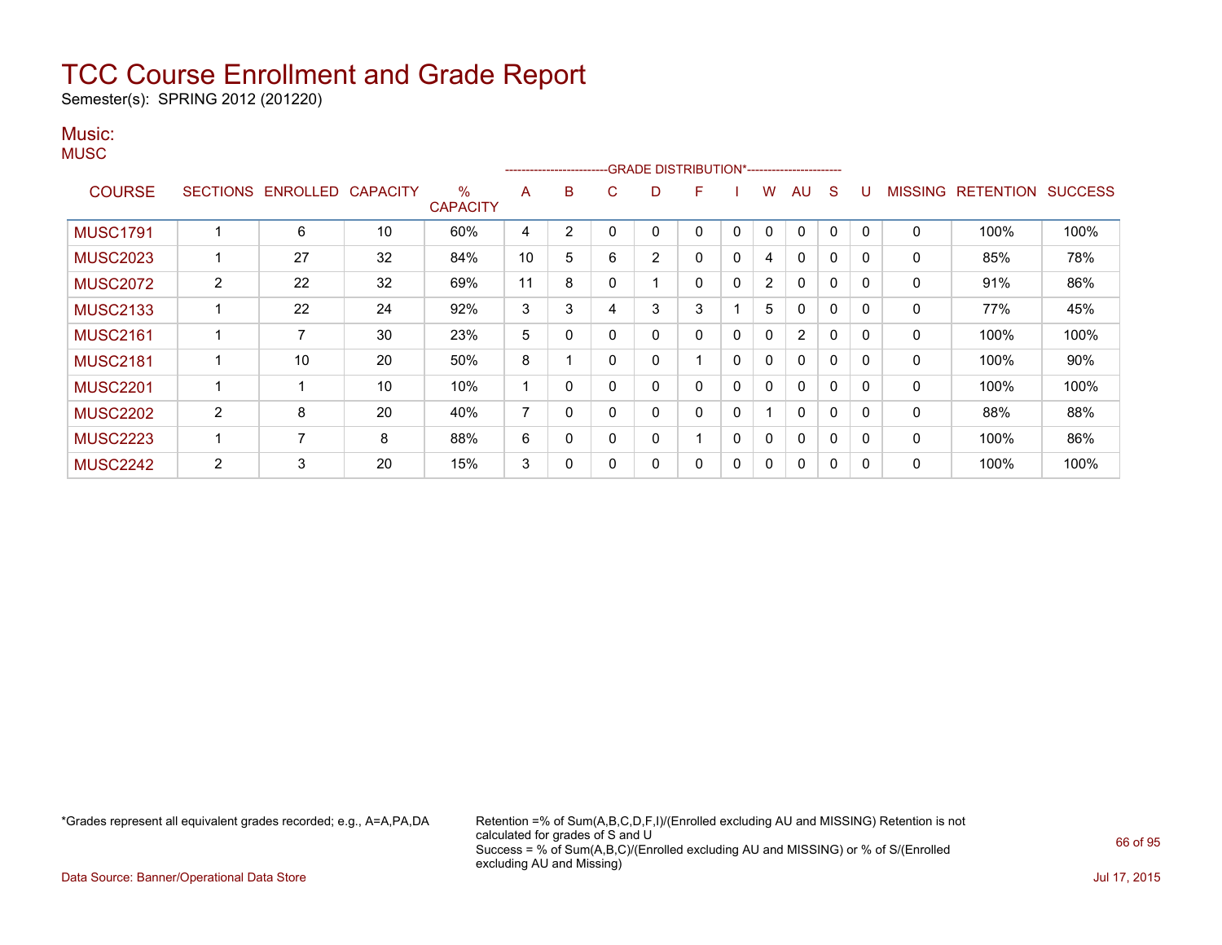Semester(s): SPRING 2012 (201220)

#### Music: **MUSC**

|                 |                 |                          |    |                         |    | ------------------------ |   | -GRADE DISTRIBUTION*----------------------- |              |   |              |                |              |              |                |                          |      |
|-----------------|-----------------|--------------------------|----|-------------------------|----|--------------------------|---|---------------------------------------------|--------------|---|--------------|----------------|--------------|--------------|----------------|--------------------------|------|
| <b>COURSE</b>   | <b>SECTIONS</b> | <b>ENROLLED CAPACITY</b> |    | $\%$<br><b>CAPACITY</b> | A  | В                        | С | D                                           | F            |   | W            | AU             | <sub>S</sub> | U            | <b>MISSING</b> | <b>RETENTION SUCCESS</b> |      |
| <b>MUSC1791</b> |                 | 6                        | 10 | 60%                     | 4  | 2                        | 0 | 0                                           | $\mathbf{0}$ | 0 | $\mathbf{0}$ | $\mathbf{0}$   | $\mathbf{0}$ | $\Omega$     | $\mathbf{0}$   | 100%                     | 100% |
| <b>MUSC2023</b> |                 | 27                       | 32 | 84%                     | 10 | 5                        | 6 | $\overline{2}$                              | $\mathbf{0}$ | 0 | 4            | 0              | 0            | $\Omega$     | 0              | 85%                      | 78%  |
| <b>MUSC2072</b> | $\overline{2}$  | 22                       | 32 | 69%                     | 11 | 8                        | 0 | 1                                           | $\mathbf{0}$ | 0 | 2            | $\mathbf{0}$   | 0            | $\Omega$     | $\mathbf{0}$   | 91%                      | 86%  |
| <b>MUSC2133</b> |                 | 22                       | 24 | 92%                     | 3  | 3                        | 4 | 3                                           | 3            |   | 5            | $\mathbf{0}$   | 0            | $\mathbf{0}$ | 0              | 77%                      | 45%  |
| <b>MUSC2161</b> |                 |                          | 30 | 23%                     | 5  | 0                        | 0 | 0                                           | $\mathbf{0}$ | 0 | $\mathbf 0$  | $\overline{2}$ | 0            | $\Omega$     | 0              | 100%                     | 100% |
| <b>MUSC2181</b> |                 | 10                       | 20 | 50%                     | 8  |                          | 0 | 0                                           |              | 0 | $\mathbf{0}$ | $\mathbf{0}$   | $\Omega$     | $\Omega$     | $\mathbf{0}$   | 100%                     | 90%  |
| <b>MUSC2201</b> |                 |                          | 10 | 10%                     |    | 0                        | 0 | 0                                           | $\mathbf{0}$ | 0 | $\mathbf{0}$ | $\mathbf{0}$   | $\Omega$     | $\Omega$     | $\mathbf{0}$   | 100%                     | 100% |
| <b>MUSC2202</b> | 2               | 8                        | 20 | 40%                     | 7  | 0                        | 0 | 0                                           | $\mathbf{0}$ | 0 |              | $\mathbf{0}$   | 0            | $\Omega$     | $\mathbf{0}$   | 88%                      | 88%  |
| <b>MUSC2223</b> |                 | 7                        | 8  | 88%                     | 6  | 0                        | 0 | 0                                           |              | 0 | $\mathbf{0}$ | $\mathbf{0}$   | 0            | $\Omega$     | $\mathbf{0}$   | 100%                     | 86%  |
| <b>MUSC2242</b> | $\overline{2}$  | 3                        | 20 | 15%                     | 3  | 0                        | 0 | 0                                           | $\mathbf{0}$ | 0 | $\mathbf 0$  | 0              | 0            | $\Omega$     | 0              | 100%                     | 100% |

\*Grades represent all equivalent grades recorded; e.g., A=A,PA,DA Retention =% of Sum(A,B,C,D,F,I)/(Enrolled excluding AU and MISSING) Retention is not calculated for grades of S and U Success = % of Sum(A,B,C)/(Enrolled excluding AU and MISSING) or % of S/(Enrolled excluding AU and Missing)

Data Source: Banner/Operational Data Store Jul 17, 2015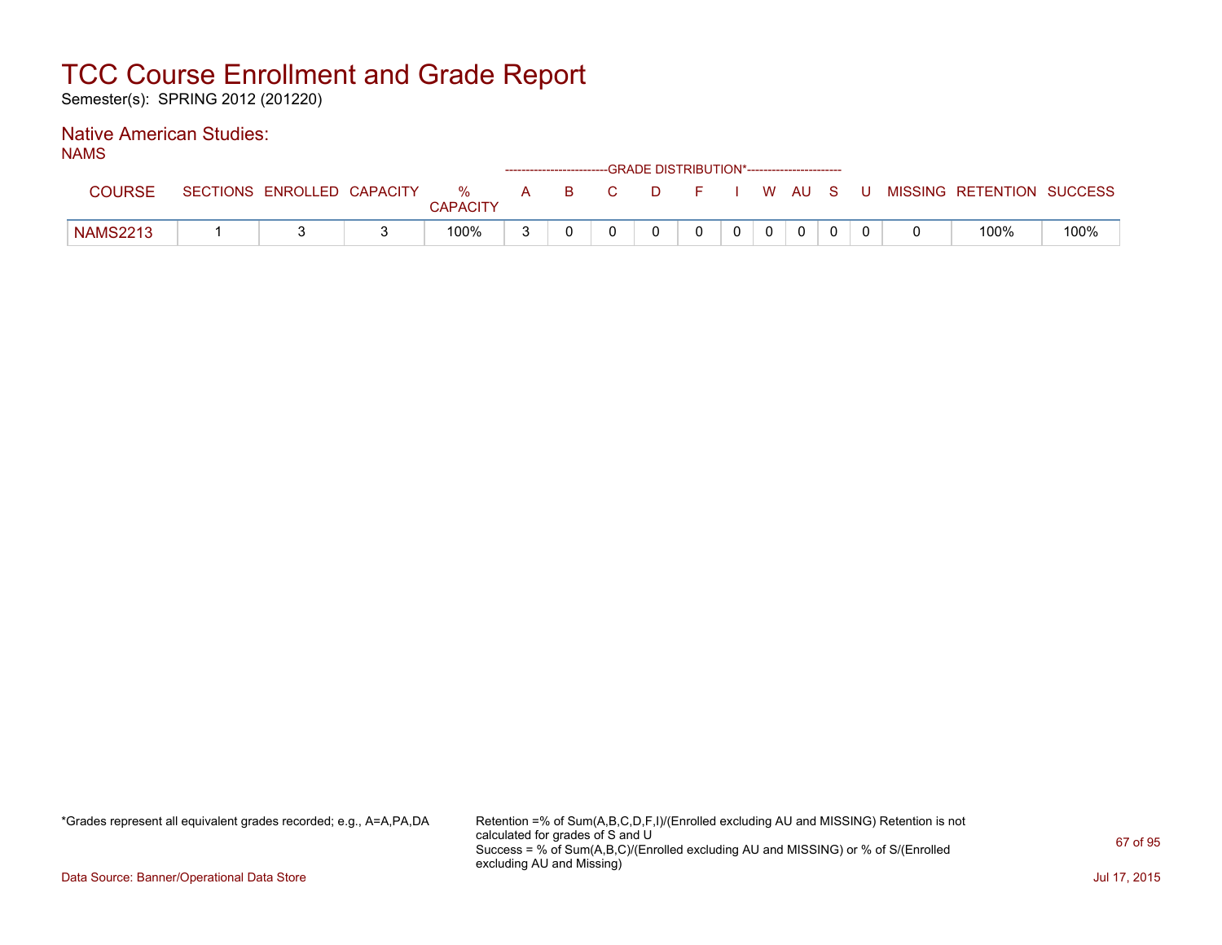Semester(s): SPRING 2012 (201220)

### Native American Studies:

NAMS

| -------         |                 |                   |                      |   |     | ------------------------GRADE DISTRIBUTION*----------------------- |  |       |   |                           |      |
|-----------------|-----------------|-------------------|----------------------|---|-----|--------------------------------------------------------------------|--|-------|---|---------------------------|------|
| COURSE          | <b>SECTIONS</b> | ENROLLED CAPACITY | %<br><b>CAPACITY</b> | A | B C |                                                                    |  | WAUS. | U | MISSING RETENTION SUCCESS |      |
| <b>NAMS2213</b> |                 |                   | 100%                 |   |     |                                                                    |  |       |   | 100%                      | 100% |

\*Grades represent all equivalent grades recorded; e.g., A=A,PA,DA Retention =% of Sum(A,B,C,D,F,I)/(Enrolled excluding AU and MISSING) Retention is not calculated for grades of S and U Success = % of Sum(A,B,C)/(Enrolled excluding AU and MISSING) or % of S/(Enrolled excluding AU and Missing)

Data Source: Banner/Operational Data Store Jul 17, 2015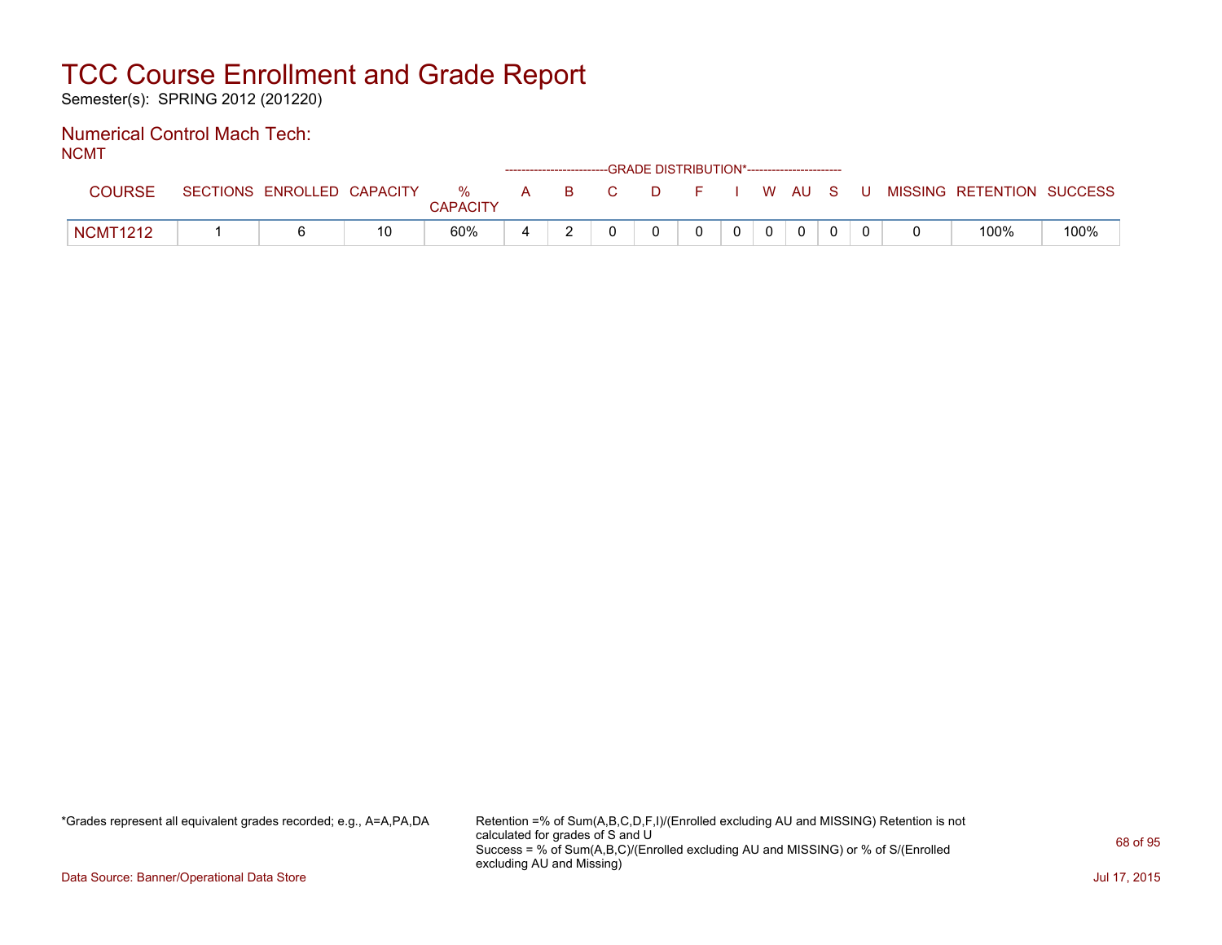Semester(s): SPRING 2012 (201220)

#### Numerical Control Mach Tech: NCMT

| . |                 |                            |                      |       | ------------------------GRADE DISTRIBUTION*----------------------- |          |                |          |  |                                          |      |
|---|-----------------|----------------------------|----------------------|-------|--------------------------------------------------------------------|----------|----------------|----------|--|------------------------------------------|------|
|   | COURSE          | SECTIONS ENROLLED CAPACITY | %<br><b>CAPACITY</b> | A B C |                                                                    |          |                |          |  | D F I W AU S U MISSING RETENTION SUCCESS |      |
|   | <b>NCMT1212</b> |                            | 60%                  |       |                                                                    | $\Omega$ | 0 <sup>1</sup> | $\Omega$ |  | 100%                                     | 100% |

\*Grades represent all equivalent grades recorded; e.g., A=A,PA,DA Retention =% of Sum(A,B,C,D,F,I)/(Enrolled excluding AU and MISSING) Retention is not calculated for grades of S and U Success = % of Sum(A,B,C)/(Enrolled excluding AU and MISSING) or % of S/(Enrolled excluding AU and Missing)

Data Source: Banner/Operational Data Store Jul 17, 2015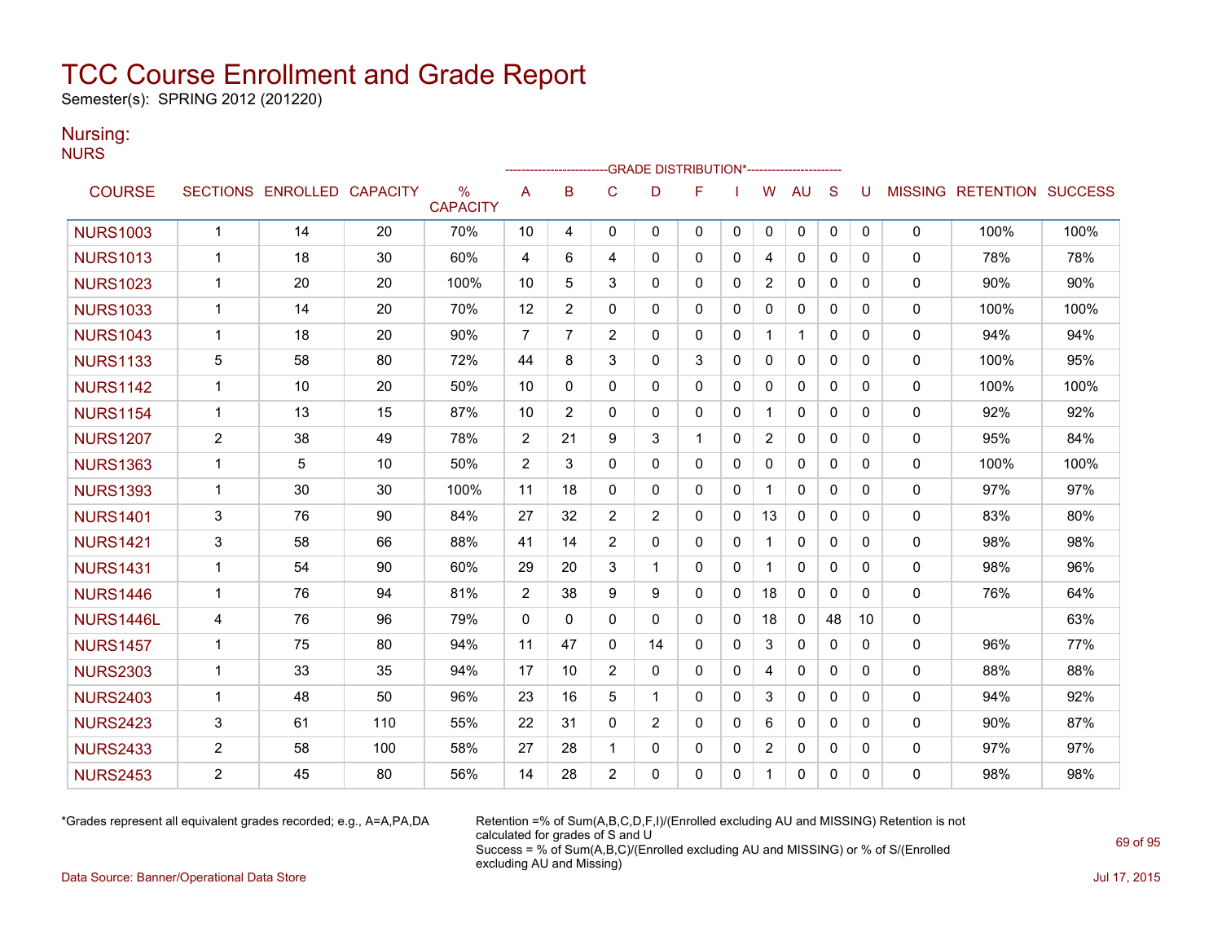Semester(s): SPRING 2012 (201220)

### Nursing:

NURS

|                  |                |                            |     |                                  |                | ------------------------ |                | -GRADE DISTRIBUTION*---------------------- |              |              |                |              |              |          |              |                                  |      |
|------------------|----------------|----------------------------|-----|----------------------------------|----------------|--------------------------|----------------|--------------------------------------------|--------------|--------------|----------------|--------------|--------------|----------|--------------|----------------------------------|------|
| <b>COURSE</b>    |                | SECTIONS ENROLLED CAPACITY |     | $\frac{0}{0}$<br><b>CAPACITY</b> | Α              | B                        | C              | D                                          | F            |              | W              | <b>AU</b>    | S            | U        |              | <b>MISSING RETENTION SUCCESS</b> |      |
| <b>NURS1003</b>  | $\mathbf{1}$   | 14                         | 20  | 70%                              | 10             | 4                        | 0              | 0                                          | $\mathbf{0}$ | 0            | 0              | 0            | 0            | 0        | 0            | 100%                             | 100% |
| <b>NURS1013</b>  | $\mathbf 1$    | 18                         | 30  | 60%                              | 4              | 6                        | 4              | $\Omega$                                   | $\Omega$     | $\Omega$     | 4              | $\mathbf{0}$ | $\Omega$     | 0        | $\mathbf{0}$ | 78%                              | 78%  |
| <b>NURS1023</b>  | $\mathbf{1}$   | 20                         | 20  | 100%                             | 10             | 5                        | 3              | 0                                          | $\mathbf{0}$ | 0            | $\overline{2}$ | 0            | $\mathbf{0}$ | 0        | 0            | 90%                              | 90%  |
| <b>NURS1033</b>  | 1              | 14                         | 20  | 70%                              | 12             | 2                        | 0              | 0                                          | $\mathbf{0}$ | 0            | 0              | 0            | $\mathbf{0}$ | 0        | 0            | 100%                             | 100% |
| <b>NURS1043</b>  | 1              | 18                         | 20  | 90%                              | $\overline{7}$ | $\overline{7}$           | $\overline{2}$ | 0                                          | 0            | 0            | $\mathbf{1}$   | $\mathbf{1}$ | $\mathbf{0}$ | 0        | 0            | 94%                              | 94%  |
| <b>NURS1133</b>  | 5              | 58                         | 80  | 72%                              | 44             | 8                        | 3              | 0                                          | 3            | 0            | $\mathbf{0}$   | $\mathbf{0}$ | $\Omega$     | 0        | 0            | 100%                             | 95%  |
| <b>NURS1142</b>  | $\mathbf{1}$   | 10                         | 20  | 50%                              | 10             | $\mathbf{0}$             | $\mathbf 0$    | 0                                          | 0            | 0            | 0              | 0            | $\mathbf{0}$ | 0        | 0            | 100%                             | 100% |
| <b>NURS1154</b>  | $\mathbf{1}$   | 13                         | 15  | 87%                              | 10             | $\overline{2}$           | $\mathbf{0}$   | 0                                          | $\mathbf{0}$ | $\mathbf{0}$ | $\mathbf 1$    | $\mathbf{0}$ | $\Omega$     | 0        | 0            | 92%                              | 92%  |
| <b>NURS1207</b>  | $\overline{2}$ | 38                         | 49  | 78%                              | 2              | 21                       | 9              | 3                                          | $\mathbf{1}$ | $\mathbf{0}$ | $\overline{2}$ | $\mathbf{0}$ | $\Omega$     | 0        | 0            | 95%                              | 84%  |
| <b>NURS1363</b>  | $\mathbf{1}$   | 5                          | 10  | 50%                              | 2              | 3                        | $\mathbf{0}$   | 0                                          | $\mathbf{0}$ | $\Omega$     | 0              | $\mathbf{0}$ | $\Omega$     | $\Omega$ | 0            | 100%                             | 100% |
| <b>NURS1393</b>  | $\mathbf{1}$   | 30                         | 30  | 100%                             | 11             | 18                       | $\mathbf{0}$   | 0                                          | $\mathbf{0}$ | 0            |                | 0            | $\mathbf{0}$ | 0        | 0            | 97%                              | 97%  |
| <b>NURS1401</b>  | 3              | 76                         | 90  | 84%                              | 27             | 32                       | $\overline{2}$ | $\overline{2}$                             | $\mathbf{0}$ | 0            | 13             | $\mathbf{0}$ | $\mathbf{0}$ | 0        | $\mathbf{0}$ | 83%                              | 80%  |
| <b>NURS1421</b>  | 3              | 58                         | 66  | 88%                              | 41             | 14                       | $\overline{2}$ | 0                                          | $\mathbf{0}$ | $\mathbf{0}$ |                | $\mathbf{0}$ | $\Omega$     | 0        | 0            | 98%                              | 98%  |
| <b>NURS1431</b>  | $\mathbf{1}$   | 54                         | 90  | 60%                              | 29             | 20                       | 3              | 1                                          | $\mathbf{0}$ | 0            | $\mathbf 1$    | 0            | $\mathbf{0}$ | 0        | 0            | 98%                              | 96%  |
| <b>NURS1446</b>  | $\mathbf{1}$   | 76                         | 94  | 81%                              | $\overline{2}$ | 38                       | 9              | 9                                          | $\mathbf{0}$ | 0            | 18             | 0            | $\Omega$     | 0        | 0            | 76%                              | 64%  |
| <b>NURS1446L</b> | 4              | 76                         | 96  | 79%                              | $\Omega$       | $\Omega$                 | $\mathbf 0$    | 0                                          | $\mathbf{0}$ | 0            | 18             | $\mathbf{0}$ | 48           | 10       | 0            |                                  | 63%  |
| <b>NURS1457</b>  | $\mathbf{1}$   | 75                         | 80  | 94%                              | 11             | 47                       | $\mathbf{0}$   | 14                                         | $\Omega$     | 0            | 3              | $\mathbf{0}$ | $\Omega$     | 0        | 0            | 96%                              | 77%  |
| <b>NURS2303</b>  | 1              | 33                         | 35  | 94%                              | 17             | 10                       | $\overline{c}$ | 0                                          | $\mathbf{0}$ | 0            | 4              | $\mathbf{0}$ | $\mathbf{0}$ | 0        | 0            | 88%                              | 88%  |
| <b>NURS2403</b>  | $\mathbf{1}$   | 48                         | 50  | 96%                              | 23             | 16                       | 5              | $\mathbf 1$                                | $\mathbf{0}$ | 0            | 3              | $\mathbf{0}$ | $\mathbf{0}$ | 0        | 0            | 94%                              | 92%  |
| <b>NURS2423</b>  | 3              | 61                         | 110 | 55%                              | 22             | 31                       | 0              | $\overline{2}$                             | $\mathbf{0}$ | 0            | 6              | $\mathbf{0}$ | $\Omega$     | 0        | 0            | 90%                              | 87%  |
| <b>NURS2433</b>  | $\overline{c}$ | 58                         | 100 | 58%                              | 27             | 28                       | 1              | 0                                          | 0            | 0            | $\overline{2}$ | 0            | $\mathbf{0}$ | 0        | 0            | 97%                              | 97%  |
| <b>NURS2453</b>  | $\overline{2}$ | 45                         | 80  | 56%                              | 14             | 28                       | $\overline{2}$ | 0                                          | $\mathbf{0}$ | 0            | $\mathbf 1$    | 0            | 0            | 0        | 0            | 98%                              | 98%  |

\*Grades represent all equivalent grades recorded; e.g., A=A,PA,DA Retention =% of Sum(A,B,C,D,F,I)/(Enrolled excluding AU and MISSING) Retention is not calculated for grades of S and U Success = % of Sum(A,B,C)/(Enrolled excluding AU and MISSING) or % of S/(Enrolled excluding AU and Missing)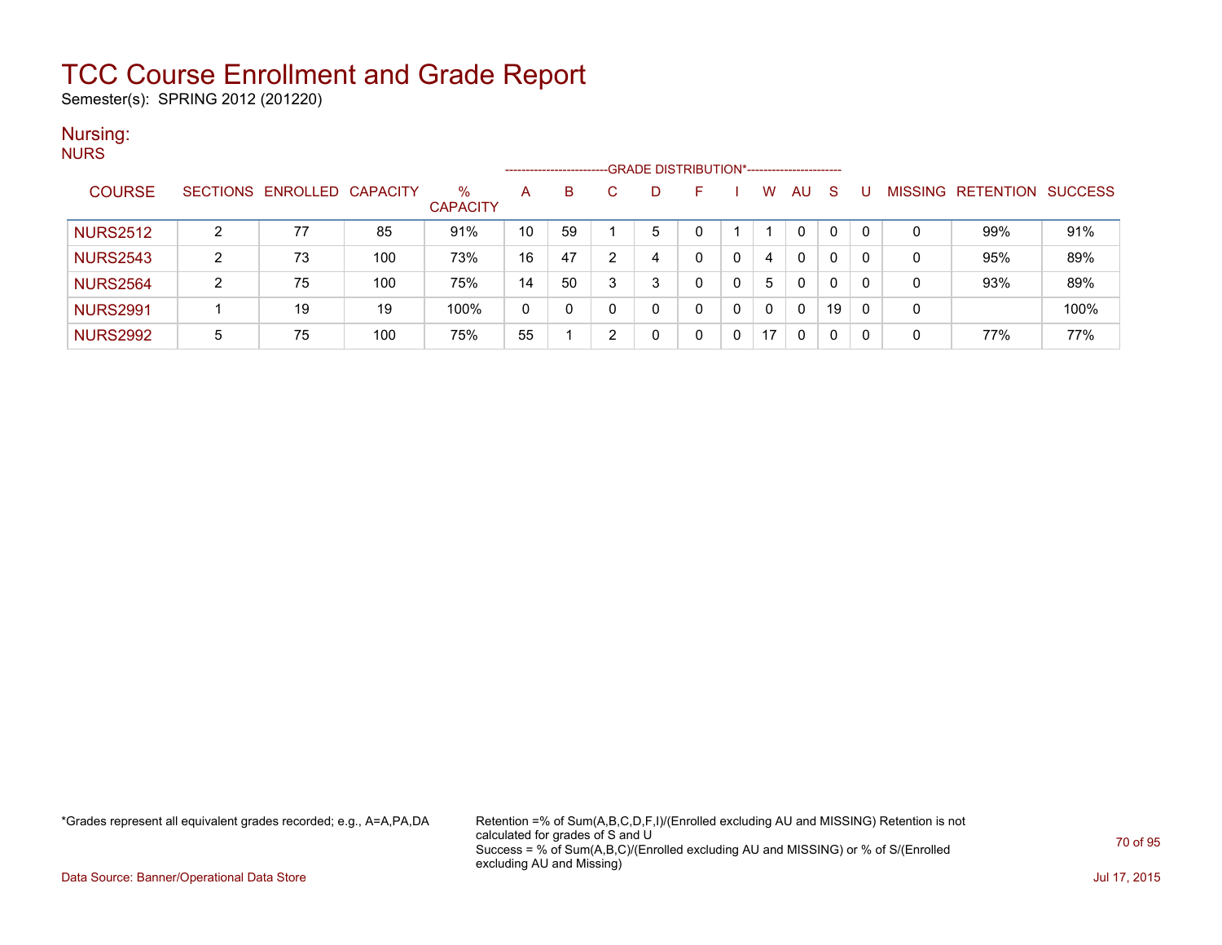Semester(s): SPRING 2012 (201220)

#### Nursing: **NURS**

| .               |        |                            |     |                      |    | ------------------------- |   |   | --GRADE DISTRIBUTION*----------------------- |   |    |          |              |          |                |           |                |
|-----------------|--------|----------------------------|-----|----------------------|----|---------------------------|---|---|----------------------------------------------|---|----|----------|--------------|----------|----------------|-----------|----------------|
| <b>COURSE</b>   |        | SECTIONS ENROLLED CAPACITY |     | %<br><b>CAPACITY</b> | A  | B                         |   | D |                                              |   | w  | AU       | <sub>S</sub> |          | <b>MISSING</b> | RETENTION | <b>SUCCESS</b> |
| <b>NURS2512</b> | ົ      | 77                         | 85  | 91%                  | 10 | 59                        |   | 5 |                                              |   |    | 0        |              | $\Omega$ | 0              | 99%       | 91%            |
| <b>NURS2543</b> | ົ<br>∠ | 73                         | 100 | 73%                  | 16 | 47                        | ົ | 4 |                                              | 0 | 4  | 0        |              | -0       | 0              | 95%       | 89%            |
| <b>NURS2564</b> | ົ      | 75                         | 100 | 75%                  | 14 | 50                        | ີ | ົ |                                              |   | 5  | $\Omega$ | $\Omega$     | $\Omega$ | 0              | 93%       | 89%            |
| <b>NURS2991</b> |        | 19                         | 19  | 100%                 | 0  |                           |   | 0 |                                              | 0 | 0  | 0        | 19           | -0       | 0              |           | 100%           |
| <b>NURS2992</b> | 5      | 75                         | 100 | 75%                  | 55 |                           | ◠ | 0 |                                              | 0 | 17 | 0        | 0            |          | 0              | 77%       | 77%            |

\*Grades represent all equivalent grades recorded; e.g., A=A,PA,DA Retention =% of Sum(A,B,C,D,F,I)/(Enrolled excluding AU and MISSING) Retention is not calculated for grades of S and U Success = % of Sum(A,B,C)/(Enrolled excluding AU and MISSING) or % of S/(Enrolled excluding AU and Missing)

Data Source: Banner/Operational Data Store Jul 17, 2015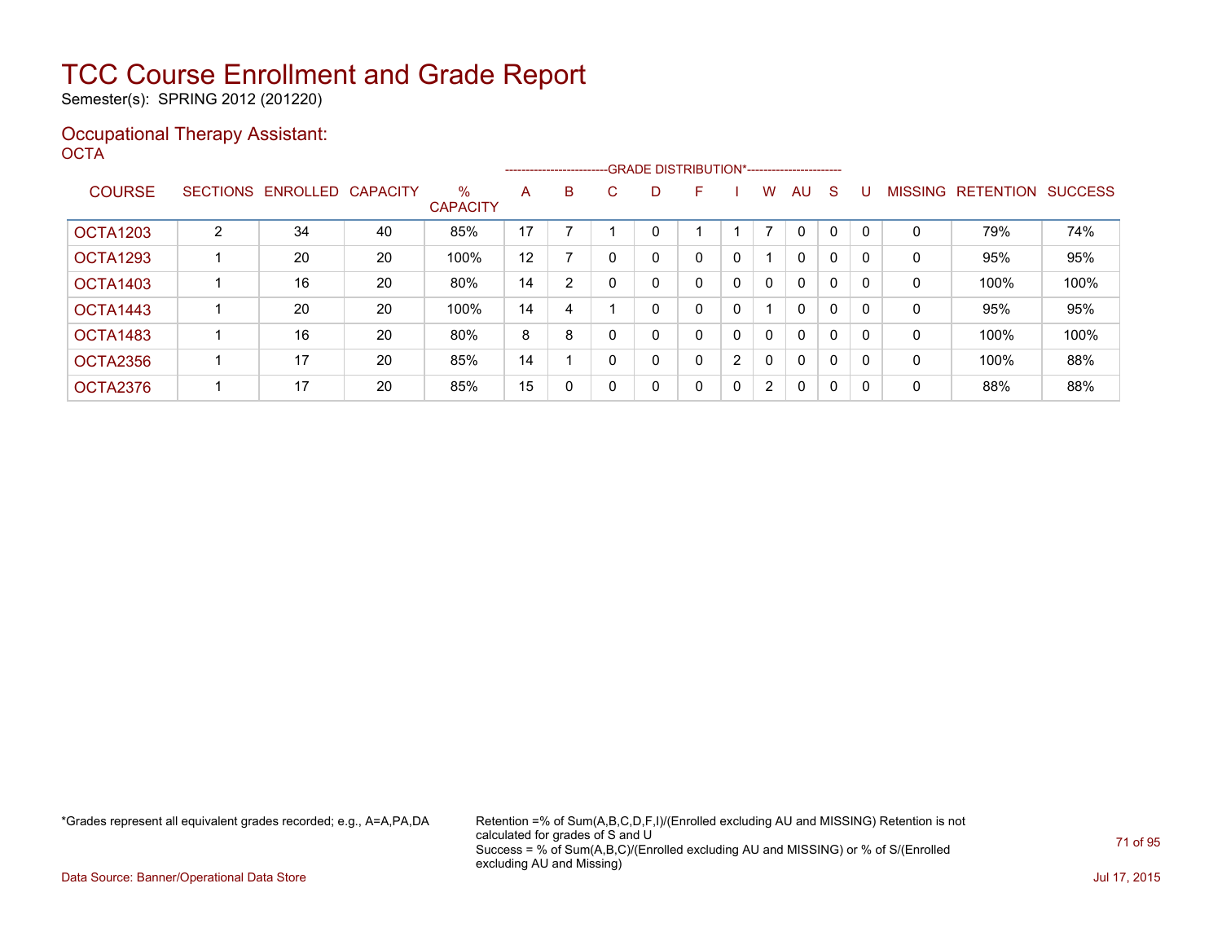Semester(s): SPRING 2012 (201220)

### Occupational Therapy Assistant: OCTA<sup>'</sup>

|               |                 |          |                 |                         | -------------------------GRADE DISTRIBUTION*----------------------- |   |          |   |   |   |              |              |              |          |                |                  |                |
|---------------|-----------------|----------|-----------------|-------------------------|---------------------------------------------------------------------|---|----------|---|---|---|--------------|--------------|--------------|----------|----------------|------------------|----------------|
| <b>COURSE</b> | <b>SECTIONS</b> | ENROLLED | <b>CAPACITY</b> | $\%$<br><b>CAPACITY</b> | A                                                                   | B | C.       | D | F |   | W            | AU           | S            |          | <b>MISSING</b> | <b>RETENTION</b> | <b>SUCCESS</b> |
| OCTA1203      | $\overline{2}$  | 34       | 40              | 85%                     | 17                                                                  |   |          |   |   |   |              | $\mathbf{0}$ | $\mathbf{0}$ |          | 0              | 79%              | 74%            |
| OCTA1293      |                 | 20       | 20              | 100%                    | 12                                                                  |   | $\Omega$ |   | 0 | 0 |              | $\mathbf{0}$ | 0            | $\Omega$ | 0              | 95%              | 95%            |
| OCTA1403      |                 | 16       | 20              | 80%                     | 14                                                                  | 2 |          |   | 0 | 0 | $\mathbf{0}$ | $\mathbf{0}$ | 0            | $\Omega$ | 0              | 100%             | 100%           |
| OCTA1443      |                 | 20       | 20              | 100%                    | 14                                                                  | 4 |          |   | 0 | 0 |              | $\mathbf{0}$ | 0            |          | 0              | 95%              | 95%            |
| OCTA1483      |                 | 16       | 20              | 80%                     | 8                                                                   | 8 |          |   | 0 | 0 | 0            | $\mathbf{0}$ | 0            | $\Omega$ | 0              | 100%             | 100%           |
| OCTA2356      |                 | 17       | 20              | 85%                     | 14                                                                  |   | $\Omega$ |   | 0 | 2 | $\mathbf{0}$ | $\mathbf{0}$ | 0            | $\Omega$ | 0              | 100%             | 88%            |
| OCTA2376      |                 | 17       | 20              | 85%                     | 15                                                                  | 0 | 0        | 0 | 0 | 0 | $\mathbf{2}$ | $\mathbf{0}$ | 0            | 0        | 0              | 88%              | 88%            |

\*Grades represent all equivalent grades recorded; e.g., A=A,PA,DA Retention =% of Sum(A,B,C,D,F,I)/(Enrolled excluding AU and MISSING) Retention is not calculated for grades of S and U Success = % of Sum(A,B,C)/(Enrolled excluding AU and MISSING) or % of S/(Enrolled excluding AU and Missing)

Data Source: Banner/Operational Data Store Jul 17, 2015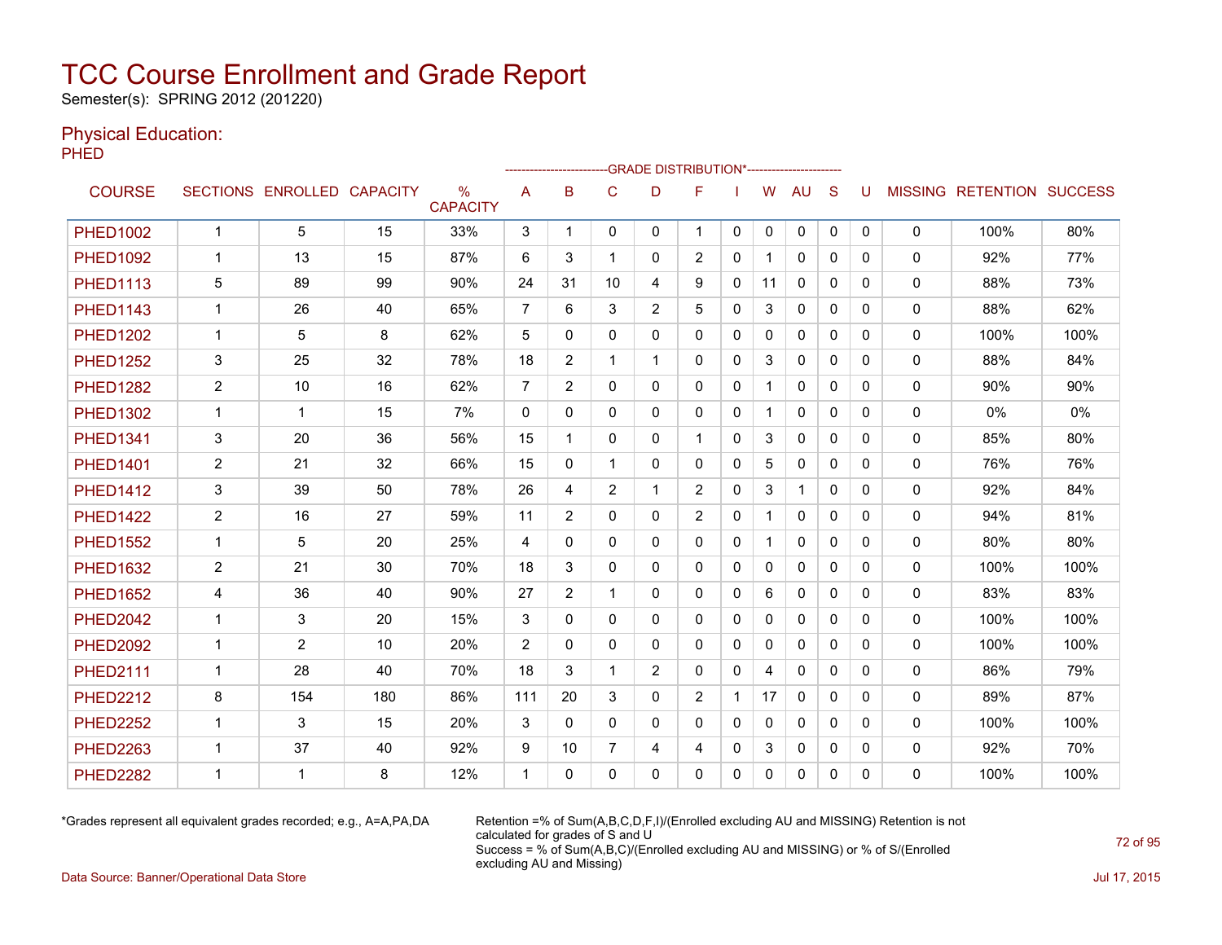Semester(s): SPRING 2012 (201220)

### Physical Education:

**PHED** 

|                 |                |                   |                 | -GRADE DISTRIBUTION*----------------------<br>------------------------- |                |                |                |                |                |              |              |              |              |   |              |                                  |      |
|-----------------|----------------|-------------------|-----------------|-------------------------------------------------------------------------|----------------|----------------|----------------|----------------|----------------|--------------|--------------|--------------|--------------|---|--------------|----------------------------------|------|
| <b>COURSE</b>   |                | SECTIONS ENROLLED | <b>CAPACITY</b> | $\%$<br><b>CAPACITY</b>                                                 | A              | B              | C              | D              | F              |              | W            | AU           | S            | U |              | <b>MISSING RETENTION SUCCESS</b> |      |
| <b>PHFD1002</b> | $\mathbf{1}$   | 5                 | 15              | 33%                                                                     | 3              | 1              | 0              | 0              | $\mathbf 1$    | 0            | 0            | 0            | $\mathbf 0$  | 0 | 0            | 100%                             | 80%  |
| <b>PHED1092</b> | $\mathbf 1$    | 13                | 15              | 87%                                                                     | 6              | 3              | 1              | $\Omega$       | 2              | $\Omega$     | $\mathbf{1}$ | $\Omega$     | $\Omega$     | 0 | $\mathbf{0}$ | 92%                              | 77%  |
| <b>PHED1113</b> | 5              | 89                | 99              | 90%                                                                     | 24             | 31             | 10             | 4              | 9              | 0            | 11           | $\mathbf{0}$ | $\mathbf{0}$ | 0 | 0            | 88%                              | 73%  |
| <b>PHED1143</b> | 1              | 26                | 40              | 65%                                                                     | 7              | 6              | 3              | $\overline{2}$ | 5              | 0            | 3            | $\mathbf{0}$ | 0            | 0 | 0            | 88%                              | 62%  |
| <b>PHED1202</b> | $\mathbf{1}$   | 5                 | 8               | 62%                                                                     | 5              | 0              | $\mathbf{0}$   | 0              | 0              | 0            | 0            | 0            | 0            | 0 | 0            | 100%                             | 100% |
| <b>PHED1252</b> | 3              | 25                | 32              | 78%                                                                     | 18             | $\overline{2}$ | 1              | 1              | $\Omega$       | $\Omega$     | 3            | $\mathbf{0}$ | $\Omega$     | 0 | $\mathbf{0}$ | 88%                              | 84%  |
| <b>PHED1282</b> | $\overline{2}$ | 10                | 16              | 62%                                                                     | $\overline{7}$ | $\overline{2}$ | 0              | $\mathbf{0}$   | 0              | 0            | $\mathbf{1}$ | $\mathbf{0}$ | $\mathbf{0}$ | 0 | 0            | 90%                              | 90%  |
| <b>PHED1302</b> | $\mathbf{1}$   | 1                 | 15              | 7%                                                                      | $\mathbf{0}$   | 0              | $\mathbf{0}$   | $\mathbf{0}$   | $\mathbf{0}$   | 0            | $\mathbf{1}$ | $\mathbf{0}$ | $\Omega$     | 0 | 0            | $0\%$                            | 0%   |
| <b>PHED1341</b> | 3              | 20                | 36              | 56%                                                                     | 15             | 1              | $\mathbf{0}$   | $\mathbf{0}$   | $\mathbf 1$    | 0            | 3            | $\mathbf{0}$ | $\Omega$     | 0 | 0            | 85%                              | 80%  |
| <b>PHED1401</b> | $\overline{2}$ | 21                | 32              | 66%                                                                     | 15             | $\Omega$       | 1              | $\Omega$       | 0              | $\Omega$     | 5            | $\mathbf{0}$ | $\Omega$     | 0 | $\mathbf{0}$ | 76%                              | 76%  |
| <b>PHED1412</b> | 3              | 39                | 50              | 78%                                                                     | 26             | 4              | $\overline{2}$ |                | $\overline{c}$ | 0            | 3            | $\mathbf 1$  | $\mathbf{0}$ | 0 | 0            | 92%                              | 84%  |
| <b>PHED1422</b> | $\overline{2}$ | 16                | 27              | 59%                                                                     | 11             | $\overline{2}$ | $\mathbf{0}$   | $\mathbf{0}$   | 2              | 0            | 1            | $\mathbf{0}$ | $\mathbf{0}$ | 0 | $\mathbf{0}$ | 94%                              | 81%  |
| <b>PHED1552</b> | $\mathbf 1$    | 5                 | 20              | 25%                                                                     | 4              | $\Omega$       | $\Omega$       | $\mathbf{0}$   | $\mathbf{0}$   | 0            | $\mathbf 1$  | $\mathbf{0}$ | $\Omega$     | 0 | 0            | 80%                              | 80%  |
| <b>PHED1632</b> | $\overline{2}$ | 21                | 30              | 70%                                                                     | 18             | 3              | 0              | 0              | $\mathbf{0}$   | 0            | 0            | $\mathbf{0}$ | $\mathbf{0}$ | 0 | 0            | 100%                             | 100% |
| <b>PHED1652</b> | 4              | 36                | 40              | 90%                                                                     | 27             | $\overline{2}$ | 1              | $\Omega$       | 0              | 0            | 6            | $\mathbf{0}$ | $\Omega$     | 0 | 0            | 83%                              | 83%  |
| <b>PHED2042</b> | $\mathbf 1$    | 3                 | 20              | 15%                                                                     | 3              | 0              | $\mathbf{0}$   | $\mathbf{0}$   | 0              | 0            | $\mathbf{0}$ | $\mathbf{0}$ | $\Omega$     | 0 | $\mathbf{0}$ | 100%                             | 100% |
| <b>PHED2092</b> | $\mathbf 1$    | $\overline{2}$    | 10              | 20%                                                                     | $\overline{2}$ | $\Omega$       | $\Omega$       | $\mathbf{0}$   | 0              | $\Omega$     | $\mathbf{0}$ | $\mathbf{0}$ | $\Omega$     | 0 | 0            | 100%                             | 100% |
| <b>PHED2111</b> | $\mathbf{1}$   | 28                | 40              | 70%                                                                     | 18             | 3              | 1              | $\overline{2}$ | 0              | 0            | 4            | $\mathbf{0}$ | $\Omega$     | 0 | 0            | 86%                              | 79%  |
| <b>PHED2212</b> | 8              | 154               | 180             | 86%                                                                     | 111            | 20             | 3              | $\mathbf{0}$   | 2              |              | 17           | $\mathbf{0}$ | $\mathbf{0}$ | 0 | 0            | 89%                              | 87%  |
| <b>PHED2252</b> | $\mathbf 1$    | 3                 | 15              | 20%                                                                     | 3              | $\Omega$       | $\mathbf{0}$   | $\mathbf{0}$   | $\Omega$       | 0            | $\mathbf{0}$ | $\mathbf{0}$ | $\Omega$     | 0 | 0            | 100%                             | 100% |
| <b>PHED2263</b> | $\mathbf 1$    | 37                | 40              | 92%                                                                     | 9              | 10             | 7              | 4              | 4              | 0            | 3            | $\mathbf{0}$ | 0            | 0 | 0            | 92%                              | 70%  |
| <b>PHED2282</b> | 1              | 1                 | 8               | 12%                                                                     | 1              | 0              | $\Omega$       | 0              | 0              | $\mathbf{0}$ | 0            | $\mathbf{0}$ | 0            | 0 | 0            | 100%                             | 100% |

\*Grades represent all equivalent grades recorded; e.g., A=A,PA,DA Retention =% of Sum(A,B,C,D,F,I)/(Enrolled excluding AU and MISSING) Retention is not calculated for grades of S and U Success = % of Sum(A,B,C)/(Enrolled excluding AU and MISSING) or % of S/(Enrolled excluding AU and Missing)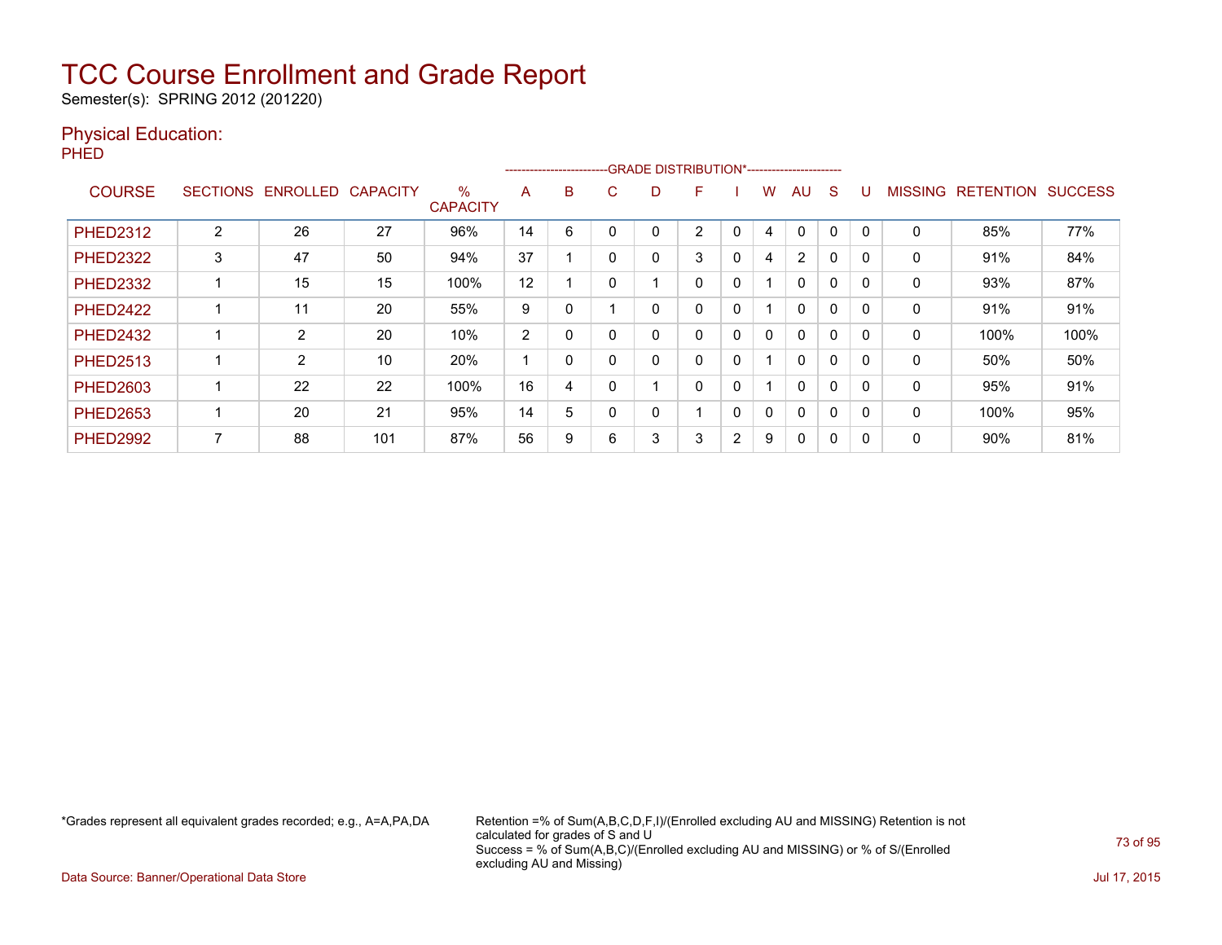Semester(s): SPRING 2012 (201220)

### Physical Education:

PHED

|                 |                 |                |                 |                         |                |          |   |   | -----------------------GRADE DISTRIBUTION*----------------------- |                |   |                |          |          |                |                  |                |
|-----------------|-----------------|----------------|-----------------|-------------------------|----------------|----------|---|---|-------------------------------------------------------------------|----------------|---|----------------|----------|----------|----------------|------------------|----------------|
| <b>COURSE</b>   | <b>SECTIONS</b> | ENROLLED       | <b>CAPACITY</b> | $\%$<br><b>CAPACITY</b> | A              | B        | Ü | D | F                                                                 |                | W | AU             | S        |          | <b>MISSING</b> | <b>RETENTION</b> | <b>SUCCESS</b> |
| <b>PHED2312</b> | 2               | 26             | 27              | 96%                     | 14             | 6        |   | 0 | $\overline{2}$                                                    | 0              | 4 | $\mathbf 0$    | $\Omega$ | $\Omega$ | $\Omega$       | 85%              | 77%            |
| <b>PHED2322</b> | 3               | 47             | 50              | 94%                     | 37             |          |   | 0 | 3                                                                 | $\Omega$       | 4 | $\overline{2}$ | 0        |          | 0              | 91%              | 84%            |
| <b>PHED2332</b> |                 | 15             | 15              | 100%                    | 12             |          |   |   | 0                                                                 | 0              |   | $\mathbf{0}$   | 0        | 0        | 0              | 93%              | 87%            |
| <b>PHED2422</b> |                 | 11             | 20              | 55%                     | 9              |          |   | 0 | 0                                                                 | 0              |   | $\Omega$       | $\Omega$ | $\Omega$ | 0              | 91%              | 91%            |
| <b>PHED2432</b> |                 | 2              | 20              | 10%                     | $\overline{2}$ | $\Omega$ |   | 0 | 0                                                                 | $\Omega$       | 0 | $\Omega$       | $\Omega$ |          | 0              | 100%             | 100%           |
| <b>PHED2513</b> |                 | $\overline{2}$ | 10              | 20%                     | A              | 0        |   | 0 | 0                                                                 | 0              |   | $\Omega$       | 0        |          | 0              | 50%              | 50%            |
| <b>PHED2603</b> |                 | 22             | 22              | 100%                    | 16             | 4        |   |   | 0                                                                 | 0              |   | $\mathbf{0}$   | $\Omega$ | 0        | 0              | 95%              | 91%            |
| <b>PHED2653</b> |                 | 20             | 21              | 95%                     | 14             | 5        |   | 0 | $\overline{ }$                                                    | 0              | 0 | $\mathbf{0}$   | $\Omega$ | $\Omega$ | $\mathbf{0}$   | 100%             | 95%            |
| <b>PHED2992</b> |                 | 88             | 101             | 87%                     | 56             | 9        | 6 | 3 | 3                                                                 | $\overline{2}$ | 9 | $\mathbf{0}$   | 0        |          | 0              | 90%              | 81%            |

\*Grades represent all equivalent grades recorded; e.g., A=A,PA,DA Retention =% of Sum(A,B,C,D,F,I)/(Enrolled excluding AU and MISSING) Retention is not calculated for grades of S and U Success = % of Sum(A,B,C)/(Enrolled excluding AU and MISSING) or % of S/(Enrolled excluding AU and Missing)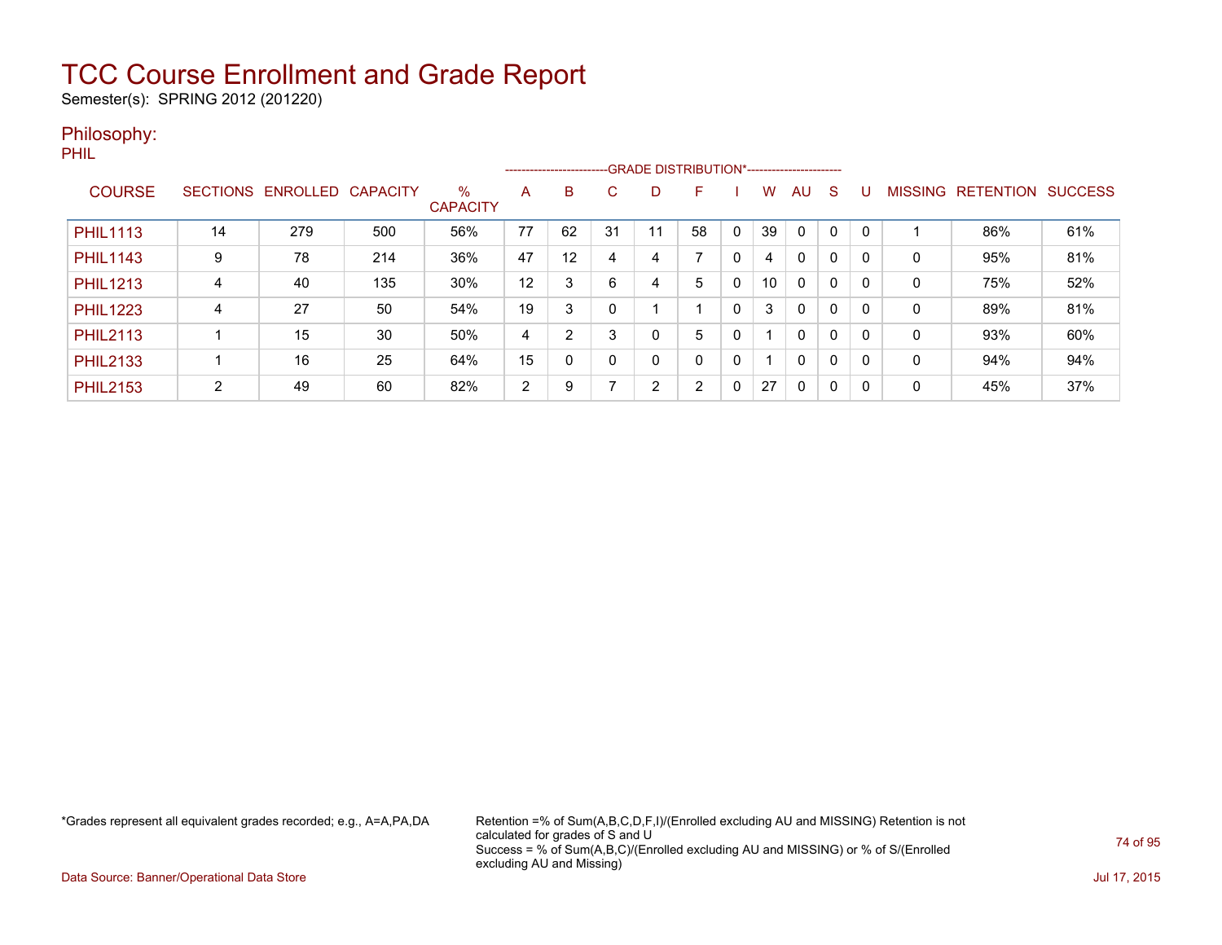Semester(s): SPRING 2012 (201220)

### Philosophy:

PHIL

|                 |                 |          |                 |                         |                |          | --------------------------GRADE DISTRIBUTION*----------------------- |    |                |              |    |              |              |          |                |                  |                |
|-----------------|-----------------|----------|-----------------|-------------------------|----------------|----------|----------------------------------------------------------------------|----|----------------|--------------|----|--------------|--------------|----------|----------------|------------------|----------------|
| <b>COURSE</b>   | <b>SECTIONS</b> | ENROLLED | <b>CAPACITY</b> | $\%$<br><b>CAPACITY</b> | A              | B        | C                                                                    | D  |                |              | W. | AU           | S            | U        | <b>MISSING</b> | <b>RETENTION</b> | <b>SUCCESS</b> |
| <b>PHIL1113</b> | 14              | 279      | 500             | 56%                     | 77             | 62       | 31                                                                   | 11 | 58             | $\mathbf{0}$ | 39 | $\Omega$     | $\Omega$     | $\Omega$ |                | 86%              | 61%            |
| <b>PHIL1143</b> | 9               | 78       | 214             | 36%                     | 47             | 12       | 4                                                                    | 4  | ⇁              | 0            | 4  | $\mathbf{0}$ | 0            |          | 0              | 95%              | 81%            |
| <b>PHIL1213</b> | 4               | 40       | 135             | 30%                     | 12             | 3        | 6                                                                    | 4  | 5              | 0            | 10 | $\mathbf{0}$ | $\Omega$     | 0        | 0              | 75%              | 52%            |
| <b>PHIL1223</b> | 4               | 27       | 50              | 54%                     | 19             | 3        |                                                                      |    |                | 0            | 3  | $\Omega$     | $\mathbf{0}$ | 0        | 0              | 89%              | 81%            |
| <b>PHIL2113</b> |                 | 15       | 30              | 50%                     | 4              | 2        | 3                                                                    | 0  | 5              | 0            |    | $\mathbf{0}$ | $\mathbf{0}$ | 0        | 0              | 93%              | 60%            |
| <b>PHIL2133</b> |                 | 16       | 25              | 64%                     | 15             | $\Omega$ |                                                                      | 0  | 0              | 0            |    | $\Omega$     | 0            | 0        | 0              | 94%              | 94%            |
| <b>PHIL2153</b> | 2               | 49       | 60              | 82%                     | $\overline{2}$ | 9        |                                                                      | 2  | $\overline{2}$ | 0            | 27 | $\Omega$     | 0            |          | 0              | 45%              | 37%            |

\*Grades represent all equivalent grades recorded; e.g., A=A,PA,DA Retention =% of Sum(A,B,C,D,F,I)/(Enrolled excluding AU and MISSING) Retention is not calculated for grades of S and U Success = % of Sum(A,B,C)/(Enrolled excluding AU and MISSING) or % of S/(Enrolled excluding AU and Missing)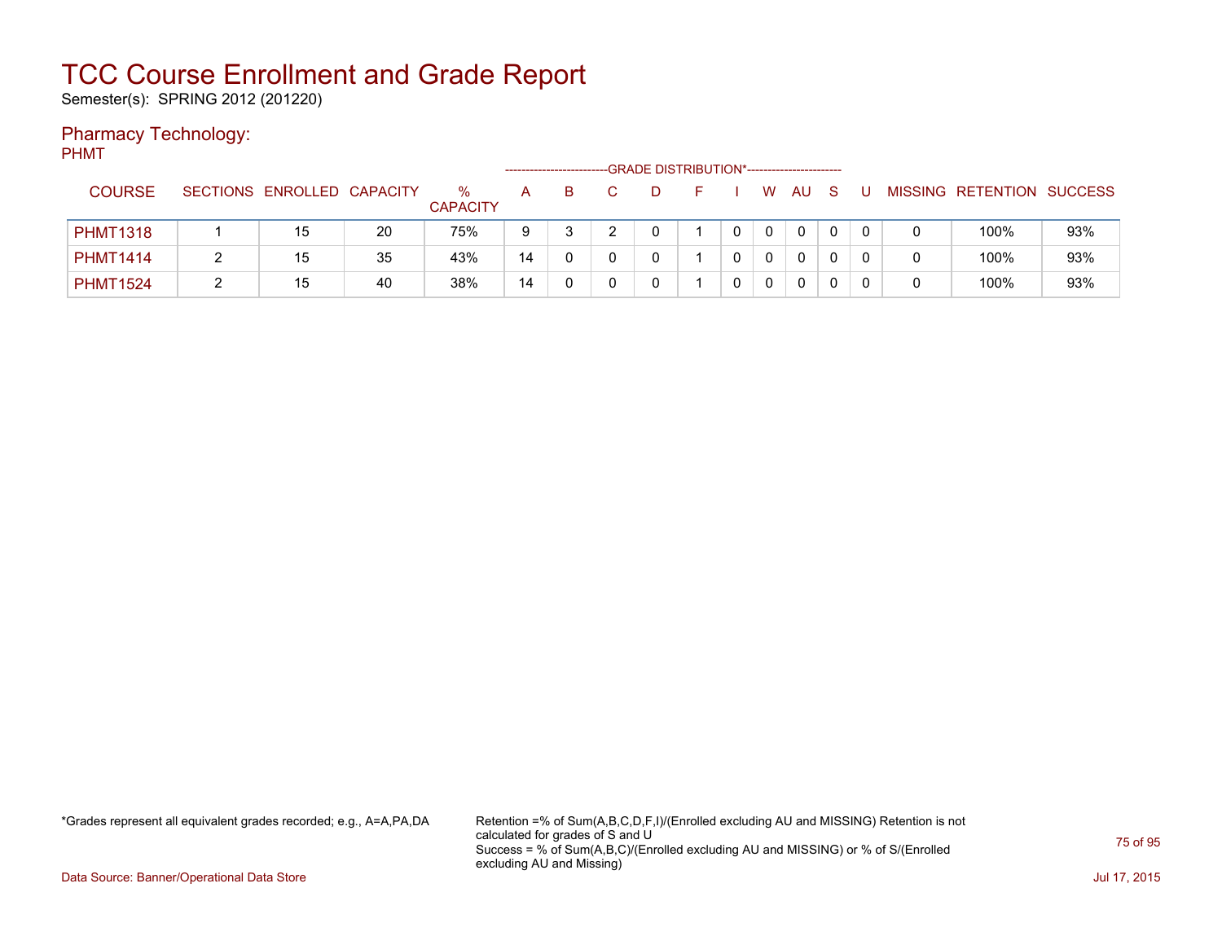Semester(s): SPRING 2012 (201220)

### Pharmacy Technology:

PHMT

|                 |                            |    |                      |    |    | -GRADE DISTRIBUTION*----------------------- |  |   |              |  |                           |     |
|-----------------|----------------------------|----|----------------------|----|----|---------------------------------------------|--|---|--------------|--|---------------------------|-----|
| <b>COURSE</b>   | SECTIONS ENROLLED CAPACITY |    | %<br><b>CAPACITY</b> | A  | B. |                                             |  | W | AU           |  | MISSING RETENTION SUCCESS |     |
| <b>PHMT1318</b> | 15                         | 20 | 75%                  | 9  |    |                                             |  |   | $\mathbf{0}$ |  | 100%                      | 93% |
| <b>PHMT1414</b> | 15                         | 35 | 43%                  | 14 |    |                                             |  |   | 0            |  | 100%                      | 93% |
| <b>PHMT1524</b> | 15                         | 40 | 38%                  | 14 |    |                                             |  |   | 0            |  | 100%                      | 93% |

\*Grades represent all equivalent grades recorded; e.g., A=A,PA,DA Retention =% of Sum(A,B,C,D,F,I)/(Enrolled excluding AU and MISSING) Retention is not calculated for grades of S and U Success = % of Sum(A,B,C)/(Enrolled excluding AU and MISSING) or % of S/(Enrolled excluding AU and Missing)

Data Source: Banner/Operational Data Store Jul 17, 2015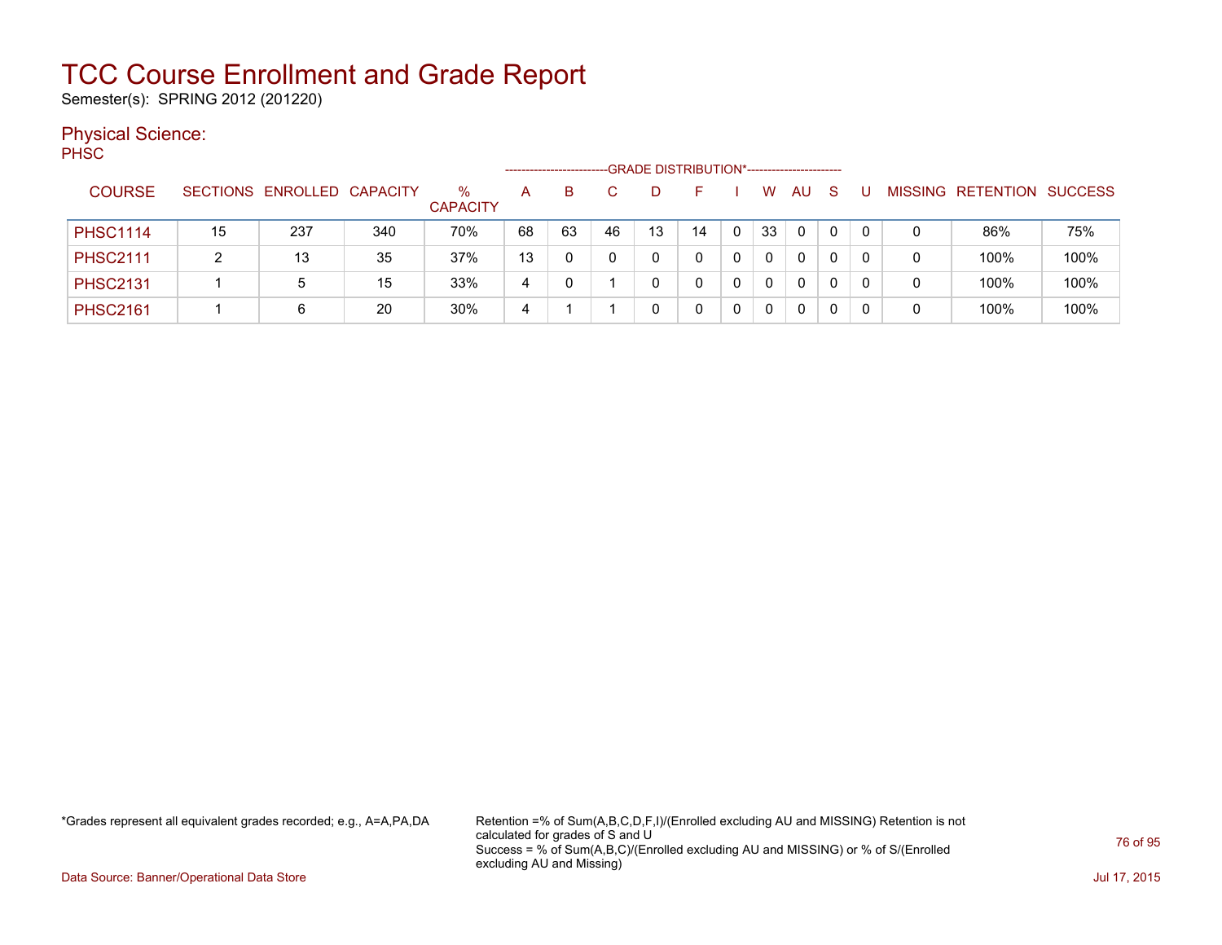Semester(s): SPRING 2012 (201220)

### Physical Science:

PH<sub>SC</sub>

|                 |    |                            |     |                      |    |    |    |    | -GRADE DISTRIBUTION*----------------------- |   |              |          |              |   |   |                           |      |
|-----------------|----|----------------------------|-----|----------------------|----|----|----|----|---------------------------------------------|---|--------------|----------|--------------|---|---|---------------------------|------|
| <b>COURSE</b>   |    | SECTIONS ENROLLED CAPACITY |     | %<br><b>CAPACITY</b> | A  | B. |    |    | н.                                          |   | W            | AU       | -S           |   |   | MISSING RETENTION SUCCESS |      |
| <b>PHSC1114</b> | 15 | 237                        | 340 | 70%                  | 68 | 63 | 46 | 13 | 14                                          | 0 | 33           | 0        | $\mathbf{0}$ | 0 | 0 | 86%                       | 75%  |
| <b>PHSC2111</b> | 2  | 13                         | 35  | 37%                  | 13 |    |    |    |                                             |   | $\mathbf{0}$ | $\Omega$ | 0            | 0 | 0 | 100%                      | 100% |
| <b>PHSC2131</b> |    | 5                          | 15  | 33%                  | 4  |    |    |    |                                             |   | $\mathbf 0$  | 0        | 0            |   | 0 | 100%                      | 100% |
| <b>PHSC2161</b> |    | 6                          | 20  | 30%                  | 4  |    |    |    |                                             |   | $\mathbf 0$  | 0        | 0            |   | 0 | 100%                      | 100% |

\*Grades represent all equivalent grades recorded; e.g., A=A,PA,DA Retention =% of Sum(A,B,C,D,F,I)/(Enrolled excluding AU and MISSING) Retention is not calculated for grades of S and U Success = % of Sum(A,B,C)/(Enrolled excluding AU and MISSING) or % of S/(Enrolled excluding AU and Missing)

Data Source: Banner/Operational Data Store Jul 17, 2015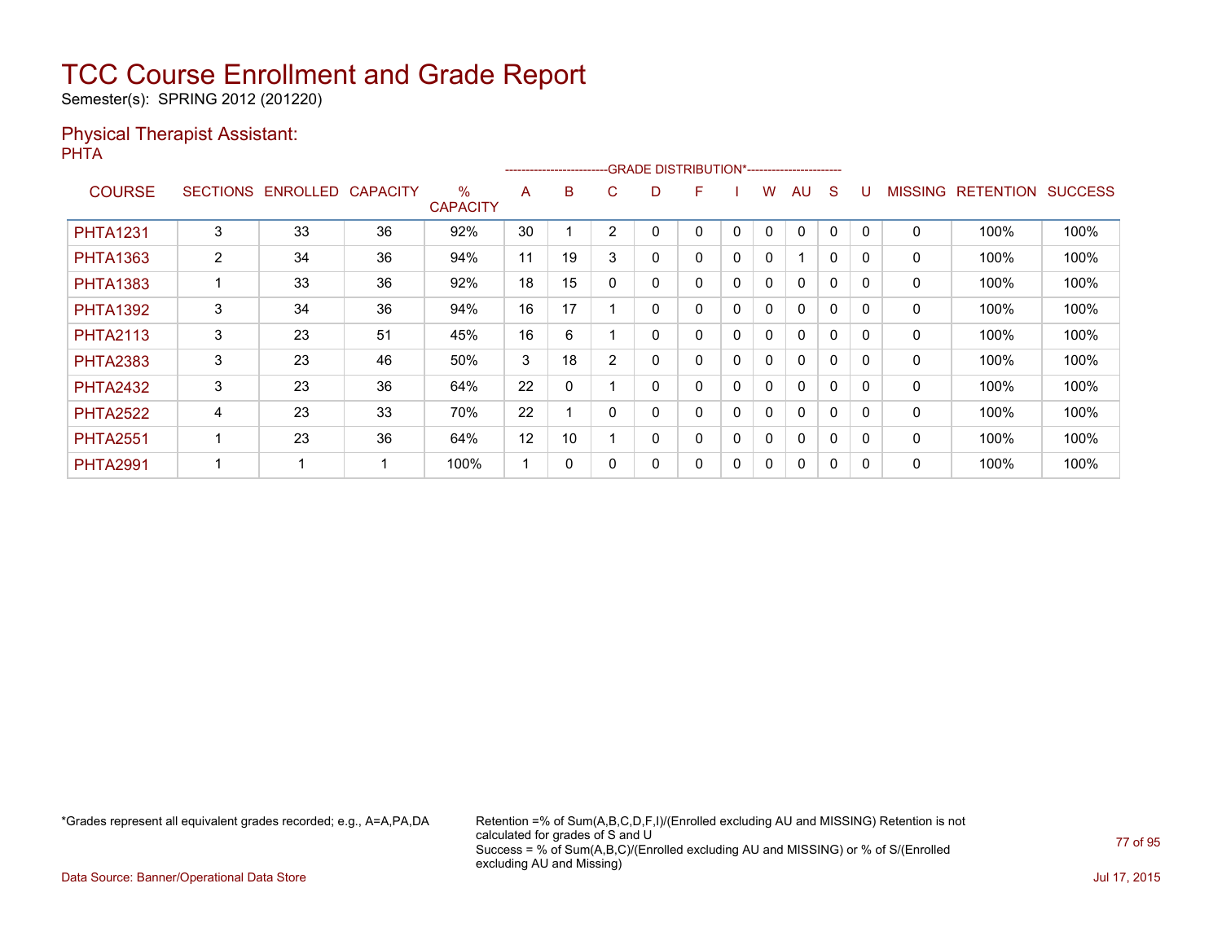Semester(s): SPRING 2012 (201220)

#### Physical Therapist Assistant: PHTA

|                 |                 |          |                 |                         |    |          | -------------------------GRADE                DISTRIBUTION*--------------------- |   |   |          |              |              |              |          |                |                  |                |
|-----------------|-----------------|----------|-----------------|-------------------------|----|----------|----------------------------------------------------------------------------------|---|---|----------|--------------|--------------|--------------|----------|----------------|------------------|----------------|
| <b>COURSE</b>   | <b>SECTIONS</b> | ENROLLED | <b>CAPACITY</b> | $\%$<br><b>CAPACITY</b> | A  | B        | C.                                                                               | D | F |          | w            | AU           | S            |          | <b>MISSING</b> | <b>RETENTION</b> | <b>SUCCESS</b> |
| <b>PHTA1231</b> | 3               | 33       | 36              | 92%                     | 30 |          | $\overline{2}$                                                                   |   | 0 | 0        | $\mathbf{0}$ | $\mathbf{0}$ | 0            | $\Omega$ | 0              | 100%             | 100%           |
| <b>PHTA1363</b> | 2               | 34       | 36              | 94%                     | 11 | 19       | 3                                                                                | 0 | 0 | 0        | 0            |              | $\mathbf{0}$ | 0        | 0              | 100%             | 100%           |
| <b>PHTA1383</b> |                 | 33       | 36              | 92%                     | 18 | 15       | $\Omega$                                                                         |   | 0 | 0        | 0            | $\Omega$     | 0            | $\Omega$ | 0              | 100%             | 100%           |
| <b>PHTA1392</b> | 3               | 34       | 36              | 94%                     | 16 | 17       |                                                                                  |   | 0 | 0        | 0            | $\Omega$     | 0            | $\Omega$ | 0              | 100%             | 100%           |
| <b>PHTA2113</b> | 3               | 23       | 51              | 45%                     | 16 | 6        |                                                                                  |   | 0 | 0        | 0            | 0            | 0            | $\Omega$ | 0              | 100%             | 100%           |
| <b>PHTA2383</b> | 3               | 23       | 46              | 50%                     | 3  | 18       | $\overline{2}$                                                                   | 0 | 0 | 0        | 0            | $\mathbf{0}$ | 0            | 0        | 0              | 100%             | 100%           |
| <b>PHTA2432</b> | 3               | 23       | 36              | 64%                     | 22 | $\Omega$ |                                                                                  |   | 0 | $\Omega$ | 0            | $\mathbf{0}$ | $\Omega$     | $\Omega$ | 0              | 100%             | 100%           |
| <b>PHTA2522</b> | 4               | 23       | 33              | 70%                     | 22 |          | 0                                                                                | 0 | 0 | 0        | 0            | $\mathbf{0}$ | 0            | $\Omega$ | 0              | 100%             | 100%           |
| <b>PHTA2551</b> |                 | 23       | 36              | 64%                     | 12 | 10       |                                                                                  | 0 | 0 | $\Omega$ | 0            | $\mathbf{0}$ | 0            | 0        | 0              | 100%             | 100%           |
| <b>PHTA2991</b> |                 | 4        |                 | 100%                    |    | 0        | 0                                                                                |   | 0 | 0        | 0            | $\mathbf{0}$ | 0            |          | 0              | 100%             | 100%           |

\*Grades represent all equivalent grades recorded; e.g., A=A,PA,DA Retention =% of Sum(A,B,C,D,F,I)/(Enrolled excluding AU and MISSING) Retention is not calculated for grades of S and U Success = % of Sum(A,B,C)/(Enrolled excluding AU and MISSING) or % of S/(Enrolled excluding AU and Missing)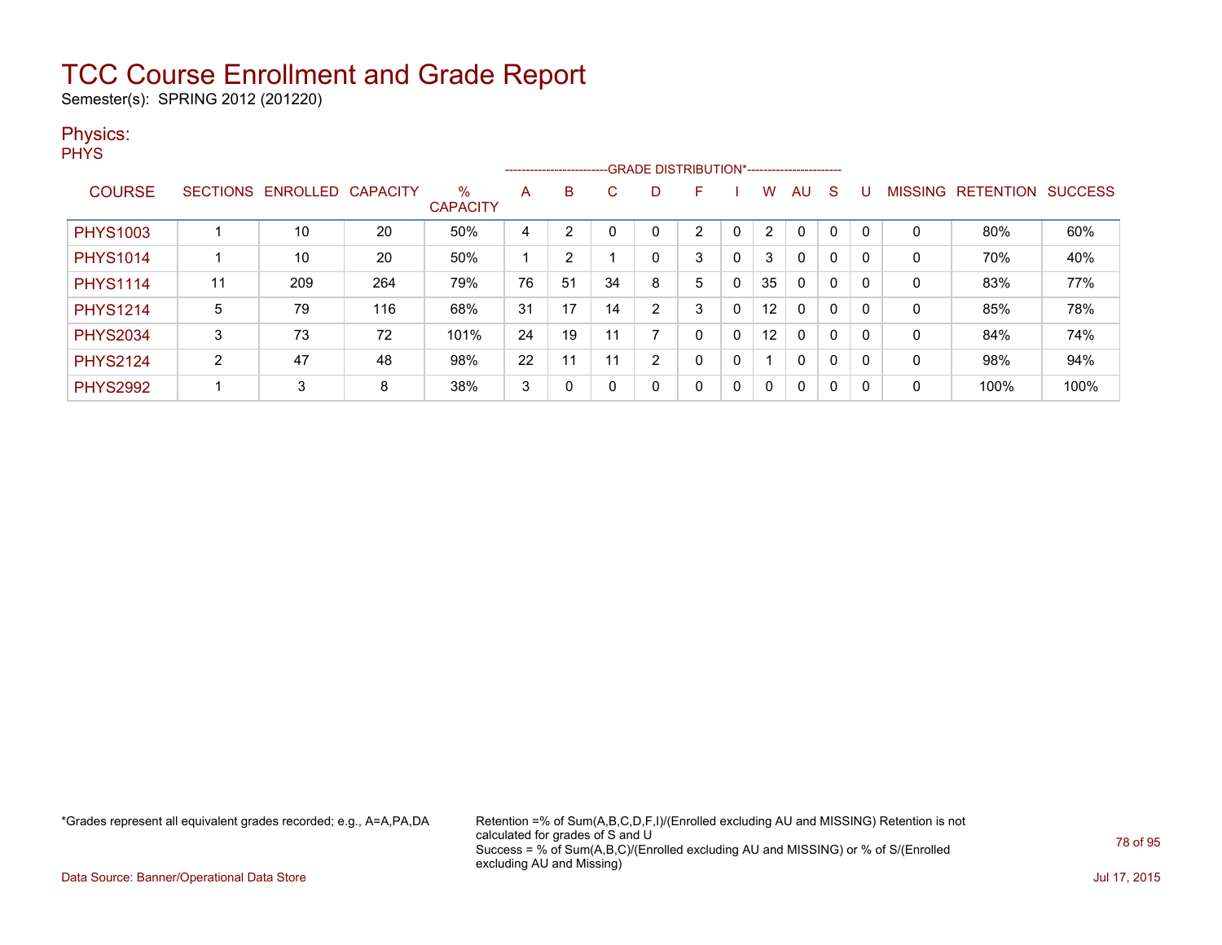Semester(s): SPRING 2012 (201220)

### Physics:

**PHYS** 

|                 |                 |          |                 |                      |    |    |       | --------------------------GRADE DISTRIBUTION*----------------------- |   |              |                |              |              |   |                |                  |                |
|-----------------|-----------------|----------|-----------------|----------------------|----|----|-------|----------------------------------------------------------------------|---|--------------|----------------|--------------|--------------|---|----------------|------------------|----------------|
| <b>COURSE</b>   | <b>SECTIONS</b> | ENROLLED | <b>CAPACITY</b> | %<br><b>CAPACITY</b> | A  | B  | C.    | D                                                                    | F |              | W              | AU           | S            |   | <b>MISSING</b> | <b>RETENTION</b> | <b>SUCCESS</b> |
| <b>PHYS1003</b> |                 | 10       | 20              | 50%                  | 4  | っ  |       |                                                                      | າ |              | $\overline{2}$ | $\mathbf 0$  | 0            |   | 0              | 80%              | 60%            |
| <b>PHYS1014</b> |                 | 10       | 20              | 50%                  |    | 2  |       | 0                                                                    | 3 | 0            | 3              | $\mathbf{0}$ | 0            |   | 0              | 70%              | 40%            |
| <b>PHYS1114</b> | 11              | 209      | 264             | 79%                  | 76 | 51 | 34    | 8                                                                    | 5 | 0            | 35             | $\mathbf{0}$ | 0            |   | 0              | 83%              | 77%            |
| <b>PHYS1214</b> | 5               | 79       | 116             | 68%                  | 31 | 17 | 14    | $\overline{2}$                                                       | 3 | $\Omega$     | 12             | $\mathbf{0}$ | 0            |   | 0              | 85%              | 78%            |
| <b>PHYS2034</b> | 3               | 73       | 72              | 101%                 | 24 | 19 | $-11$ |                                                                      | 0 | $\Omega$     | 12             | $\mathbf{0}$ | 0            |   | 0              | 84%              | 74%            |
| <b>PHYS2124</b> | C<br>∠          | 47       | 48              | 98%                  | 22 | 11 | 11    | $\overline{2}$                                                       | 0 | 0            |                | $\mathbf{0}$ | 0            |   | 0              | 98%              | 94%            |
| <b>PHYS2992</b> |                 | 3        | 8               | 38%                  | 3  | 0  | 0     | 0                                                                    | 0 | $\mathbf{0}$ | $\Omega$       | $\mathbf{0}$ | $\mathbf{0}$ | 0 | 0              | 100%             | 100%           |

\*Grades represent all equivalent grades recorded; e.g., A=A,PA,DA Retention =% of Sum(A,B,C,D,F,I)/(Enrolled excluding AU and MISSING) Retention is not calculated for grades of S and U Success = % of Sum(A,B,C)/(Enrolled excluding AU and MISSING) or % of S/(Enrolled excluding AU and Missing)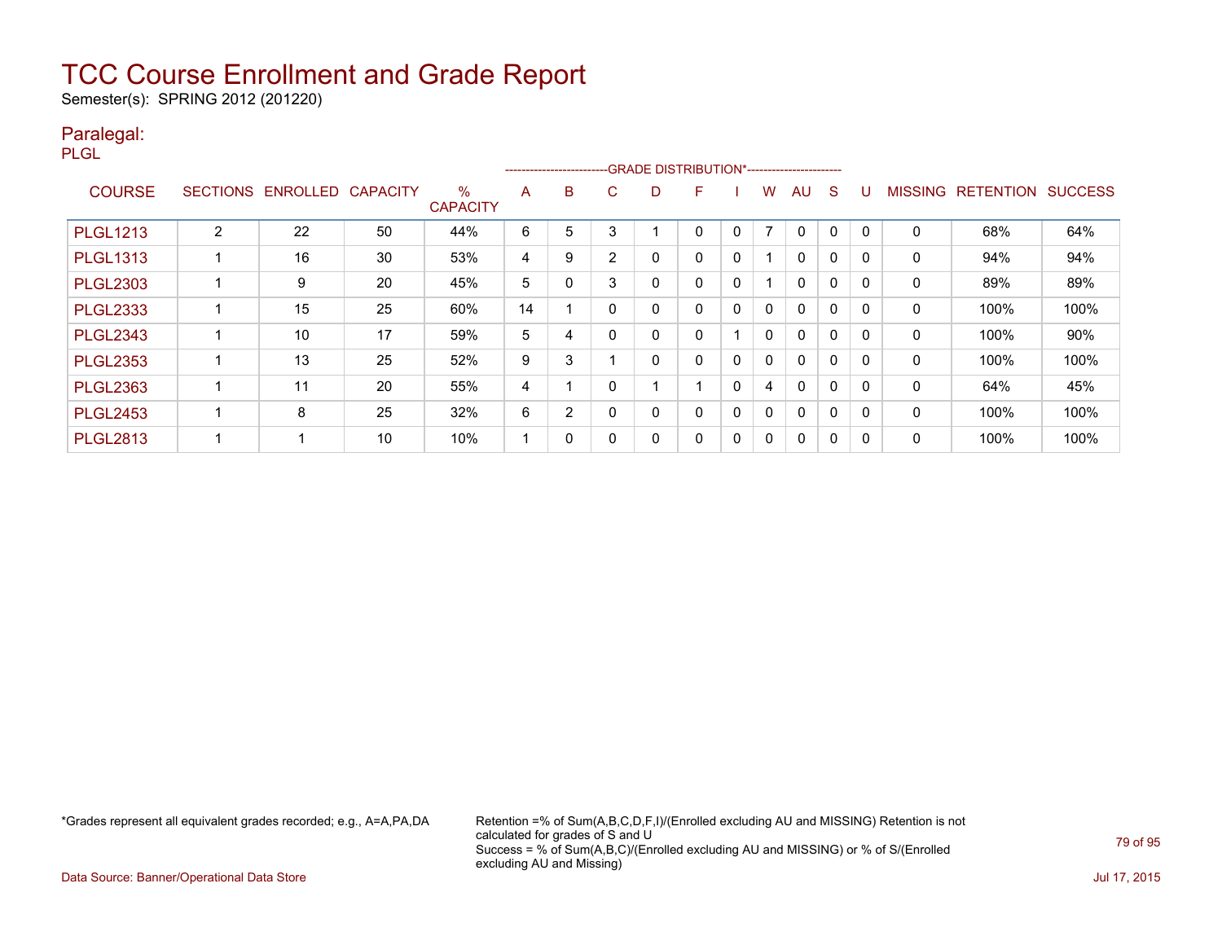Semester(s): SPRING 2012 (201220)

### Paralegal:

PLGL

|                 |                 |                 |                 |                      |    |                |                | --------------------------GRADE DISTRIBUTION*----------------------- |   |              |                          |              |             |              |                |                  |                |
|-----------------|-----------------|-----------------|-----------------|----------------------|----|----------------|----------------|----------------------------------------------------------------------|---|--------------|--------------------------|--------------|-------------|--------------|----------------|------------------|----------------|
| <b>COURSE</b>   | <b>SECTIONS</b> | <b>ENROLLED</b> | <b>CAPACITY</b> | %<br><b>CAPACITY</b> | A  | B              | C              | D                                                                    | F |              | W                        | AU           | S           |              | <b>MISSING</b> | <b>RETENTION</b> | <b>SUCCESS</b> |
| <b>PLGL1213</b> | 2               | 22              | 50              | 44%                  | 6  | 5              | 3              |                                                                      | 0 | $\mathbf{0}$ | $\overline{\phantom{a}}$ | 0            | 0           | $\Omega$     | 0              | 68%              | 64%            |
| <b>PLGL1313</b> |                 | 16              | 30              | 53%                  | 4  | 9              | $\overline{2}$ | 0                                                                    | 0 | 0            |                          | 0            | $\mathbf 0$ |              | 0              | 94%              | 94%            |
| <b>PLGL2303</b> |                 | 9               | 20              | 45%                  | 5  | 0              | 3              | 0                                                                    | 0 | $\Omega$     |                          | 0            | 0           | $\Omega$     | 0              | 89%              | 89%            |
| <b>PLGL2333</b> |                 | 15              | 25              | 60%                  | 14 |                |                | 0                                                                    | 0 | $\mathbf{0}$ | 0                        | 0            | $\mathbf 0$ |              | 0              | 100%             | 100%           |
| <b>PLGL2343</b> |                 | 10              | 17              | 59%                  | 5  | 4              |                | 0                                                                    | 0 |              | 0                        | 0            | 0           | $\Omega$     | 0              | 100%             | 90%            |
| <b>PLGL2353</b> |                 | 13              | 25              | 52%                  | 9  | 3              |                | 0                                                                    | 0 | 0            | 0                        | $\mathbf{0}$ | 0           |              | 0              | 100%             | 100%           |
| <b>PLGL2363</b> |                 | 11              | 20              | 55%                  | 4  |                |                |                                                                      |   | 0            | 4                        | 0            | $\mathbf 0$ | <sup>0</sup> | $\mathbf{0}$   | 64%              | 45%            |
| <b>PLGL2453</b> |                 | 8               | 25              | 32%                  | 6  | $\overline{2}$ | 0              | 0                                                                    | 0 | 0            | 0                        | $\mathbf{0}$ | $\Omega$    | $\Omega$     | 0              | 100%             | 100%           |
| <b>PLGL2813</b> |                 |                 | 10              | 10%                  |    | 0              |                | 0                                                                    | 0 | 0            | 0                        | $\mathbf{0}$ | 0           |              | 0              | 100%             | 100%           |

\*Grades represent all equivalent grades recorded; e.g., A=A,PA,DA Retention =% of Sum(A,B,C,D,F,I)/(Enrolled excluding AU and MISSING) Retention is not calculated for grades of S and U Success = % of Sum(A,B,C)/(Enrolled excluding AU and MISSING) or % of S/(Enrolled excluding AU and Missing)

Data Source: Banner/Operational Data Store Jul 17, 2015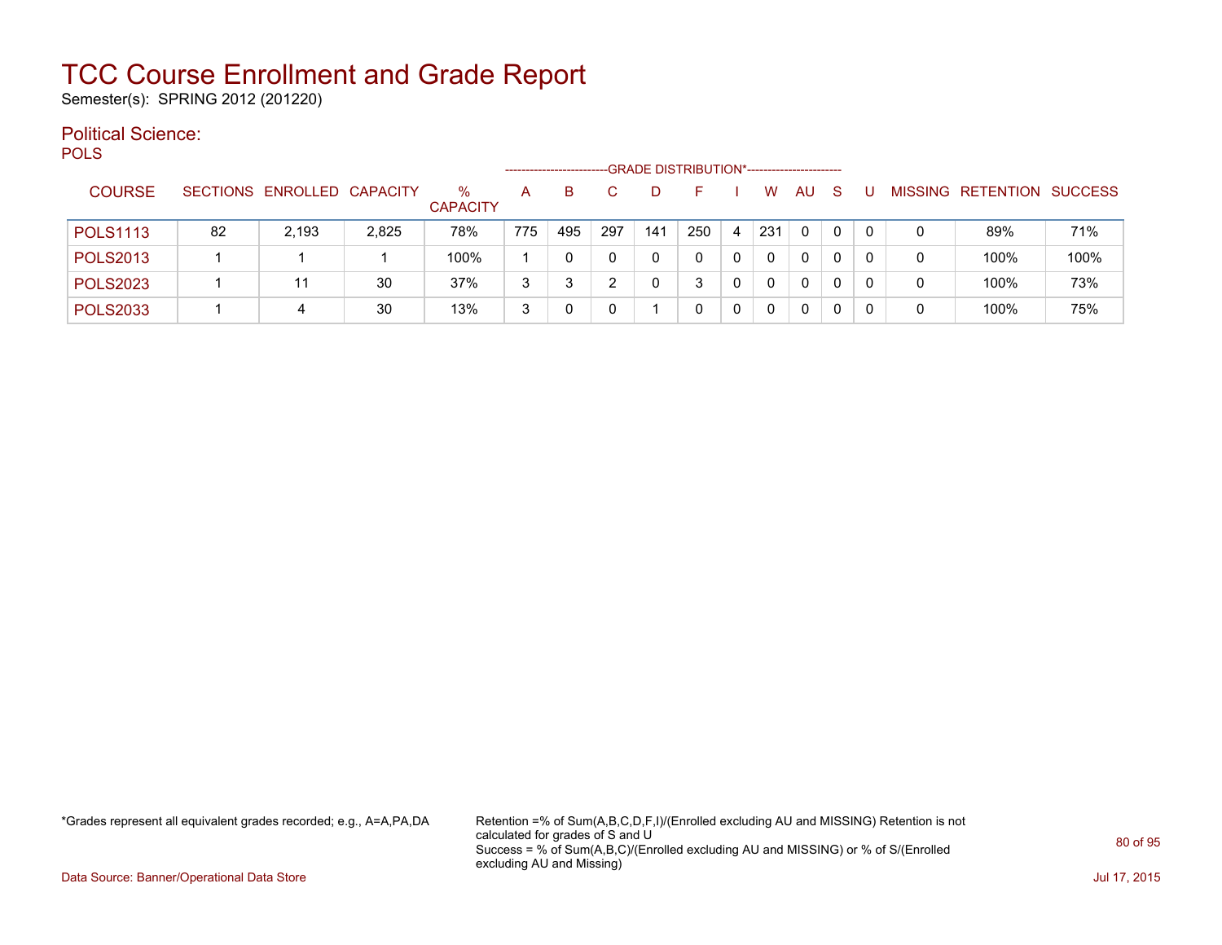Semester(s): SPRING 2012 (201220)

#### Political Science: POLS

| ິ               |    |                            |       |                      |     |     |     |     | -GRADE DISTRIBUTION*----------------------- |   |          |              |    |     |   |                   |                |
|-----------------|----|----------------------------|-------|----------------------|-----|-----|-----|-----|---------------------------------------------|---|----------|--------------|----|-----|---|-------------------|----------------|
| <b>COURSE</b>   |    | SECTIONS ENROLLED CAPACITY |       | %<br><b>CAPACITY</b> | А   | B   |     |     |                                             |   | W        | AU           | -S |     |   | MISSING RETENTION | <b>SUCCESS</b> |
| <b>POLS1113</b> | 82 | 2.193                      | 2,825 | 78%                  | 775 | 495 | 297 | 141 | 250                                         | 4 | 231      | $\Omega$     | 0  | - 0 |   | 89%               | 71%            |
| <b>POLS2013</b> |    |                            |       | 100%                 |     |     |     | 0   |                                             | 0 | $\Omega$ | $\mathbf{0}$ | 0  |     | 0 | 100%              | 100%           |
| <b>POLS2023</b> |    | 11                         | 30    | 37%                  | 3   |     | ີ   |     |                                             | 0 | $\Omega$ | $\mathbf{0}$ | 0  |     |   | 100%              | 73%            |
| <b>POLS2033</b> |    | 4                          | 30    | 13%                  | 3   |     |     |     |                                             | 0 | 0        | $\mathbf{0}$ | 0  |     |   | 100%              | 75%            |

\*Grades represent all equivalent grades recorded; e.g., A=A,PA,DA Retention =% of Sum(A,B,C,D,F,I)/(Enrolled excluding AU and MISSING) Retention is not calculated for grades of S and U Success = % of Sum(A,B,C)/(Enrolled excluding AU and MISSING) or % of S/(Enrolled excluding AU and Missing)

Data Source: Banner/Operational Data Store Jul 17, 2015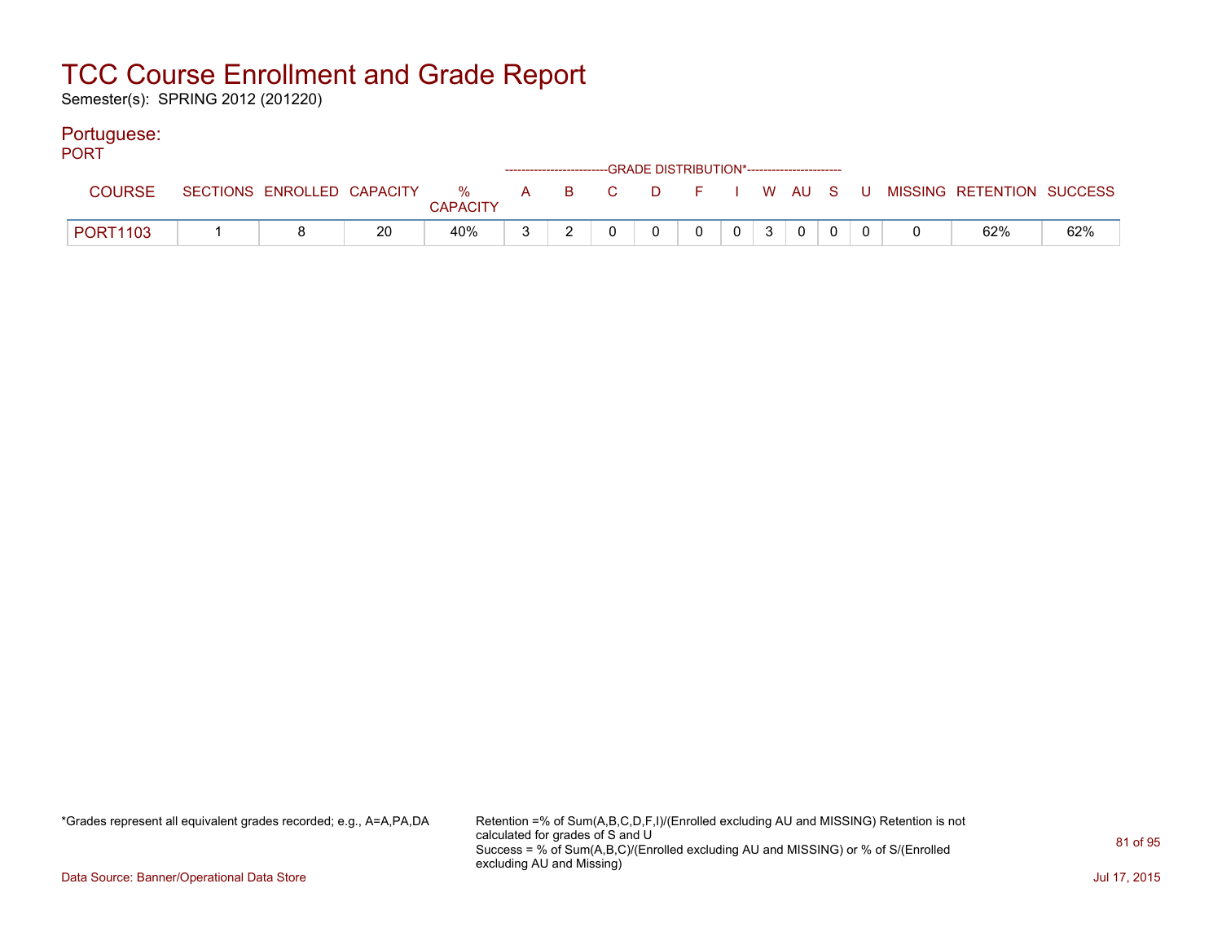Semester(s): SPRING 2012 (201220)

#### Portuguese:

| <b>PORT</b>     |  |    |                 |  | ------------------------GRADE DISTRIBUTION*----------------------- |                |                 |                |  |                                                                               |     |
|-----------------|--|----|-----------------|--|--------------------------------------------------------------------|----------------|-----------------|----------------|--|-------------------------------------------------------------------------------|-----|
| <b>COURSE</b>   |  |    | <b>CAPACITY</b> |  |                                                                    |                |                 |                |  | SECTIONS ENROLLED CAPACITY 3 % A B C D F I W AU S U MISSING RETENTION SUCCESS |     |
| <b>PORT1103</b> |  | 20 | 40%             |  | $\overline{0}$                                                     | $\overline{0}$ | $0 \mid 3 \mid$ | $\overline{0}$ |  | 62%                                                                           | 62% |

\*Grades represent all equivalent grades recorded; e.g., A=A,PA,DA Retention =% of Sum(A,B,C,D,F,I)/(Enrolled excluding AU and MISSING) Retention is not calculated for grades of S and U Success = % of Sum(A,B,C)/(Enrolled excluding AU and MISSING) or % of S/(Enrolled excluding AU and Missing)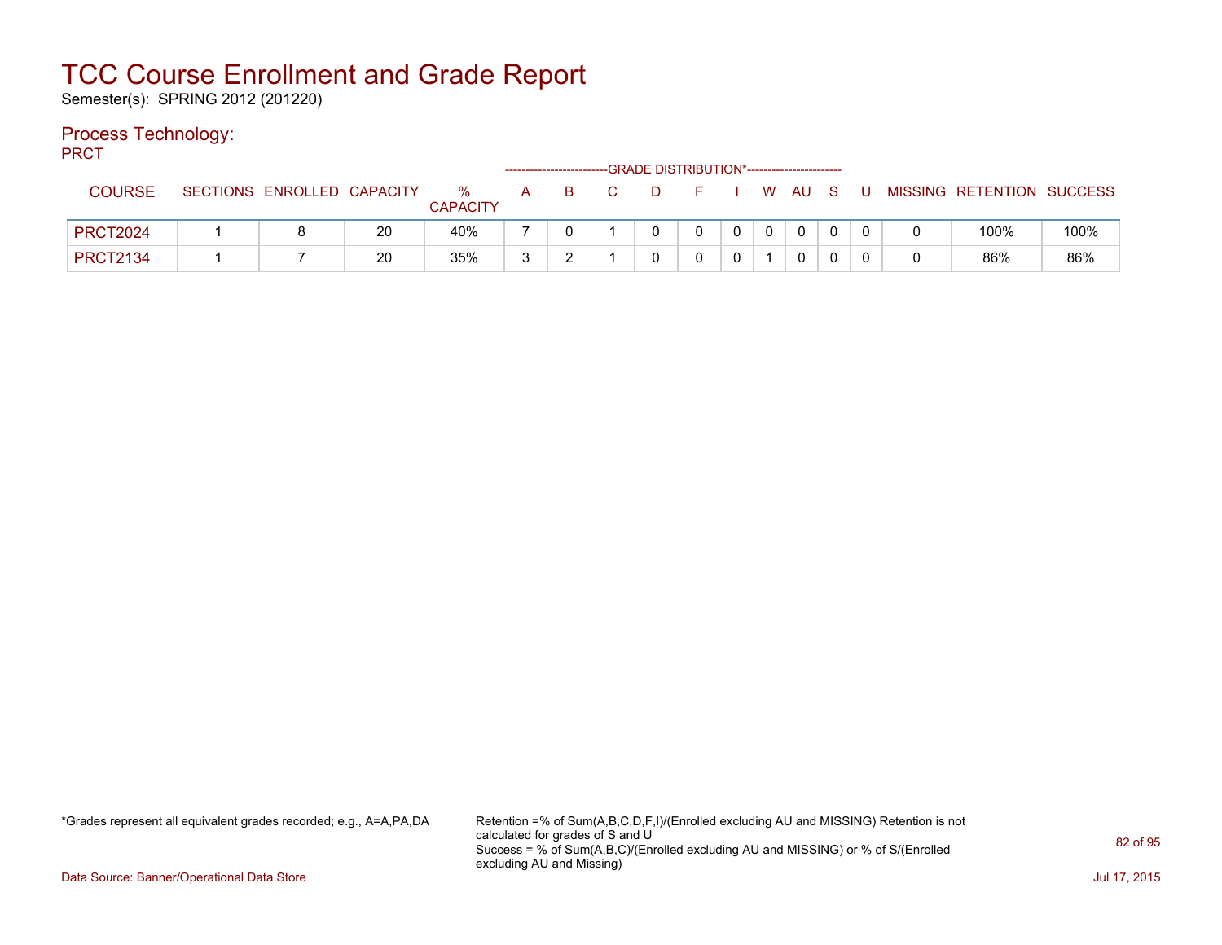Semester(s): SPRING 2012 (201220)

### Process Technology:

PRCT

|                 |                            |    |                      | --------------------- |   |  | -GRADE DISTRIBUTION*----------------------- |                |              |        |  |                           |      |
|-----------------|----------------------------|----|----------------------|-----------------------|---|--|---------------------------------------------|----------------|--------------|--------|--|---------------------------|------|
| <b>COURSE</b>   | SECTIONS ENROLLED CAPACITY |    | %<br><b>CAPACITY</b> | A                     | B |  |                                             |                |              | W AU S |  | MISSING RETENTION SUCCESS |      |
| <b>PRCT2024</b> |                            | 20 | 40%                  |                       |   |  |                                             | $\overline{0}$ | $\mathbf{0}$ |        |  | 100%                      | 100% |
| <b>PRCT2134</b> |                            | 20 | 35%                  | 3                     |   |  |                                             |                |              |        |  | 86%                       | 86%  |

\*Grades represent all equivalent grades recorded; e.g., A=A,PA,DA Retention =% of Sum(A,B,C,D,F,I)/(Enrolled excluding AU and MISSING) Retention is not calculated for grades of S and U Success = % of Sum(A,B,C)/(Enrolled excluding AU and MISSING) or % of S/(Enrolled excluding AU and Missing)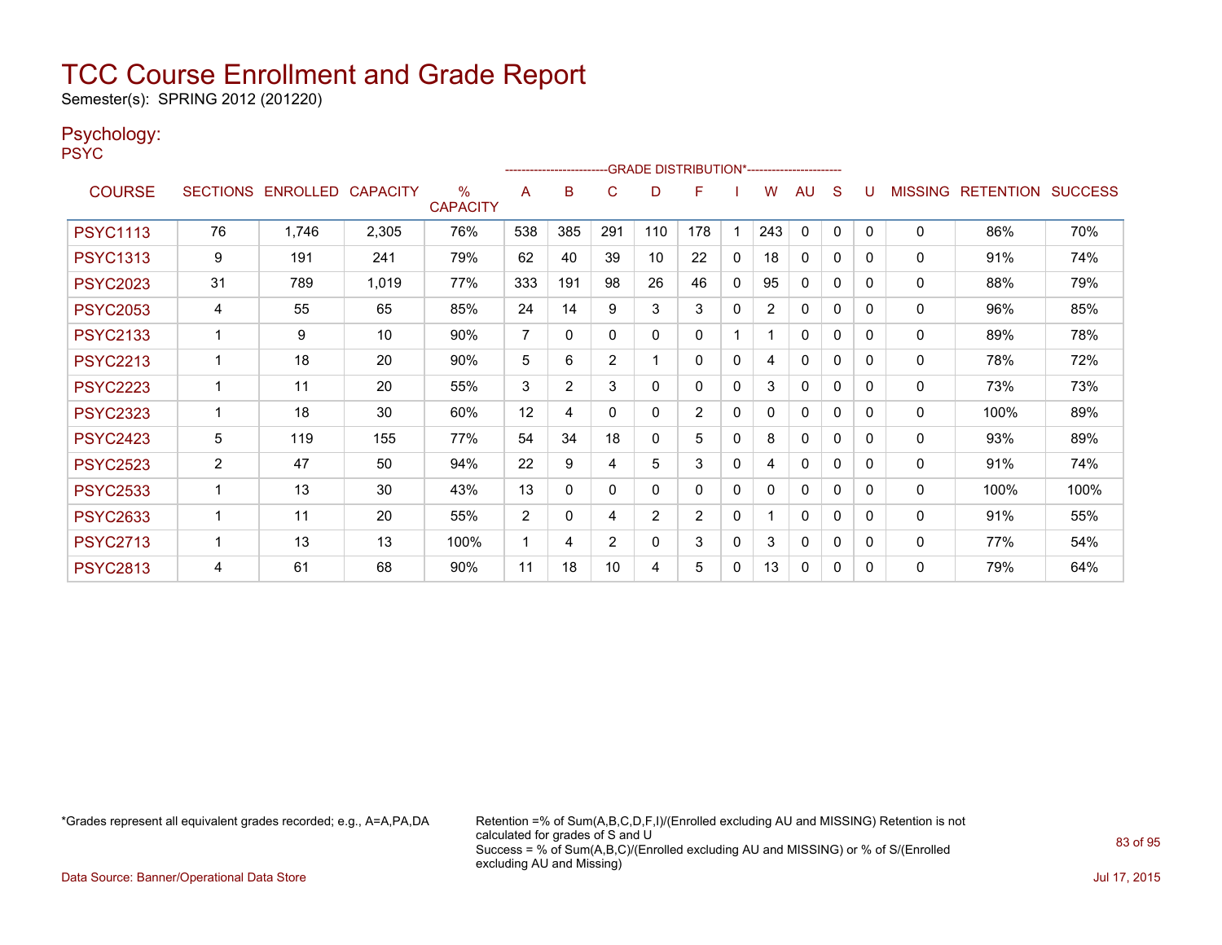Semester(s): SPRING 2012 (201220)

### Psychology:

PSYC

|                 |                |                            |       |                      |                         |          |             | -GRADE DISTRIBUTION*----------------------- |                |              |                |              |          |          |                |                          |      |
|-----------------|----------------|----------------------------|-------|----------------------|-------------------------|----------|-------------|---------------------------------------------|----------------|--------------|----------------|--------------|----------|----------|----------------|--------------------------|------|
| <b>COURSE</b>   |                | SECTIONS ENROLLED CAPACITY |       | %<br><b>CAPACITY</b> | A                       | в        | С           | D                                           | F              |              | w              | AU           | S        |          | <b>MISSING</b> | <b>RETENTION SUCCESS</b> |      |
| <b>PSYC1113</b> | 76             | 1.746                      | 2,305 | 76%                  | 538                     | 385      | 291         | 110                                         | 178            |              | 243            | $\mathbf{0}$ | $\Omega$ | $\Omega$ | 0              | 86%                      | 70%  |
| <b>PSYC1313</b> | 9              | 191                        | 241   | 79%                  | 62                      | 40       | 39          | 10                                          | 22             | 0            | 18             | 0            | 0        | 0        | 0              | 91%                      | 74%  |
| <b>PSYC2023</b> | 31             | 789                        | 1,019 | 77%                  | 333                     | 191      | 98          | 26                                          | 46             | $\mathbf{0}$ | 95             | $\mathbf{0}$ | 0        | 0        | 0              | 88%                      | 79%  |
| <b>PSYC2053</b> | 4              | 55                         | 65    | 85%                  | 24                      | 14       | 9           | 3                                           | 3              | $\mathbf{0}$ | $\overline{2}$ | $\mathbf{0}$ | 0        | 0        | 0              | 96%                      | 85%  |
| <b>PSYC2133</b> | 1              | 9                          | 10    | 90%                  | $\overline{7}$          | $\Omega$ | $\mathbf 0$ | $\Omega$                                    | $\Omega$       |              |                | 0            | 0        | 0        | 0              | 89%                      | 78%  |
| <b>PSYC2213</b> |                | 18                         | 20    | 90%                  | 5                       | 6        | 2           |                                             | $\mathbf{0}$   | $\mathbf{0}$ | 4              | $\mathbf{0}$ | 0        | 0        | 0              | 78%                      | 72%  |
| <b>PSYC2223</b> | $\mathbf 1$    | 11                         | 20    | 55%                  | 3                       | 2        | 3           | $\Omega$                                    | $\Omega$       | $\mathbf{0}$ | 3              | $\mathbf{0}$ | $\Omega$ | 0        | 0              | 73%                      | 73%  |
| <b>PSYC2323</b> |                | 18                         | 30    | 60%                  | 12                      | 4        | $\mathbf 0$ | $\Omega$                                    | $\overline{2}$ | 0            |                | $\Omega$     | 0        | 0        | 0              | 100%                     | 89%  |
| <b>PSYC2423</b> | 5              | 119                        | 155   | 77%                  | 54                      | 34       | 18          | $\mathbf{0}$                                | 5              | $\mathbf{0}$ | 8              | $\mathbf{0}$ | 0        | 0        | 0              | 93%                      | 89%  |
| <b>PSYC2523</b> | $\overline{2}$ | 47                         | 50    | 94%                  | 22                      | 9        | 4           | 5                                           | 3              | $\mathbf{0}$ | 4              | $\mathbf{0}$ | $\Omega$ | 0        | 0              | 91%                      | 74%  |
| <b>PSYC2533</b> | 1              | 13                         | 30    | 43%                  | 13                      | $\Omega$ | $\mathbf 0$ | $\Omega$                                    | $\Omega$       | $\mathbf{0}$ | 0              | $\mathbf{0}$ | 0        | 0        | $\mathbf{0}$   | 100%                     | 100% |
| <b>PSYC2633</b> | 1              | 11                         | 20    | 55%                  | $\overline{2}$          | $\Omega$ | 4           | $\overline{2}$                              | $\overline{2}$ | $\mathbf{0}$ |                | $\mathbf{0}$ | $\Omega$ | 0        | 0              | 91%                      | 55%  |
| <b>PSYC2713</b> | 1              | 13                         | 13    | 100%                 | $\overline{\mathbf{1}}$ | 4        | 2           | $\Omega$                                    | 3              | $\mathbf{0}$ | 3              | $\mathbf{0}$ | $\Omega$ | 0        | 0              | 77%                      | 54%  |
| <b>PSYC2813</b> | 4              | 61                         | 68    | 90%                  | 11                      | 18       | 10          | 4                                           | 5              | $\mathbf{0}$ | 13             | $\mathbf{0}$ | 0        | 0        | $\Omega$       | 79%                      | 64%  |

\*Grades represent all equivalent grades recorded; e.g., A=A,PA,DA Retention =% of Sum(A,B,C,D,F,I)/(Enrolled excluding AU and MISSING) Retention is not calculated for grades of S and U Success = % of Sum(A,B,C)/(Enrolled excluding AU and MISSING) or % of S/(Enrolled excluding AU and Missing)

Data Source: Banner/Operational Data Store Jul 17, 2015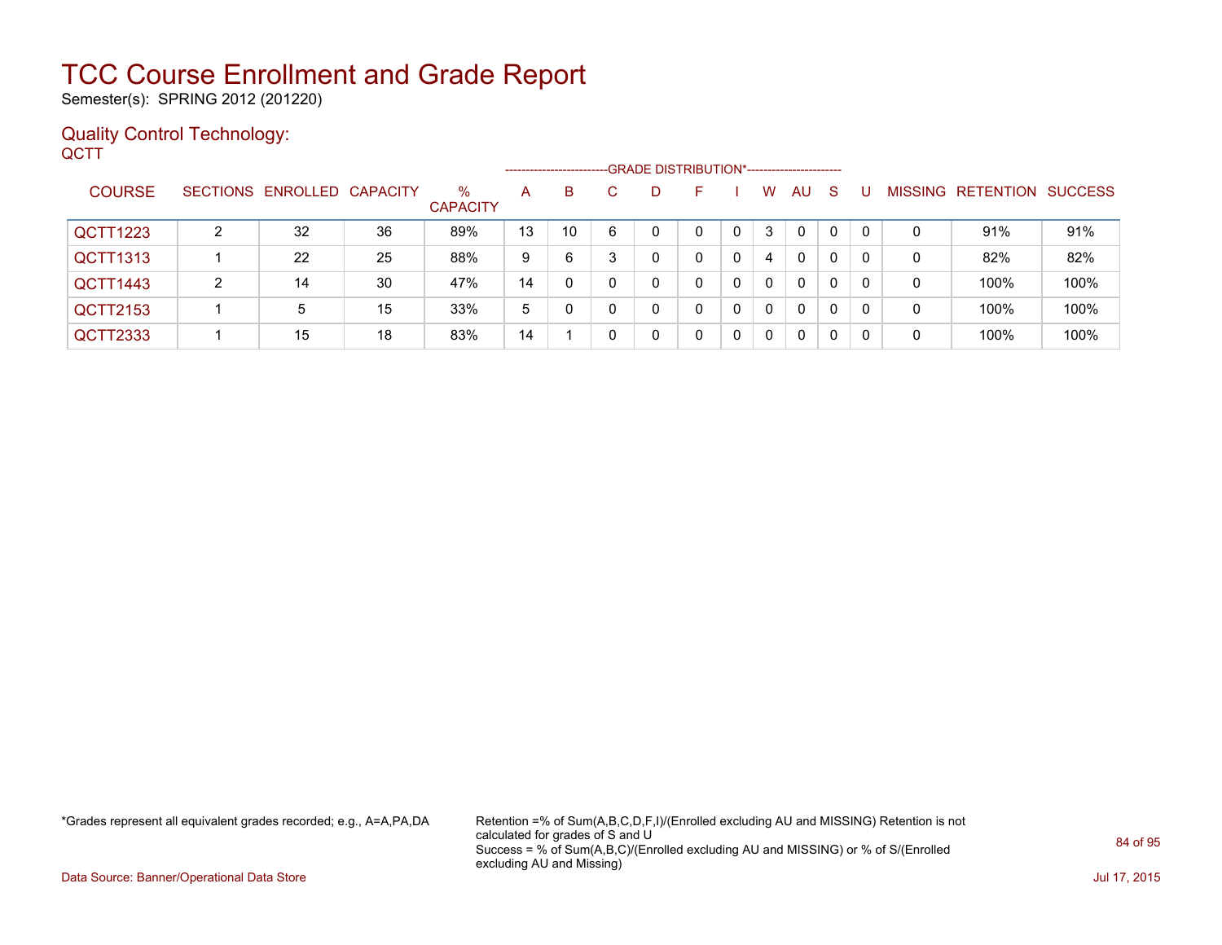Semester(s): SPRING 2012 (201220)

#### Quality Control Technology: **QCTT**

|               |   |                            |    |                         | -------------------- |    |   | -GRADE DISTRIBUTION*----------------------- |    |          |             |              |    |   |                   |                |
|---------------|---|----------------------------|----|-------------------------|----------------------|----|---|---------------------------------------------|----|----------|-------------|--------------|----|---|-------------------|----------------|
| <b>COURSE</b> |   | SECTIONS ENROLLED CAPACITY |    | $\%$<br><b>CAPACITY</b> | A                    | B  | C | D                                           | н. | W        | AU          | <sub>S</sub> |    |   | MISSING RETENTION | <b>SUCCESS</b> |
| QCTT1223      | າ | 32                         | 36 | 89%                     | 13                   | 10 | 6 | 0                                           |    | 3        | $\mathbf 0$ | 0            |    | 0 | 91%               | 91%            |
| QCTT1313      |   | 22                         | 25 | 88%                     | 9                    | 6  |   |                                             | 0  | 4        | 0           | 0            |    | 0 | 82%               | 82%            |
| QCTT1443      | 2 | 14                         | 30 | 47%                     | 14                   |    |   | 0                                           | 0  | $\Omega$ | 0           | 0            |    | 0 | 100%              | 100%           |
| QCTT2153      |   | 5                          | 15 | 33%                     | 5                    |    |   | 0                                           | 0  | $\Omega$ | 0           | 0            | -0 | 0 | 100%              | 100%           |
| QCTT2333      |   | 15                         | 18 | 83%                     | 14                   |    |   |                                             |    | $\Omega$ | 0           | 0            |    | 0 | 100%              | 100%           |

\*Grades represent all equivalent grades recorded; e.g., A=A,PA,DA Retention =% of Sum(A,B,C,D,F,I)/(Enrolled excluding AU and MISSING) Retention is not calculated for grades of S and U Success = % of Sum(A,B,C)/(Enrolled excluding AU and MISSING) or % of S/(Enrolled excluding AU and Missing)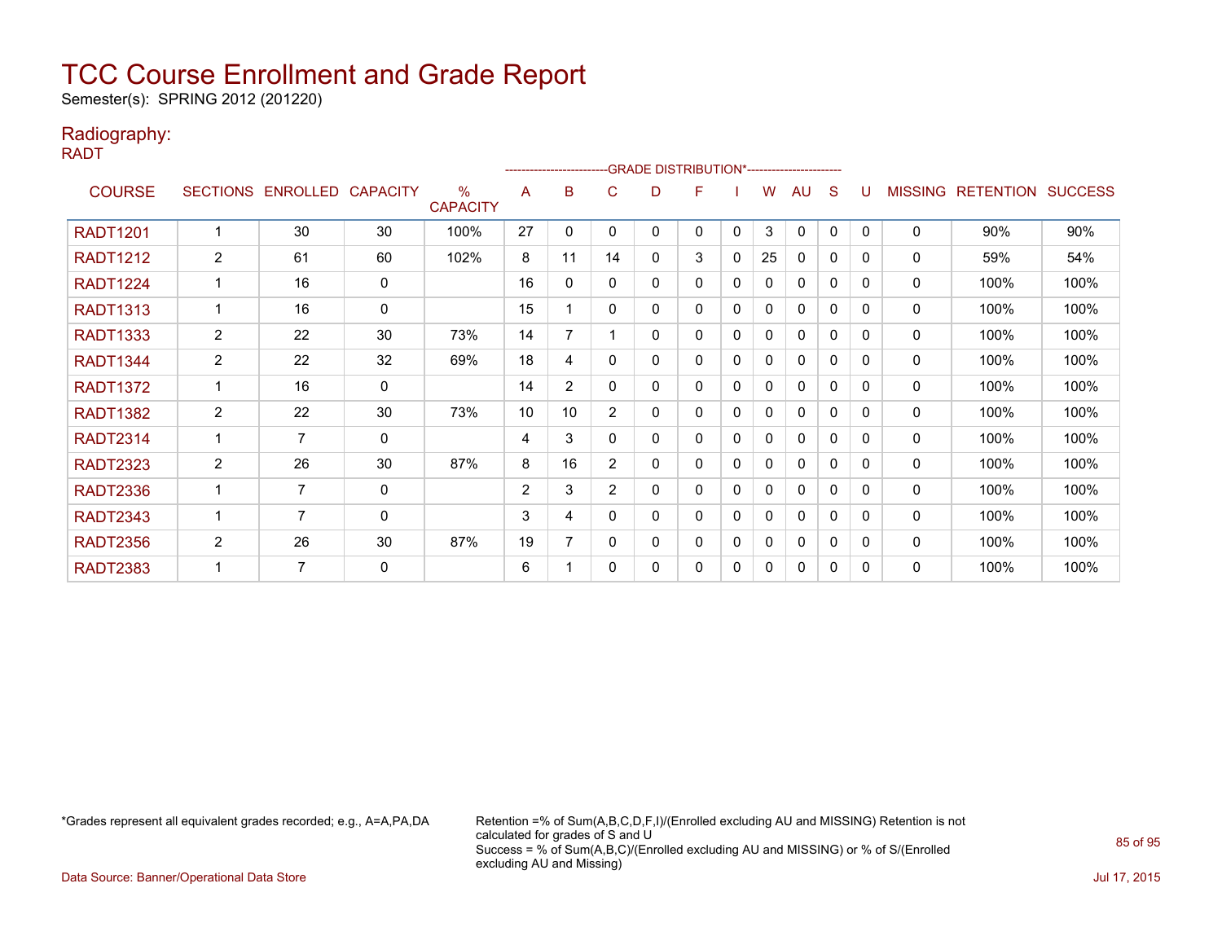Semester(s): SPRING 2012 (201220)

### Radiography:

RADT

|                 |                |                   |                 |                         |                |                | -------------------------GRADE                DISTRIBUTION*--------------------- |   |   |          |    |              |              |          |                |                   |      |
|-----------------|----------------|-------------------|-----------------|-------------------------|----------------|----------------|----------------------------------------------------------------------------------|---|---|----------|----|--------------|--------------|----------|----------------|-------------------|------|
| <b>COURSE</b>   |                | SECTIONS ENROLLED | <b>CAPACITY</b> | $\%$<br><b>CAPACITY</b> | A              | B              | C                                                                                | D | F |          | w  | AU           | <sub>S</sub> | U        | <b>MISSING</b> | RETENTION SUCCESS |      |
| <b>RADT1201</b> |                | 30                | 30              | 100%                    | 27             | 0              | 0                                                                                | 0 | 0 | 0        | 3  | $\mathbf{0}$ | 0            | $\Omega$ | 0              | 90%               | 90%  |
| <b>RADT1212</b> | $\overline{2}$ | 61                | 60              | 102%                    | 8              | 11             | 14                                                                               | 0 | 3 | 0        | 25 | 0            | $\Omega$     | 0        | 0              | 59%               | 54%  |
| <b>RADT1224</b> |                | 16                | $\mathbf 0$     |                         | 16             | $\Omega$       | 0                                                                                | 0 | 0 | 0        | 0  | $\mathbf{0}$ | $\Omega$     | $\Omega$ | 0              | 100%              | 100% |
| <b>RADT1313</b> |                | 16                | $\mathbf 0$     |                         | 15             |                | 0                                                                                | 0 | 0 | 0        | 0  | $\mathbf{0}$ | 0            | $\Omega$ | 0              | 100%              | 100% |
| <b>RADT1333</b> | $\overline{2}$ | 22                | 30              | 73%                     | 14             | 7              |                                                                                  | 0 | 0 | $\Omega$ | 0  | $\Omega$     | $\Omega$     | $\Omega$ | 0              | 100%              | 100% |
| <b>RADT1344</b> | 2              | 22                | 32              | 69%                     | 18             | 4              | 0                                                                                | 0 | 0 | 0        | 0  | 0            | 0            | $\Omega$ | 0              | 100%              | 100% |
| <b>RADT1372</b> |                | 16                | $\mathbf 0$     |                         | 14             | $\overline{2}$ | 0                                                                                | 0 | 0 | 0        | 0  | $\mathbf{0}$ | $\mathbf{0}$ | $\Omega$ | 0              | 100%              | 100% |
| <b>RADT1382</b> | $\overline{2}$ | 22                | 30              | 73%                     | 10             | 10             | $\overline{2}$                                                                   | 0 | 0 | 0        | 0  | $\mathbf{0}$ | $\Omega$     | $\Omega$ | 0              | 100%              | 100% |
| <b>RADT2314</b> |                | 7                 | 0               |                         | 4              | 3              | $\Omega$                                                                         | 0 | 0 | 0        | 0  | $\mathbf{0}$ | $\Omega$     | $\Omega$ | 0              | 100%              | 100% |
| <b>RADT2323</b> | $\overline{2}$ | 26                | 30              | 87%                     | 8              | 16             | $\overline{2}$                                                                   | 0 | 0 | 0        | 0  | $\mathbf{0}$ | 0            | $\Omega$ | 0              | 100%              | 100% |
| <b>RADT2336</b> |                | 7                 | 0               |                         | $\overline{2}$ | 3              | $\overline{2}$                                                                   | 0 | 0 | $\Omega$ | 0  | $\mathbf{0}$ | 0            | $\Omega$ | 0              | 100%              | 100% |
| <b>RADT2343</b> |                | 7                 | $\mathbf 0$     |                         | 3              | 4              | 0                                                                                | 0 | 0 | 0        | 0  | $\mathbf{0}$ | 0            | $\Omega$ | 0              | 100%              | 100% |
| <b>RADT2356</b> | $\overline{2}$ | 26                | 30              | 87%                     | 19             | 7              | 0                                                                                | 0 | 0 | 0        | 0  | $\mathbf{0}$ | 0            | $\Omega$ | 0              | 100%              | 100% |
| <b>RADT2383</b> |                | 7                 | $\mathbf 0$     |                         | 6              |                | 0                                                                                | 0 | 0 | 0        | 0  | $\Omega$     | 0            | $\Omega$ | 0              | 100%              | 100% |

\*Grades represent all equivalent grades recorded; e.g., A=A,PA,DA Retention =% of Sum(A,B,C,D,F,I)/(Enrolled excluding AU and MISSING) Retention is not calculated for grades of S and U Success = % of Sum(A,B,C)/(Enrolled excluding AU and MISSING) or % of S/(Enrolled excluding AU and Missing)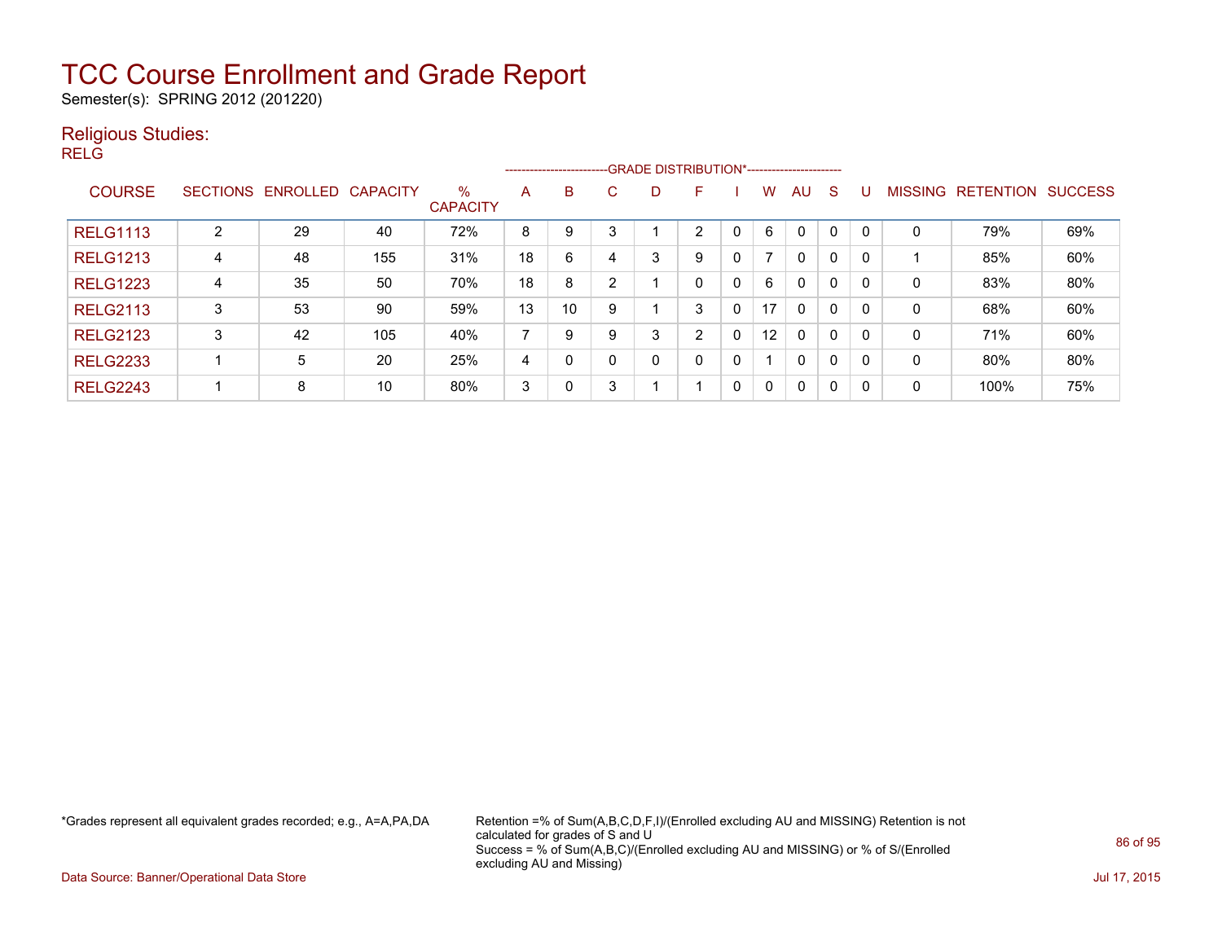Semester(s): SPRING 2012 (201220)

### Religious Studies:

RELG

|                 |                 |          |                 |                         |    | --------------------------GRADE DISTRIBUTION*----------------------- |   |   |          |   |                          |              |              |              |                |                  |                |
|-----------------|-----------------|----------|-----------------|-------------------------|----|----------------------------------------------------------------------|---|---|----------|---|--------------------------|--------------|--------------|--------------|----------------|------------------|----------------|
| <b>COURSE</b>   | <b>SECTIONS</b> | ENROLLED | <b>CAPACITY</b> | $\%$<br><b>CAPACITY</b> | A  | B                                                                    | С | D | E        |   | W                        | AU.          | <sub>S</sub> |              | <b>MISSING</b> | <b>RETENTION</b> | <b>SUCCESS</b> |
| <b>RELG1113</b> | っ               | 29       | 40              | 72%                     | 8  | 9                                                                    | 3 |   | 2        |   | 6                        | $\mathbf 0$  | $\Omega$     | $\Omega$     | 0              | 79%              | 69%            |
| <b>RELG1213</b> | 4               | 48       | 155             | 31%                     | 18 | 6                                                                    | 4 | 3 | 9        | 0 | $\overline{\phantom{a}}$ | $\mathbf{0}$ | $\Omega$     | $\mathbf{0}$ |                | 85%              | 60%            |
| <b>RELG1223</b> | 4               | 35       | 50              | 70%                     | 18 | 8                                                                    | C |   | $\Omega$ | 0 | 6                        | $\mathbf{0}$ | $\mathbf{0}$ | $\mathbf{0}$ | 0              | 83%              | 80%            |
| <b>RELG2113</b> | 3               | 53       | 90              | 59%                     | 13 | 10                                                                   | 9 |   | 3        | 0 | 17                       | $\mathbf{0}$ | $\mathbf{0}$ | $\mathbf{0}$ | 0              | 68%              | 60%            |
| <b>RELG2123</b> | 3               | 42       | 105             | 40%                     |    | 9                                                                    | 9 | 3 | 2        | 0 | $12 \overline{ }$        | $\mathbf{0}$ | $\mathbf{0}$ | $\mathbf{0}$ | 0              | 71%              | 60%            |
| <b>RELG2233</b> |                 | 5        | 20              | 25%                     | 4  | $\Omega$                                                             |   | 0 | 0        | 0 |                          | $\mathbf{0}$ | $\Omega$     | $\mathbf{0}$ | 0              | 80%              | 80%            |
| <b>RELG2243</b> |                 | 8        | 10              | 80%                     | 3  | $\Omega$                                                             | 3 |   |          | 0 | $\Omega$                 | $\mathbf{0}$ | $\Omega$     | $\mathbf{0}$ | 0              | 100%             | 75%            |

\*Grades represent all equivalent grades recorded; e.g., A=A,PA,DA Retention =% of Sum(A,B,C,D,F,I)/(Enrolled excluding AU and MISSING) Retention is not calculated for grades of S and U Success = % of Sum(A,B,C)/(Enrolled excluding AU and MISSING) or % of S/(Enrolled excluding AU and Missing)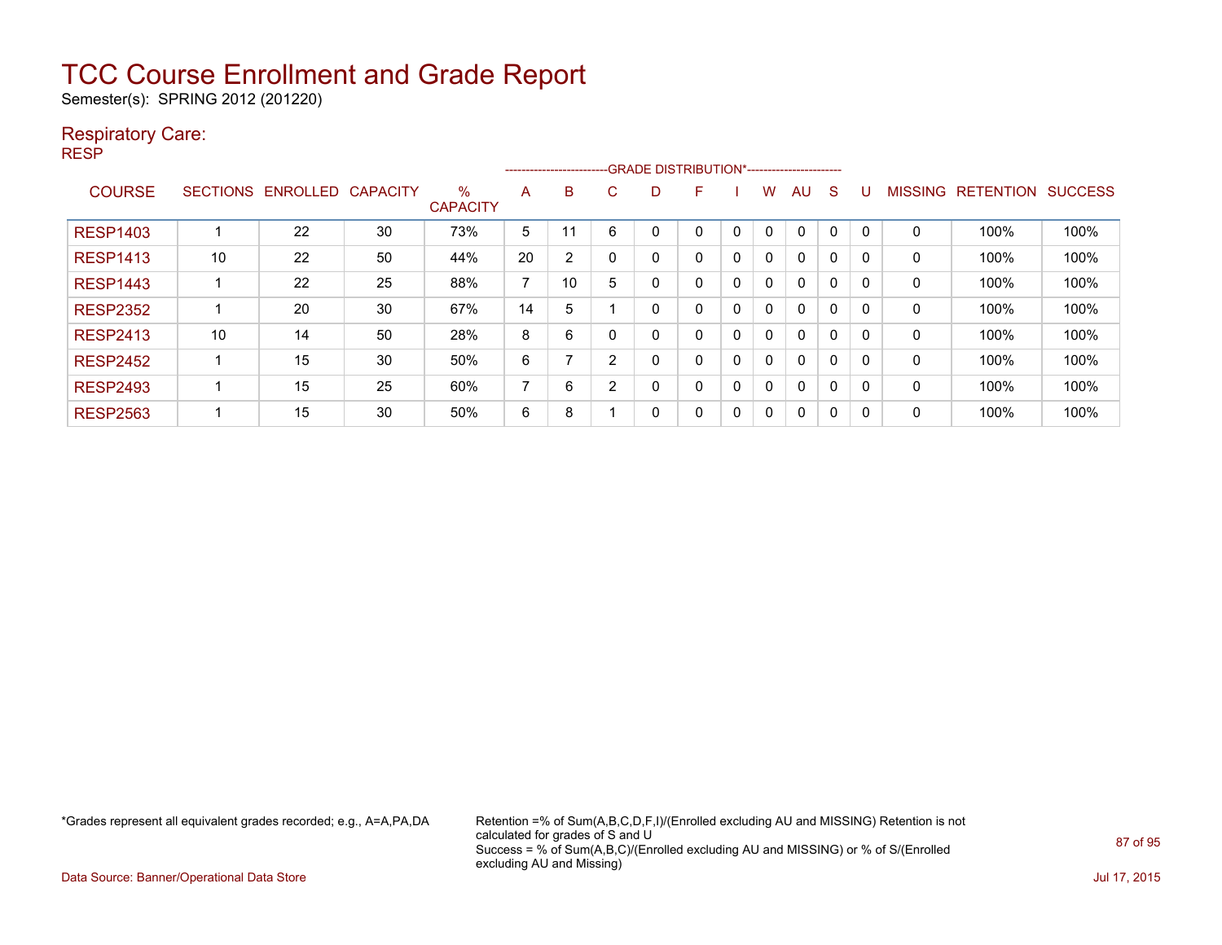Semester(s): SPRING 2012 (201220)

### Respiratory Care:

RESP

|                 |                 |                 |                 |                         |    | ------------------------ |   | -- GRADE DISTRIBUTION*------------------------ |   |   |   |          |          |          |                |                  |                |
|-----------------|-----------------|-----------------|-----------------|-------------------------|----|--------------------------|---|------------------------------------------------|---|---|---|----------|----------|----------|----------------|------------------|----------------|
| <b>COURSE</b>   | <b>SECTIONS</b> | <b>ENROLLED</b> | <b>CAPACITY</b> | $\%$<br><b>CAPACITY</b> | A  | B                        | C | D                                              | F |   | w | AU       | S        |          | <b>MISSING</b> | <b>RETENTION</b> | <b>SUCCESS</b> |
| <b>RESP1403</b> |                 | 22              | 30              | 73%                     | 5  | 11                       | 6 | 0                                              | 0 | 0 | 0 | 0        | 0        | 0        | 0              | 100%             | 100%           |
| <b>RESP1413</b> | 10              | 22              | 50              | 44%                     | 20 | 2                        |   | 0                                              | 0 | 0 | 0 | 0        | 0        | 0        | 0              | 100%             | 100%           |
| <b>RESP1443</b> |                 | 22              | 25              | 88%                     | ⇁  | 10                       | 5 | 0                                              | 0 | 0 | 0 | $\Omega$ | $\Omega$ | $\Omega$ | 0              | 100%             | 100%           |
| <b>RESP2352</b> |                 | 20              | 30              | 67%                     | 14 | 5                        |   | 0                                              | 0 | 0 | 0 | $\Omega$ | 0        | 0        | 0              | 100%             | 100%           |
| <b>RESP2413</b> | 10              | 14              | 50              | 28%                     | 8  | 6                        |   | 0                                              | 0 | 0 | 0 | $\Omega$ | $\Omega$ | 0        | 0              | 100%             | 100%           |
| <b>RESP2452</b> |                 | 15              | 30              | 50%                     | 6  |                          | 2 | 0                                              | 0 | 0 | 0 | $\Omega$ | $\Omega$ | 0        | 0              | 100%             | 100%           |
| <b>RESP2493</b> |                 | 15              | 25              | 60%                     | ⇁  | 6                        | ົ | 0                                              | 0 | 0 | 0 | 0        | 0        | 0        | 0              | 100%             | 100%           |
| <b>RESP2563</b> |                 | 15              | 30              | 50%                     | 6  | 8                        |   | 0                                              | 0 | 0 | 0 | $\Omega$ | 0        | 0        | 0              | 100%             | 100%           |

\*Grades represent all equivalent grades recorded; e.g., A=A,PA,DA Retention =% of Sum(A,B,C,D,F,I)/(Enrolled excluding AU and MISSING) Retention is not calculated for grades of S and U Success = % of Sum(A,B,C)/(Enrolled excluding AU and MISSING) or % of S/(Enrolled excluding AU and Missing)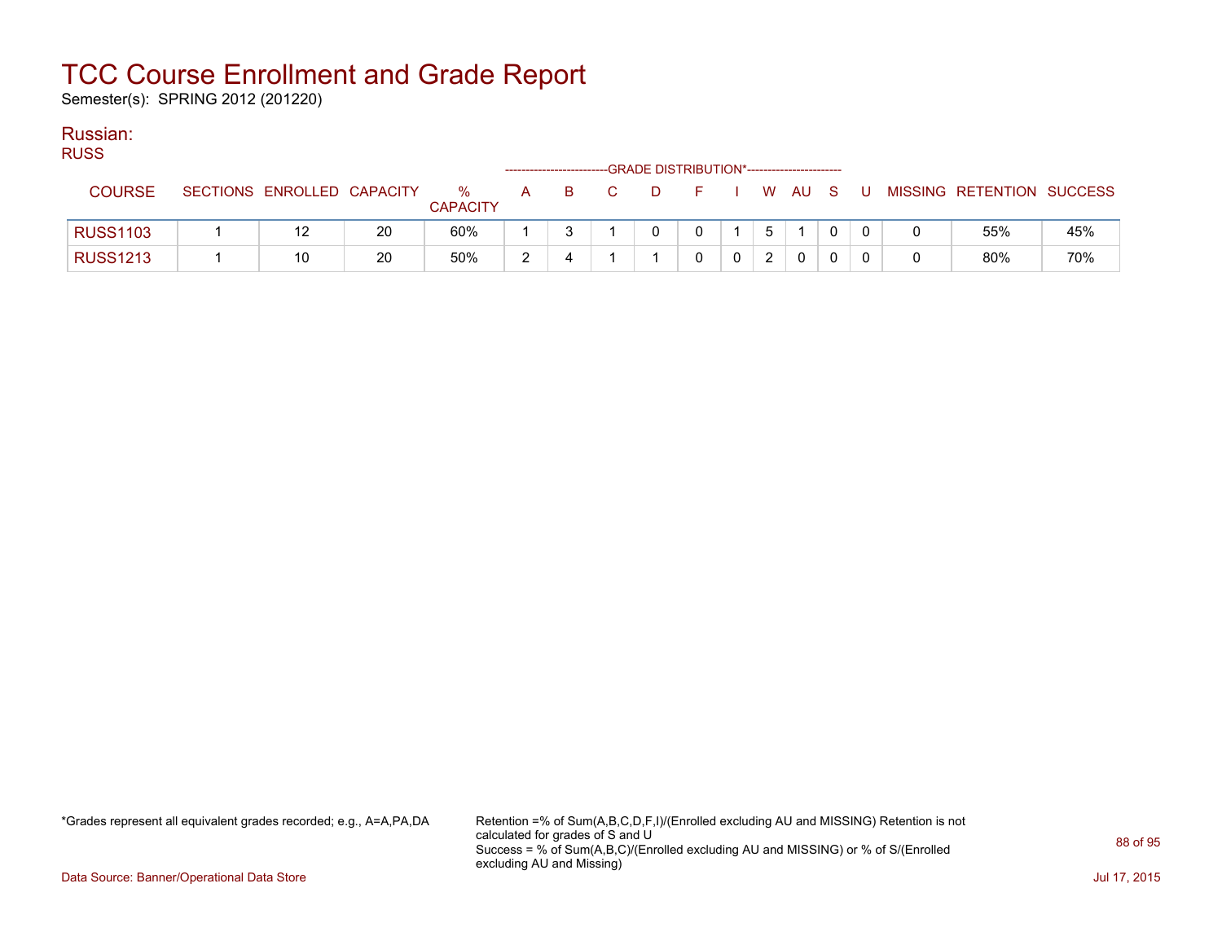Semester(s): SPRING 2012 (201220)

#### Russian:

RUSS

| $\sim$          |                            |    |                  |   |    | ------------------------GRADE DISTRIBUTION*----------------------- |  |   |              |          |    |                           |     |
|-----------------|----------------------------|----|------------------|---|----|--------------------------------------------------------------------|--|---|--------------|----------|----|---------------------------|-----|
| COURSE          | SECTIONS ENROLLED CAPACITY |    | $\%$<br>CAPACITY | A | B. | D                                                                  |  |   | W AU S       |          | J. | MISSING RETENTION SUCCESS |     |
| <b>RUSS1103</b> | 12                         | 20 | 60%              |   |    |                                                                    |  | 5 |              |          |    | 55%                       | 45% |
| <b>RUSS1213</b> | 10                         | 20 | 50%              | ◠ |    |                                                                    |  | ົ | $\mathbf{0}$ | $\Omega$ |    | 80%                       | 70% |

\*Grades represent all equivalent grades recorded; e.g., A=A,PA,DA Retention =% of Sum(A,B,C,D,F,I)/(Enrolled excluding AU and MISSING) Retention is not calculated for grades of S and U Success = % of Sum(A,B,C)/(Enrolled excluding AU and MISSING) or % of S/(Enrolled excluding AU and Missing)

Data Source: Banner/Operational Data Store Jul 17, 2015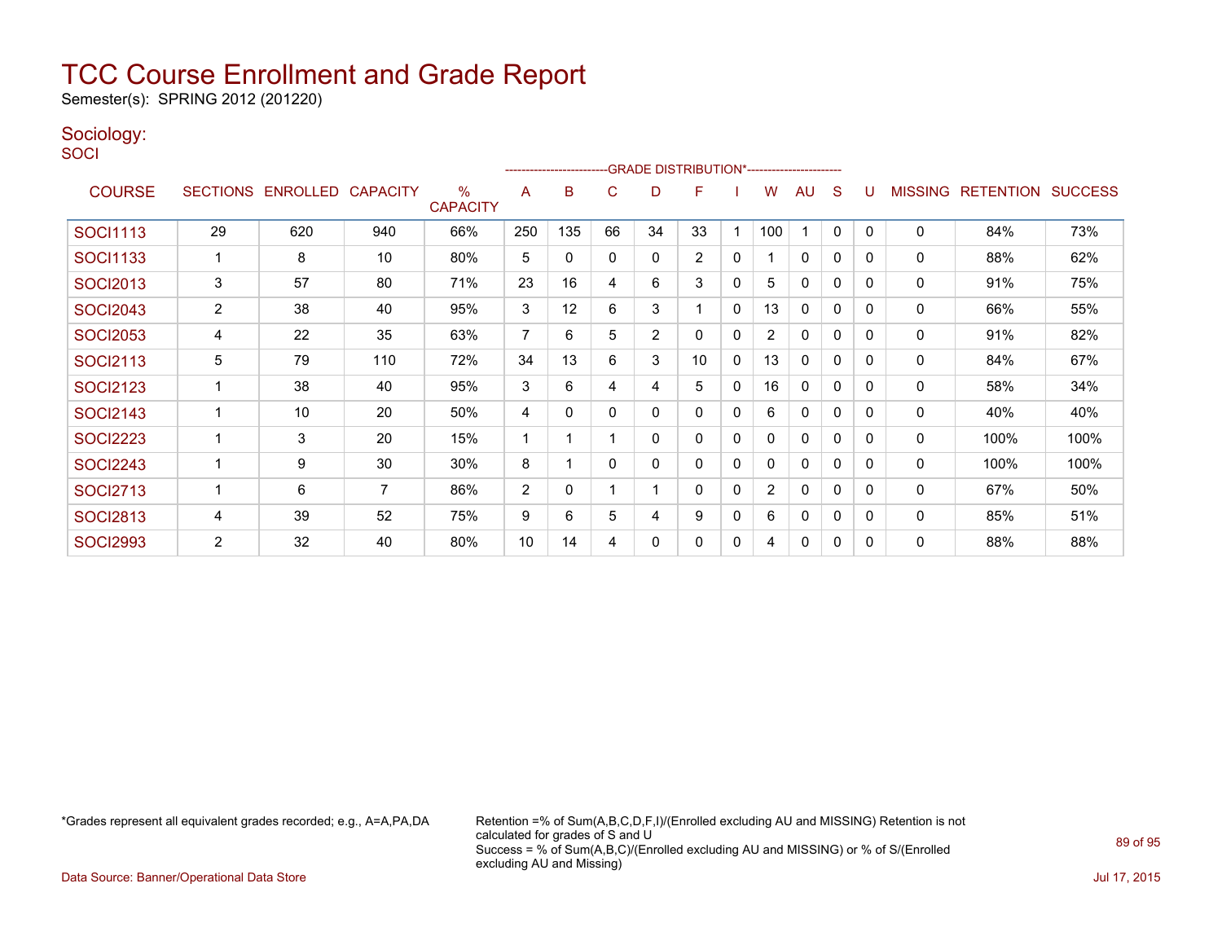Semester(s): SPRING 2012 (201220)

### Sociology:

**SOCI** 

|                 |                |                            |     |                      |                | ----------------------- |          |              | -GRADE DISTRIBUTION*----------------------- |              |                |              |              |              |                |                          |      |
|-----------------|----------------|----------------------------|-----|----------------------|----------------|-------------------------|----------|--------------|---------------------------------------------|--------------|----------------|--------------|--------------|--------------|----------------|--------------------------|------|
| <b>COURSE</b>   |                | SECTIONS ENROLLED CAPACITY |     | %<br><b>CAPACITY</b> | A              | B                       | C        | D            | F                                           |              | W              | AU           | S            | U            | <b>MISSING</b> | <b>RETENTION SUCCESS</b> |      |
| <b>SOCI1113</b> | 29             | 620                        | 940 | 66%                  | 250            | 135                     | 66       | 34           | 33                                          |              | 100            |              | $\mathbf{0}$ | $\mathbf{0}$ | 0              | 84%                      | 73%  |
| <b>SOCI1133</b> |                | 8                          | 10  | 80%                  | 5              | 0                       | $\Omega$ | $\Omega$     | 2                                           | $\mathbf{0}$ |                | $\mathbf{0}$ | 0            | 0            | 0              | 88%                      | 62%  |
| <b>SOCI2013</b> | 3              | 57                         | 80  | 71%                  | 23             | 16                      | 4        | 6            | 3                                           | 0            | 5              | 0            | 0            | $\Omega$     | 0              | 91%                      | 75%  |
| <b>SOCI2043</b> | $\overline{2}$ | 38                         | 40  | 95%                  | 3              | 12                      | 6        | 3            |                                             | $\mathbf{0}$ | 13             | $\mathbf{0}$ | 0            | 0            | 0              | 66%                      | 55%  |
| <b>SOCI2053</b> | 4              | 22                         | 35  | 63%                  | 7              | 6                       | 5        | 2            | 0                                           | $\mathbf{0}$ | $\overline{2}$ | $\mathbf{0}$ | 0            | 0            | 0              | 91%                      | 82%  |
| <b>SOCI2113</b> | 5              | 79                         | 110 | 72%                  | 34             | 13                      | 6        | 3            | 10                                          | $\mathbf{0}$ | 13             | 0            | 0            | 0            | 0              | 84%                      | 67%  |
| <b>SOCI2123</b> |                | 38                         | 40  | 95%                  | 3              | 6                       | 4        | 4            | 5                                           | $\mathbf{0}$ | 16             | 0            | 0            | 0            | 0              | 58%                      | 34%  |
| <b>SOCI2143</b> | ٠              | 10                         | 20  | 50%                  | 4              | $\Omega$                | $\Omega$ | 0            | $\Omega$                                    | $\mathbf{0}$ | 6              | 0            | 0            | 0            | 0              | 40%                      | 40%  |
| <b>SOCI2223</b> |                | 3                          | 20  | 15%                  | 1              |                         |          | 0            | 0                                           | $\mathbf{0}$ |                | 0            | 0            | 0            | 0              | 100%                     | 100% |
| <b>SOCI2243</b> | ×,             | 9                          | 30  | 30%                  | 8              | 1                       | $\Omega$ | $\mathbf{0}$ | 0                                           | $\mathbf{0}$ | $\Omega$       | $\mathbf{0}$ | $\mathbf{0}$ | 0            | 0              | 100%                     | 100% |
| <b>SOCI2713</b> |                | 6                          | 7   | 86%                  | $\overline{2}$ | 0                       |          |              | 0                                           | 0            | 2              | 0            | 0            | 0            | 0              | 67%                      | 50%  |
| <b>SOCI2813</b> | 4              | 39                         | 52  | 75%                  | 9              | 6                       | 5        | 4            | 9                                           | 0            | 6              | $\mathbf{0}$ | $\mathbf{0}$ | 0            | 0              | 85%                      | 51%  |
| <b>SOCI2993</b> | $\overline{2}$ | 32                         | 40  | 80%                  | 10             | 14                      | 4        | 0            | 0                                           | 0            | 4              | $\mathbf{0}$ | 0            | 0            | 0              | 88%                      | 88%  |

\*Grades represent all equivalent grades recorded; e.g., A=A,PA,DA Retention =% of Sum(A,B,C,D,F,I)/(Enrolled excluding AU and MISSING) Retention is not calculated for grades of S and U Success = % of Sum(A,B,C)/(Enrolled excluding AU and MISSING) or % of S/(Enrolled excluding AU and Missing)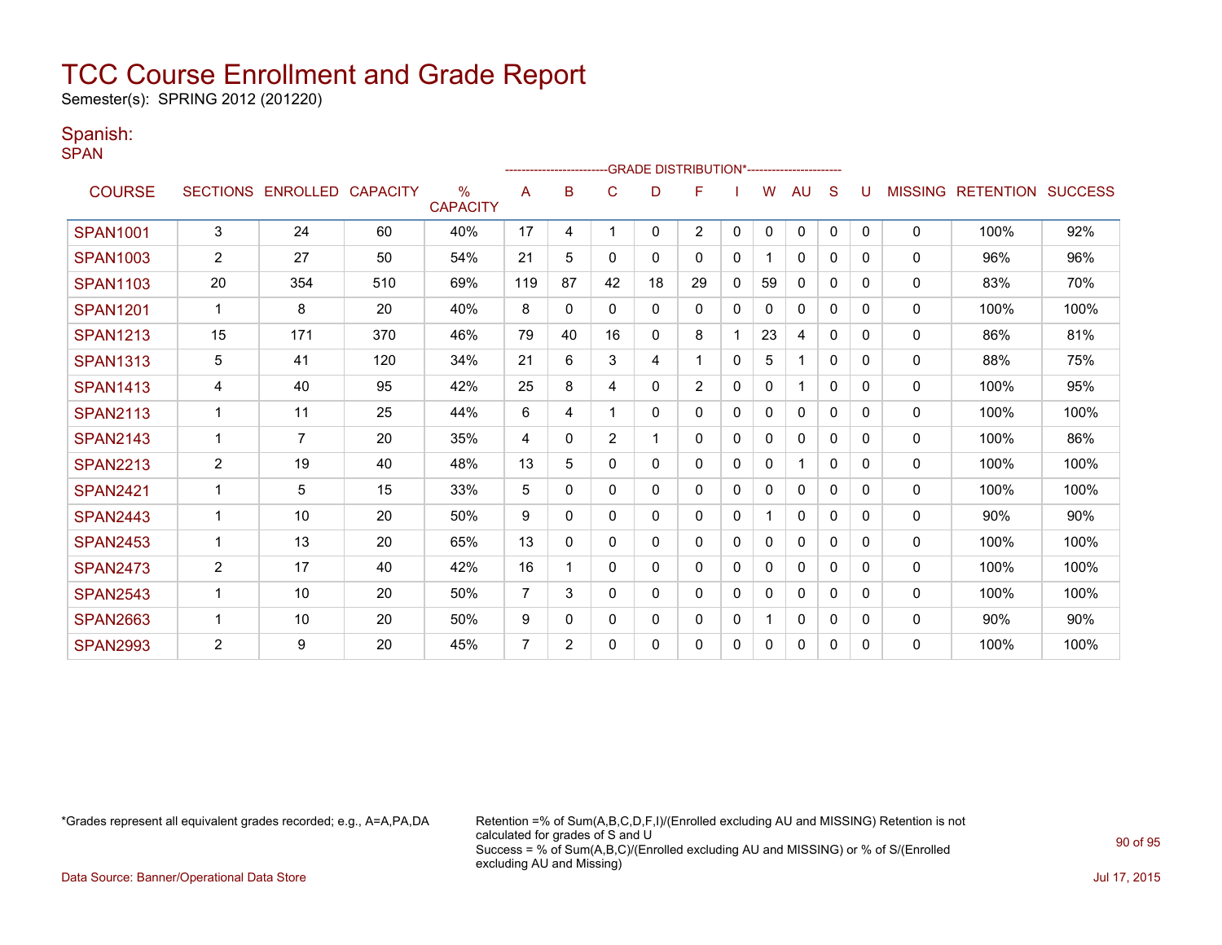Semester(s): SPRING 2012 (201220)

### Spanish:

SPAN

|                 |                 |                   |     |                                  |                | --------------------- |                |    | <b>GRADE DISTRIBUTION*----------------------</b> |             |              |              |          |              |                |                  |                |
|-----------------|-----------------|-------------------|-----|----------------------------------|----------------|-----------------------|----------------|----|--------------------------------------------------|-------------|--------------|--------------|----------|--------------|----------------|------------------|----------------|
| <b>COURSE</b>   | <b>SECTIONS</b> | ENROLLED CAPACITY |     | $\frac{0}{0}$<br><b>CAPACITY</b> | Α              | B                     | C              | D  | F                                                |             | w            | AU           | S        |              | <b>MISSING</b> | <b>RETENTION</b> | <b>SUCCESS</b> |
| <b>SPAN1001</b> | $\mathsf 3$     | 24                | 60  | 40%                              | 17             | 4                     |                | 0  | $\overline{2}$                                   | 0           | 0            | 0            | 0        | $\mathbf{0}$ | 0              | 100%             | 92%            |
| <b>SPAN1003</b> | 2               | 27                | 50  | 54%                              | 21             | 5                     | 0              | 0  | 0                                                | 0           |              | 0            | 0        | 0            | 0              | 96%              | 96%            |
| <b>SPAN1103</b> | 20              | 354               | 510 | 69%                              | 119            | 87                    | 42             | 18 | 29                                               | 0           | 59           | 0            | 0        | 0            | 0              | 83%              | 70%            |
| <b>SPAN1201</b> | 1               | 8                 | 20  | 40%                              | 8              | 0                     | $\Omega$       | 0  | 0                                                | 0           | 0            | $\mathbf{0}$ | 0        | 0            | 0              | 100%             | 100%           |
| <b>SPAN1213</b> | 15              | 171               | 370 | 46%                              | 79             | 40                    | 16             | 0  | 8                                                |             | 23           | 4            | $\Omega$ | $\Omega$     | 0              | 86%              | 81%            |
| <b>SPAN1313</b> | 5               | 41                | 120 | 34%                              | 21             | 6                     | 3              | 4  |                                                  | 0           | 5            | 1            | 0        | 0            | 0              | 88%              | 75%            |
| <b>SPAN1413</b> | 4               | 40                | 95  | 42%                              | 25             | 8                     | 4              | 0  | 2                                                | $\mathbf 0$ | $\mathbf{0}$ | 1            | $\Omega$ | 0            | $\mathbf{0}$   | 100%             | 95%            |
| <b>SPAN2113</b> | 1               | 11                | 25  | 44%                              | 6              | 4                     |                | 0  | 0                                                | 0           | $\mathbf{0}$ | $\mathbf{0}$ | 0        | 0            | $\Omega$       | 100%             | 100%           |
| <b>SPAN2143</b> | 1               | $\overline{7}$    | 20  | 35%                              | 4              | $\Omega$              | $\overline{2}$ |    | 0                                                | 0           | 0            | $\mathbf{0}$ | 0        | $\Omega$     | 0              | 100%             | 86%            |
| <b>SPAN2213</b> | 2               | 19                | 40  | 48%                              | 13             | 5                     | $\mathbf{0}$   | 0  | 0                                                | 0           | 0            | 1            | $\Omega$ | 0            | 0              | 100%             | 100%           |
| <b>SPAN2421</b> | 1               | 5                 | 15  | 33%                              | 5              | $\Omega$              | $\mathbf{0}$   | 0  | 0                                                | $\mathbf 0$ | $\mathbf{0}$ | $\mathbf{0}$ | $\Omega$ | 0            | 0              | 100%             | 100%           |
| <b>SPAN2443</b> | 1               | 10                | 20  | 50%                              | 9              | 0                     | $\Omega$       | 0  | 0                                                | $\Omega$    |              | $\Omega$     | 0        | 0            | 0              | 90%              | 90%            |
| <b>SPAN2453</b> |                 | 13                | 20  | 65%                              | 13             | $\Omega$              | 0              | 0  | 0                                                | 0           | $\mathbf{0}$ | $\mathbf{0}$ | 0        | 0            | 0              | 100%             | 100%           |
| <b>SPAN2473</b> | 2               | 17                | 40  | 42%                              | 16             |                       | $\mathbf{0}$   | 0  | 0                                                | 0           | $\mathbf{0}$ | $\mathbf{0}$ | 0        | 0            | 0              | 100%             | 100%           |
| <b>SPAN2543</b> |                 | 10                | 20  | 50%                              | 7              | 3                     | $\mathbf{0}$   | 0  | 0                                                | 0           | 0            | $\mathbf{0}$ | $\Omega$ | 0            | $\mathbf{0}$   | 100%             | 100%           |
| <b>SPAN2663</b> | 1               | 10                | 20  | 50%                              | 9              | 0                     | $\Omega$       | 0  | 0                                                | 0           |              | 0            | 0        | 0            | 0              | 90%              | 90%            |
| <b>SPAN2993</b> | $\overline{2}$  | 9                 | 20  | 45%                              | $\overline{7}$ | $\overline{2}$        | $\Omega$       | 0  | 0                                                | 0           | $\mathbf{0}$ | 0            | 0        | <sup>0</sup> | 0              | 100%             | 100%           |

\*Grades represent all equivalent grades recorded; e.g., A=A,PA,DA Retention =% of Sum(A,B,C,D,F,I)/(Enrolled excluding AU and MISSING) Retention is not calculated for grades of S and U Success = % of Sum(A,B,C)/(Enrolled excluding AU and MISSING) or % of S/(Enrolled excluding AU and Missing)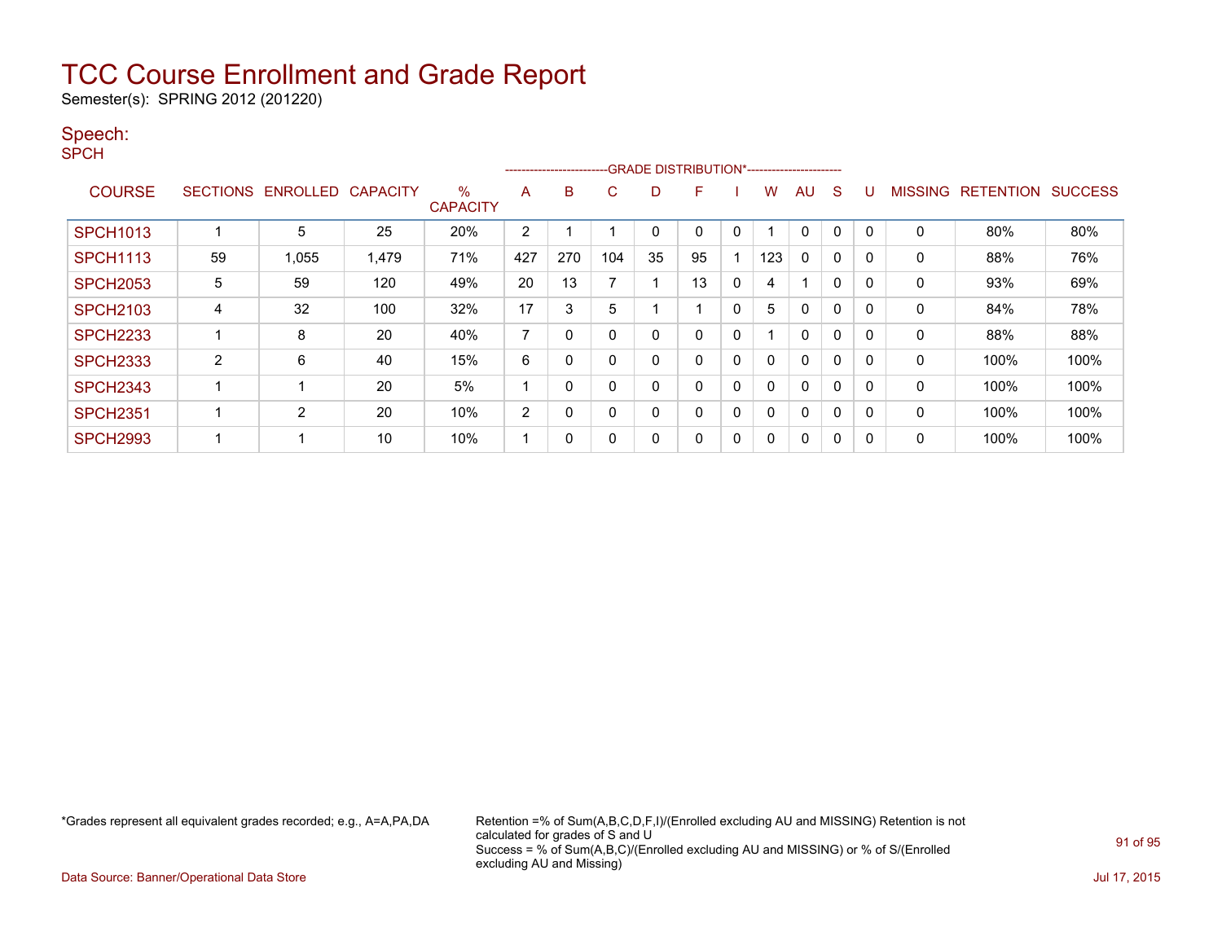Semester(s): SPRING 2012 (201220)

### Speech:

SPCH

|                 |                 |          |                 |                      |                | ----------------------- |             |    | -GRADE DISTRIBUTION*----------------------- |              |     |              |          |   |                |                  |                |
|-----------------|-----------------|----------|-----------------|----------------------|----------------|-------------------------|-------------|----|---------------------------------------------|--------------|-----|--------------|----------|---|----------------|------------------|----------------|
| <b>COURSE</b>   | <b>SECTIONS</b> | ENROLLED | <b>CAPACITY</b> | %<br><b>CAPACITY</b> | A              | B                       | C           | D  | F                                           |              | w   | AU           | S        |   | <b>MISSING</b> | <b>RETENTION</b> | <b>SUCCESS</b> |
| <b>SPCH1013</b> |                 | 5        | 25              | 20%                  | 2              |                         |             | 0  | 0                                           | 0            |     | $\Omega$     | 0        | 0 | $\mathbf 0$    | 80%              | 80%            |
| <b>SPCH1113</b> | 59              | 1,055    | 1,479           | 71%                  | 427            | 270                     | 104         | 35 | 95                                          |              | 123 | 0            | 0        |   | $\Omega$       | 88%              | 76%            |
| <b>SPCH2053</b> | 5               | 59       | 120             | 49%                  | 20             | 13                      |             |    | 13                                          | 0            | 4   |              | $\Omega$ | 0 | 0              | 93%              | 69%            |
| <b>SPCH2103</b> | 4               | 32       | 100             | 32%                  | 17             | 3                       | 5           |    |                                             | 0            | 5   | 0            | 0        | 0 | 0              | 84%              | 78%            |
| <b>SPCH2233</b> |                 | 8        | 20              | 40%                  | 7              | $\Omega$                | $\mathbf 0$ | 0  | 0                                           | 0            |     | $\Omega$     | 0        | 0 | $\mathbf 0$    | 88%              | 88%            |
| <b>SPCH2333</b> | 2               | 6        | 40              | 15%                  | 6              | 0                       | $\mathbf 0$ | 0  | $\Omega$                                    | $\mathbf 0$  |     | $\Omega$     | 0        |   | 0              | 100%             | 100%           |
| <b>SPCH2343</b> |                 |          | 20              | 5%                   |                | 0                       | $\mathbf 0$ | 0  | $\Omega$                                    | 0            |     | $\Omega$     | 0        | 0 | $\Omega$       | 100%             | 100%           |
| <b>SPCH2351</b> |                 | 2        | 20              | 10%                  | $\overline{2}$ | 0                       | $\Omega$    | 0  | $\Omega$                                    | $\mathbf{0}$ |     | $\Omega$     | $\Omega$ | 0 | 0              | 100%             | 100%           |
| <b>SPCH2993</b> |                 |          | 10              | 10%                  |                | 0                       | 0           | 0  | 0                                           | 0            |     | $\mathbf{0}$ | 0        |   | $\mathbf 0$    | 100%             | 100%           |

\*Grades represent all equivalent grades recorded; e.g., A=A,PA,DA Retention =% of Sum(A,B,C,D,F,I)/(Enrolled excluding AU and MISSING) Retention is not calculated for grades of S and U Success = % of Sum(A,B,C)/(Enrolled excluding AU and MISSING) or % of S/(Enrolled excluding AU and Missing)

Data Source: Banner/Operational Data Store Jul 17, 2015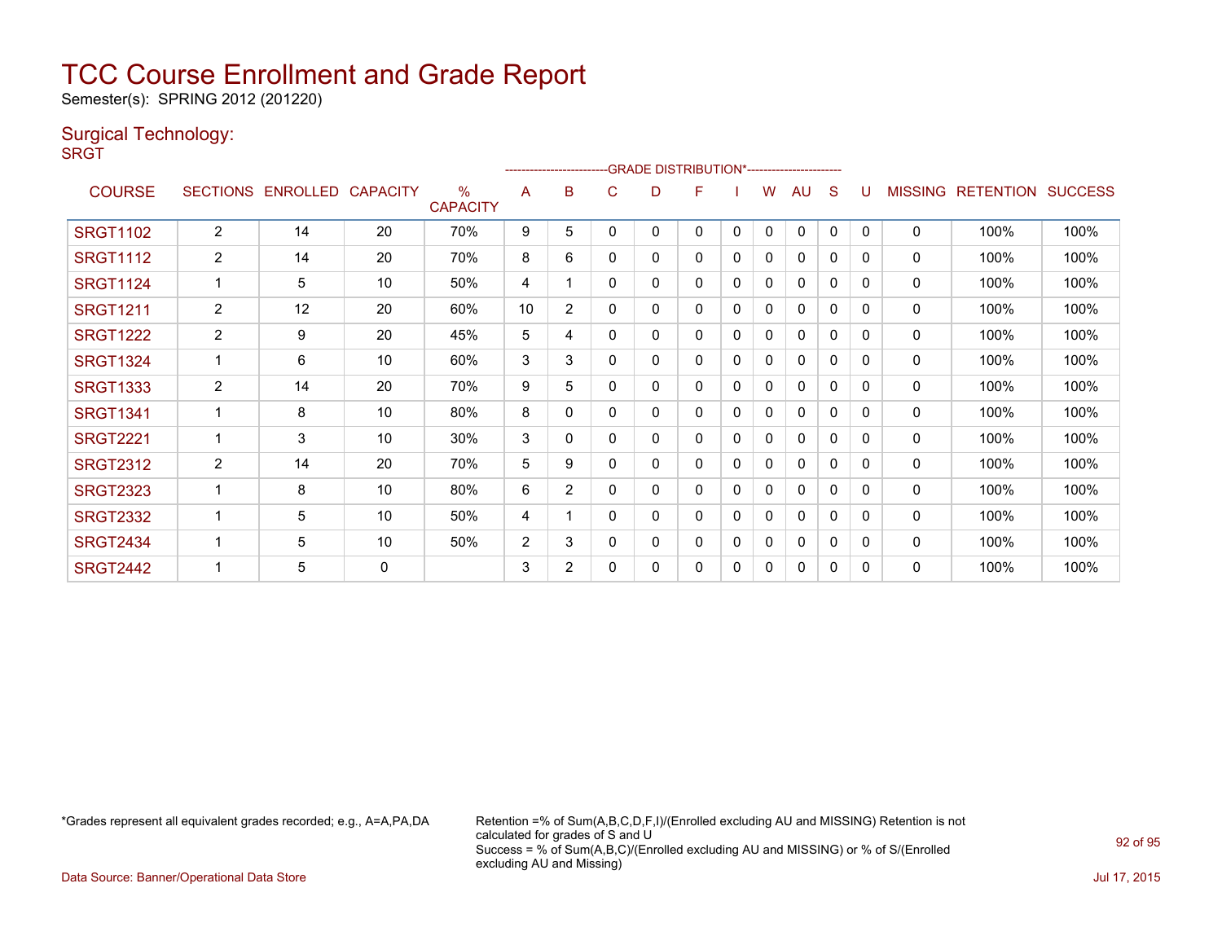Semester(s): SPRING 2012 (201220)

### Surgical Technology:

**SRGT** 

|                 |                 |                 |                 |                         |                |                |   |   | <u>-----------------------GRADE DISTRIBUTION</u> |          |   | `------------------------- |              |              |                |                  |                |
|-----------------|-----------------|-----------------|-----------------|-------------------------|----------------|----------------|---|---|--------------------------------------------------|----------|---|----------------------------|--------------|--------------|----------------|------------------|----------------|
| <b>COURSE</b>   | <b>SECTIONS</b> | <b>ENROLLED</b> | <b>CAPACITY</b> | $\%$<br><b>CAPACITY</b> | A              | B              | C | D | F                                                |          | W | AU                         | S            | U            | <b>MISSING</b> | <b>RETENTION</b> | <b>SUCCESS</b> |
| <b>SRGT1102</b> | $\overline{2}$  | 14              | 20              | 70%                     | 9              | 5              | 0 | 0 | 0                                                | 0        | 0 | $\mathbf{0}$               | $\mathbf{0}$ | $\mathbf{0}$ | $\mathbf{0}$   | 100%             | 100%           |
| <b>SRGT1112</b> | $\overline{2}$  | 14              | 20              | 70%                     | 8              | 6              | 0 | 0 | 0                                                | $\Omega$ | 0 | $\mathbf{0}$               | 0            | $\mathbf{0}$ | 0              | 100%             | 100%           |
| <b>SRGT1124</b> | -1              | 5               | 10              | 50%                     | 4              |                | 0 | 0 | 0                                                | 0        | 0 | 0                          | 0            | 0            | $\Omega$       | 100%             | 100%           |
| <b>SRGT1211</b> | $\overline{2}$  | 12              | 20              | 60%                     | 10             | $\overline{2}$ | 0 | 0 | 0                                                | 0        | 0 | $\mathbf{0}$               | 0            | 0            | 0              | 100%             | 100%           |
| <b>SRGT1222</b> | $\overline{2}$  | 9               | 20              | 45%                     | 5              | 4              | 0 | 0 | 0                                                | 0        | 0 | $\mathbf{0}$               | 0            | $\Omega$     | $\mathbf{0}$   | 100%             | 100%           |
| <b>SRGT1324</b> | $\mathbf 1$     | 6               | 10              | 60%                     | 3              | 3              | 0 | 0 | 0                                                | 0        | 0 | $\Omega$                   | 0            | 0            | $\mathbf{0}$   | 100%             | 100%           |
| <b>SRGT1333</b> | $\overline{2}$  | 14              | 20              | 70%                     | 9              | 5              | 0 | 0 | 0                                                | 0        | 0 | 0                          | 0            | 0            | 0              | 100%             | 100%           |
| <b>SRGT1341</b> |                 | 8               | 10              | 80%                     | 8              | 0              | 0 | 0 | 0                                                | 0        | 0 | $\mathbf{0}$               | $\Omega$     | $\Omega$     | 0              | 100%             | 100%           |
| <b>SRGT2221</b> |                 | 3               | 10              | 30%                     | 3              | $\Omega$       | N | 0 | 0                                                | 0        | 0 | 0                          | 0            | $\Omega$     | $\mathbf{0}$   | 100%             | 100%           |
| <b>SRGT2312</b> | 2               | 14              | 20              | 70%                     | 5              | 9              | 0 | 0 | 0                                                | 0        | 0 | 0                          | 0            | $\Omega$     | 0              | 100%             | 100%           |
| <b>SRGT2323</b> |                 | 8               | 10              | 80%                     | 6              | $\overline{2}$ | 0 | 0 | 0                                                | 0        | 0 | 0                          | 0            | 0            | $\mathbf{0}$   | 100%             | 100%           |
| <b>SRGT2332</b> |                 | 5               | 10              | 50%                     | 4              |                | 0 | 0 | 0                                                | 0        | 0 | $\Omega$                   | 0            | 0            | 0              | 100%             | 100%           |
| <b>SRGT2434</b> | -1              | 5               | 10              | 50%                     | $\overline{2}$ | 3              | 0 | 0 | 0                                                | 0        | 0 | 0                          | 0            | 0            | 0              | 100%             | 100%           |
| <b>SRGT2442</b> |                 | 5               | 0               |                         | 3              | $\overline{2}$ | ი | 0 | $\Omega$                                         | 0        | 0 | $\mathbf 0$                | 0            | 0            | $\mathbf{0}$   | 100%             | 100%           |

-------------------------GRADE DISTRIBUTION\*-----------------------

\*Grades represent all equivalent grades recorded; e.g., A=A,PA,DA Retention =% of Sum(A,B,C,D,F,I)/(Enrolled excluding AU and MISSING) Retention is not calculated for grades of S and U Success = % of Sum(A,B,C)/(Enrolled excluding AU and MISSING) or % of S/(Enrolled excluding AU and Missing)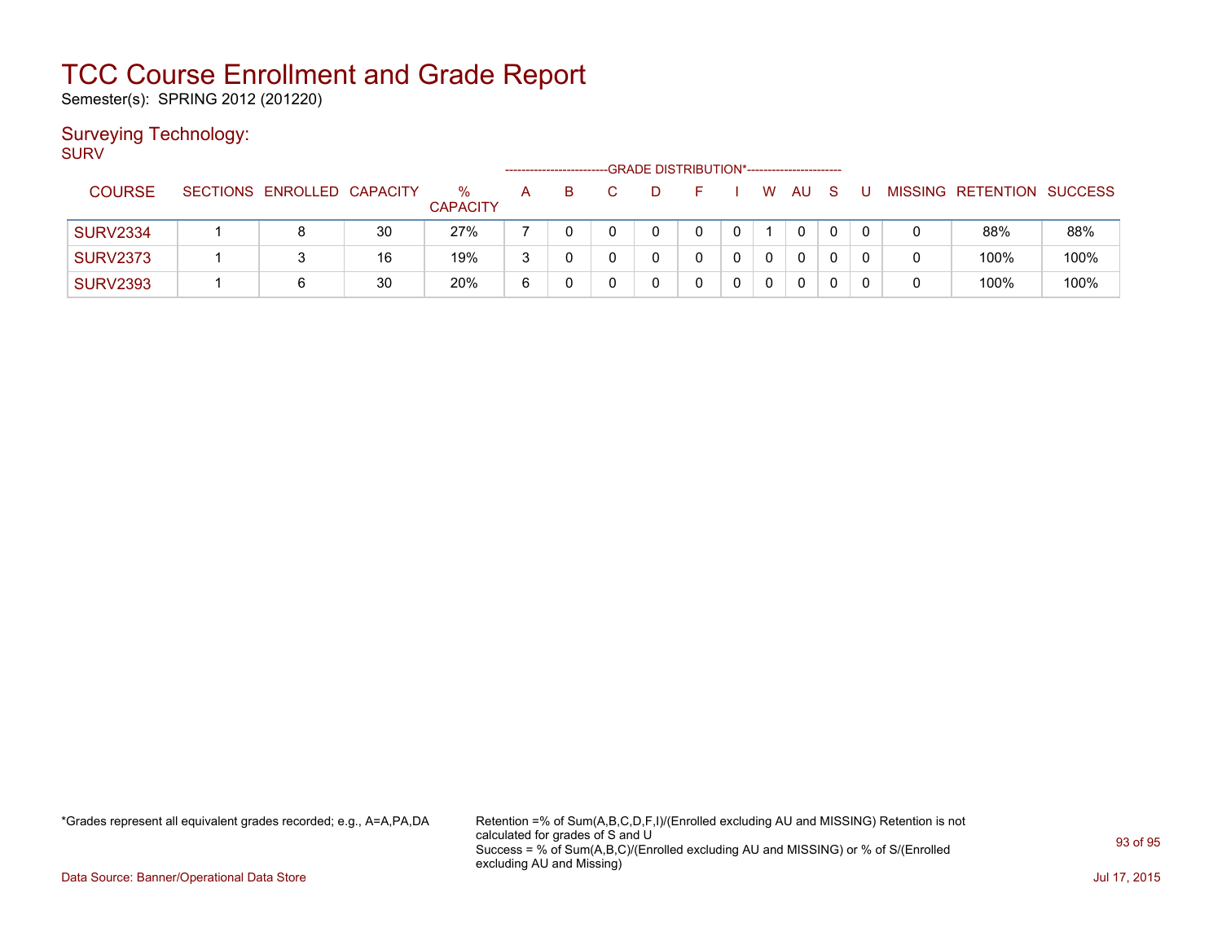Semester(s): SPRING 2012 (201220)

### Surveying Technology:

SURV

|                 |                            |    |                         |   |   | -GRADE DISTRIBUTION*----------------------- |   |          |              |   |  |                           |      |
|-----------------|----------------------------|----|-------------------------|---|---|---------------------------------------------|---|----------|--------------|---|--|---------------------------|------|
| <b>COURSE</b>   | SECTIONS ENROLLED CAPACITY |    | $\%$<br><b>CAPACITY</b> | A | B |                                             |   | W        | AU           | S |  | MISSING RETENTION SUCCESS |      |
| <b>SURV2334</b> |                            | 30 | 27%                     |   |   |                                             | 0 |          | 0            |   |  | 88%                       | 88%  |
| <b>SURV2373</b> |                            | 16 | 19%                     | 3 |   |                                             |   | $\Omega$ | $\mathbf{0}$ |   |  | 100%                      | 100% |
| <b>SURV2393</b> | 6                          | 30 | 20%                     | 6 |   |                                             |   |          | 0            |   |  | 100%                      | 100% |

\*Grades represent all equivalent grades recorded; e.g., A=A,PA,DA Retention =% of Sum(A,B,C,D,F,I)/(Enrolled excluding AU and MISSING) Retention is not calculated for grades of S and U Success = % of Sum(A,B,C)/(Enrolled excluding AU and MISSING) or % of S/(Enrolled excluding AU and Missing)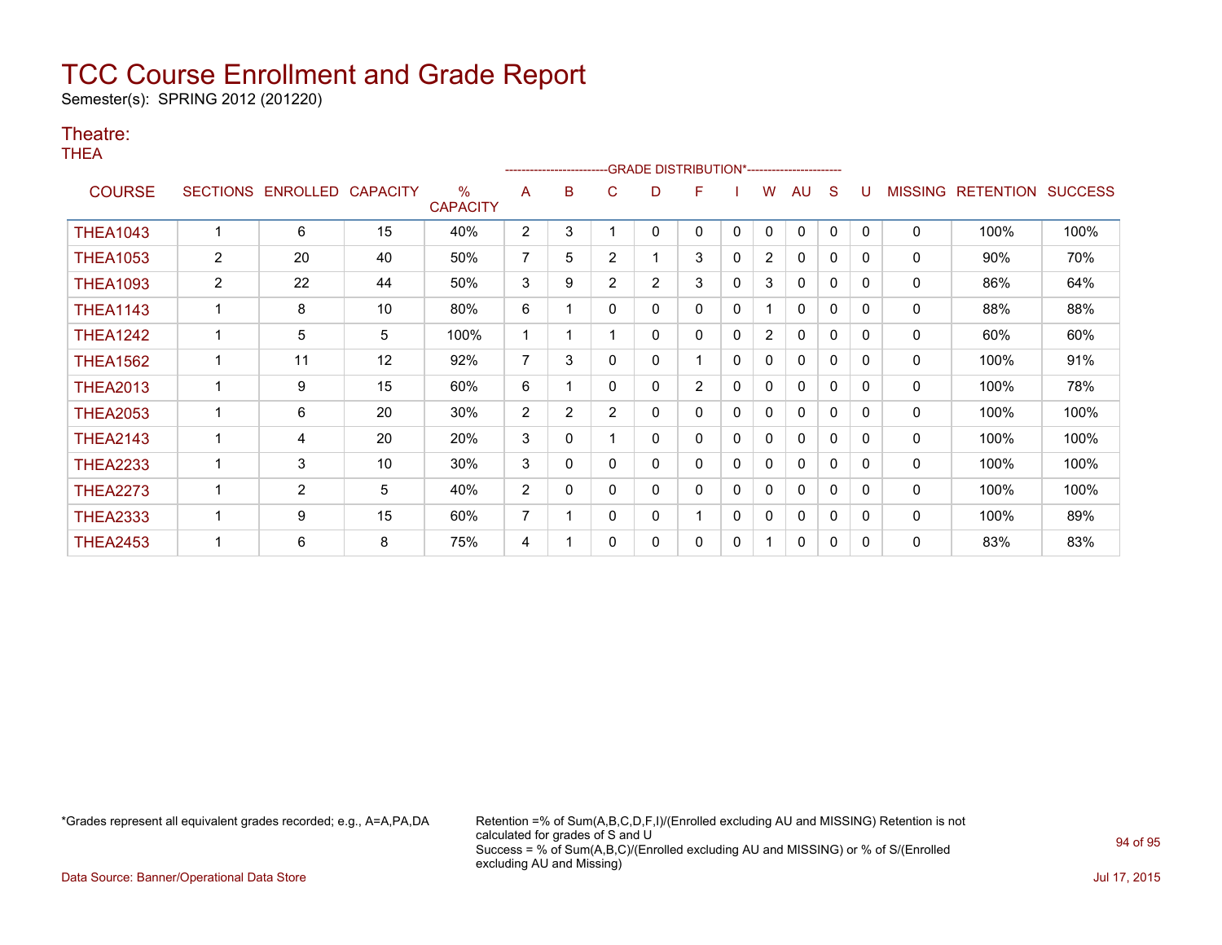Semester(s): SPRING 2012 (201220)

### Theatre:

THEA

|                 |                 |                |                 |                                  |                |   |                | ------------------------GRADE                DISTRIBUTION*---------------------- |                |              |                |              |              |              |                |                  |                |
|-----------------|-----------------|----------------|-----------------|----------------------------------|----------------|---|----------------|----------------------------------------------------------------------------------|----------------|--------------|----------------|--------------|--------------|--------------|----------------|------------------|----------------|
| <b>COURSE</b>   | <b>SECTIONS</b> | ENROLLED       | <b>CAPACITY</b> | $\frac{0}{0}$<br><b>CAPACITY</b> | A              | B | C              | D                                                                                | F              |              | w              | AU           | S            |              | <b>MISSING</b> | <b>RETENTION</b> | <b>SUCCESS</b> |
| <b>THEA1043</b> |                 | 6              | 15              | 40%                              | $\overline{2}$ | 3 |                | 0                                                                                | 0              | 0            | 0              | 0            | 0            | $\Omega$     | 0              | 100%             | 100%           |
| <b>THEA1053</b> | $\overline{2}$  | 20             | 40              | 50%                              | $\overline{7}$ | 5 | 2              |                                                                                  | 3              | $\mathbf{0}$ | $\overline{2}$ | 0            | 0            | $\Omega$     | $\mathbf 0$    | 90%              | 70%            |
| <b>THEA1093</b> | $\overline{2}$  | 22             | 44              | 50%                              | 3              | 9 | $\overline{2}$ | $\overline{2}$                                                                   | 3              | 0            | 3              | 0            | 0            | $\Omega$     | 0              | 86%              | 64%            |
| <b>THEA1143</b> |                 | 8              | 10              | 80%                              | 6              |   | 0              | 0                                                                                | 0              | $\mathbf{0}$ |                | $\Omega$     | 0            | $\mathbf{0}$ | $\mathbf 0$    | 88%              | 88%            |
| <b>THEA1242</b> |                 | 5              | 5               | 100%                             |                |   |                | 0                                                                                | 0              | 0            | $\overline{2}$ | 0            | $\mathbf{0}$ | $\Omega$     | $\mathbf 0$    | 60%              | 60%            |
| <b>THEA1562</b> |                 | 11             | 12              | 92%                              | 7              | 3 | 0              | 0                                                                                |                | $\mathbf{0}$ | $\mathbf{0}$   | 0            | $\mathbf{0}$ | 0            | 0              | 100%             | 91%            |
| <b>THEA2013</b> |                 | 9              | 15              | 60%                              | 6              |   | 0              | 0                                                                                | $\overline{2}$ | 0            | 0              | 0            | $\mathbf{0}$ | $\Omega$     | 0              | 100%             | 78%            |
| <b>THEA2053</b> |                 | 6              | 20              | 30%                              | $\overline{c}$ | 2 | $\overline{2}$ | 0                                                                                | 0              | $\Omega$     | 0              | 0            | 0            | 0            | 0              | 100%             | 100%           |
| <b>THEA2143</b> |                 | 4              | 20              | 20%                              | 3              | 0 |                | 0                                                                                | 0              | 0            | 0              | $\mathbf{0}$ | $\mathbf{0}$ | $\Omega$     | 0              | 100%             | 100%           |
| <b>THEA2233</b> |                 | 3              | 10              | 30%                              | 3              | 0 | 0              | 0                                                                                | 0              | $\Omega$     | $\mathbf{0}$   | 0            | 0            | 0            | 0              | 100%             | 100%           |
| <b>THEA2273</b> |                 | $\overline{2}$ | 5               | 40%                              | 2              | 0 | 0              | 0                                                                                | 0              | 0            | 0              | 0            | $\mathbf{0}$ | $\Omega$     | 0              | 100%             | 100%           |
| <b>THEA2333</b> |                 | 9              | 15              | 60%                              | $\overline{7}$ |   | 0              | 0                                                                                |                | 0            | 0              | 0            | 0            | $\Omega$     | 0              | 100%             | 89%            |
| <b>THEA2453</b> |                 | 6              | 8               | 75%                              | 4              |   | 0              | 0                                                                                | 0              | 0            |                | 0            | 0            | $\Omega$     | 0              | 83%              | 83%            |

\*Grades represent all equivalent grades recorded; e.g., A=A,PA,DA Retention =% of Sum(A,B,C,D,F,I)/(Enrolled excluding AU and MISSING) Retention is not calculated for grades of S and U Success = % of Sum(A,B,C)/(Enrolled excluding AU and MISSING) or % of S/(Enrolled excluding AU and Missing)